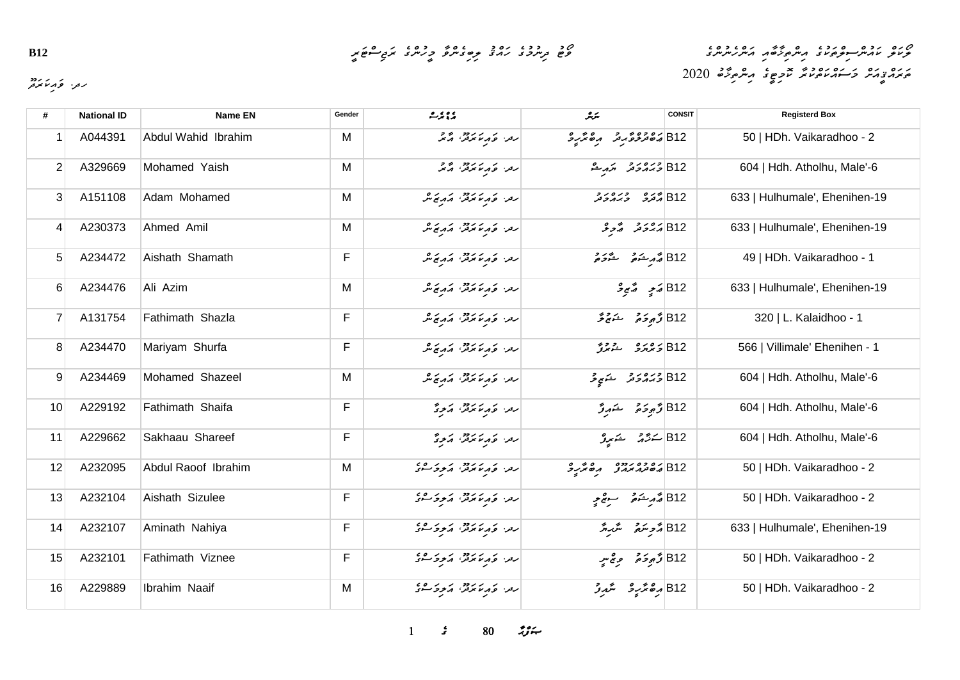*sCw7q7s5w7m< o<n9nOoAw7o< sCq;mAwBoEw7q<m; wBm;vB* م من المرة المرة المرة المرجع المرجع في المركبة 2020<br>مجم*د المريض المربوط المربع المرجع في المراجع المركبة* 

|  | $\overline{\phantom{a}}$<br>ردر ومسعرم |  |
|--|----------------------------------------|--|
|--|----------------------------------------|--|

 $\overline{\phantom{a}}$ 

| #               | <b>National ID</b> | Name EN             | Gender      | يرويره                          | ىترىتر                                            | <b>CONSIT</b> | <b>Registerd Box</b>          |
|-----------------|--------------------|---------------------|-------------|---------------------------------|---------------------------------------------------|---------------|-------------------------------|
|                 | A044391            | Abdul Wahid Ibrahim | M           | رى ئەرىئەت ئەتر                 | B12 كەھىر ئۇم ئەرگە بەھ ئۇر ئ                     |               | 50   HDh. Vaikaradhoo - 2     |
| $\overline{2}$  | A329669            | Mohamed Yaish       | M           | رى ئەرىئە بودە بور              | B12 <i>وَبَرْوُدُو مَهد</i> َّ                    |               | 604   Hdh. Atholhu, Male'-6   |
| 3               | A151108            | Adam Mohamed        | M           | رى ئەرىكىگى ئەرىجى              | B12 پژنرو وبرورو                                  |               | 633   Hulhumale', Ehenihen-19 |
| 4               | A230373            | Ahmed Amil          | M           | رى قەرىكىگە كەرىكى              | B12 كەنزى قەرىخ                                   |               | 633   Hulhumale', Ehenihen-19 |
| 5               | A234472            | Aishath Shamath     | F           | رى قەرىكىگە كەرىكى              | B12 مەم ئىش ئىقىدىمى                              |               | 49   HDh. Vaikaradhoo - 1     |
| 6               | A234476            | Ali Azim            | M           | رى ئەرىكىگى ئەرىجى              | B12  پَرمٍ گەنبى 3                                |               | 633   Hulhumale', Ehenihen-19 |
| 7               | A131754            | Fathimath Shazla    | $\mathsf F$ | رو. وَمِرْ مَرْتَرٌ مَمْ مَرَضٌ | B12 تَ <i>وجوَء</i> ُ شَيْءَ تَ                   |               | 320   L. Kalaidhoo - 1        |
| 8               | A234470            | Mariyam Shurfa      | $\mathsf F$ | رى ئەرىكىگە كەرىكى              | B12 كەمەر ئەھمىرتى                                |               | 566   Villimale' Ehenihen - 1 |
| 9               | A234469            | Mohamed Shazeel     | M           | رى قەرىكىگە كەرىكى              | B12  <i>3،25 تىلى</i> مىتوپى                      |               | 604   Hdh. Atholhu, Male'-6   |
| 10 <sup>1</sup> | A229192            | Fathimath Shaifa    | F           | رى قەرىكىنىڭ كەيدە              | B12 <i>وَّجِ حَمَّ</i> شَه <i>رٍ وَّ</i>          |               | 604   Hdh. Atholhu, Male'-6   |
| 11              | A229662            | Sakhaau Shareef     | $\mathsf F$ | رو. قەرئەتلار مەدئ              | B12 سَتَرَبَّرُ شَمَيرُوْ                         |               | 604   Hdh. Atholhu, Male'-6   |
| 12              | A232095            | Abdul Raoof Ibrahim | M           | رىر ئەرىئەتكە كەبەر ئ           | B12 גەدەمدە بور مەھكرى                            |               | 50   HDh. Vaikaradhoo - 2     |
| 13              | A232104            | Aishath Sizulee     | F           | رىر ئەرىكىنىڭ كەبىر ق           | B12 مۇمەشقىق سىزىمىچە                             |               | 50   HDh. Vaikaradhoo - 2     |
| 14              | A232107            | Aminath Nahiya      | $\mathsf F$ | رىر ئەرىئەتكە ئەبەر م           | B12 مُتَّحِسَمُ مُتَّسِيَّةً                      |               | 633   Hulhumale', Ehenihen-19 |
| 15              | A232101            | Fathimath Viznee    | $\mathsf F$ | رىر ئەرىكىنىڭ كەبىر ق           | B12 گوچر تھ موچ س                                 |               | 50   HDh. Vaikaradhoo - 2     |
| 16              | A229889            | Ibrahim Naaif       | M           | رىر ئەرىئەتكە كەبەر ئ           | B12 <sub>مو</sub> ھ <i>مُرْرِ</i> وْ مُتَمَّرِ وَ |               | 50   HDh. Vaikaradhoo - 2     |

 $1$  *s* 80 *i*<sub>S</sub><sup>2</sup>*i*-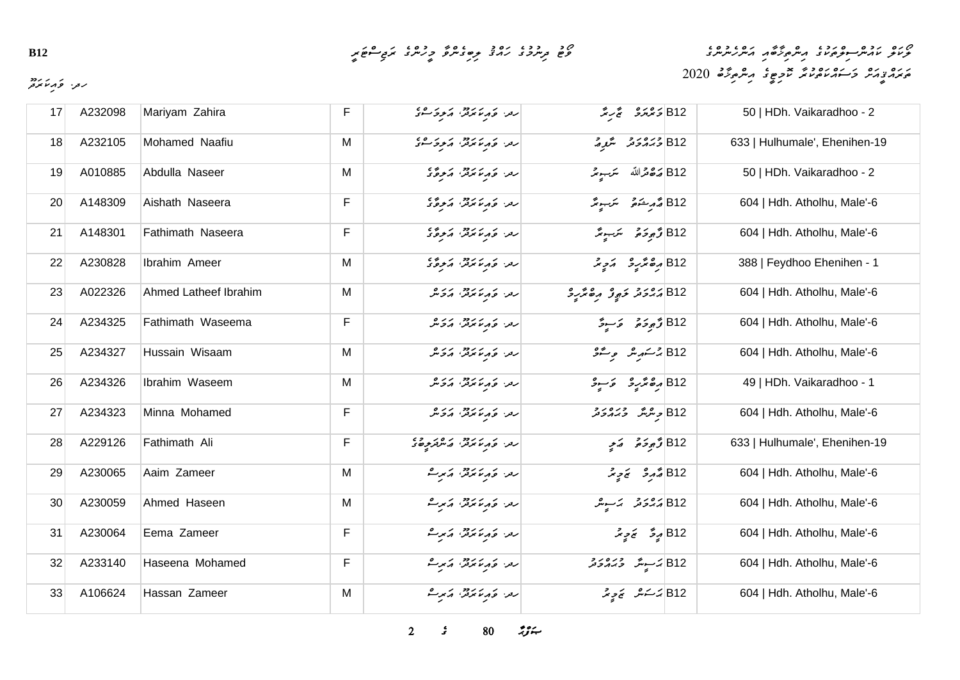*sCw7q7s5w7m< o<n9nOoAw7o< sCq;mAwBoEw7q<m; wBm;vB* م من المرة المرة المرة المرجع المرجع في المركبة 2020<br>مجم*د المريض المربوط المربع المرجع في المراجع المركبة* 

| $\overline{\phantom{a}}$<br>ردر ومستردر |  |
|-----------------------------------------|--|
|-----------------------------------------|--|

| 17 | A232098 | Mariyam Zahira        | $\mathsf{F}$ | رىر ئەرىئەتكە مەرزە ئ            | B12 <i>5 پر پر پی</i> پی پی                           | 50   HDh. Vaikaradhoo - 2     |
|----|---------|-----------------------|--------------|----------------------------------|-------------------------------------------------------|-------------------------------|
| 18 | A232105 | Mohamed Naafiu        | M            | رى ئەرىكىنى كەبىر ق              | B12 <i>وَبَهُ وَبَعْدِ مُعْ بِهِ</i>                  | 633   Hulhumale', Ehenihen-19 |
| 19 | A010885 | Abdulla Naseer        | M            | رى ئەرىكى ئەرەپى                 |                                                       | 50   HDh. Vaikaradhoo - 2     |
| 20 | A148309 | Aishath Naseera       | $\mathsf F$  | رى ئەرىكى ئەرەپى                 | B12 م <i>ەقىرىشكىق سىرسى</i> تىگە                     | 604   Hdh. Atholhu, Male'-6   |
| 21 | A148301 | Fathimath Naseera     | $\mathsf F$  | رو. ءَ دِ مَا مَرُوْ. دَ وِ ءُ ۽ | B12 ۇ <sub>ج</sub> وڭ <sub>م</sub> ۇ سىسب <i>ى</i> گە | 604   Hdh. Atholhu, Male'-6   |
| 22 | A230828 | Ibrahim Ameer         | M            | رى ئەرىكىن مۇئ                   | B12 م <i>وڭ ئۇر</i> ق م <i>ۇم</i> رىم                 | 388   Feydhoo Ehenihen - 1    |
| 23 | A022326 | Ahmed Latheef Ibrahim | M            | رى ئەرىكى ئەركىر                 | B12 كەندى كىرى ھەتگەر ق                               | 604   Hdh. Atholhu, Male'-6   |
| 24 | A234325 | Fathimath Waseema     | F            | رى ئەرىكى ئەركى                  | B12 <i>وَّجِوَة وَ</i> سِيرً                          | 604   Hdh. Atholhu, Male'-6   |
| 25 | A234327 | Hussain Wisaam        | M            | رىن ئەرىكىچە كەرگە               | B12 پرڪ <i>ي هو هو ش</i> وع                           | 604   Hdh. Atholhu, Male'-6   |
| 26 | A234326 | Ibrahim Waseem        | M            | رى ئەرىئەتكە ئەزىر               | B12 مەھمگەر تەسىر ئاسىر                               | 49   HDh. Vaikaradhoo - 1     |
| 27 | A234323 | Minna Mohamed         | $\mathsf F$  | رى ئەرىئەتكى ئەز ھ               | B12 <sub>حي</sub> ثر <i>يگ ويمگ</i> وتر               | 604   Hdh. Atholhu, Male'-6   |
| 28 | A229126 | Fathimath Ali         | F            | رى كەرىك بەر دە                  | B12 <i>وُجوحَ</i> هُ صَمِ                             | 633   Hulhumale', Ehenihen-19 |
| 29 | A230065 | Aaim Zameer           | M            | رى ئەرىئەتكە ئەيرت               | B12 م <i>حمد حسم تاجي</i> تر                          | 604   Hdh. Atholhu, Male'-6   |
| 30 | A230059 | Ahmed Haseen          | M            | رى ئەرىئىرى ئەيرت                | B12 <i>ړی.ی بی پرسپ</i> یل                            | 604   Hdh. Atholhu, Male'-6   |
| 31 | A230064 | Eema Zameer           | F            | رىن ئەرىئىرى كەيرىش              | B12 <sub>مو</sub> تر تج <i>و</i> یمر                  | 604   Hdh. Atholhu, Male'-6   |
| 32 | A233140 | Haseena Mohamed       | $\mathsf F$  | رى ئەرىئەتكە ئەيرىشى             | B12 كەسپەنتى ئ <i>ۇكەملا</i> قىر                      | 604   Hdh. Atholhu, Male'-6   |
| 33 | A106624 | Hassan Zameer         | M            | رىن ئەرىكىگە كەيرىش              | B12   يَرْسَسْ بَمَ حِرْ مَرْ                         | 604   Hdh. Atholhu, Male'-6   |

 $2$  *s* 80 *i*<sub>S</sub> $\approx$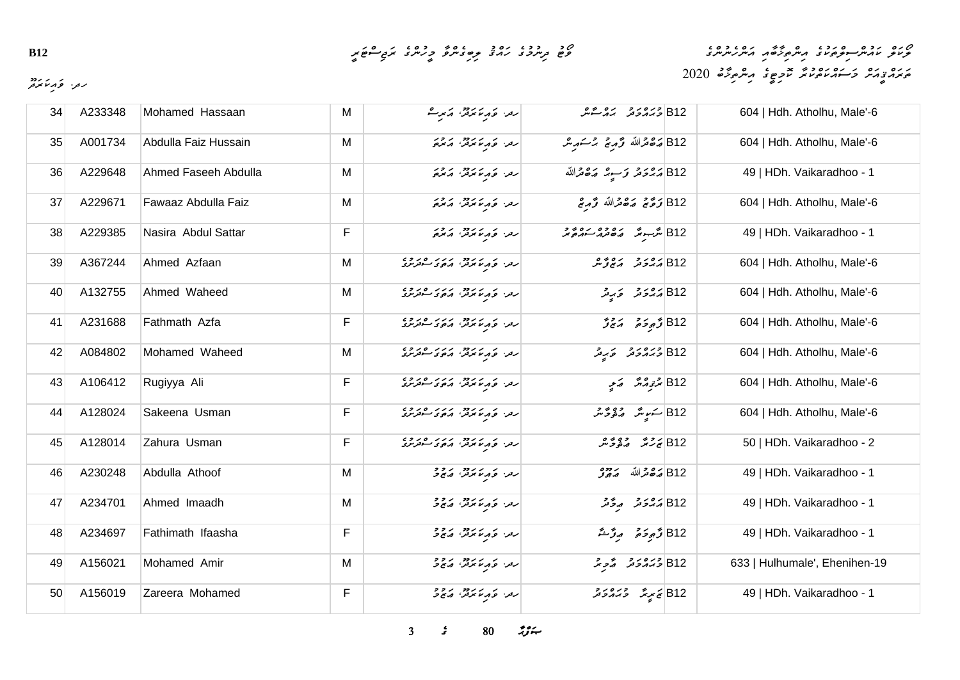*sCw7q7s5w7m< o<n9nOoAw7o< sCq;mAwBoEw7q<m; wBm;vB 2020*<br>*په پوهر وسوډيرونو لومو د موجو د مرمونه* 2020

| 34 | A233348 | Mohamed Hassaan      | M | رى ئەرىكى ئەرب                                                    | B12 <i>ۋېزەر دې</i> ئەرگىر                    | 604   Hdh. Atholhu, Male'-6   |
|----|---------|----------------------|---|-------------------------------------------------------------------|-----------------------------------------------|-------------------------------|
| 35 | A001734 | Abdulla Faiz Hussain | M | رى ئەرىئىرى ئەيرە                                                 | B12 كَمَە قَدْاللَّهَ قَرَمِهِ جَرْحَمَ مِسْر | 604   Hdh. Atholhu, Male'-6   |
| 36 | A229648 | Ahmed Faseeh Abdulla | M | رى ئەرىئىرى ئەيرە                                                 | B12 بَرْجْرَى تَرْسِيْرْ بَرَصْوَرْاللّه      | 49   HDh. Vaikaradhoo - 1     |
| 37 | A229671 | Fawaaz Abdulla Faiz  | M | رى ئەرىئىرى ئەيرە                                                 | B12 ترځې پره ټرالله څه چ                      | 604   Hdh. Atholhu, Male'-6   |
| 38 | A229385 | Nasira Abdul Sattar  | F | رى ئەرىكى ئەرەر                                                   | B12 مگر به پره ده بره د د                     | 49   HDh. Vaikaradhoo - 1     |
| 39 | A367244 | Ahmed Azfaan         | M | رود نوم با برود دربر ۱۵ د و د<br>رود نوم با بولس اردوی سوتربری    | B12 كەبر <i>ە بىر ئەيمۇ</i> ئىر               | 604   Hdh. Atholhu, Male'-6   |
| 40 | A132755 | Ahmed Waheed         | M | رود نوم با برود دربر ۱۵ د و د<br>رود نوم با بولس اردوی سوتربری    | B12 كەنزى قىرى <i>قى</i>                      | 604   Hdh. Atholhu, Male'-6   |
| 41 | A231688 | Fathmath Azfa        | F | رد. نوم نود. در ۱۳۶۵<br>رد. نوم نود. موی-متر دی                   | B12 تُهِ حَقَّ مَتَّى تَ                      | 604   Hdh. Atholhu, Male'-6   |
| 42 | A084802 | Mohamed Waheed       | M | رود نوم د برود در در ۲۵ دره<br>رود نوم د برود امروی سوتر در       | B12 <i>وُيَرْدُوَنْ وَبِ</i> سْ               | 604   Hdh. Atholhu, Male'-6   |
| 43 | A106412 | Rugiyya Ali          | F | رو که دکتر دو به در در ۲۶<br>رو که دنگران که دی سوتر دی           | B12 برتو <i>م</i> ه که مرکز پر                | 604   Hdh. Atholhu, Male'-6   |
| 44 | A128024 | Sakeena Usman        | F | رود نوم با برود ارد بر ۱۵ د و د<br>ارود نوم با بوتو امروی سوتوبری | B12 سَرِيٹر پرڈونٹر                           | 604   Hdh. Atholhu, Male'-6   |
| 45 | A128014 | Zahura Usman         | F | رود نوم ترود در در ۲۶۷۵<br>رود نوم ترود منوی سورتری               | B12 ئوجە ئەھمۇرىگە                            | 50   HDh. Vaikaradhoo - 2     |
| 46 | A230248 | Abdulla Athoof       | M | געי פאקט בני האביב                                                | B12 كەھىراللە كەج <i>ۇ</i> ر                  | 49   HDh. Vaikaradhoo - 1     |
| 47 | A234701 | Ahmed Imaadh         | M | געי <sub>ש</sub> בן מיבעי היה ב                                   | B12   كەش <sup>ى</sup> قىر مەڭ قىر            | 49   HDh. Vaikaradhoo - 1     |
| 48 | A234697 | Fathimath Ifaasha    | F | رو. و د رکور د د د                                                | B12 <i>وُّجِودَة ووُ</i> ّتْ                  | 49   HDh. Vaikaradhoo - 1     |
| 49 | A156021 | Mohamed Amir         | M | رودا تو مرتونو المروح                                             | B12 <i>وُيَدُوْدَوْ</i> گُرِيْرُ              | 633   Hulhumale', Ehenihen-19 |
| 50 | A156019 | Zareera Mohamed      | F | תנקי פאקט מציק מי פר                                              | B12 ئح مړيگر ت <i>ح ټرو چو</i>                | 49   HDh. Vaikaradhoo - 1     |

**3** *3* **<b>s** 80 *n***<sub>1</sub>** 

*r@m8m;o<m= .@5*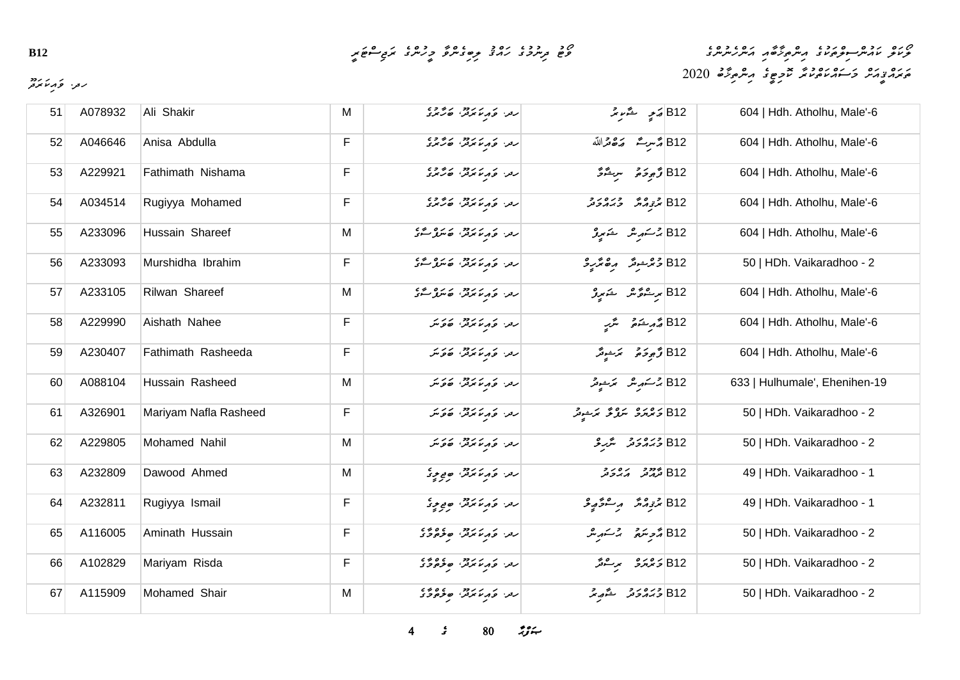*sCw7q7s5w7m< o<n9nOoAw7o< sCq;mAwBoEw7q<m; wBm;vB* م من المرة المرة المرة المرة المرة المرة العربية 2020<br>مجم*د المريض المريض المربع المربع المربع المراجع المراجع ال* 

| 51 | A078932 | Ali Shakir            | M           | رى ئەرىكى ئەدە                         | B12 <i>ھَ۔</i> مُشْرِعْرُ                          | 604   Hdh. Atholhu, Male'-6   |
|----|---------|-----------------------|-------------|----------------------------------------|----------------------------------------------------|-------------------------------|
| 52 | A046646 | Anisa Abdulla         | F           | رى ئەرىكى ئەرەپ                        | B12 قَرْسِرْتَتْهُ     قَدْقَاللَّهُ               | 604   Hdh. Atholhu, Male'-6   |
| 53 | A229921 | Fathimath Nishama     | F           | رفر كرد كور كار دور                    | B12 رَّجِ دَمَّ مِّ سِتَّمَّ                       | 604   Hdh. Atholhu, Male'-6   |
| 54 | A034514 | Rugiyya Mohamed       | F           | رو. و د روو. د و و و و                 | B12 برت <sub>ج</sub> پر په در در د                 | 604   Hdh. Atholhu, Male'-6   |
| 55 | A233096 | Hussain Shareef       | M           | رى ئەرىردە ئەس ئەر                     | B12  پرستمبر محموری                                | 604   Hdh. Atholhu, Male'-6   |
| 56 | A233093 | Murshidha Ibrahim     | F           | رىن ئەرىر دەپ ئەس ئەر                  | B12 ۇي <sub>مىشى</sub> ت <sub>ە مەھ</sub> مگەر ۋ   | 50   HDh. Vaikaradhoo - 2     |
| 57 | A233105 | Rilwan Shareef        | M           | رىر ئەرىئەتە ئەس ئەر                   | B12 مرڪوگير ڪمبرو                                  | 604   Hdh. Atholhu, Male'-6   |
| 58 | A229990 | Aishath Nahee         | F           | رىن ئەرىئەتە ئەئەتكە                   | B12 <i>مُذہب مُؤمِّد مُدَّبِي</i>                  | 604   Hdh. Atholhu, Male'-6   |
| 59 | A230407 | Fathimath Rasheeda    | F           | رىن ئەرىئەتكە ئەرىر                    | B12 گۇج <sub>ۇ</sub> چە ھەسىپەتگە                  | 604   Hdh. Atholhu, Male'-6   |
| 60 | A088104 | Hussain Rasheed       | M           | رىن ئەرىئەتكە ئەئەتكە                  | B12 بڑے پر نئر کرے پر تر                           | 633   Hulhumale', Ehenihen-19 |
| 61 | A326901 | Mariyam Nafla Rasheed | F           | رى ئەرىئىرلار ئۆگە                     | B12 <i>وَ مُرْمَرُوْ -مَرْبُوْ -مَرْ</i> خُومُرُ   | 50   HDh. Vaikaradhoo - 2     |
| 62 | A229805 | Mohamed Nahil         | M           | رىن ئەرىئەتكى ئەئەتكە                  | B12 <i>\$نەۋى مۇر</i> بۇ                           | 50   HDh. Vaikaradhoo - 2     |
| 63 | A232809 | Dawood Ahmed          | M           | رىن ئەرىئىرتى ھەج ج                    | B12 <i>قرەر مەر دە</i> ر                           | 49   HDh. Vaikaradhoo - 1     |
| 64 | A232811 | Rugiyya Ismail        | $\mathsf F$ | رى ئەرىئەتكى ھەج ئ                     | B12  ير <sub>تو</sub> مگر مرڪبر محمد محمد          | 49   HDh. Vaikaradhoo - 1     |
| 65 | A116005 | Aminath Hussain       | F           | رو. و د لامرو. ھ د و د د               | B12 مُ <i>جِي مَنْ مِيُّ سُورِيْتْر</i>            | 50   HDh. Vaikaradhoo - 2     |
| 66 | A102829 | Mariyam Risda         | F           | رى ئەرىكى ھۆۋۈر                        | B12 ى <i>ئەنگەنى مەس</i> ىقگە                      | 50   HDh. Vaikaradhoo - 2     |
| 67 | A115909 | Mohamed Shair         | M           | رد. و در دو.<br>رد. و د ما برد. صوموری | B12 <i>وُبَهُ دُونَرَ</i> شَ <sub>مَ</sub> هِ بَرُ | 50   HDh. Vaikaradhoo - 2     |

*4 sC 80 nNw?mS*

ر<sub>قر</sub>. و<sub>ك</sub>رم<sup>ود</sup>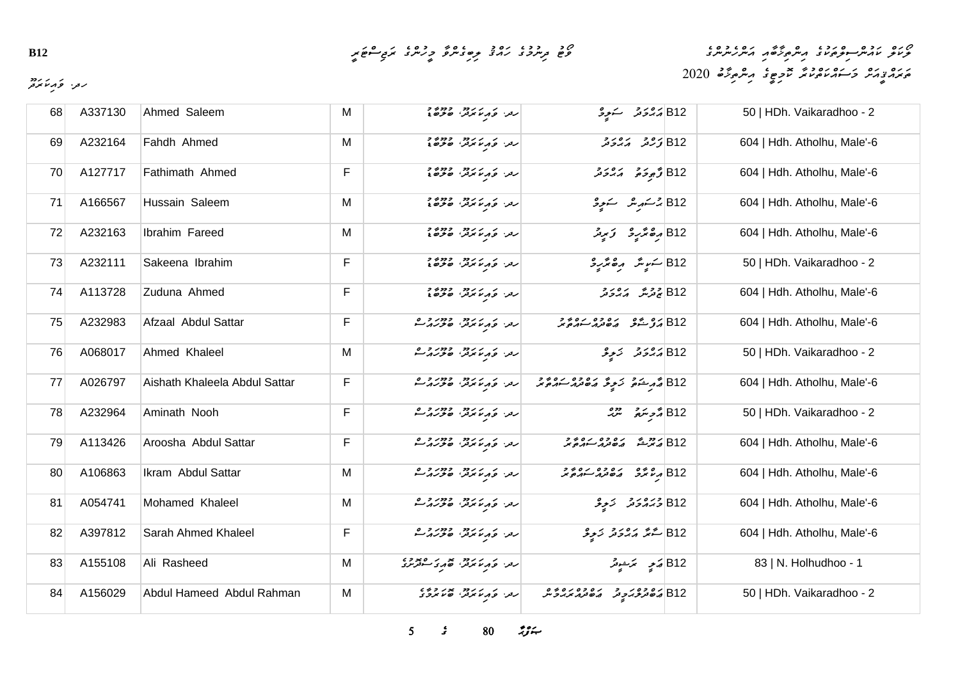*sCw7q7s5w7m< o<n9nOoAw7o< sCq;mAwBoEw7q<m; wBm;vB* م من المرة المرة المرة المرجع المرجع في المركبة 2020<br>مجم*د المريض المربوط المربع المرجع في المراجع المركبة* 

| 68 | A337130 | Ahmed Saleem                  | M           | תבני <sub>פא</sub> ת מיבעי 2005<br>תבני פא <i>ת טיבעי 1000</i>                                                  | B12 كەنزى كەربى                                                                   | 50   HDh. Vaikaradhoo - 2   |
|----|---------|-------------------------------|-------------|-----------------------------------------------------------------------------------------------------------------|-----------------------------------------------------------------------------------|-----------------------------|
| 69 | A232164 | Fahdh Ahmed                   | M           | תעי <sub>פא</sub> ת מיטור כחביב                                                                                 | B12 تورفر بروتر                                                                   | 604   Hdh. Atholhu, Male'-6 |
| 70 | A127717 | Fathimath Ahmed               | F           | תבני פת מ' מבני 2007.<br>תבני פת מ' מבני יסיבים 2                                                               | B12 گەچ <sup>ى</sup> ھەر كەبىر تەر                                                | 604   Hdh. Atholhu, Male'-6 |
| 71 | A166567 | Hussain Saleem                | M           | תו את מיות בחיי ב                                                                                               | B12 پرڪ <i>ير بلھ ڪي</i> ون                                                       | 604   Hdh. Atholhu, Male'-6 |
| 72 | A232163 | Ibrahim Fareed                | M           | תעי <sub>ק</sub> קניו מציק 2003.<br>תעי קה מיותני <del>שיצים</del> 2                                            | B12 م <i>وڭ ئۇي</i> رۇ <i>ۆى</i> رى <i>ز</i>                                      | 604   Hdh. Atholhu, Male'-6 |
| 73 | A232111 | Sakeena Ibrahim               | $\mathsf F$ | תעי <sub>פא</sub> ת מיטור 1079                                                                                  | B12 سَمبِ مَّر مِرْحَمَّدِ دِّ                                                    | 50   HDh. Vaikaradhoo - 2   |
| 74 | A113728 | Zuduna Ahmed                  | $\mathsf F$ | נעי פאנטאנט כמים                                                                                                | B12 ىج قرىتر كەردى تەر                                                            | 604   Hdh. Atholhu, Male'-6 |
| 75 | A232983 | Afzaal Abdul Sattar           | $\mathsf F$ | נעי פת מינטי פרני ב                                                                                             | B12 يره شوه بره ده ده در چ                                                        | 604   Hdh. Atholhu, Male'-6 |
| 76 | A068017 | Ahmed Khaleel                 | M           | תתי פה טיתות וכדור כ                                                                                            | B12  پَرْدُوَتْرَ کَرَمِوْتَیْ                                                    | 50   HDh. Vaikaradhoo - 2   |
| 77 | A026797 | Aishath Khaleela Abdul Sattar | F           | נעי פת מינעי סיבינגם                                                                                            | B12 <sub>مە</sub> ر شەھ نەمەق مەھە <i>رە بەھ</i> بور<br>B12 مەر شەھ نىمەمەت مەھەر | 604   Hdh. Atholhu, Male'-6 |
| 78 | A232964 | Aminath Nooh                  | $\mathsf F$ | رو. و در دو. دور د ه                                                                                            | B12 گھ جسم میں میں تھی                                                            | 50   HDh. Vaikaradhoo - 2   |
| 79 | A113426 | Aroosha Abdul Sattar          | F           | תו לגיות כרי כרי כ                                                                                              | B12 كەنترىشق بەھ <i>قرەر شەھ بى</i> ر                                             | 604   Hdh. Atholhu, Male'-6 |
| 80 | A106863 | Ikram Abdul Sattar            | M           | رى ئەرىر دە دەر دە                                                                                              | B12 בשבים נפרט נפרד                                                               | 604   Hdh. Atholhu, Male'-6 |
| 81 | A054741 | Mohamed Khaleel               | M           | رى ئەرىئەدە دەردە                                                                                               | B12 <i>\$22 كرونۇ</i> كىموق                                                       | 604   Hdh. Atholhu, Male'-6 |
| 82 | A397812 | Sarah Ahmed Khaleel           | $\mathsf F$ | תתי פה עיתר כמגר כ                                                                                              | B12 سُمَّرٌ <i>مَدُوَدٌ</i> رَ <sub>ُحِ</sub> وْ                                  | 604   Hdh. Atholhu, Male'-6 |
| 83 | A155108 | Ali Rasheed                   | M           | رور نو مر مردد المعر المرا و داد و داد.<br>  رور الو مر مرد مرد المرس المرس المرس المرس المرس المرس المرس المرس | B12 <i>ھَ۔</i> پرَجونر                                                            | 83   N. Holhudhoo - 1       |
| 84 | A156029 | Abdul Hameed Abdul Rahman     | M           | رى ئەرىكى ھىدودە                                                                                                | B12 ره وه د و د به ده ده ده وه<br>B12 په <i>ه در و بر و به ه د بر بر بر بر</i>    | 50   HDh. Vaikaradhoo - 2   |

*r@m8m;o<m= .@5*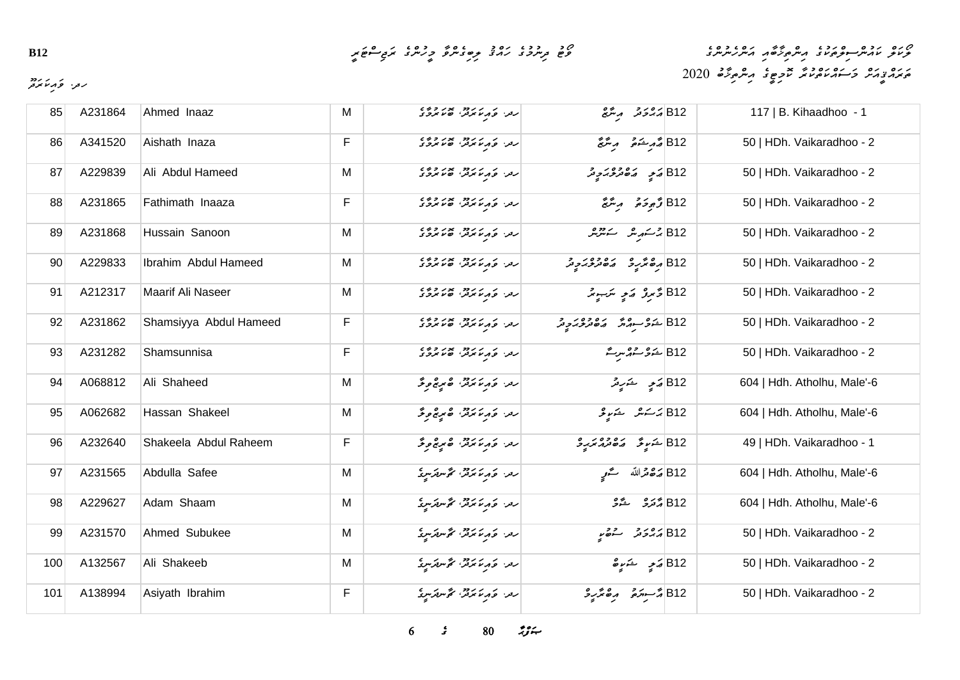*sCw7q7s5w7m< o<n9nOoAw7o< sCq;mAwBoEw7q<m; wBm;vB 2020*<br>*په پوهر وسوډيرونو لومو د موجو د مرمونه* 2020

| 85  | A231864 | Ahmed Inaaz            | M            | رور كرما برود بر د و د و                                                                                                                                                                                                        | B12 كەندى قىر مەشتى                                                                                  | 117   B. Kihaadhoo - 1      |
|-----|---------|------------------------|--------------|---------------------------------------------------------------------------------------------------------------------------------------------------------------------------------------------------------------------------------|------------------------------------------------------------------------------------------------------|-----------------------------|
| 86  | A341520 | Aishath Inaza          | $\mathsf{F}$ | תבני האורי על מידע בירי היו בירי היו בירי היו בירי היו בירי היו בירי היו בירי היו בירי היו בירי היו בירי היו ב<br>היו היו בירוש בירוש בירוש בירוש בירוש בירוש בירוש בירוש בירוש בירוש בירוש בירוש בירוש בירוש בירוש בירוש בירוש | B12 مەم ئىستىم مەمتىتى                                                                               | 50   HDh. Vaikaradhoo - 2   |
| 87  | A229839 | Ali Abdul Hameed       | M            | رد کرد کرد بود وي                                                                                                                                                                                                               | B12 <i>مَرْمِي مَـ9دُوْبَرْدِ</i> تْر                                                                | 50   HDh. Vaikaradhoo - 2   |
| 88  | A231865 | Fathimath Inaaza       | $\mathsf{F}$ | תעי פת מיצעי שמיצבע                                                                                                                                                                                                             | B12 گَهِ دَمْ مِتَّمَّةً                                                                             | 50   HDh. Vaikaradhoo - 2   |
| 89  | A231868 | Hussain Sanoon         | M            | תעי פת מיצעי שמיצבי                                                                                                                                                                                                             |                                                                                                      | 50   HDh. Vaikaradhoo - 2   |
| 90  | A229833 | Ibrahim Abdul Hameed   | M            | תו לתעילו יודע בין                                                                                                                                                                                                              | B12 مەھمەر ئەھەر ئەرەپەر                                                                             | 50   HDh. Vaikaradhoo - 2   |
| 91  | A212317 | Maarif Ali Naseer      | M            | رور كرد كاردو مورد و دارد                                                                                                                                                                                                       | B12 <i>ڈبرڈ</i> ک <i>ے پر سک</i> یے گ                                                                | 50   HDh. Vaikaradhoo - 2   |
| 92  | A231862 | Shamsiyya Abdul Hameed | $\mathsf{F}$ | געי קת מיני ידי די ב                                                                                                                                                                                                            | B12 خۇسى <i>مەش مەمرى بەرە</i>                                                                       | 50   HDh. Vaikaradhoo - 2   |
| 93  | A231282 | Shamsunnisa            | $\mathsf{F}$ | תבני פת מי מצי, פי ביבי                                                                                                                                                                                                         | B12 خەر مەمەس سىسىگە                                                                                 | 50   HDh. Vaikaradhoo - 2   |
| 94  | A068812 | Ali Shaheed            | M            | رىر كەرلەتكە ھىرج ئ                                                                                                                                                                                                             | B12  كەمچە سى <i>مەي</i> تر                                                                          | 604   Hdh. Atholhu, Male'-6 |
| 95  | A062682 | Hassan Shakeel         | M            | رىر كەرلەتكە ھىرج ئ                                                                                                                                                                                                             | B12  يزسكر القلافي                                                                                   | 604   Hdh. Atholhu, Male'-6 |
| 96  | A232640 | Shakeela Abdul Raheem  | $\mathsf{F}$ | رىر ئەرىئىرى ئەيدى ئ                                                                                                                                                                                                            | B12 خىرى ھەممىرى ق                                                                                   | 49   HDh. Vaikaradhoo - 1   |
| 97  | A231565 | Abdulla Safee          | M            | رى ئەرىكىگە گەرىگەرى                                                                                                                                                                                                            | B12 مَرْحَمْدَاللّه شَّعَرِ                                                                          | 604   Hdh. Atholhu, Male'-6 |
| 98  | A229627 | Adam Shaam             | M            | رى ئەرىكىگە گەرىگىرى                                                                                                                                                                                                            | B12 جُمَرَدُ حَدَّدْ                                                                                 | 604   Hdh. Atholhu, Male'-6 |
| 99  | A231570 | Ahmed Subukee          | M            | رو. وأرا برود المحمد برس                                                                                                                                                                                                        | B12 كەبرى قىرىسىسى يەرىپ بىر كىشىر بىر ئاستان ئىشتىر بىر ئاستان ئىشتىر بىر ئاستان ئىشتىر كىتاب ئىشتى | 50   HDh. Vaikaradhoo - 2   |
| 100 | A132567 | Ali Shakeeb            | M            | رى ئەرىكىگە گەرىگەيد                                                                                                                                                                                                            | B12 رَمِ شَرِيڤ                                                                                      | 50   HDh. Vaikaradhoo - 2   |
| 101 | A138994 | Asiyath Ibrahim        | F            | رى كەر ئەكرى گەرلەر ك                                                                                                                                                                                                           | B12 أَرَّ سِيرَةً مِنْ مُرَّةٍ وَ                                                                    | 50   HDh. Vaikaradhoo - 2   |

*r@m8m;o<m= .@5*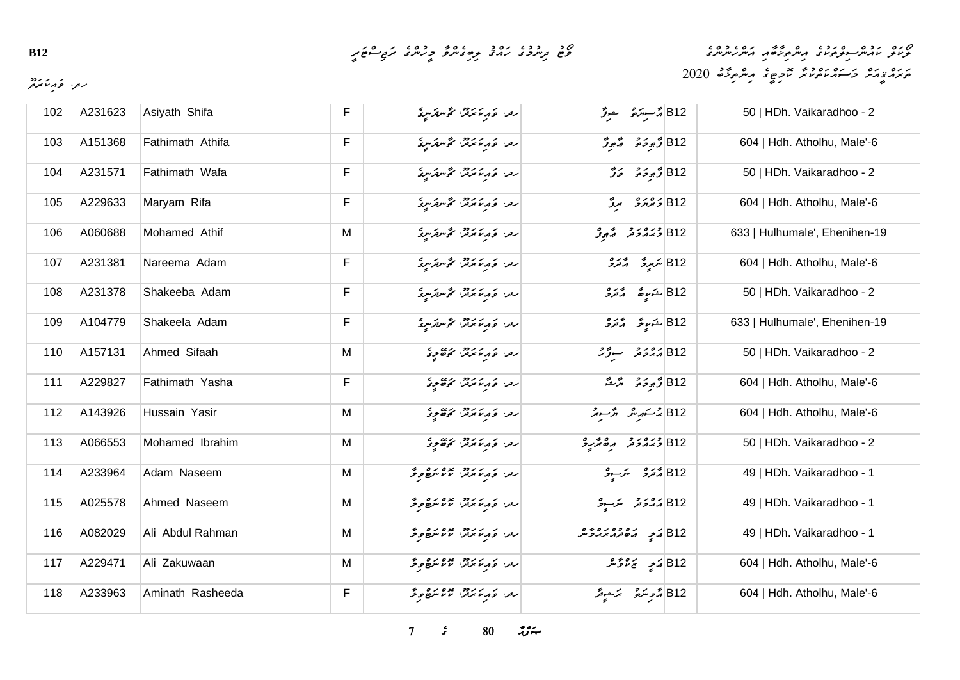*sCw7q7s5w7m< o<n9nOoAw7o< sCq;mAwBoEw7q<m; wBm;vB 2020<sup>, م</sup>وسوق المسجد التحقيق وسرمونية والم*جمع المسجد المسجد المسجد المسجد المسجد المسجد المسجد المسجد المسجد ال

| 102 | A231623 | Asiyath Shifa    | $\mathsf F$ | رىر. ئەرىكىگە گەرىگەرى | B12 م <i>جمع مشوقى</i> شوقر       | 50   HDh. Vaikaradhoo - 2     |
|-----|---------|------------------|-------------|------------------------|-----------------------------------|-------------------------------|
| 103 | A151368 | Fathimath Athifa | F           | رى ئەرىكىگە گەرىگىرى   | B12 گَھِ <i>حَمَّةَ ضَّھ</i> ِ گَ | 604   Hdh. Atholhu, Male'-6   |
| 104 | A231571 | Fathimath Wafa   | F           | رى ئەرىكىگە ئۇسلامى    | B12 تَ <i>مُجوحَمَّة حَوَّ</i>    | 50   HDh. Vaikaradhoo - 2     |
| 105 | A229633 | Maryam Rifa      | F           | رى ئەرىكىگە گەسلەس     | B12 كەنگەنى موتى                  | 604   Hdh. Atholhu, Male'-6   |
| 106 | A060688 | Mohamed Athif    | M           | رى قەرىكى ئۇسترسى      | B12 دېرو د گه وگړ                 | 633   Hulhumale', Ehenihen-19 |
| 107 | A231381 | Nareema Adam     | F           | رى ئەرىكىگە گەرىگىرى   | B12  سَرِيرة – مُرْتَرة.          | 604   Hdh. Atholhu, Male'-6   |
| 108 | A231378 | Shakeeba Adam    | F           | رى ئەرىكىگە گەرىگىرى   | B12 شَمِيعٌ مُحْتَرِدٌ            | 50   HDh. Vaikaradhoo - 2     |
| 109 | A104779 | Shakeela Adam    | F           | رى ئەرىكىگە گەرىگەرى   | B12 خىمىر تىم ئەتىرى              | 633   Hulhumale', Ehenihen-19 |
| 110 | A157131 | Ahmed Sifaah     | M           | رور کرم کروی کرده د    | B12   كەندى كەرىپەرتىر            | 50   HDh. Vaikaradhoo - 2     |
| 111 | A229827 | Fathimath Yasha  | F           | رى ئەرىكى ئۇھۇرى       | B12 رَّجِ دَيْمَ مَرْتُمَ         | 604   Hdh. Atholhu, Male'-6   |
| 112 | A143926 | Hussain Yasir    | M           | رور کرم کروی کرده د    | B12 بر کے مریکہ مگر سومگر         | 604   Hdh. Atholhu, Male'-6   |
| 113 | A066553 | Mohamed Ibrahim  | M           | رى ئەرىكى ئۇھۇرى       | B12 <i>جُهُدُودَ وَهُمَّرِ</i> دُ | 50   HDh. Vaikaradhoo - 2     |
| 114 | A233964 | Adam Naseem      | M           | رىر ئەرىرىدىن ئاماسھوگ | B12 مُمَرَدٌ - سَرَ-دِرْ          | 49   HDh. Vaikaradhoo - 1     |
| 115 | A025578 | Ahmed Naseem     | M           | رىر ئەرىرىدىن ئاماسھوگ |                                   | 49   HDh. Vaikaradhoo - 1     |
| 116 | A082029 | Ali Abdul Rahman | M           | رى كەر بەدە بەەر ئەھج  | B12 كەبىر كەھە <i>تەمەتدۇ</i> ئىر | 49   HDh. Vaikaradhoo - 1     |
| 117 | A229471 | Ali Zakuwaan     | M           | رىر ئەرىرىدىن ئاماسھوگ | B12 <i>ڇَجِ جَءُوُنَ</i> رُ       | 604   Hdh. Atholhu, Male'-6   |
| 118 | A233963 | Aminath Rasheeda | F           | رى ئەرىردە بەھ ئەھج    | B12 مُرْحِ سَمَعٌ مَسَمِّدٌ       | 604   Hdh. Atholhu, Male'-6   |

*r@m8m;o<m= .@5*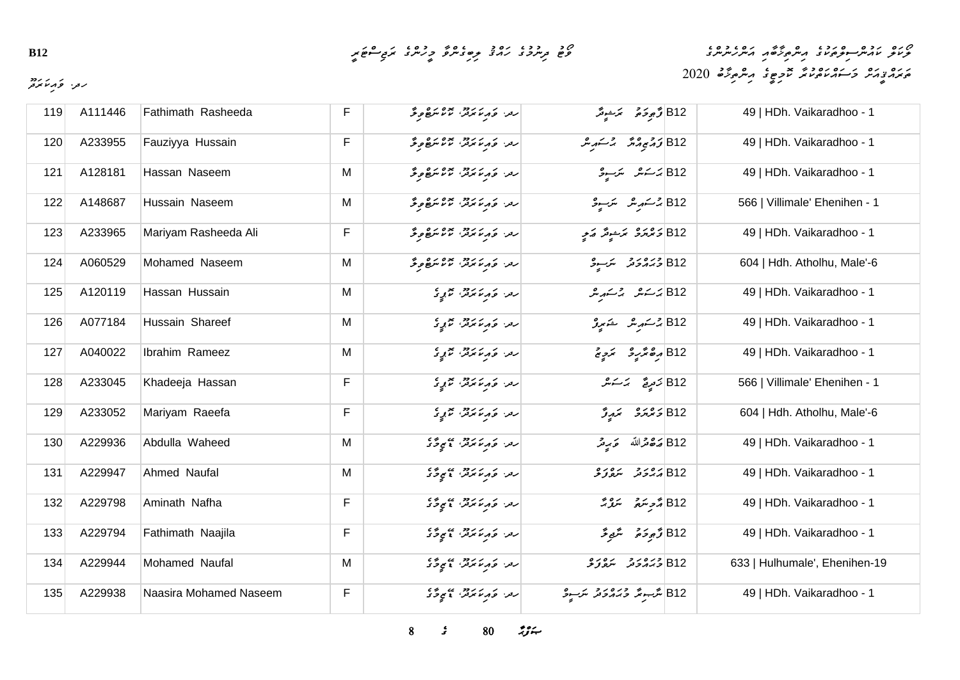*sCw7q7s5w7m< o<n9nOoAw7o< sCq;mAwBoEw7q<m; wBm;vB* م من المرة المرة المرة المرجع المرجع في المركبة 2020<br>مجم*د المريض المربوط المربع المرجع في المراجع المركبة* 

| $\overline{\phantom{a}}$<br>ردر ومسعرم |  |
|----------------------------------------|--|
|----------------------------------------|--|

| 119 | A111446 | Fathimath Rasheeda     | F           | رى ئەرىر بەدە بەەر ئەھرىگە    | B12 وَجِوحَة مَ سَسِيقَر                      | 49   HDh. Vaikaradhoo - 1     |
|-----|---------|------------------------|-------------|-------------------------------|-----------------------------------------------|-------------------------------|
| 120 | A233955 | Fauziyya Hussain       | F           | رى ئەرىكى ئەھلى ھۇ            | B12 <i>ۆقمى ھەڭ</i> جەسىرىد                   | 49   HDh. Vaikaradhoo - 1     |
| 121 | A128181 | Hassan Naseem          | M           | رى ئەرىكى ئەھلى ھۇ            | B12  پزشکر کرسوی                              | 49   HDh. Vaikaradhoo - 1     |
| 122 | A148687 | Hussain Naseem         | M           | رى ئەرىردە بەەرەپ             | B12 پر کند میں میں بندار میں تقریبات<br>منابع | 566   Villimale' Ehenihen - 1 |
| 123 | A233965 | Mariyam Rasheeda Ali   | F           | رى كەر بەدە بەەرەپ            | B12 وَجْهَزَةَ بَرَحْدِثَّرَ مَنْ لَمَ لَمْ   | 49   HDh. Vaikaradhoo - 1     |
| 124 | A060529 | Mohamed Naseem         | M           | رىر ئەرىئەترىن ئاماسھ ئىگە    | B12  <i>3،325 تىرسو</i> 3                     | 604   Hdh. Atholhu, Male'-6   |
| 125 | A120119 | Hassan Hussain         | M           | رفر که مکمون مهجوی            | B12  پرستمبر    پرستمبر بر                    | 49   HDh. Vaikaradhoo - 1     |
| 126 | A077184 | Hussain Shareef        | M           | رفر که مکمون مهجوی            | B12 برڪوپر ڪوپرو                              | 49   HDh. Vaikaradhoo - 1     |
| 127 | A040022 | Ibrahim Rameez         | M           | رفر که مکمون مهجوی            | B12 مەھمگىيە ئىس مەرىپىتى<br>12.              | 49   HDh. Vaikaradhoo - 1     |
| 128 | A233045 | Khadeeja Hassan        | $\mathsf F$ | رو. قهرتم بردو البولي         | B12  زَمِرِجٌ = بَرَسَرْرٌ                    | 566   Villimale' Ehenihen - 1 |
| 129 | A233052 | Mariyam Raeefa         | $\mathsf F$ | رىن ئەرىئەترىش ئىرنى          | B12  ى <i>زىردى بىرى</i> دى                   | 604   Hdh. Atholhu, Male'-6   |
| 130 | A229936 | Abdulla Waheed         | M           | رور کرم کرده ده وی            | B12 مَەھتراللە   مَ بِرىتر                    | 49   HDh. Vaikaradhoo - 1     |
| 131 | A229947 | Ahmed Naufal           | M           | رى ئەرىكى ئەس ئاسى            | B12 كەبروتر سىۋ <b>ر</b> ۇ                    | 49   HDh. Vaikaradhoo - 1     |
| 132 | A229798 | Aminath Nafha          | F           | رور كرمركردون المعج وكالمحالي | B12 مُ حِسَمَ مَسَرٌ مُّ                      | 49   HDh. Vaikaradhoo - 1     |
| 133 | A229794 | Fathimath Naajila      | F           | رى ئەرىئەر ئەرگە              | B12 ۇ <sub>ج</sub> ودۇ ش <sub>ە</sub> ر       | 49   HDh. Vaikaradhoo - 1     |
| 134 | A229944 | Mohamed Naufal         | M           | رور کرم کرده ده وی            | B12 <i>ۋېزەد تېر ئىنگەن</i> مى                | 633   Hulhumale', Ehenihen-19 |
| 135 | A229938 | Naasira Mohamed Naseem | F           | رىر. ئەرىئەترىق قمېردى        | B12  شرجعة وترويحاته شرسوي                    | 49   HDh. Vaikaradhoo - 1     |

**8** *s* **80** *n***<sub>s</sub>**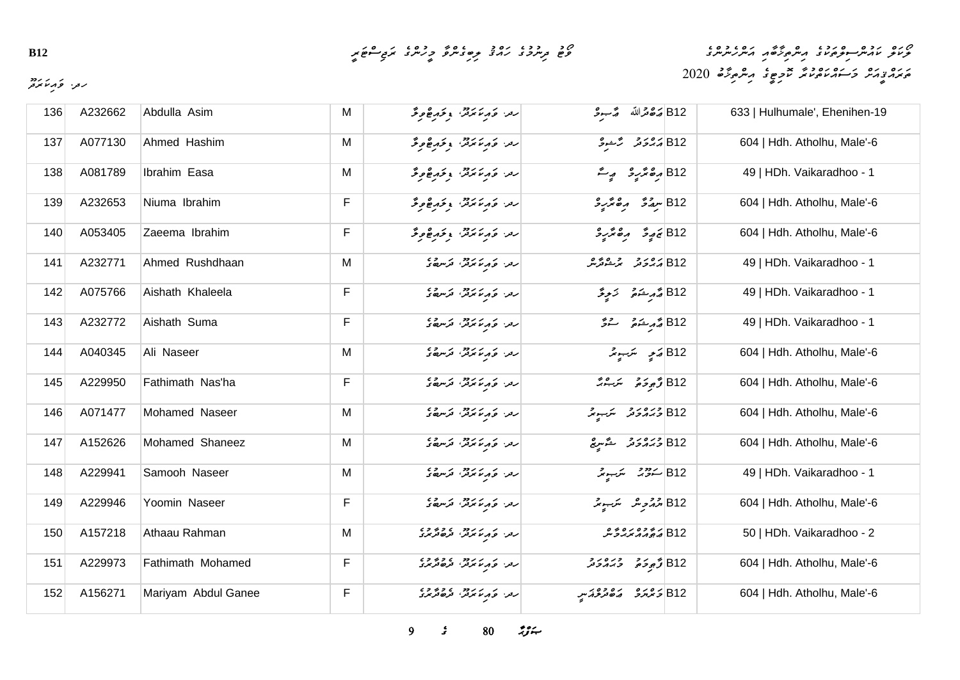*sCw7q7s5w7m< o<n9nOoAw7o< sCq;mAwBoEw7q<m; wBm;vB* م من المرة المرة المرة المرجع المرجع في المركبة 2020<br>مجم*د المريض المربوط المربع المرجع في المراجع المركبة* 

| $\frac{1}{2}$<br>ردر ومنعرم |  |
|-----------------------------|--|
|-----------------------------|--|

| 136 | A232662 | Abdulla Asim        | M           | رىر ئەرىئىرتى ، ئەرھ ئ                       | B12 مَرْحْمَّدْاللَّهُ مَّ سِوْرٌ                   | 633   Hulhumale', Ehenihen-19 |
|-----|---------|---------------------|-------------|----------------------------------------------|-----------------------------------------------------|-------------------------------|
| 137 | A077130 | Ahmed Hashim        | M           | رىر ئەرىئەتكى بەئەر ھوگ                      | B12   كەندى كەر مىتىدى                              | 604   Hdh. Atholhu, Male'-6   |
| 138 | A081789 | Ibrahim Easa        | M           | رىر ئەرىئىرلىق بەئەر ھوڭ                     | B12 م <i>ەمگرى</i> م <sub>و</sub> سە                | 49   HDh. Vaikaradhoo - 1     |
| 139 | A232653 | Niuma Ibrahim       | $\mathsf F$ | رىر ئەرىكىنىڭ بە ئەرھ ئ                      | B12 سِمْدً مِصْدَرِدْ                               | 604   Hdh. Atholhu, Male'-6   |
| 140 | A053405 | Zaeema Ibrahim      | F           | رىر ئەرىكىنىڭ بە ئەرھ ئ                      | B12 يَهِ وَ" مِرْهُ مَّرْرِدْ                       | 604   Hdh. Atholhu, Male'-6   |
| 141 | A232771 | Ahmed Rushdhaan     | M           | رى كەرىككە ئەسھە                             | B12 كەبرى قىر بىر شەھرىس                            | 49   HDh. Vaikaradhoo - 1     |
| 142 | A075766 | Aishath Khaleela    | $\mathsf F$ | תבני האת מצבני בניינם ב                      | B12 مَّەمِسْتَمْ     زَمِرِتَرْ                     | 49   HDh. Vaikaradhoo - 1     |
| 143 | A232772 | Aishath Suma        | F           | رى ئەرىكى ئەسھ                               | B12 مەمبەتىمە مەممى                                 | 49   HDh. Vaikaradhoo - 1     |
| 144 | A040345 | Ali Naseer          | M           | رى كەرىكى ئەس 3                              | B12 كەمچە سىمبەرچە                                  | 604   Hdh. Atholhu, Male'-6   |
| 145 | A229950 | Fathimath Nas'ha    | F           | رى كەرىكى ئەس دە                             | B12 رَّ <sub>ج</sub> وحَ <sub>م</sub> ُ سَرَ- مَدَّ | 604   Hdh. Atholhu, Male'-6   |
| 146 | A071477 | Mohamed Naseer      | M           | رو. و د رود و رو                             | B12  <i>وټرونونى بىرىپون</i> ى                      | 604   Hdh. Atholhu, Male'-6   |
| 147 | A152626 | Mohamed Shaneez     | M           | رى كەرىككە ئەسھە                             | B12  <i>3،22 كمرين</i> ج                            | 604   Hdh. Atholhu, Male'-6   |
| 148 | A229941 | Samooh Naseer       | M           | رى ئەرىكى ئەسھ                               | B12 س <i>ترچ مترسوم</i> گر                          | 49   HDh. Vaikaradhoo - 1     |
| 149 | A229946 | Yoomin Naseer       | $\mathsf F$ | رى كەرىكى ئەسھ                               | B12 <i>مەمۇجەنگە</i> س <i>ىب مە</i> م               | 604   Hdh. Atholhu, Male'-6   |
| 150 | A157218 | Athaau Rahman       | M           | رتر کرد کرده و دوره<br>رتر کرد کردگر تره ترس | B12 پەيزە برەپ ھ                                    | 50   HDh. Vaikaradhoo - 2     |
| 151 | A229973 | Fathimath Mohamed   | $\mathsf F$ | رتر کرد کرده و دوره<br>رتر کرد کردگر تره ترس | B12 كَرْجِوحْد حْرَمْ دْمَرْ                        | 604   Hdh. Atholhu, Male'-6   |
| 152 | A156271 | Mariyam Abdul Ganee | F           | رور کرم کرده و دوره                          | B12 <i>ב</i> יבו <i>ב הסנבה</i> ת                   | 604   Hdh. Atholhu, Male'-6   |

*9 s* 80 *i*<sub>s</sub> *n*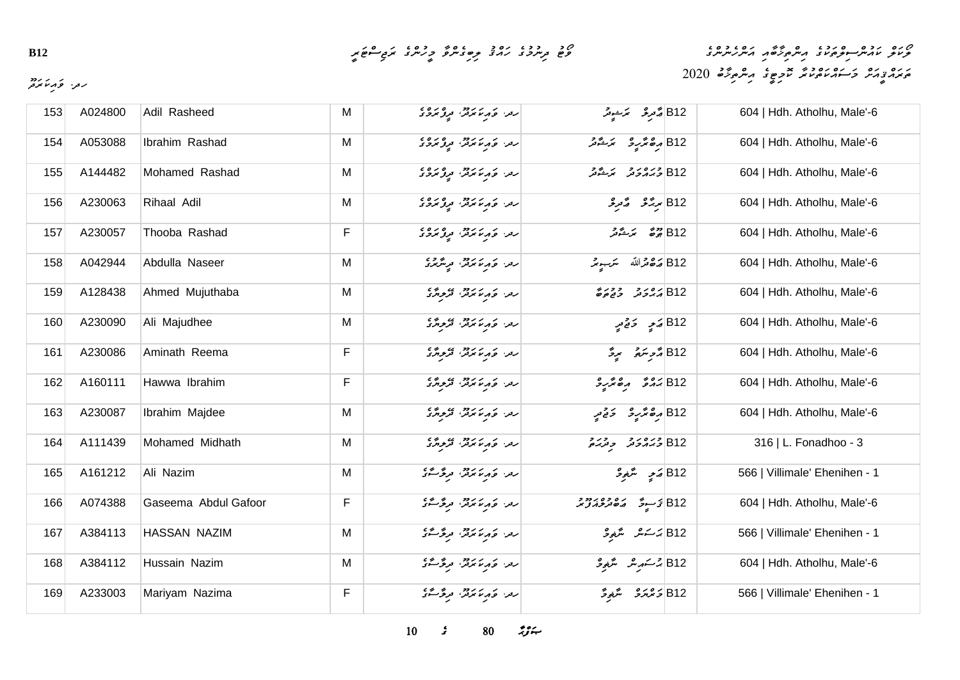*sCw7q7s5w7m< o<n9nOoAw7o< sCq;mAwBoEw7q<m; wBm;vB* م من المرة المرة المرة المرجع المرجع في المركبة 2020<br>مجم*د المريض المربوط المربع المرجع في المراجع المركبة* 

| 220000<br>ردر ومتبردر |  |
|-----------------------|--|
|-----------------------|--|

| 153 | A024800 | Adil Rasheed         | M           | رىر. ئەرىئەتكەر، بېرۇتكەد ك                 | B12 گەمرى - ترىنومر                         | 604   Hdh. Atholhu, Male'-6   |
|-----|---------|----------------------|-------------|---------------------------------------------|---------------------------------------------|-------------------------------|
| 154 | A053088 | Ibrahim Rashad       | M           | رى كەرىكى ئۇنى بولۇمروك                     | B12  م <i>ەھەمگەر ئاھىمى</i> شكەر           | 604   Hdh. Atholhu, Male'-6   |
| 155 | A144482 | Mohamed Rashad       | M           | رىر كەرىكىگە ئېرونىدو ك                     | B12 <i>وَبَرْدُوَ</i> تْرَ كَرَسْتَقْرَ     | 604   Hdh. Atholhu, Male'-6   |
| 156 | A230063 | Rihaal Adil          | M           | رى كەرىكى ئۇنى بولۇمروك                     |                                             | 604   Hdh. Atholhu, Male'-6   |
| 157 | A230057 | Thooba Rashad        | F           | رور که در بردد.<br>رور که در ترور، فروندو د | B12 جوڻ پرڪوٽر                              | 604   Hdh. Atholhu, Male'-6   |
| 158 | A042944 | Abdulla Naseer       | M           | رى ئەرىئەتكە ئېرسىرى                        | B12 مَەھمَراللە سَرَسِومَّد                 | 604   Hdh. Atholhu, Male'-6   |
| 159 | A128438 | Ahmed Mujuthaba      | M           | رور که رکه دو ده وی                         | B12 كەبرو جەم قە                            | 604   Hdh. Atholhu, Male'-6   |
| 160 | A230090 | Ali Majudhee         | M           | رور که رکه ترویزی                           | B12  ر <sub>َمَ</sub> حٍ ک <sup>5</sup> قرٍ | 604   Hdh. Atholhu, Male'-6   |
| 161 | A230086 | Aminath Reema        | $\mathsf F$ | رفر که ما برود در دره                       | B12 مُ <i>جِسَعُو بِ</i> حِرَّ              | 604   Hdh. Atholhu, Male'-6   |
| 162 | A160111 | Hawwa Ibrahim        | F           | رور که رکه دو ده وی                         | B12 بَرْدَةُ مِنْ مَحْرِدْ                  | 604   Hdh. Atholhu, Male'-6   |
| 163 | A230087 | Ibrahim Majdee       | M           | رور نور نورد به دره                         | B12 م <i>وڭ ئۇچ</i> ۇ ھەقىمىيە              | 604   Hdh. Atholhu, Male'-6   |
| 164 | A111439 | Mohamed Midhath      | M           | رىر. ئەرىئەترىق، ترجەترى                    | B12 <i>322 ويورو</i>                        | 316   L. Fonadhoo - 3         |
| 165 | A161212 | Ali Nazim            | M           | رىن ئەرىكىگە ئوگەمى                         | B12 صَعِ سَمْدِةَ                           | 566   Villimale' Ehenihen - 1 |
| 166 | A074388 | Gaseema Abdul Gafoor | $\mathsf F$ | رىن ئەرىكىگە ئوگەمى                         | B12 تۇسو <i>ڭ مەھەردە د</i>                 | 604   Hdh. Atholhu, Male'-6   |
| 167 | A384113 | <b>HASSAN NAZIM</b>  | M           | رىن ئەرىكىگە ئوگەمى                         | B12 ئەسەمىر س <i>ىتىنى</i> ئى               | 566   Villimale' Ehenihen - 1 |
| 168 | A384112 | Hussain Nazim        | M           | رىن ئەرىئەترىش بېرىمىتىگى                   | B12 بُرْسَهِ بِيْرِ مُتَّهْدِةِ ۖ           | 604   Hdh. Atholhu, Male'-6   |
| 169 | A233003 | Mariyam Nazima       | F           | رىر ئەرىئەتكەر بېرىگەنى                     | B12 كەنگەنگە ئىگەنچە ت <sup>ى</sup>         | 566   Villimale' Ehenihen - 1 |

*10 s* 80 *if*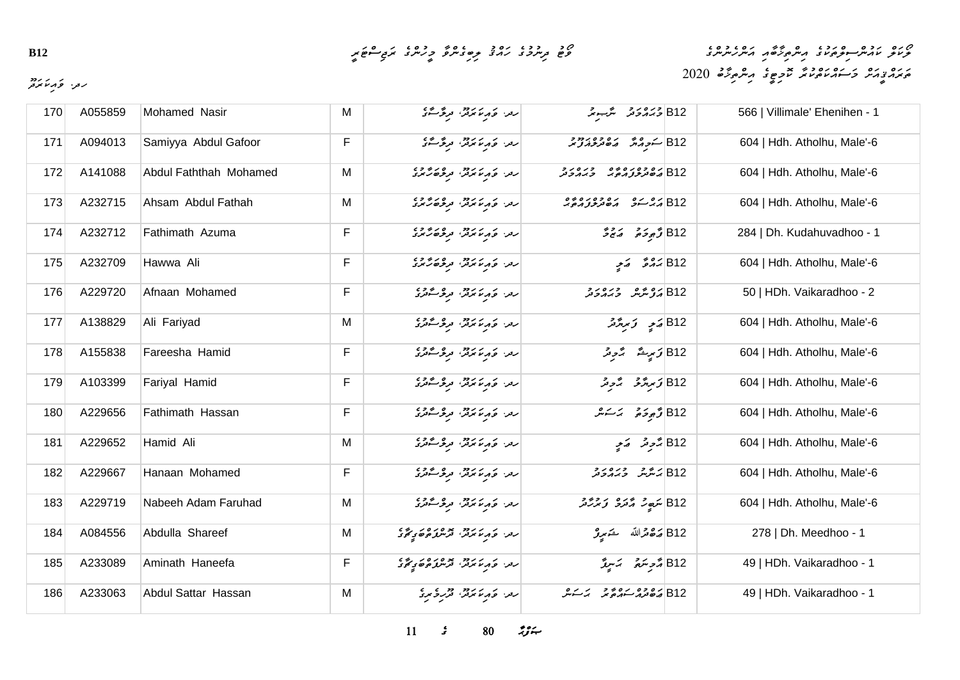*sCw7q7s5w7m< o<n9nOoAw7o< sCq;mAwBoEw7q<m; wBm;vB* م من المسجد المسجد المسجد المسجد المسجد العام 2020<br>مجم*د المسجد المسجد المستجد المسجد المسجد المسجد المسجد المسجد المسجد المسجد المسجد المسجد المسجد المسجد المسجد* 

| 170 | A055859 | Mohamed Nasir          | M           | رىر. ئەرىكىرىش مەۋسەئ                 | B12 <i>ڈیز پروڈ پی سربر</i>        | 566   Villimale' Ehenihen - 1 |
|-----|---------|------------------------|-------------|---------------------------------------|------------------------------------|-------------------------------|
| 171 | A094013 | Samiyya Abdul Gafoor   | F           | رىر. ئەرىئەترىش. يېرىشىتى             | B12 شوه پر موجود و د               | 604   Hdh. Atholhu, Male'-6   |
| 172 | A141088 | Abdul Faththah Mohamed | M           | رو. ځمه نکروه مرکزه ده                | B12 ړه ده ده ده دره د د            | 604   Hdh. Atholhu, Male'-6   |
| 173 | A232715 | Ahsam Abdul Fathah     | M           | رىر كەر ئەدە بەر ئەدە                 | B12 كەبۇسكى مەھ <i>ەرەپ يە</i>     | 604   Hdh. Atholhu, Male'-6   |
| 174 | A232712 | Fathimath Azuma        | $\mathsf F$ | رىر كەر كەن بەر ئەر ئەر               | B12 گە <sub>ب</sub> وخەر كەنج گ    | 284   Dh. Kudahuvadhoo - 1    |
| 175 | A232709 | Hawwa Ali              | $\mathsf F$ | رىر. ئەرىئەترىق، يېرقەت برى           | B12 بَرْدُوٌ     پَرِ              | 604   Hdh. Atholhu, Male'-6   |
| 176 | A229720 | Afnaan Mohamed         | F           | رىر. ئەرىئەترىق، تېرىۋىسەتىرى         | B12 كەنۋىترىر بەير بەر بەر         | 50   HDh. Vaikaradhoo - 2     |
| 177 | A138829 | Ali Fariyad            | M           | رىر ئەرىرىن بولۇسىدى                  | B12   كەمچە - ق. مرىڭرىتىر         | 604   Hdh. Atholhu, Male'-6   |
| 178 | A155838 | Fareesha Hamid         | F           | رىر ئەرىئەترىق مروسىمىرى              | B12 كومريشة متجويتر                | 604   Hdh. Atholhu, Male'-6   |
| 179 | A103399 | Fariyal Hamid          | F           | رىن ئەرىكىرى بېرى-مەدە                | B12 ت <i>ۇيىرمۇتى بۇ ج</i> وتر     | 604   Hdh. Atholhu, Male'-6   |
| 180 | A229656 | Fathimath Hassan       | $\mathsf F$ | ري که درود تروت ده ده<br>ري که د دي د | B12 ۇ <sub>ج</sub> ورۇ برىكەش      | 604   Hdh. Atholhu, Male'-6   |
| 181 | A229652 | Hamid Ali              | M           | رىر ئەرىكىرى بولۇسىدى                 | B12 تَرْمِرْ کَرَمٍ                | 604   Hdh. Atholhu, Male'-6   |
| 182 | A229667 | Hanaan Mohamed         | $\mathsf F$ | رىر ئەرىئەترىق، يېرىش-تىرى            | B12 ئەنگەش قەيمەد تەر              | 604   Hdh. Atholhu, Male'-6   |
| 183 | A229719 | Nabeeh Adam Faruhad    | M           | رىر. ئەرىئەترى، يېرى-يەد ئ            | B12 يترج ثم مُرْتَزَّ وَبَرْتَهْرَ | 604   Hdh. Atholhu, Male'-6   |
| 184 | A084556 | Abdulla Shareef        | M           | رور و در مردد بره ده و دره د          | B12 مَەھْتَراللە شەمبەر            | 278   Dh. Meedhoo - 1         |
| 185 | A233089 | Aminath Haneefa        | F           | رى ئەرىكى بەدە بە ئەرەر بەر           | B12 مَّ حِسَمَۃ سَمِیڈ             | 49   HDh. Vaikaradhoo - 1     |
| 186 | A233063 | Abdul Sattar Hassan    | M           | رىر ئەرىكى ئۇرگە بورى                 | B12   پەھەر يەھەمچە جەسەئىر        | 49   HDh. Vaikaradhoo - 1     |

 $11$  *s* 80 *if*<sub>s</sub>

ر<sub>قر: 6</sub> م<sup>. ردد</sup>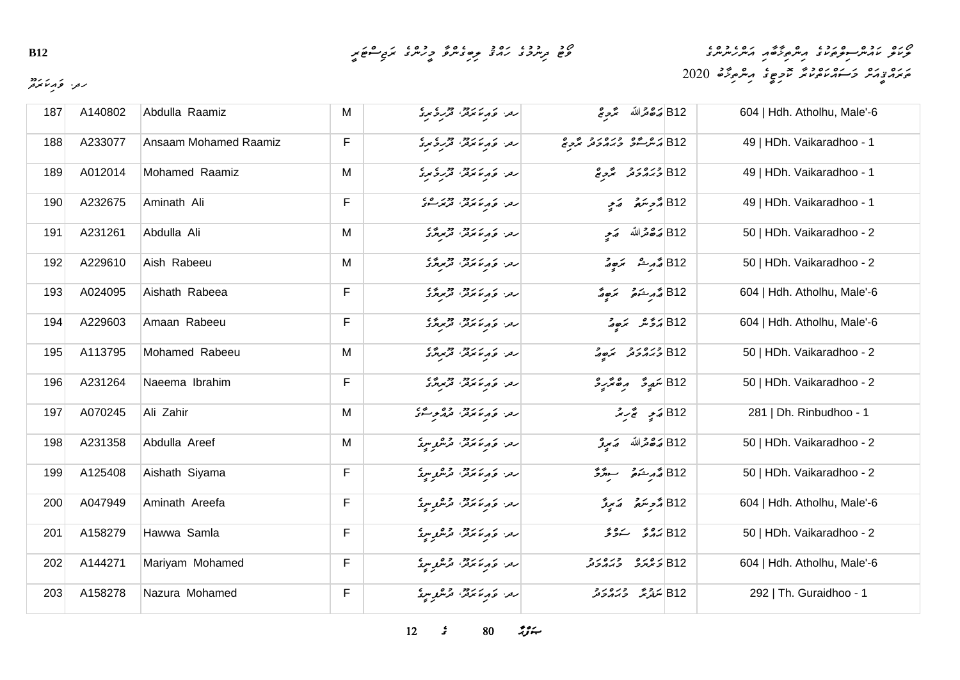*sCw7q7s5w7m< o<n9nOoAw7o< sCq;mAwBoEw7q<m; wBm;vB* م من المرة المرة المرة المرجع المرجع في المركبة 2020<br>مجم*د المريض المربوط المربع المرجع في المراجع المركبة* 

| $\overline{\phantom{a}}$ | ردر ومسعر |  |
|--------------------------|-----------|--|
|                          |           |  |

| 187 | A140802 | Abdulla Raamiz        | M            | رورا كالإنا للمردر المحرر والمرد | B12 مَەھمَراللە مَ <i>مَّ</i> حەي | 604   Hdh. Atholhu, Male'-6 |
|-----|---------|-----------------------|--------------|----------------------------------|-----------------------------------|-----------------------------|
| 188 | A233077 | Ansaam Mohamed Raamiz | F            | رىر كەرىكى تەركى ئور كەرگ        | B12   كەشرىقى ئەيرە ئەدى ئىزدى    | 49   HDh. Vaikaradhoo - 1   |
| 189 | A012014 | Mohamed Raamiz        | M            | رىر كەرىكى تەركى ئور كەرگ        | B12 دېروگو گردي                   | 49   HDh. Vaikaradhoo - 1   |
| 190 | A232675 | Aminath Ali           | $\mathsf{F}$ | رودا المرور ودورا والمحارث       | B12 مُتَصِبَعَةً صَعِي            | 49   HDh. Vaikaradhoo - 1   |
| 191 | A231261 | Abdulla Ali           | M            | رو. ئەرىكى ئەدە جەمدى            | B12 صَرْحَة مِّلاتَه صَعِي        | 50   HDh. Vaikaradhoo - 2   |
| 192 | A229610 | Aish Rabeeu           | M            | رو. ځ د پا پرو. دو ده            | B12 مُرمِش بَرَج <i>هُ</i>        | 50   HDh. Vaikaradhoo - 2   |
| 193 | A024095 | Aishath Rabeea        | F            | رى ئەرىكىگە ئۇمەدى               | B12 مەم ئىقىم ئىمرى <i>مۇرى</i>   | 604   Hdh. Atholhu, Male'-6 |
| 194 | A229603 | Amaan Rabeeu          | $\mathsf F$  | געי פאנט מצעי ובר יי ג           | B12 كەڭ ئىر <i>مۇرى</i>           | 604   Hdh. Atholhu, Male'-6 |
| 195 | A113795 | Mohamed Rabeeu        | M            | رو. ځ د پا پرو. دو ده            | B12 دېم دي تره وگ                 | 50   HDh. Vaikaradhoo - 2   |
| 196 | A231264 | Naeema Ibrahim        | $\mathsf{F}$ | رىر كەر ئەكەن قەمرىرى            | B12 سَمِيعٌ مِرْهُ مَّرْرِدٌ      | 50   HDh. Vaikaradhoo - 2   |
| 197 | A070245 | Ali Zahir             | M            | رىر. ئەرىئەترى قەم ئەرەپ         | B12 <sub>ھ</sub> ُمچ گھريمھ       | 281   Dh. Rinbudhoo - 1     |
| 198 | A231358 | Abdulla Areef         | M            | رىر. ئەرىئەتكەر ئەس بېرىگە       | B12 مَەھىراللە مەم <u>رى</u> ر    | 50   HDh. Vaikaradhoo - 2   |
| 199 | A125408 | Aishath Siyama        | $\mathsf F$  | رىر. ئەرىئەتكەر. تەشرىپ يېڭ      | B12 مَّ مِشَعْرِ مِسْتَرَدَّ      | 50   HDh. Vaikaradhoo - 2   |
| 200 | A047949 | Aminath Areefa        | $\mathsf F$  | رىر. ئەرىئەتكەن ترىكرو سرىگ      | B12 مُرْحِسَمُ مَسِرَّرٌ          | 604   Hdh. Atholhu, Male'-6 |
| 201 | A158279 | Hawwa Samla           | F            | رىر. ئەرىئەتكەر ئەس بېرىگە       | $332$ $32$ $B12$                  | 50   HDh. Vaikaradhoo - 2   |
| 202 | A144271 | Mariyam Mohamed       | $\mathsf F$  | رىر. ئەرىئەتكەن ترىكرو سرىگ      | B12 كەبەرە بەر دىرە بور           | 604   Hdh. Atholhu, Male'-6 |
| 203 | A158278 | Nazura Mohamed        | F            | رىر. ئەرىئەتكەن قرىگرو سىگە      | B12 يَمْغَرْبُمْ - وَبَرْدُونْر   | 292   Th. Guraidhoo - 1     |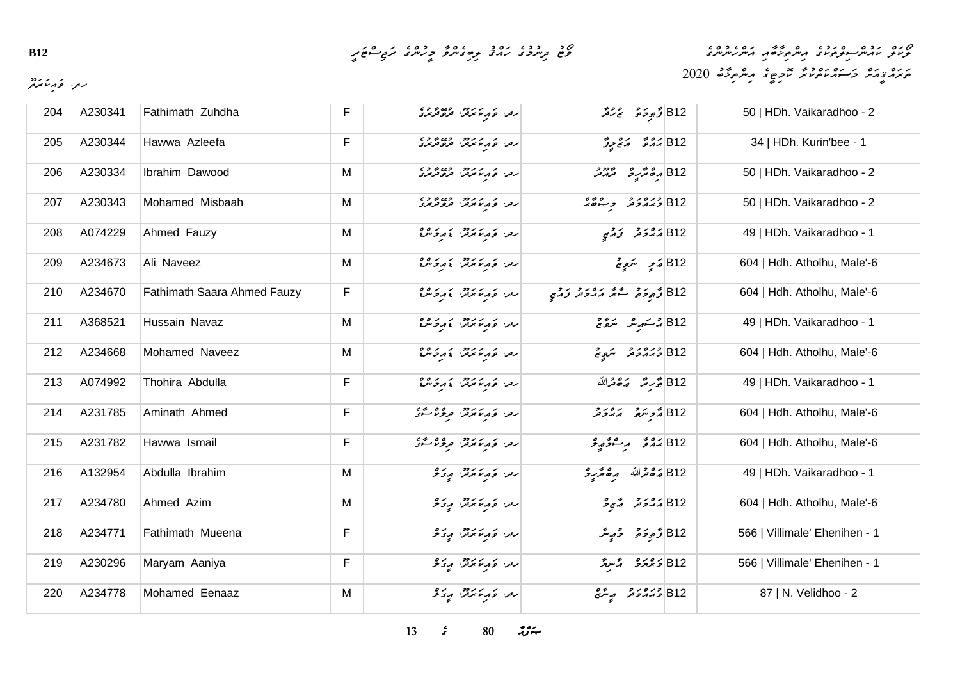*sCw7q7s5w7m< o<n9nOoAw7o< sCq;mAwBoEw7q<m; wBm;vB* م من المرة المرة المرة المرجع المرجع في المركبة 2020<br>مجم*د المريض المربوط المربع المرجع في المراجع المركبة* 

| $\overline{\phantom{a}}$<br>ردر ومسعرم |  |
|----------------------------------------|--|
|----------------------------------------|--|

| 204 | A230341 | Fathimath Zuhdha            | $\mathsf F$ | رو. خ د نامزده و ده و د و<br>مدار از نامزود او و ترمزد                       | B12 تَ <i>وجوه بي حق</i>                        | 50   HDh. Vaikaradhoo - 2     |
|-----|---------|-----------------------------|-------------|------------------------------------------------------------------------------|-------------------------------------------------|-------------------------------|
| 205 | A230344 | Hawwa Azleefa               | F           | رو. <sub>ح</sub> کم ما برود در در در<br>رو. حکم ما برفر <sup>،</sup> فرو فرس | B12 بَرْدُوَّ   بَرْجْ مِرَّ                    | 34   HDh. Kurin'bee - 1       |
| 206 | A230334 | Ibrahim Dawood              | M           | رو. <sub>ح</sub> کم ما برود در در در<br>رو. حکم ما برفر <sup>،</sup> فرو فرس | B12 <sub>مو</sub> ھ <i>مُرْرِدْ مُرْمَّ</i> مْد | 50   HDh. Vaikaradhoo - 2     |
| 207 | A230343 | Mohamed Misbaah             | M           | رو. ۶ در ۱۶۶۷ ورو ورو ور<br>رو. ۶ در ۱۶ برو. دره در برو                      | $220 - 222$                                     | 50   HDh. Vaikaradhoo - 2     |
| 208 | A074229 | Ahmed Fauzy                 | M           | رى ئەرىكى ئەرزىق                                                             | B12 كەش <sup>ى</sup> رى ئەرگىي                  | 49   HDh. Vaikaradhoo - 1     |
| 209 | A234673 | Ali Naveez                  | M           | رىر ئەرىئىرتى ئەرىكى                                                         | B12  رَمِ سَمِي <sup>ت</sup> ج                  | 604   Hdh. Atholhu, Male'-6   |
| 210 | A234670 | Fathimath Saara Ahmed Fauzy | F           | رى ئەرىكى ئەرزە                                                              | B12 تۇچوخۇ شەنئە مەرەپە ئەمبى                   | 604   Hdh. Atholhu, Male'-6   |
| 211 | A368521 | Hussain Navaz               | M           | رى ئەرىكى ئەرزە                                                              | B12 پر کمبریٹر گرمج مح                          | 49   HDh. Vaikaradhoo - 1     |
| 212 | A234668 | Mohamed Naveez              | M           | رى ئەرىكى ئەرزە                                                              | B12  <i>ويەدە دىرىتى</i> ئىر                    | 604   Hdh. Atholhu, Male'-6   |
| 213 | A074992 | Thohira Abdulla             | F           | رى ئەرىكى ئەرزىق                                                             | B12 بَجْرِبَّدَ بَهَ صَحْرَاللَّه               | 49   HDh. Vaikaradhoo - 1     |
| 214 | A231785 | Aminath Ahmed               | $\mathsf F$ | رىر ئەرىئەتكە بروە ئەت                                                       | B12 مَّ حِسَمَة مَ مَدَّدَ مَّر                 | 604   Hdh. Atholhu, Male'-6   |
| 215 | A231782 | Hawwa Ismail                | F           | رىر ئەرىئەتكە بروە ئەت                                                       | B12 بَرْدُوَّ بِرِ سُوَّبِرِ وَ                 | 604   Hdh. Atholhu, Male'-6   |
| 216 | A132954 | Abdulla Ibrahim             | M           | رىن ئەرىئەتكە بەرگ                                                           | B12 مَەمْراللە م <b>ە</b> مَرىي                 | 49   HDh. Vaikaradhoo - 1     |
| 217 | A234780 | Ahmed Azim                  | M           | رى قەرىكى ھەدى                                                               | B12 كەندى قىر ھەيدى                             | 604   Hdh. Atholhu, Male'-6   |
| 218 | A234771 | Fathimath Mueena            | F           | رىن ئەرىكىگە بوڭگ                                                            | B12 ز <i>نجوخ</i> تر - ڈم <sub>ی</sub> سًر      | 566   Villimale' Ehenihen - 1 |
| 219 | A230296 | Maryam Aaniya               | $\mathsf F$ | رى ئەرىئەتكە مەئ ئ                                                           | B12 كەبەد ئەس <i>ەڭ</i>                         | 566   Villimale' Ehenihen - 1 |
| 220 | A234778 | Mohamed Eenaaz              | M           | رىن ئەرىئەتكە بەئ ئو                                                         | B12 <i>وبرو دو م</i> وشیح                       | 87   N. Velidhoo - 2          |

*13 s* 80 *if*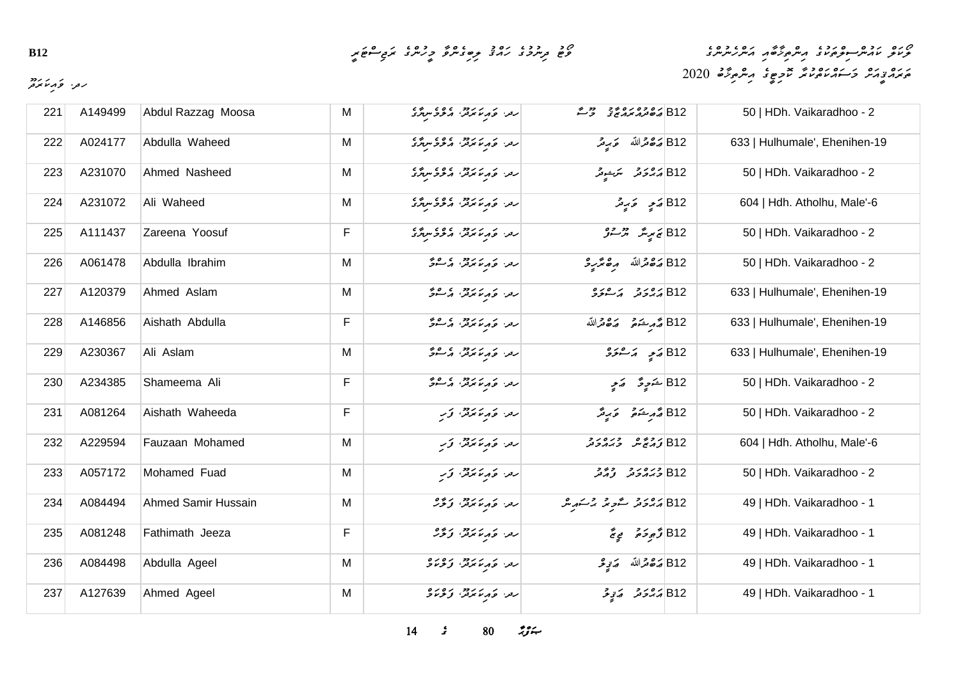*sCw7q7s5w7m< o<n9nOoAw7o< sCq;mAwBoEw7q<m; wBm;vB* م من المرة المرة المرة المرجع المرجع في المركبة 2020<br>مجم*د المريض المربوط المربع المرجع في المراجع المركبة* 

| $\overline{\phantom{a}}$<br>ردر ومسعرم |  |
|----------------------------------------|--|
|----------------------------------------|--|

| 221 | A149499 | Abdul Razzag Moosa         | M           | رىر كەر ئەدەر ، ە ، ئە ،                      | B12 בפתח בריב - כל בי                            | 50   HDh. Vaikaradhoo - 2     |
|-----|---------|----------------------------|-------------|-----------------------------------------------|--------------------------------------------------|-------------------------------|
| 222 | A024177 | Abdulla Waheed             | M           | رود که درود ۵۵۰ وی.<br>رود که دادود از در درو | B12 مَەھتراللە   مَ بِرىتر                       | 633   Hulhumale', Ehenihen-19 |
| 223 | A231070 | Ahmed Nasheed              | M           | رود که درود ۵۵۰ وی.<br>رود که دادود از در درو | B12   <i>دَ بْ</i> رُوَ مِّرْ سَرَسِيْ مِرْ      | 50   HDh. Vaikaradhoo - 2     |
| 224 | A231072 | Ali Waheed                 | M           | رود که درود ۵۵۰ وی.<br>رود که دادود از در درو | B12 كەمچە - ق <i>ەپەت</i> ر                      | 604   Hdh. Atholhu, Male'-6   |
| 225 | A111437 | Zareena Yoosuf             | $\mathsf F$ | رود که درود ۵۵۰ وی.<br>رود که دادود از در درو | B12 ئ <sub>ىم بېرىنگە تەرجىۋ</sub>               | 50   HDh. Vaikaradhoo - 2     |
| 226 | A061478 | Abdulla Ibrahim            | M           | رى ئەرىكى ئەس ئ                               | B12 كَەھْتَراللە مِىھْتَر <i>ِي</i> ْرْ          | 50   HDh. Vaikaradhoo - 2     |
| 227 | A120379 | Ahmed Aslam                | M           | رى ئەرىكى ئەس ئ                               | B12 كەبروتر كەشكەنى                              | 633   Hulhumale', Ehenihen-19 |
| 228 | A146856 | Aishath Abdulla            | $\mathsf F$ | رى ئەرىكى ئەس ئ                               | B12 <i>مَّ مِرْ شَوَّةٍ مَرَّةٌ قَرْ</i> اللَّهُ | 633   Hulhumale', Ehenihen-19 |
| 229 | A230367 | Ali Aslam                  | M           | رى ئەرىكى ئەس ئ                               | B12 كەير كەشى <i>رى</i>                          | 633   Hulhumale', Ehenihen-19 |
| 230 | A234385 | Shameema Ali               | $\mathsf F$ | رى ئەرىئەتكە ، مەن                            | B12  ڪ <sub>ي</sub> وگ ڪي                        | 50   HDh. Vaikaradhoo - 2     |
| 231 | A081264 | Aishath Waheeda            | $\mathsf F$ | رو، ئەرىئەترە ئ                               | B12 مەم ئەسىم قىرىمىتىكى ئىس                     | 50   HDh. Vaikaradhoo - 2     |
| 232 | A229594 | Fauzaan Mohamed            | M           | رى قەرىكەن تەپ                                | B12 ۇرىم شەر جەيدە تىر                           | 604   Hdh. Atholhu, Male'-6   |
| 233 | A057172 | Mohamed Fuad               | M           | رى ئەرىكەن ئەر                                | B12 <i>3225 وڤو</i>                              | 50   HDh. Vaikaradhoo - 2     |
| 234 | A084494 | <b>Ahmed Samir Hussain</b> | M           | رى ئەرىئەتكە ئەنۋە                            | B12 كەندى قىر قىرىگە بەر سىر بىر                 | 49   HDh. Vaikaradhoo - 1     |
| 235 | A081248 | Fathimath Jeeza            | F           | رى قەرىئەتكە ئەنجەر                           | B12 <i>وُجوحَۃ</i> مِيءَ                         | 49   HDh. Vaikaradhoo - 1     |
| 236 | A084498 | Abdulla Ageel              | M           | رى ئەرىكىن ئەرەرە                             | B12 كەھەراللە كەن <sub>چى</sub> تى               | 49   HDh. Vaikaradhoo - 1     |
| 237 | A127639 | Ahmed Ageel                | M           | رىر ئەرىئىرى ئورە                             | B12 <i>كەنگەنىڭ كەن</i> چى                       | 49   HDh. Vaikaradhoo - 1     |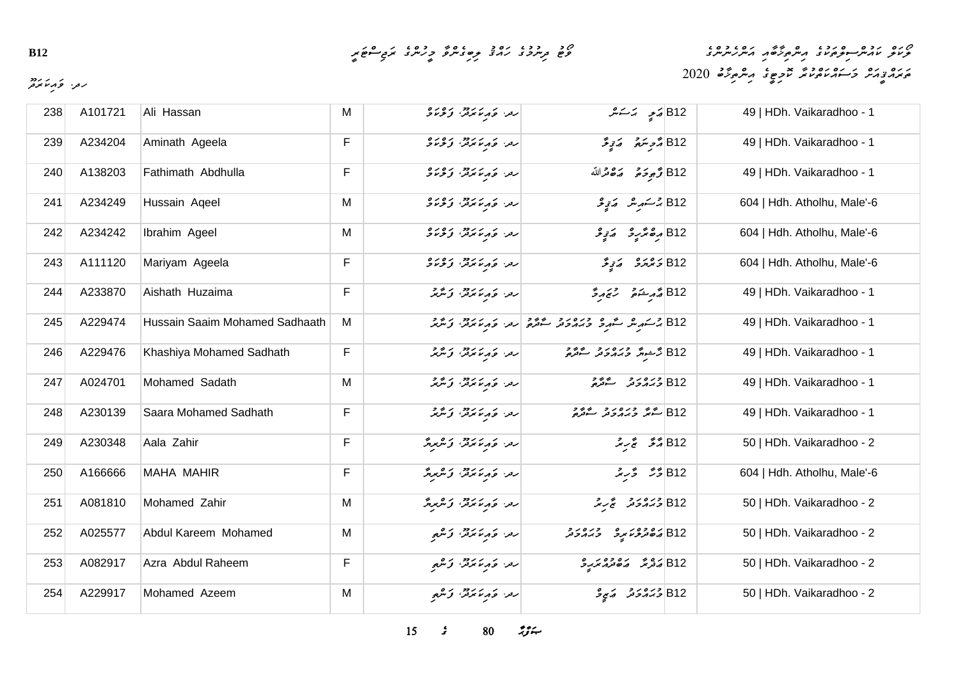*sCw7q7s5w7m< o<n9nOoAw7o< sCq;mAwBoEw7q<m; wBm;vB* **2020**<br>*بي ترويخ مركز حسوم موسوم موسر عرض وسر مركز ه* 

| 238 | A101721 | Ali Hassan                     | M           | رى ئەرىئەتكە ئەۋرە       | B12 كەبىي - ئەس <i>ەنل</i>                             | 49   HDh. Vaikaradhoo - 1   |
|-----|---------|--------------------------------|-------------|--------------------------|--------------------------------------------------------|-----------------------------|
| 239 | A234204 | Aminath Ageela                 | F           | رى ئەرىكىنى ئەۋرە        | B12 مَّ <i>جِسَمَۃ مَدَّبِ</i> مََّ                    | 49   HDh. Vaikaradhoo - 1   |
| 240 | A138203 | Fathimath Abdhulla             | F           | رى ئەرىكىن ئەدەرە        | B12 وَجوحَة صَ <b>صَ</b> قَرَاللّه                     | 49   HDh. Vaikaradhoo - 1   |
| 241 | A234249 | Hussain Ageel                  | M           | رىر. ئەرىئەترىق، ئەبھەت  | B12  جُسَم مِرَّ مَتَّجِعُ                             | 604   Hdh. Atholhu, Male'-6 |
| 242 | A234242 | Ibrahim Ageel                  | M           | رىر ئەرىئەترىق ۋىچەن     | B12 م <i>وڭ ئۇچ</i> ۇ ھۆچى                             | 604   Hdh. Atholhu, Male'-6 |
| 243 | A111120 | Mariyam Ageela                 | $\mathsf F$ | رىر ئەرىئەترىق ۋىجەنچ    | B12  <i>5 پر<sub>پ</sub>رڈ کی ت</i> ج بح               | 604   Hdh. Atholhu, Male'-6 |
| 244 | A233870 | Aishath Huzaima                | F           | رىر. ئەرىئەتكە ئەشرىم    | B12 مەم ئىققى ھىم بىر ئىق                              | 49   HDh. Vaikaradhoo - 1   |
| 245 | A229474 | Hussain Saaim Mohamed Sadhaath | M           |                          | B12 تر سور شروع وبرود و سورو الرود المورانملك و المركز | 49   HDh. Vaikaradhoo - 1   |
| 246 | A229476 | Khashiya Mohamed Sadhath       | F           | رىر. ئەرىئەتكەن ئەنگەنگە | B12 گەھبەد ئ <i>ەركەدىن سەنگ</i> ەر                    | 49   HDh. Vaikaradhoo - 1   |
| 247 | A024701 | Mohamed Sadath                 | M           | رى ئەرىئەتە ئەتەر        | B12 <i>322 مىڭ مۇھ</i>                                 | 49   HDh. Vaikaradhoo - 1   |
| 248 | A230139 | Saara Mohamed Sadhath          | F           | رىر. ئەرىئەترىق، ئەنگەنز | B12 سُمَّرٌ وَيَهُوَمَرُ سُمَّرَّمُ                    | 49   HDh. Vaikaradhoo - 1   |
| 249 | A230348 | Aala Zahir                     | $\mathsf F$ | رىن ئەرىكىگە كەسىر       | B12  مُرْمَّى مَحْ رِبْرُ                              | 50   HDh. Vaikaradhoo - 2   |
| 250 | A166666 | <b>MAHA MAHIR</b>              | $\mathsf F$ | رىر ئەرىكىگە ۋىرىدىگ     | B12 وَيْرِيْرُ                                         | 604   Hdh. Atholhu, Male'-6 |
| 251 | A081810 | Mohamed Zahir                  | M           | رىر. ئەرىكىگە ئەشرىگ     | B12 <i>\$نەۋەقىلى</i> ئىم <i>بە</i> ر                  | 50   HDh. Vaikaradhoo - 2   |
| 252 | A025577 | Abdul Kareem Mohamed           | M           | رىر ئەرىئەتكەش ئەشھ      | B12 גەدەر ي <sub>و</sub> ە دىرەرد                      | 50   HDh. Vaikaradhoo - 2   |
| 253 | A082917 | Azra Abdul Raheem              | $\mathsf F$ | رىر ئەرىئەتكەش ئەشھ      | B12 كەنىرىتى كەھە <i>ر مەيرى</i>                       | 50   HDh. Vaikaradhoo - 2   |
| 254 | A229917 | Mohamed Azeem                  | M           | رىر. ئەرىئەترىق، ئەشھ    | B12 <i>جەممىرى ھې</i> چ                                | 50   HDh. Vaikaradhoo - 2   |

 $15$  *s* 80  $23$   $\div$ 

ر<sub>قر: 6</sub> م.<br>ر<sub>قر:</sub> 6 م. *4 ب*رو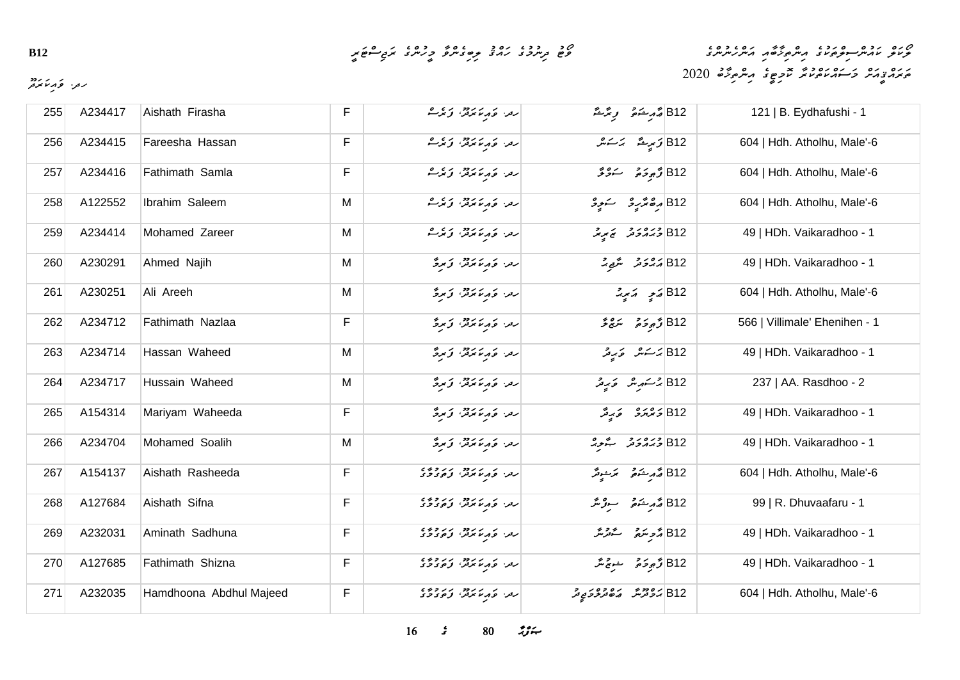*sCw7q7s5w7m< o<n9nOoAw7o< sCq;mAwBoEw7q<m; wBm;vB* م من المرة المرة المرة المرجع المرجع في المركبة 2020<br>مجم*د المريض المربوط المربع المرجع في المراجع المركبة* 

|  | $\overline{\phantom{a}}$<br>رد و مرحم مرد |  |
|--|-------------------------------------------|--|
|--|-------------------------------------------|--|

| 255 | A234417 | Aishath Firasha         | $\mathsf{F}$ | رىر ئەرىئەتكەن ۋىزىس  | B12 مەم ھۇم بويۇنىڭە                      | 121   B. Eydhafushi - 1       |
|-----|---------|-------------------------|--------------|-----------------------|-------------------------------------------|-------------------------------|
| 256 | A234415 | Fareesha Hassan         | $\mathsf{F}$ | رىن ئەرىئەتكە ئەترى   | B12 كۆمچىنىڭ - ئەسكەنلە                   | 604   Hdh. Atholhu, Male'-6   |
| 257 | A234416 | Fathimath Samla         | $\mathsf F$  | رىن ئەرىئەتكە ئەترى   | B12 <i>وَّجِوَدَةْ</i> سَوْعْرَ           | 604   Hdh. Atholhu, Male'-6   |
| 258 | A122552 | Ibrahim Saleem          | M            | رى ئەرىكىن كەرك       | B12 م <i>وڭ ئۇر</i> ۇ سىمب <sub>و</sub> ۇ | 604   Hdh. Atholhu, Male'-6   |
| 259 | A234414 | Mohamed Zareer          | M            | رىر ئەرىئەتكەن كەتكەش | B12 <i>وَيَهُوَدُوْ</i> يَمْ يَرِيْرُ     | 49   HDh. Vaikaradhoo - 1     |
| 260 | A230291 | Ahmed Najih             | M            | رە، ئەرىئەتكەنى ئەيرۇ | B12 كەنزى قىرىم ئىقى باشقا بىرى ئى        | 49   HDh. Vaikaradhoo - 1     |
| 261 | A230251 | Ali Areeh               | M            | رە، ئەرىئەتكەنى ئەيرۇ | B12  رَمٍ کمَ پرِ جُ                      | 604   Hdh. Atholhu, Male'-6   |
| 262 | A234712 | Fathimath Nazlaa        | $\mathsf F$  | رى ئەرىكىن ئىرگە      | B12 تَ <i>مُجِوَدَةُ</i> سَمَّعْتَرَ      | 566   Villimale' Ehenihen - 1 |
| 263 | A234714 | Hassan Waheed           | M            | رى ئەرىكىنى ئىرگە     | B12 پزشک تھ <i>پ</i> یٹر                  | 49   HDh. Vaikaradhoo - 1     |
| 264 | A234717 | Hussain Waheed          | M            | رى ئەرىئەتە ئىرگە     | B12  پرسکو بند کا تر تر                   | 237   AA. Rasdhoo - 2         |
| 265 | A154314 | Mariyam Waheeda         | $\mathsf F$  | رە، ئەرىئەتكەنى ئەيرى | B12 <i>5 پر پر گاپ</i> وگر                | 49   HDh. Vaikaradhoo - 1     |
| 266 | A234704 | Mohamed Soalih          | M            | رى ئەرىكىگە ئىرق      | B12  <i>3223 \$</i> سگور                  | 49   HDh. Vaikaradhoo - 1     |
| 267 | A154137 | Aishath Rasheeda        | $\mathsf F$  | رى كەركىرى رىروپ      | B12 مَگْرِسْتَمْ کَمْ مَرْسُوتَرْ         | 604   Hdh. Atholhu, Male'-6   |
| 268 | A127684 | Aishath Sifna           | F            | رفر کرد کرده کرد وی   | B12 مەم ئىققى سىرى ئىگە                   | 99   R. Dhuvaafaru - 1        |
| 269 | A232031 | Aminath Sadhuna         | $\mathsf F$  | رى ئەرىكى ئەدەب       | B12 مُرْحِ سَرَمُ مُسْتَمَرْ سَرْ         | 49   HDh. Vaikaradhoo - 1     |
| 270 | A127685 | Fathimath Shizna        | $\mathsf F$  | رى كەركىرى رىروپ      | B12 تُرجوحَ هُ سُويُح مُدَّر              | 49   HDh. Vaikaradhoo - 1     |
| 271 | A232035 | Hamdhoona Abdhul Majeed | F            | رى ئەرىكى ئەدەپ       | B12 ټرونژنگر بره وور <sub>مو</sub> فر     | 604   Hdh. Atholhu, Male'-6   |

 $16$  *s* 80  $23$   $\div$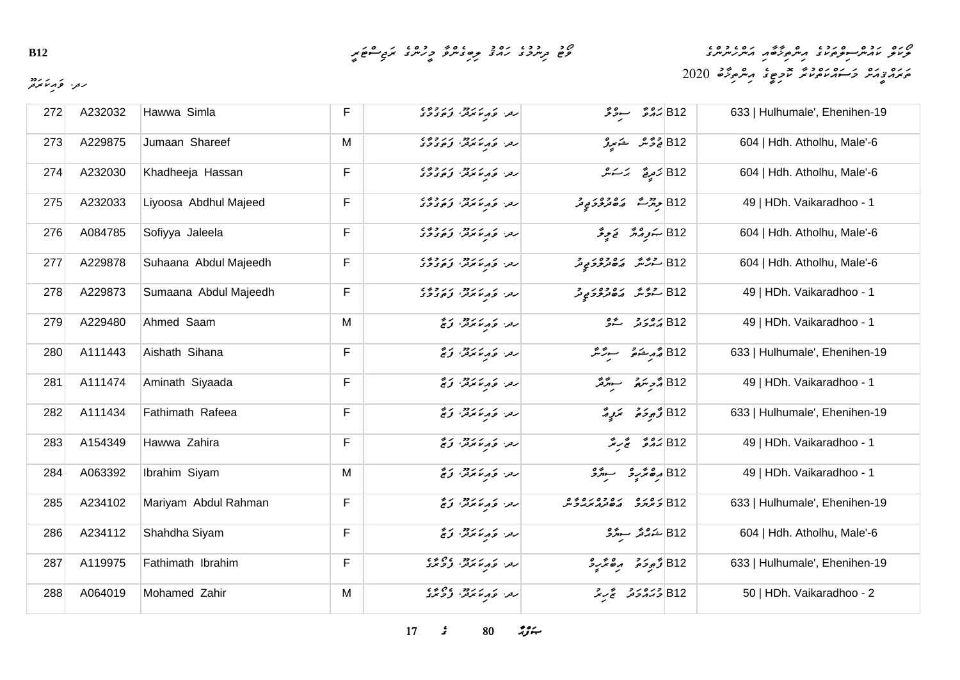*sCw7q7s5w7m< o<n9nOoAw7o< sCq;mAwBoEw7q<m; wBm;vB 2020<sup>, م</sup>وسر در مدد مدرج به مدرم مقرم قرار 2020*<br>موسر المستقرم المستقرم المستقرم المستقرم المستقرم المستقرم المستقرم المستقرم المستقرم المستقرم المستقرم المستقر

| 272 | A232032 | Hawwa Simla           | $\mathsf F$  | رى ئەرىكى ئەدەب                             | B12   يَرْدُوُ سِرْدُوْ دَ                    | 633   Hulhumale', Ehenihen-19 |
|-----|---------|-----------------------|--------------|---------------------------------------------|-----------------------------------------------|-------------------------------|
| 273 | A229875 | Jumaan Shareef        | M            | رى ئەرىكى ئەدەب                             | B12 فے تح <i>مّہ شمیرو</i>                    | 604   Hdh. Atholhu, Male'-6   |
| 274 | A232030 | Khadheeja Hassan      | $\mathsf F$  | رى ئەرىكى ئەدەب                             | B12  زَمِرِجٌ = بَرَسَرْرٌ                    | 604   Hdh. Atholhu, Male'-6   |
| 275 | A232033 | Liyoosa Abdhul Majeed | F            | رفر كرم بردد كرد وي                         | B12 موجز شهر پره وه د پوټر                    | 49   HDh. Vaikaradhoo - 1     |
| 276 | A084785 | Sofiyya Jaleela       | $\mathsf{F}$ | رى كەركىرى رىروپ                            | B12  ب <i>ەَوِدْة ئ</i> ەر <sub>ى</sub> مَى   | 604   Hdh. Atholhu, Male'-6   |
| 277 | A229878 | Suhaana Abdul Majeedh | $\mathsf F$  | رفر كردكود كردون                            | B12 جۇنئر ب <sub>ە</sub> مەمرى <i>زى ب</i> ور | 604   Hdh. Atholhu, Male'-6   |
| 278 | A229873 | Sumaana Abdul Majeedh | $\mathsf{F}$ | رى ئەرىكى ئەدەب                             | B12 شۇنى <i>گە مەھەر دەي</i> ر                | 49   HDh. Vaikaradhoo - 1     |
| 279 | A229480 | Ahmed Saam            | M            | رى قەرىكەن ئ                                | B12 كەنزىقر سىگى                              | 49   HDh. Vaikaradhoo - 1     |
| 280 | A111443 | Aishath Sihana        | $\mathsf{F}$ | رى ئەرىكەن ئ                                | B12 م <i>ەمبەشقى سىرىش</i>                    | 633   Hulhumale', Ehenihen-19 |
| 281 | A111474 | Aminath Siyaada       | F            | رو. قەرىكى بوق ئ                            | B12 مَّ حِبِّرَةٌ مَسِيَّرَةٌ                 | 49   HDh. Vaikaradhoo - 1     |
| 282 | A111434 | Fathimath Rafeea      | F            | رى قەرىكەن ئ                                | B12 گ <sub>ۇ</sub> چەق ئىر <i>وپە</i> ً       | 633   Hulhumale', Ehenihen-19 |
| 283 | A154349 | Hawwa Zahira          | F            | رى ئەرىكەن ئ                                | B12 يَرْدُمَّ تَجْرِبَّرُ                     | 49   HDh. Vaikaradhoo - 1     |
| 284 | A063392 | Ibrahim Siyam         | M            | رى ئەرىئەت ئ                                | B12 مەھمگەپى ھەسىرى يىل                       | 49   HDh. Vaikaradhoo - 1     |
| 285 | A234102 | Mariyam Abdul Rahman  | $\mathsf{F}$ | رى ئەرىكەن ئ                                |                                               | 633   Hulhumale', Ehenihen-19 |
| 286 | A234112 | Shahdha Siyam         | $\mathsf F$  | رى ئەرىئە بەر                               | B12 ڪرچوگر سو <i>مگر</i> محر                  | 604   Hdh. Atholhu, Male'-6   |
| 287 | A119975 | Fathimath Ibrahim     | F            | رور كرما برود وه وه                         | B12 <i>وَجِوحَةْ بِهِ مَحْرِجْ</i>            | 633   Hulhumale', Ehenihen-19 |
| 288 | A064019 | Mohamed Zahir         | M            | رور نوم تا بردد.<br>رور نوم تا برور و و برو | B12 <i>وُيَدْوُوَتْوَ</i> گُرِيْرُ            | 50   HDh. Vaikaradhoo - 2     |

*17 sC 80 nNw?mS*

ر<sub>قر: 6</sub> م<sup>. ردد</sup>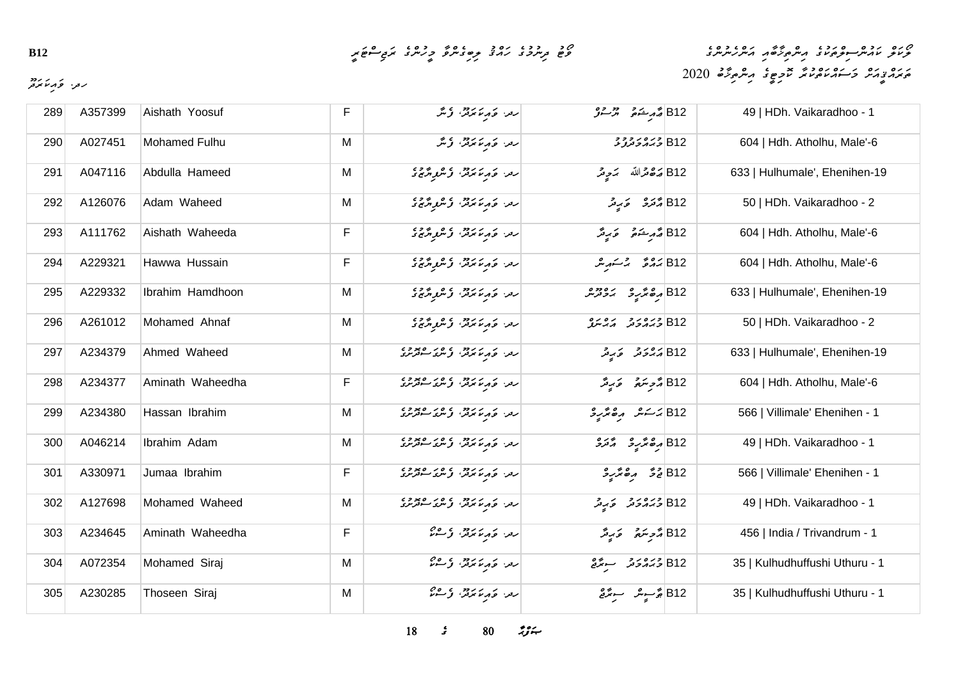*sCw7q7s5w7m< o<n9nOoAw7o< sCq;mAwBoEw7q<m; wBm;vB* م من المرة المرة المرة المرجع المرجع في المركبة 2020<br>مجم*د المريض المربوط المربع المرجع في المراجع المركبة* 

| $\overline{\phantom{a}}$<br>بردر ومنعرد |  |
|-----------------------------------------|--|
|-----------------------------------------|--|

| 289 | A357399 | Aishath Yoosuf   | F           | رىر. ئەرىئەتكە ئەنگ                                                     | B12 مۇم ھۇم بىر مىتىمباش ئىستىر               | 49   HDh. Vaikaradhoo - 1      |
|-----|---------|------------------|-------------|-------------------------------------------------------------------------|-----------------------------------------------|--------------------------------|
| 290 | A027451 | Mohamed Fulhu    | M           | رىر ئەرىئەترىق ۋىگە                                                     | B12 دېرونورن                                  | 604   Hdh. Atholhu, Male'-6    |
| 291 | A047116 | Abdulla Hameed   | M           | رىر. ئەرىئەترىن. ئۇشرىرىنى ئ                                            | B12 مَەھتراللە   ئەجەتر                       | 633   Hulhumale', Ehenihen-19  |
| 292 | A126076 | Adam Waheed      | M           | رى ئەرىردە ئەھرىرە                                                      | B12 مُمَعَرڤ عَرِيمُ                          | 50   HDh. Vaikaradhoo - 2      |
| 293 | A111762 | Aishath Waheeda  | F           | رىر. ئەرىئەتكە، كەنتۈپۈتكە                                              | B12 مەم شىم ئىق كەرلىقى                       | 604   Hdh. Atholhu, Male'-6    |
| 294 | A229321 | Hawwa Hussain    | $\mathsf F$ | رى ئەرىردە ئەھرىرە                                                      | B12 يَرْدُوْ بِرْسَهْرِ مِرْ                  | 604   Hdh. Atholhu, Male'-6    |
| 295 | A229332 | Ibrahim Hamdhoon | M           | رىر. ئەرىئەترىن. ئۇشرىرىنى ئ                                            | B12 مەھەر بەر بەردىر                          | 633   Hulhumale', Ehenihen-19  |
| 296 | A261012 | Mohamed Ahnaf    | M           | رى ئەرىردە ئەھرىرە                                                      | B12 درەرو رەرو                                | 50   HDh. Vaikaradhoo - 2      |
| 297 | A234379 | Ahmed Waheed     | M           | ر پر ر خوبر مردد در ۲۵ در ۲۵ در ۲۵<br>ر پس ر خوبر ما برتر او کرمل کرمی  | B12 كەنزى قىرىتر                              | 633   Hulhumale', Ehenihen-19  |
| 298 | A234377 | Aminath Waheedha | F           | ری که مکرده ده بر ۲۵ وره<br>ری که مکری و سری سویرس                      | B12 مَّ <i>حِسَمَۃُ</i> حَ <sub>مِ</sub> مَّد | 604   Hdh. Atholhu, Male'-6    |
| 299 | A234380 | Hassan Ibrahim   | M           | ر پر ر خود سال ده در ۲۵ ور ۶۶<br>ر پس ر خود مانترنتر از قریبل مستقر برد | B12 بَرَسَة مِنْ مِرْمِرْدِ                   | 566   Villimale' Ehenihen - 1  |
| 300 | A046214 | Ibrahim Adam     | M           | رود که دارده ای ۲۵ ورود.<br>رود که دادگان و سرد سودربرد                 | B12 م <i>وڭ ئۇرۇ مەترى</i>                    | 49   HDh. Vaikaradhoo - 1      |
| 301 | A330971 | Jumaa Ibrahim    | F           | رد. نوم نود. عامر ۱۵۶۵.<br>رد. نوم نور. و سری-مربری                     | B12 ق ح م م م م م م بر د                      | 566   Villimale' Ehenihen - 1  |
| 302 | A127698 | Mohamed Waheed   | M           | ر پر ر خوبر مردد در ۲۵ در ۲۵ در ۲۵<br>ر پس ر خوبر ما برتر او کرمل کرمی  | B12  <i>وټه ډېر</i> کاپاته                    | 49   HDh. Vaikaradhoo - 1      |
| 303 | A234645 | Aminath Waheedha | F           | رىر ئەرىئەتكەن ۋىسىم                                                    | B12 مَّ <i>حِسَمَۃُ</i> حَ <sub>مِ</sub> مَّد | 456   India / Trivandrum - 1   |
| 304 | A072354 | Mohamed Siraj    | M           | رى ئەرىئەتكە ئەسىم                                                      | B12 <i>جەنە ئەق سىنىڭ</i>                     | 35   Kulhudhuffushi Uthuru - 1 |
| 305 | A230285 | Thoseen Siraj    | M           | رفر كەرىكىرى كەن 20                                                     | B12 ۾ُ سِبِيْرِ سِبِيَّةٍ                     | 35   Kulhudhuffushi Uthuru - 1 |

*18 s* 80 *if*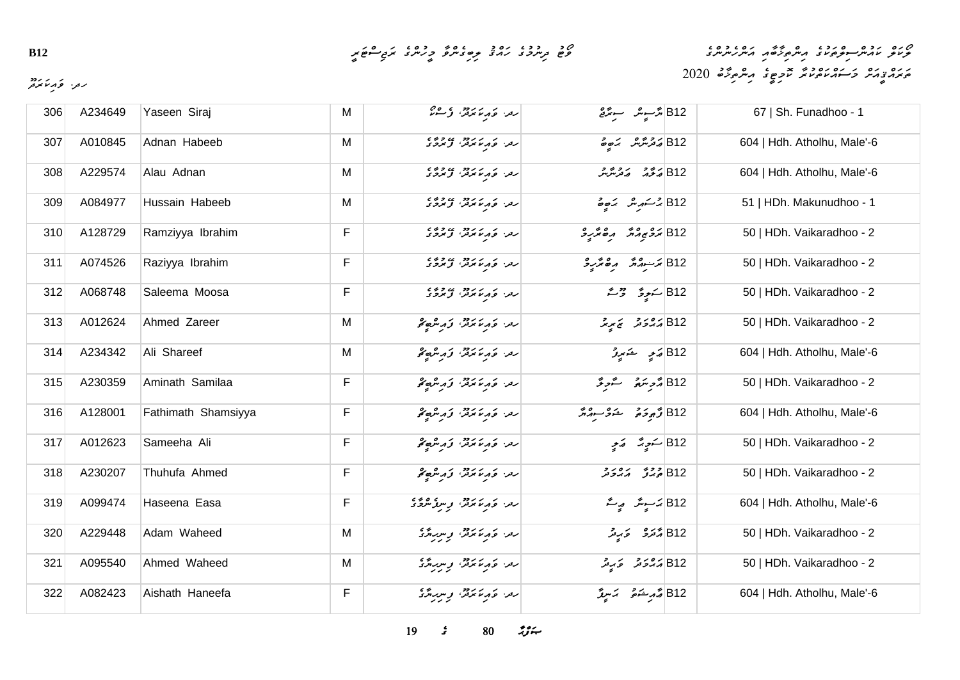*sCw7q7s5w7m< o<n9nOoAw7o< sCq;mAwBoEw7q<m; wBm;vB* م من المرة المرة المرة المرجع المرجع في المركبة 2020<br>مجم*د المريض المربوط المربع المرجع في المراجع المركبة* 

| 2211 |  |           |
|------|--|-----------|
|      |  | ردر ومسرر |
|      |  |           |

| 306 | A234649 | Yaseen Siraj        | M           | رىن ئەرىئەتكە ئېسىم       | B12 انگر ہونے میں سو برقیقے                     | 67   Sh. Funadhoo - 1       |
|-----|---------|---------------------|-------------|---------------------------|-------------------------------------------------|-----------------------------|
| 307 | A010845 | Adnan Habeeb        | M           | رفر كرم كروه به وي        | B12 <i>مەنزىترىتر بەھ ق</i>                     | 604   Hdh. Atholhu, Male'-6 |
| 308 | A229574 | Alau Adnan          | M           | رفر كرم كروه به وي        | B12 كەنزىر كەنزىترىتر                           | 604   Hdh. Atholhu, Male'-6 |
| 309 | A084977 | Hussain Habeeb      | M           | رور كه ما برود به دور     | B12 بر سَمبر شَرِ سَمَّةٍ صَنْ                  | 51   HDh. Makunudhoo - 1    |
| 310 | A128729 | Ramziyya Ibrahim    | F           | رو. كه مكرده المادون      | B12 <i>تردې په شهر مره تر پ</i> و               | 50   HDh. Vaikaradhoo - 2   |
| 311 | A074526 | Raziyya Ibrahim     | $\mathsf F$ | رفر أوركا برود إلى والماء | B12 <i>بَرَىنِيهُ مَّنْ مِ</i> رْكَةِ رَبَّى    | 50   HDh. Vaikaradhoo - 2   |
| 312 | A068748 | Saleema Moosa       | $\mathsf F$ | رى ئەرىكى ئۇيروم          | B12 سَمِرِیَّ رَ <sup>حِ</sup> سَّ              | 50   HDh. Vaikaradhoo - 2   |
| 313 | A012624 | Ahmed Zareer        | M           | رى قەرىكىن قەرىر ھە       | B12   پَرْدُوَنْتْرَ    پِی پِرْبَرُ            | 50   HDh. Vaikaradhoo - 2   |
| 314 | A234342 | Ali Shareef         | M           | رىر كەر كەلگەن كەر شھەم   | B12 كەمچە ھەمپور                                | 604   Hdh. Atholhu, Male'-6 |
| 315 | A230359 | Aminath Samilaa     | F           | رى كەر كەلگەن كەر شھەم    | B12 مَّ مِسَمَّ مَّ مِعَّ                       | 50   HDh. Vaikaradhoo - 2   |
| 316 | A128001 | Fathimath Shamsiyya | $\mathsf F$ | رو قديم بردد و مره مح     | B12 <i>وَّجِوحَة</i> شَوْرَ بِمَ <i>مَّ</i> دَّ | 604   Hdh. Atholhu, Male'-6 |
| 317 | A012623 | Sameeha Ali         | F           | رى قەرىكىگى قەرش كا       | B12 سَمَ <i>دٍ بُنَ</i> مَد <i>َمٍ</i>          | 50   HDh. Vaikaradhoo - 2   |
| 318 | A230207 | Thuhufa Ahmed       | $\mathsf F$ | رىر كەرىكىگى كەرش ك       | B12 جريز كەردىر                                 | 50   HDh. Vaikaradhoo - 2   |
| 319 | A099474 | Haseena Easa        | F           | رىر. ئەرىئەتكە بەسگەتلىرى | B12 پرسیٹر پریٹر                                | 604   Hdh. Atholhu, Male'-6 |
| 320 | A229448 | Adam Waheed         | M           | رفرا أورا أولي وسربراوي   | B12 مُرْمَرْد - مَ رِمْرِ                       | 50   HDh. Vaikaradhoo - 2   |
| 321 | A095540 | Ahmed Waheed        | M           | رفرا أورا أولي وسربراوي   | B12 كەندى قىرىتر                                | 50   HDh. Vaikaradhoo - 2   |
| 322 | A082423 | Aishath Haneefa     | F           | رىن قەرىكىنىڭ ۋېرىدىگە    | B12 مەم ھەمقىم كىسپۇسى B12                      | 604   Hdh. Atholhu, Male'-6 |

*19 s* 80 *i*<sub>s</sub> *s*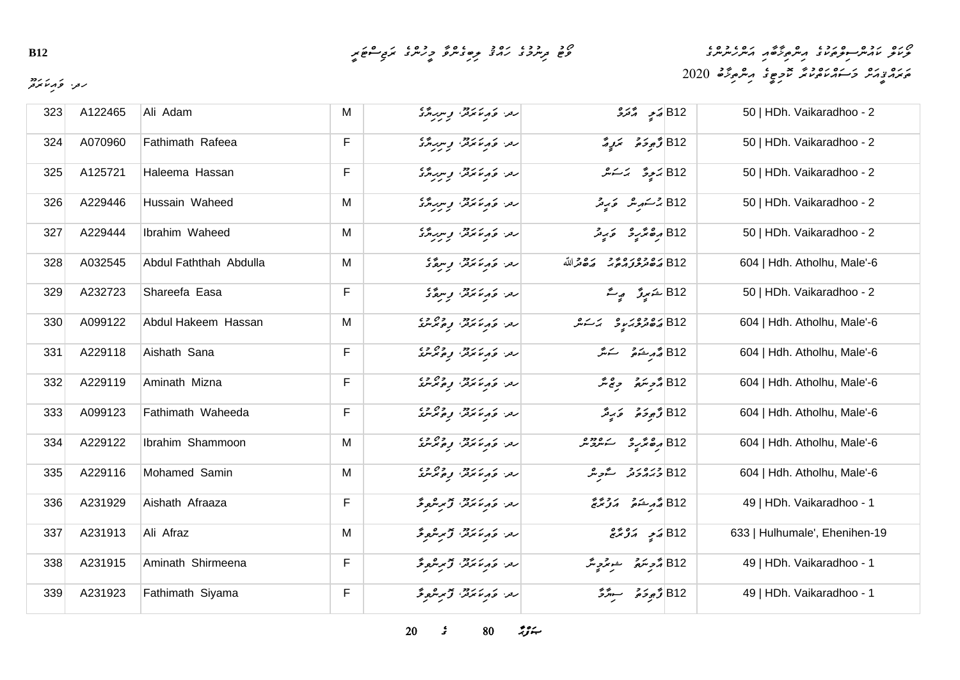*sCw7q7s5w7m< o<n9nOoAw7o< sCq;mAwBoEw7q<m; wBm;vB* م من المرة المرة المرة المرجع المرجع في المركبة 2020<br>مجم*د المريض المربوط المربع المرجع في المراجع المركبة* 

| 323 | A122465 | Ali Adam               | M | رىد ئەرىئىكەش ۋىىر بەرگە    | B12  رَمٍ گ <sup>5</sup> ر گ                      | 50   HDh. Vaikaradhoo - 2     |
|-----|---------|------------------------|---|-----------------------------|---------------------------------------------------|-------------------------------|
| 324 | A070960 | Fathimath Rafeea       | F | رى ئەرىكىگە ۋىرىدىگە        | B12 <i>وُّجِ حَمَّى - مَرْدٍ م</i> ُّ             | 50   HDh. Vaikaradhoo - 2     |
| 325 | A125721 | Haleema Hassan         | F | رى ئەرىكىگە ۋىرىدىگە        | B12  يَرِودُ    يَاسَاسُ                          | 50   HDh. Vaikaradhoo - 2     |
| 326 | A229446 | Hussain Waheed         | M | رى ئەرىكىگە ۋىرىدىگە        | B12 پر کے <sub>مر</sub> تر کا تر تر تر ا          | 50   HDh. Vaikaradhoo - 2     |
| 327 | A229444 | Ibrahim Waheed         | M | رو. ەرىئەتكى ۋىرىدىگە       | B12 م <i>وڭ ئۇرۇھ كەيدۇ</i>                       | 50   HDh. Vaikaradhoo - 2     |
| 328 | A032545 | Abdul Faththah Abdulla | M | رىن ئەرىكىگە بەيدۇ ك        | B12 كَرْهْ مْرْمُرُوْرْهُمْ بْهِ مْهُ مْرْاللّه   | 604   Hdh. Atholhu, Male'-6   |
| 329 | A232723 | Shareefa Easa          | F | رو. ۇرىئىگە ۋىرقەتى         | B12 خنمپو <i>ڈ م</i> یٹ                           | 50   HDh. Vaikaradhoo - 2     |
| 330 | A099122 | Abdul Hakeem Hassan    | M | رفر كرد برده وه وره         | B12 <sub>مەھ</sub> ىروبرو بەسەر                   | 604   Hdh. Atholhu, Male'-6   |
| 331 | A229118 | Aishath Sana           | F | رفر كرير بردو وه وه وه      | B12 مەم ئىقىمە كەنگە                              | 604   Hdh. Atholhu, Male'-6   |
| 332 | A229119 | Aminath Mizna          | F | رو. نوم با بردد. وه وه و    | B12 مٌحِ سَع <sub>َ</sub> ع حِ مِحْ سَّرَ         | 604   Hdh. Atholhu, Male'-6   |
| 333 | A099123 | Fathimath Waheeda      | F | رى قەرىكىن بەھەرە           | B12 ۇ <sub>ج</sub> ودۇ ق <sup>ى</sup> رى <i>د</i> | 604   Hdh. Atholhu, Male'-6   |
| 334 | A229122 | Ibrahim Shammoon       | M | رو. نوم با بردد. وه وه و    | B12 مەھەمگەر ئەسىر يەھىر                          | 604   Hdh. Atholhu, Male'-6   |
| 335 | A229116 | Mohamed Samin          | M | رو. نوم با بردد. وه وه و    | B12 <i>ڈیزون</i> وٹر گے۔                          | 604   Hdh. Atholhu, Male'-6   |
| 336 | A231929 | Aishath Afraaza        | F | رىر ئەرىكىن تۇيرىگروگ       | B12 مەم ئىققى مەزىتى تى                           | 49   HDh. Vaikaradhoo - 1     |
| 337 | A231913 | Ali Afraz              | M | رىر. ئەرىئەترىش ئۇيرىگرىزگە | B12 <i>ڇَجِ پروتڙي</i>                            | 633   Hulhumale', Ehenihen-19 |
| 338 | A231915 | Aminath Shirmeena      | F | رىد ئەرىئەتكە بىر شروڭ      | B12  مَّحِسَمَةُ مُسْتَمِّرٍ مَّرَ                | 49   HDh. Vaikaradhoo - 1     |
| 339 | A231923 | Fathimath Siyama       | F | رىر. ئەرىئەترىش ئۇيرىكرونخە | B12 <i>وُّجوحَ</i> هُ مُسِيَّرَةُ                 | 49   HDh. Vaikaradhoo - 1     |

 $20$  *s*  $\qquad$  80  $\sharp$   $\sharp$   $\sharp$ 

ر<sub>قر: 6</sub> م<sup>. ردد</sup>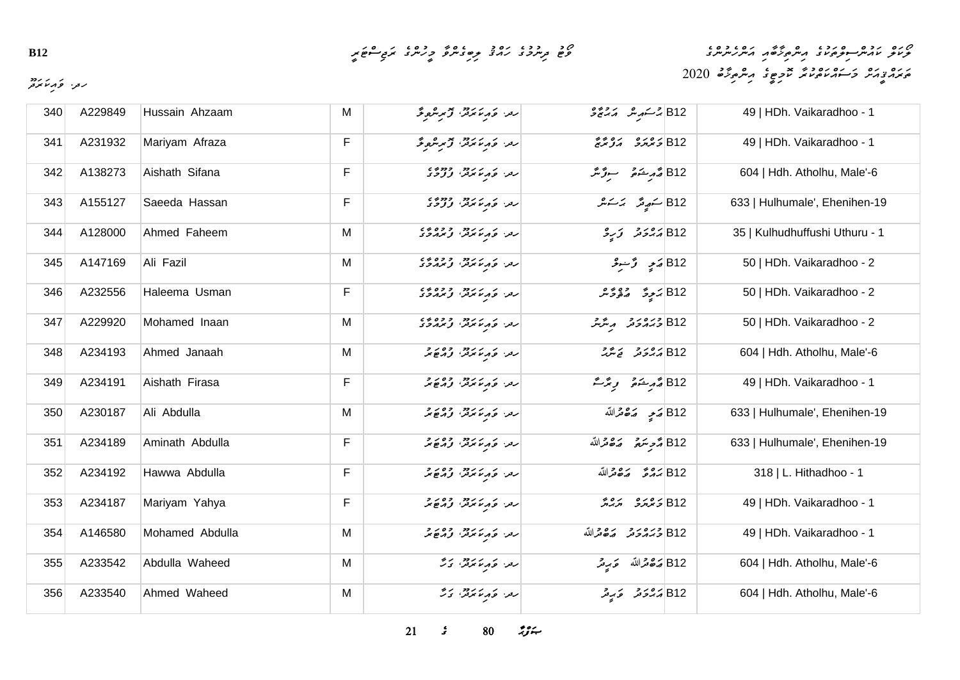*sCw7q7s5w7m< o<n9nOoAw7o< sCq;mAwBoEw7q<m; wBm;vB* م من المرة المرة المرة المرجع المرجع في المركبة 2020<br>مجم*د المريض المربوط المربع المرجع في المراجع المركبة* 

| 22 / 12<br>بردر ومنعرد |  |
|------------------------|--|
|------------------------|--|

| 340 | A229849 | Hussain Ahzaam  | M           | رىر ئەرىئەتكە بىر شرەق    | B12  برْسَمبر شَرْ <sub>م</sub> َرْبَعْ تَرْ | 49   HDh. Vaikaradhoo - 1      |
|-----|---------|-----------------|-------------|---------------------------|----------------------------------------------|--------------------------------|
| 341 | A231932 | Mariyam Afraza  | F           | رىر ئەرىئەتكەن ئۇمرىكرونخ | B12 كەبىر بىر ئەرەپچە ئە                     | 49   HDh. Vaikaradhoo - 1      |
| 342 | A138273 | Aishath Sifana  | F           | رو. ئەرىئەتكى ۋوچە        | B12 م <i>ەرىشقى سوۋىتى</i>                   | 604   Hdh. Atholhu, Male'-6    |
| 343 | A155127 | Saeeda Hassan   | F           | رفر كرد كارود وودي        | B12 س <i>تمپ</i> وٹر برسکائر                 | 633   Hulhumale', Ehenihen-19  |
| 344 | A128000 | Ahmed Faheem    | M           | رور كه با بردد و وه و ،   | B12 كەنزى قىرى                               | 35   Kulhudhuffushi Uthuru - 1 |
| 345 | A147169 | Ali Fazil       | M           | رفر کرد کرد و وه ده د     | B12  رَمٍ کَرْبِوْ ۔                         | 50   HDh. Vaikaradhoo - 2      |
| 346 | A232556 | Haleema Usman   | $\mathsf F$ | رفر کرد کرد و وه ده د     | B12 كەمچە ئەھمەت ئىكر                        | 50   HDh. Vaikaradhoo - 2      |
| 347 | A229920 | Mohamed Inaan   | M           | رفر کرد کرد و وه ده د     | B12 <i>دېم</i> گوتر په برگ                   | 50   HDh. Vaikaradhoo - 2      |
| 348 | A234193 | Ahmed Janaah    | M           | رى ئەرىكى دەر دەر د       | B12 كەنزىق ق <i>ى</i> شگ                     | 604   Hdh. Atholhu, Male'-6    |
| 349 | A234191 | Aishath Firasa  | F           | رور كرما برود وه دو       | B12 مَەمەشقىق بويترىشق                       | 49   HDh. Vaikaradhoo - 1      |
| 350 | A230187 | Ali Abdulla     | M           | رور كرم كرود وه دو        | B12 <i>مَرْمٍ مَ</i> صَمَّراللَّه            | 633   Hulhumale', Ehenihen-19  |
| 351 | A234189 | Aminath Abdulla | F           | رور كرم مرور وه دور       | B12 مَّ <i>جِسَعَة مَ</i> صَوْرَاللَّه       | 633   Hulhumale', Ehenihen-19  |
| 352 | A234192 | Hawwa Abdulla   | F           | رور كرم كرود وه دو        | B12 بَرْدَةً بِرَصْحَراللّه                  | 318   L. Hithadhoo - 1         |
| 353 | A234187 | Mariyam Yahya   | $\mathsf F$ | رور كرم مرور وه دور       | B12 كەبىر بەر بەر بىر                        | 49   HDh. Vaikaradhoo - 1      |
| 354 | A146580 | Mohamed Abdulla | M           | رور كرما برود وه دو       | B12 ويروتو بره قرالله                        | 49   HDh. Vaikaradhoo - 1      |
| 355 | A233542 | Abdulla Waheed  | M           | رى ئەرىكەن ئ              | B12 مَەھىراللە   مَ بِرىتر                   | 604   Hdh. Atholhu, Male'-6    |
| 356 | A233540 | Ahmed Waheed    | M           | رود نوم در دو رو          | B12   كەش <sup>ى</sup> كەر قەر بوقر          | 604   Hdh. Atholhu, Male'-6    |

 $21$  *s* 80 *i*<sub>S</sub> $\approx$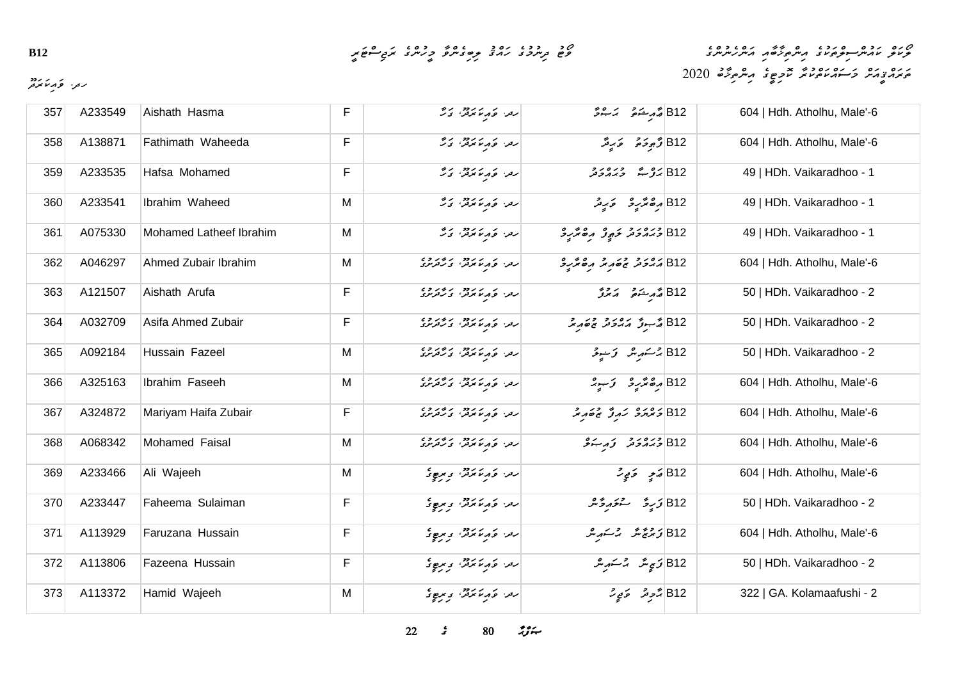*sCw7q7s5w7m< o<n9nOoAw7o< sCq;mAwBoEw7q<m; wBm;vB* م من المرة المرة المرة المرجع المرجع في المركبة 2020<br>مجم*د المريض المربوط المربع المرجع في المراجع المركبة* 

| $22 \times 10^{-1}$<br>ردر ومسرر |
|----------------------------------|
|----------------------------------|

| 357 | A233549 | Aishath Hasma           | $\mathsf{F}$ | رى ئەرىكى ئەستىمى كەر                                   | B12 <i>مۇمەشقى بىر بىرى</i> گە                   | 604   Hdh. Atholhu, Male'-6 |
|-----|---------|-------------------------|--------------|---------------------------------------------------------|--------------------------------------------------|-----------------------------|
| 358 | A138871 | Fathimath Waheeda       | F            | رود نوم دردو رو                                         | B12 گەچ <i>5 مۇم</i> رى <i>گ</i> ە               | 604   Hdh. Atholhu, Male'-6 |
| 359 | A233535 | Hafsa Mohamed           | F            | رى ئەرىئەدە رە                                          | B12 ئۇبىگە مەيرە دىر                             | 49   HDh. Vaikaradhoo - 1   |
| 360 | A233541 | Ibrahim Waheed          | M            | رى ئەرىكەن ئ                                            | B12 م <i>وڭ ئۇرۇھ بوت</i> ر                      | 49   HDh. Vaikaradhoo - 1   |
| 361 | A075330 | Mohamed Latheef Ibrahim | M            | رى ئەرىكى ئەستىمى بىلى                                  | B12   <i>ويرودو خږو وګړو</i>                     | 49   HDh. Vaikaradhoo - 1   |
| 362 | A046297 | Ahmed Zubair Ibrahim    | M            | رودا که داندود از در داد.<br>ارودا که دانگرفرا کارگرمری | B12 בכבת שפתיב תפילתיכ                           | 604   Hdh. Atholhu, Male'-6 |
| 363 | A121507 | Aishath Arufa           | $\mathsf F$  | رى كەرىكى ئەس بەردە                                     | B12 مەم ئىقىق مەتىرىتى                           | 50   HDh. Vaikaradhoo - 2   |
| 364 | A032709 | Asifa Ahmed Zubair      | F            | رفر که ما تروژ کرگروی                                   | B12 مەسىر ئەمەدىر ئەھەرىمە                       | 50   HDh. Vaikaradhoo - 2   |
| 365 | A092184 | Hussain Fazeel          | M            | رودا که داندود از در داد.<br>ارودا که دانگرفرا کارگرمری | B12 پژشتهریش ک <sup>ی من</sup> ب <sup>و</sup> گی | 50   HDh. Vaikaradhoo - 2   |
| 366 | A325163 | Ibrahim Faseeh          | M            | رودا نحها ما برود الرائز و دا                           | B12 مەھەردى تەسىر                                | 604   Hdh. Atholhu, Male'-6 |
| 367 | A324872 | Mariyam Haifa Zubair    | F            | رودا نحها ما برود الرائز و دا                           | B12 كَرْمَرْدَ رَبِّرٍ مِّ مَهْرِ مِّ            | 604   Hdh. Atholhu, Male'-6 |
| 368 | A068342 | Mohamed Faisal          | M            | رفر که دکتروی د موروی                                   | B12  <i>352,325 ق.م.خ</i> و                      | 604   Hdh. Atholhu, Male'-6 |
| 369 | A233466 | Ali Wajeeh              | M            | رى ئەرىئەتكە ئەيرى                                      | B12 <i>جَرِي وَي</i> حِرُ                        | 604   Hdh. Atholhu, Male'-6 |
| 370 | A233447 | Faheema Sulaiman        | $\mathsf F$  | رى ئەرىئەتكە ئەيرى                                      | B12 تۇرى <sup>چ</sup> سى <i>قوم</i> ۇنىر         | 50   HDh. Vaikaradhoo - 2   |
| 371 | A113929 | Faruzana Hussain        | $\mathsf{F}$ | رو. و رسمون و برج د                                     | B12 كۆيتى تەرىپىتى بەشكەر بىر                    | 604   Hdh. Atholhu, Male'-6 |
| 372 | A113806 | Fazeena Hussain         | $\mathsf F$  | رو. وَرِیزَ مَرْتِرٌ، و مِرْحٍ وَ                       | B12 توسچە شەر مىشىرىشە                           | 50   HDh. Vaikaradhoo - 2   |
| 373 | A113372 | Hamid Wajeeh            | M            | رىر كەرىكىگە كەيرىج                                     |                                                  | 322   GA. Kolamaafushi - 2  |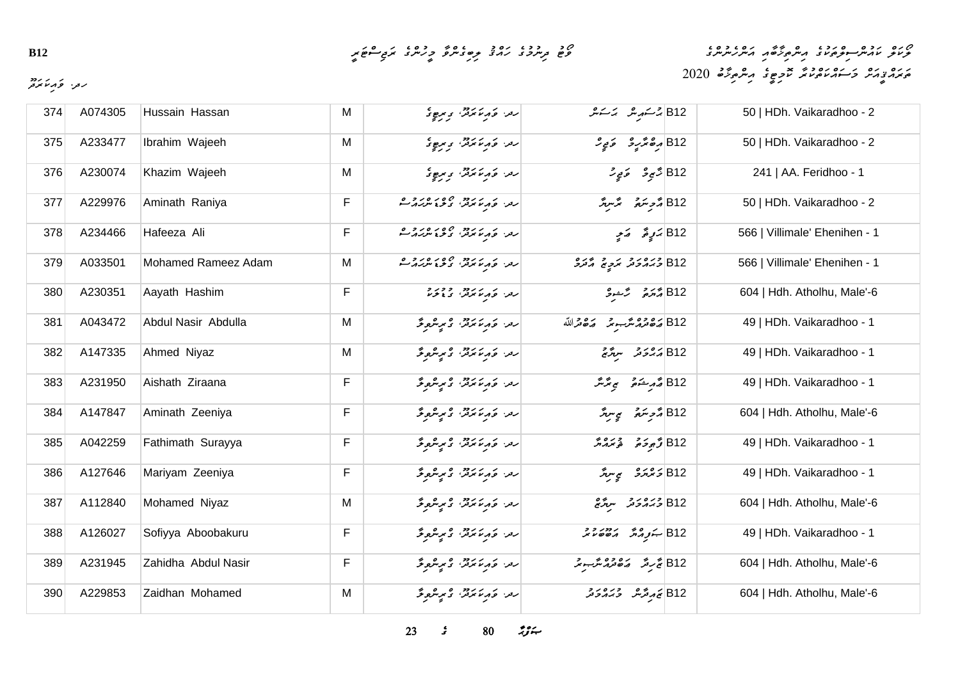*sCw7q7s5w7m< o<n9nOoAw7o< sCq;mAwBoEw7q<m; wBm;vB* م من المرة المرة المرة المرجع المرجع في المركبة 2020<br>مجم*د المريض المربوط المربع المرجع في المراجع المركبة* 

| $\overline{\phantom{a}}$<br>ردر ومسعر |
|---------------------------------------|
|---------------------------------------|

| 374 | A074305 | Hussain Hassan      | M           | رى ئەرىئىگە ئېرىۋە           | B12  پرستہر میں برستر میں                        | 50   HDh. Vaikaradhoo - 2     |
|-----|---------|---------------------|-------------|------------------------------|--------------------------------------------------|-------------------------------|
| 375 | A233477 | Ibrahim Wajeeh      | M           | رىر كەرىكىگە كەيرى           | B12 م <i>وڭ ئۇر</i> ۇ ھ <i>ۆم</i> ى              | 50   HDh. Vaikaradhoo - 2     |
| 376 | A230074 | Khazim Wajeeh       | M           | رىر كەرىكىگە كومپىغ          | B12 <i>ڏي وي وي</i>                              | 241   AA. Feridhoo - 1        |
| 377 | A229976 | Aminath Raniya      | F           | رى ئەرىكى ئەھمەرەر دە        | B12 مُجِسَعُ مُحَسِبَرٌ                          | 50   HDh. Vaikaradhoo - 2     |
| 378 | A234466 | Hafeeza Ali         | $\mathsf F$ | رى ئەرىكىنىڭ ئىمى مەرەب      | B12  يَرِيمٌ - مَرِّج                            | 566   Villimale' Ehenihen - 1 |
| 379 | A033501 | Mohamed Rameez Adam | M           | رى ئەرىردە ئەۋرەردە          | B12 دُبَرُ پرَ پرَ پِرِ ۾ گُرُو َ                | 566   Villimale' Ehenihen - 1 |
| 380 | A230351 | Aayath Hashim       | F           | رى ئەرىكىگە دورد             | B12 أَيُرْتَزَّمَ كَسُوتَرَ                      | 604   Hdh. Atholhu, Male'-6   |
| 381 | A043472 | Abdul Nasir Abdulla | M           | رىر ئەرىئەتكەن ئىمرىكرىمىگە  | B12 مَصْعَمْهُ مَعْرَبِ مِعْ مَصْعَمْرِ اللَّهُ  | 49   HDh. Vaikaradhoo - 1     |
| 382 | A147335 | Ahmed Niyaz         | M           | رىر ئەرىئەتكەن ئىمرىكرىمىگە  | B12 كەش <sup>ى</sup> ر قىر سىرتىنى               | 49   HDh. Vaikaradhoo - 1     |
| 383 | A231950 | Aishath Ziraana     | F           | رىر كەرلەتكەن كەيرىكروگ      | B12 <i>ھُ</i> مرِڪُمُ <sub>م</sub> ح مُرَمَّدُ   | 49   HDh. Vaikaradhoo - 1     |
| 384 | A147847 | Aminath Zeeniya     | $\mathsf F$ | رىر ئەرىئەتكەن ئىمرىكرونخ    | B12 مُّ مِتَهُمْ بِمِسِدًّ                       | 604   Hdh. Atholhu, Male'-6   |
| 385 | A042259 | Fathimath Surayya   | $\mathsf F$ | رىر ئەرىئەتكەن ئىمرىكرونگە   |                                                  | 49   HDh. Vaikaradhoo - 1     |
| 386 | A127646 | Mariyam Zeeniya     | $\mathsf F$ | رىر. ئەرىئەتكەن ئىمرىكرى ئى  | B12 كەنگەنگە ئېمبىرگە                            | 49   HDh. Vaikaradhoo - 1     |
| 387 | A112840 | Mohamed Niyaz       | M           | رىر. ئەرىئەتكەن ئىمرىكرى ئى  | B12 <i>جەنەدى ئىبەتى</i>                         | 604   Hdh. Atholhu, Male'-6   |
| 388 | A126027 | Sofiyya Aboobakuru  | $\mathsf F$ | رىر ئەرىئەتكەن ئىمرىكرونگە   | B12 ينوپرش مەھەمىر                               | 49   HDh. Vaikaradhoo - 1     |
| 389 | A231945 | Zahidha Abdul Nasir | $\mathsf F$ | رىر ئەرىئەتكەن ئىمرىكرىمى ئى | B12 تَحْرِمَّدُ صَ <i>عْقَدْهُ مَدَّسِبِي</i> ْر | 604   Hdh. Atholhu, Male'-6   |
| 390 | A229853 | Zaidhan Mohamed     | M           | رىر. ئەرىئەترىش ئىمرىكرى ئ   | B12 ىخ مەمگەر مەممى 1942 كىلىرى بىر كىلىن ئىش    | 604   Hdh. Atholhu, Male'-6   |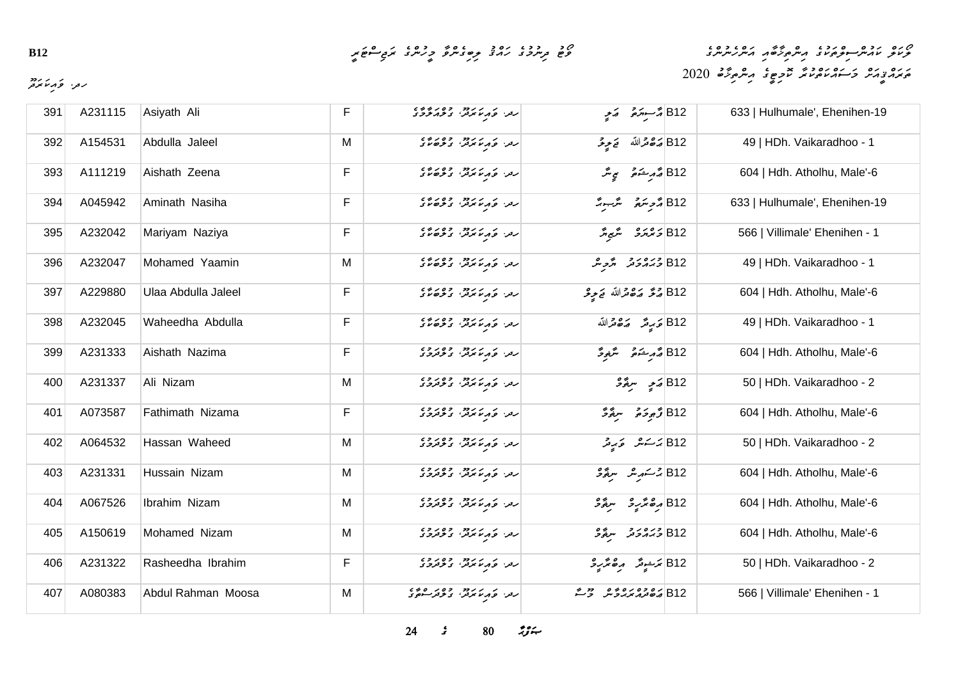*sCw7q7s5w7m< o<n9nOoAw7o< sCq;mAwBoEw7q<m; wBm;vB 2020*<br>*په پوهر وسوډيرونو لومو د موجو د مرمونه* 2020

| 391 | A231115 | Asiyath Ali         | $\mathsf F$ | رفر کرد دو وه دوه د                                      | B12 م <i>جھ مک</i> جہ                        | 633   Hulhumale', Ehenihen-19 |
|-----|---------|---------------------|-------------|----------------------------------------------------------|----------------------------------------------|-------------------------------|
| 392 | A154531 | Abdulla Jaleel      | M           | رى كەرىكى دەرى                                           | B12 مَەھْتَراللە   قىموقى                    | 49   HDh. Vaikaradhoo - 1     |
| 393 | A111219 | Aishath Zeena       | F           | رى كەرىكى دەرى                                           | B12 <i>۾ مرڪنو</i> <sub>مج</sub> يئر         | 604   Hdh. Atholhu, Male'-6   |
| 394 | A045942 | Aminath Nasiha      | $\mathsf F$ | رود و درود وه دوه<br>رود و د مرتر، د وه مړی              | B12 مُ <i>جِينَهُ</i> مُدَّبِّب <i>ُ</i>     | 633   Hulhumale', Ehenihen-19 |
| 395 | A232042 | Mariyam Naziya      | $\mathsf F$ | ردر کرد کرده وه ده د                                     | B12 كەنگەنگە ئىگرىم ئىگەنگە                  | 566   Villimale' Ehenihen - 1 |
| 396 | A232047 | Mohamed Yaamin      | M           | رتر کرد ده وه روه<br>رتر کرد ترتر و <del>تر</del> ه تا و | B12  ج <i>ز برڈ جنگ مگ</i> رمگر              | 49   HDh. Vaikaradhoo - 1     |
| 397 | A229880 | Ulaa Abdulla Jaleel | $\mathsf F$ | رى كەرىكى دەرى                                           | B12 مَرَّدَّ مَ <b>2</b> مَّرَاللّه مَعْرَدْ | 604   Hdh. Atholhu, Male'-6   |
| 398 | A232045 | Waheedha Abdulla    | $\mathsf F$ | رى كەرىكى دەرى                                           | B12 <i>ق برقر مك</i> اه تمرالله              | 49   HDh. Vaikaradhoo - 1     |
| 399 | A231333 | Aishath Nazima      | F           | رتر که دکترو وه دوه<br>رتر که دکتری که محلوم ک           | B12 مَّەمِ شَمَعٍ مَّتَّمَعِ مََّ            | 604   Hdh. Atholhu, Male'-6   |
| 400 | A231337 | Ali Nizam           | M           | رتر کرد کرده وه دوه<br>رتر کرد کردگر کالوترو ک           | B12  رَمٍ سِمَّرٌ \$                         | 50   HDh. Vaikaradhoo - 2     |
| 401 | A073587 | Fathimath Nizama    | $\mathsf F$ | ري که در ده وه د وه<br>ري که د د دي.                     | B12 <i>وُّجودَة</i> سِتَرَدَّ                | 604   Hdh. Atholhu, Male'-6   |
| 402 | A064532 | Hassan Waheed       | M           | رتر که دکترو وه دوه<br>رتر که دکترن و وتروی              | B12 پرستر <i>ش بح پ</i> ر تھ                 | 50   HDh. Vaikaradhoo - 2     |
| 403 | A231331 | Hussain Nizam       | M           | رتر که دکترو وه دوه<br>رتر که دکتری که محمد              | B12 بر سمبر شرید مرتدمی استفراد<br>مسلمان    | 604   Hdh. Atholhu, Male'-6   |
| 404 | A067526 | Ibrahim Nizam       | M           | رفر که ما برده وه دوه<br>رفر که ما برفر کالوفروی         | B12 مەھمگىي <sup>ى</sup> سى <i>م</i> گە      | 604   Hdh. Atholhu, Male'-6   |
| 405 | A150619 | Mohamed Nizam       | M           | رى كەرىكى دەر دەر                                        | B12 دېم دېمر مېنگو                           | 604   Hdh. Atholhu, Male'-6   |
| 406 | A231322 | Rasheedha Ibrahim   | F           | رفر که ما برده وه دوه<br>رفر که ما برفر کالوفروی         | B12 بَرَسْبِعَر م <i>ِ مِرْهُ بَرْبِ</i> \$  | 50   HDh. Vaikaradhoo - 2     |
| 407 | A080383 | Abdul Rahman Moosa  | M           | رود که در دو وه د ۵۶ وی<br>رود که د د د تر و څونر سعوی   | B12 كەھەر بەر ئەسىر ئاسىر                    | 566   Villimale' Ehenihen - 1 |

 $24$  *s* 80  $23$   $\div$ 

*r@m8m;o<m= .@5*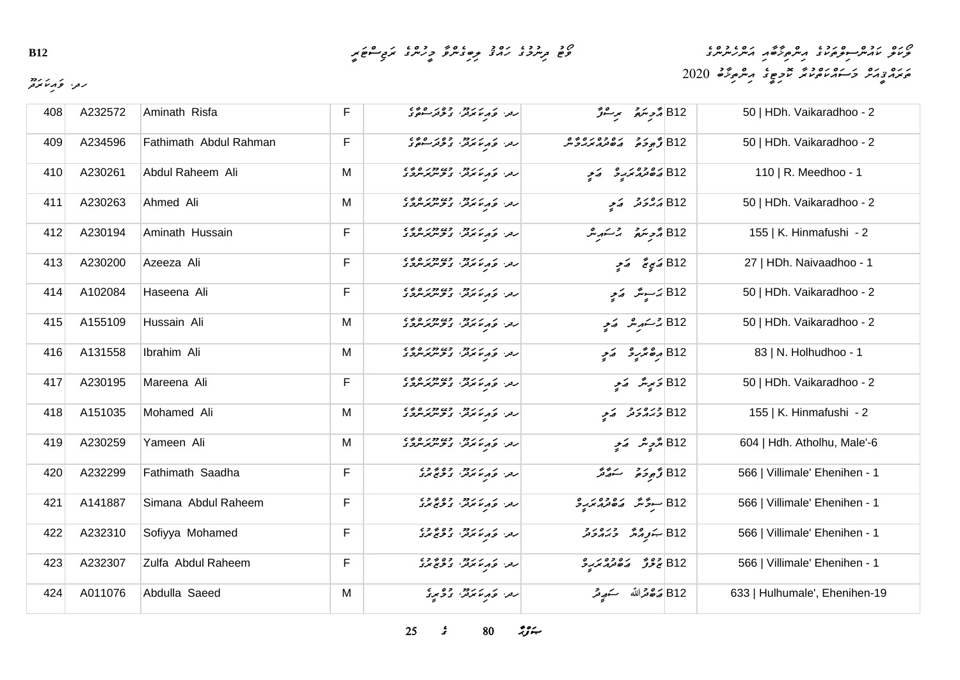*sCw7q7s5w7m< o<n9nOoAw7o< sCq;mAwBoEw7q<m; wBm;vB* م من المرة المرة المرة المرجع المرجع في المركبة 2020<br>مجم*د المريض المربوط المربع المرجع في المراجع المركبة* 

| $\overline{\phantom{a}}$<br>ردر ومستردر |  |
|-----------------------------------------|--|
|-----------------------------------------|--|

| 408 | A232572 | Aminath Risfa          | F           | رتر که دستر وه د ه ده د<br>رتر که دسترتر، د نوتر مسهور                                                                                                                                                                           | B12 مَّ حِسَمَةٌ مَ سِسْرَتَّ                  | 50   HDh. Vaikaradhoo - 2     |
|-----|---------|------------------------|-------------|----------------------------------------------------------------------------------------------------------------------------------------------------------------------------------------------------------------------------------|------------------------------------------------|-------------------------------|
| 409 | A234596 | Fathimath Abdul Rahman | F           | رو که دکتر وه ده وه د<br>رو که دیگری و وی در وی                                                                                                                                                                                  | B12 ژُجِرَة برە دەبرە دە                       | 50   HDh. Vaikaradhoo - 2     |
| 410 | A230261 | Abdul Raheem Ali       | M           | הנגי האמר בשיחור ביטור ביטור ביטור ביטור ביטור ביטור ביטור ביטור ביטור ביטור ביטור ביטור ביטור ביטור ביטור ביט<br>ביטור ביטור ביטור ביטור ביטור ביטור ביטור ביטור ביטור ביטור ביטור ביטור ביטור ביטור ביטור ביטור ביטור ביטור בי | B12 كەھەممەر تەرىجە بەر ئە                     | 110   R. Meedhoo - 1          |
| 411 | A230263 | Ahmed Ali              | M           | התנוער בא מודע במידי המידי<br>התנועה מידי ביבייה מידיב                                                                                                                                                                           | B12 كەنزى كەي كەر                              | 50   HDh. Vaikaradhoo - 2     |
| 412 | A230194 | Aminath Hussain        | F           | התנוער בא מודע במידי המידי<br>התנועה מידי ביבייה מידיב                                                                                                                                                                           | B12 مُ <i>جِينَهُ بِرُسَوِينُ</i>              | 155   K. Hinmafushi - 2       |
| 413 | A230200 | Azeeza Ali             | F           | התי פתעודת במוחר סיבור<br>התי פתעודת ביתובות                                                                                                                                                                                     | B12 <i>ھَي جَھ</i> جَمِ                        | 27   HDh. Naivaadhoo - 1      |
| 414 | A102084 | Haseena Ali            | F           | ر در او در در دور در داداد.<br>ر در او در ما بر در او در سربر سرواد                                                                                                                                                              | B12  يز-پنگر    <sub>مک</sub> موٍ              | 50   HDh. Vaikaradhoo - 2     |
| 415 | A155109 | Hussain Ali            | M           | د تور در دوسره ده در ۲۵ وی.<br>دلار نوم دلار دوسرپرسرور                                                                                                                                                                          | B12  پرڪ <i>يرين چي</i>                        | 50   HDh. Vaikaradhoo - 2     |
| 416 | A131558 | Ibrahim Ali            | M           | התנוער בא מודע במידי המידי<br>התנועה מידי ביבייה מידיב                                                                                                                                                                           | B12 مەمگەپى ھېچ                                | 83   N. Holhudhoo - 1         |
| 417 | A230195 | Mareena Ali            | F           | הנגי האן הברי במוחד הם בין<br>הנגי האן האי מודע בינוי המודע בי                                                                                                                                                                   | B12   5 مرِسٌ   1 <sub>6 م</sub> ر             | 50   HDh. Vaikaradhoo - 2     |
| 418 | A151035 | Mohamed Ali            | M           | הנגי האנגור במיחיד וביט<br>הנגי האנגורי ביביינוביות                                                                                                                                                                              | B12  <i>32222 مَ</i> ح                         | 155   K. Hinmafushi - 2       |
| 419 | A230259 | Yameen Ali             | M           | ر در او در در دور در داداد.<br>ر در او در ما بر در او در سربر سرواد                                                                                                                                                              | B12  تَ <i>زْدٍ نْدُ مَ</i> دِي                | 604   Hdh. Atholhu, Male'-6   |
| 420 | A232299 | Fathimath Saadha       | F           | رفر کرم ترفر وہ وہ<br>رفر کرم ترفر کے مختص تری                                                                                                                                                                                   | B12 <i>وَّجِوحَ</i> هُمْ سَنَ <i>مَدُ</i> ثَرُ | 566   Villimale' Ehenihen - 1 |
| 421 | A141887 | Simana Abdul Raheem    | F           | رفر کرم ترفر وہ وہ<br>رفر کرم ترفر کے مختص تری                                                                                                                                                                                   | B12 سۇنىڭ مەھ <i>ىرمىكى</i> رو                 | 566   Villimale' Ehenihen - 1 |
| 422 | A232310 | Sofiyya Mohamed        | F           | رفر کرد کرد وہ دی۔<br>رفر کرد کرفر کے مخیم مرک                                                                                                                                                                                   | B12 ج <i>زوڤر وبەدەن</i> ر                     | 566   Villimale' Ehenihen - 1 |
| 423 | A232307 | Zulfa Abdul Raheem     | $\mathsf F$ | رود که در دو وه وه و .<br>رود که د د برفر که موسیح مرد                                                                                                                                                                           | B12 يحوزُ صەممىرى ھ                            | 566   Villimale' Ehenihen - 1 |
| 424 | A011076 | Abdulla Saeed          | M           | رىر كەرىككەن دومرى                                                                                                                                                                                                               | B12 رَحْمَدْاللَّهُ كَمَدِيْرٌ                 | 633   Hulhumale', Ehenihen-19 |

 $25$  *s* 80  $25$   $\div$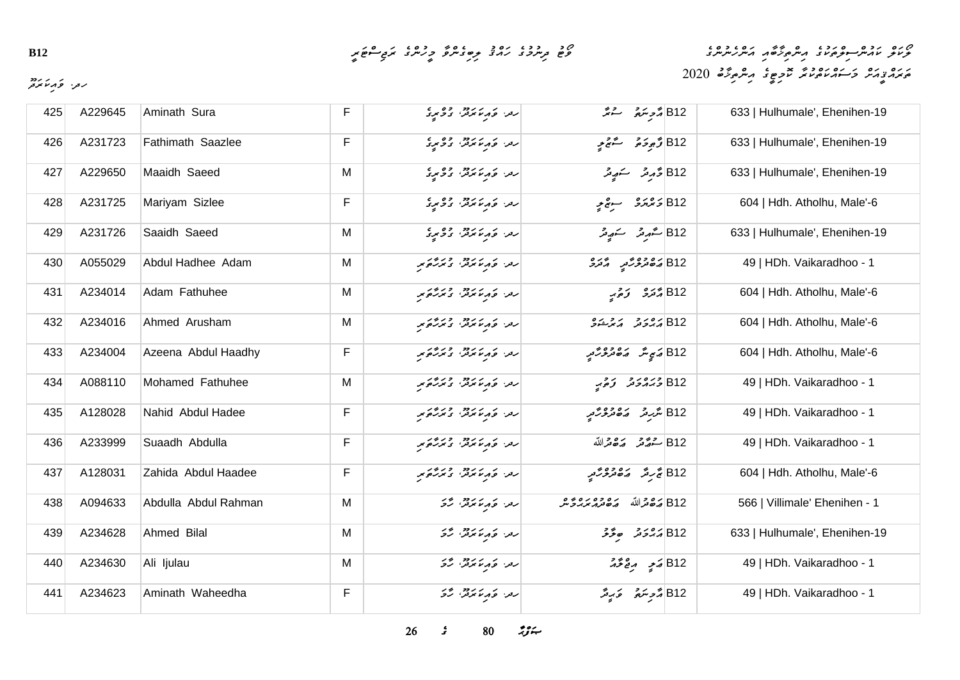*sCw7q7s5w7m< o<n9nOoAw7o< sCq;mAwBoEw7q<m; wBm;vB* م من المرة المرة المرة المرجع المرجع في المركبة 2020<br>مجم*د المريض المربوط المربع المرجع في المراجع المركبة* 

| 22 / 12<br>بردر ومنعرد |  |
|------------------------|--|
|------------------------|--|

| 425 | A229645 | Aminath Sura         | $\mathsf F$ | رو. و د رکور ده دو ده                  | B12 م <i>گرم مگرم</i> قر<br>استاد مرکز میگر | 633   Hulhumale', Ehenihen-19 |
|-----|---------|----------------------|-------------|----------------------------------------|---------------------------------------------|-------------------------------|
| 426 | A231723 | Fathimath Saazlee    | F           | رى ئەرىئەتكە دەپ                       | B12 رَّج <i>وحَةْ</i> سَنَّمْ مِ            | 633   Hulhumale', Ehenihen-19 |
| 427 | A229650 | Maaidh Saeed         | M           | رفر كرم كرود وه ده                     | B12  <i>وَّەبەتْھ سَموِيتْر</i>             | 633   Hulhumale', Ehenihen-19 |
| 428 | A231725 | Mariyam Sizlee       | F           | رفر كرم يكون ووه والمحمدة              | B12 كەبرىرى سوچ <sub>ى</sub> مى             | 604   Hdh. Atholhu, Male'-6   |
| 429 | A231726 | Saaidh Saeed         | M           | رىن ئەرىئەتكە دەپرى                    | B12 گەرى <i>ز سەپى</i> ر                    | 633   Hulhumale', Ehenihen-19 |
| 430 | A055029 | Abdul Hadhee Adam    | M           | رفرا المركز والمتحرك والمركز والمحرامي | B12 رەممبۇر <i>تىر مەترى</i>                | 49   HDh. Vaikaradhoo - 1     |
| 431 | A234014 | Adam Fathuhee        | M           | رىر ئەرىكى ئەرەپ                       | B12 پژتر <i>ی ق</i> می                      | 604   Hdh. Atholhu, Male'-6   |
| 432 | A234016 | Ahmed Arusham        | M           | رىر كەر كەندىن كەيمەتكەير              | B12 كەبروتر كەيمرىشكى                       | 604   Hdh. Atholhu, Male'-6   |
| 433 | A234004 | Azeena Abdul Haadhy  | F           | رى ئەرىكى ئەھرىمى ئەرەپ                | B12 كەيم ئىر مەھەر ئىرىمبەر B12             | 604   Hdh. Atholhu, Male'-6   |
| 434 | A088110 | Mohamed Fathuhee     | M           | رودا المردام المرود المحادي والمحامل   | B12 <i>جەنە جىرى ئەھ</i> ب                  | 49   HDh. Vaikaradhoo - 1     |
| 435 | A128028 | Nahid Abdul Hadee    | $\mathsf F$ | رودا المردام المرود المحادي والمحامل   | B12 بَرْبِيْرِ بِهُ صَوْبِرْدَبِرِ          | 49   HDh. Vaikaradhoo - 1     |
| 436 | A233999 | Suaadh Abdulla       | F           | رىر ئەرىكى ئەرەپ                       | B12 توريخ مرك هولالله                       | 49   HDh. Vaikaradhoo - 1     |
| 437 | A128031 | Zahida Abdul Haadee  | F           | رودا المردام المرود المحادي والمحامل   | B12 تج بەنگە ئەھ قرىۋر <i>گى</i> ر          | 604   Hdh. Atholhu, Male'-6   |
| 438 | A094633 | Abdulla Abdul Rahman | M           | رىن ئەرىئەتلىرى ئەت                    | B12 كەھمىراللە كەھ <i>ەرمەبر بو</i> ھ       | 566   Villimale' Ehenihen - 1 |
| 439 | A234628 | Ahmed Bilal          | M           | رى ئەرىئەيە 25°                        | B12   كەش <sup>ى</sup> قىر ھەقەتى           | 633   Hulhumale', Ehenihen-19 |
| 440 | A234630 | Ali ljulau           | M           | رى ئەرىئەدە ئەت                        | B12 <sub>ح</sub> رم مقرَّمہ                 | 49   HDh. Vaikaradhoo - 1     |
| 441 | A234623 | Aminath Waheedha     | F           | رى ئەرىئەتكە ئەت                       | B12 مَّ <i>حِ سَعْهِ _ حَ بِ</i> مَّد       | 49   HDh. Vaikaradhoo - 1     |

 $26$  *s*  $\cancel{36}$  80 *n*<sub>3</sub> *n*<sub>1</sub>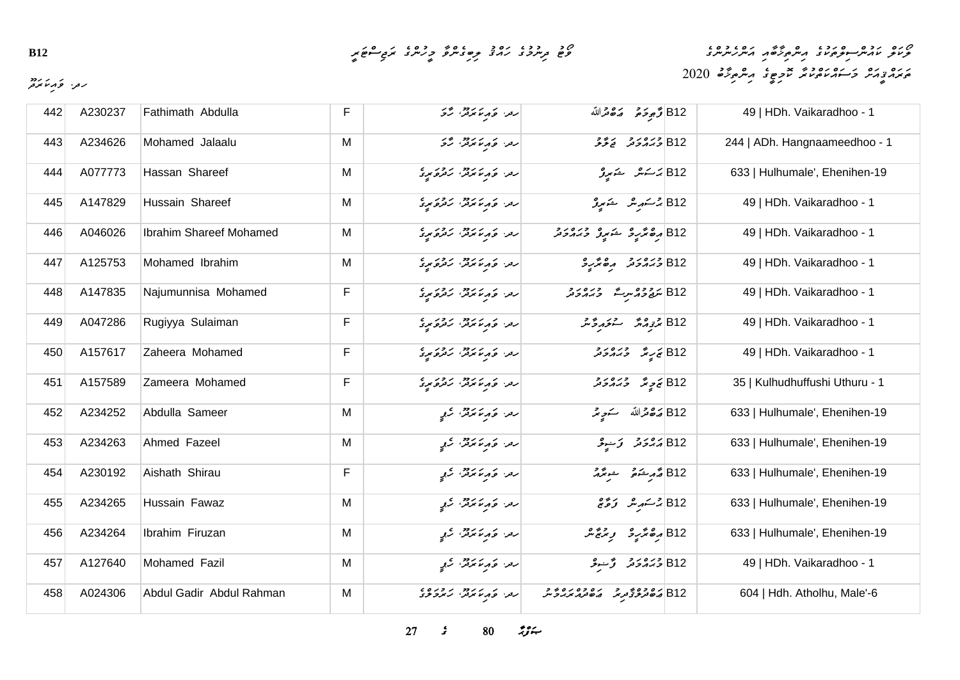*sCw7q7s5w7m< o<n9nOoAw7o< sCq;mAwBoEw7q<m; wBm;vB* م من المرة المرة المرة المرجع المرجع في المركبة 2020<br>مجم*د المريض المربوط المربع المرجع في المراجع المركبة* 

|  | ,,,,<br>ردر ومسعرم |  |
|--|--------------------|--|
|--|--------------------|--|

| 442 | A230237 | Fathimath Abdulla        | $\mathsf F$ | رى ئەرىئەتە رو               | B12 وَجِعَة صَدَّاللَّهُ                                                                | 49   HDh. Vaikaradhoo - 1      |
|-----|---------|--------------------------|-------------|------------------------------|-----------------------------------------------------------------------------------------|--------------------------------|
| 443 | A234626 | Mohamed Jalaalu          | M           | رى ئەرىئەتە ئەت              | B12 <i>\$ بەيمۇقى قى</i> تۇتى                                                           | 244   ADh. Hangnaameedhoo - 1  |
| 444 | A077773 | Hassan Shareef           | M           | رى ئەرىئەتكە ئەقرىم بول      | B12  پرسترش مق <i>موث</i> ر                                                             | 633   Hulhumale', Ehenihen-19  |
| 445 | A147829 | Hussain Shareef          | M           | رى كەرىكى ئەقرىمى كەنتى بولى | B12 پر <i>کمبر پر شکیو</i> ژ                                                            | 49   HDh. Vaikaradhoo - 1      |
| 446 | A046026 | Ibrahim Shareef Mohamed  | M           | رود که در دور در در در د     | B12 مەھمگىرى ھەمبەر مەمدىرى                                                             | 49   HDh. Vaikaradhoo - 1      |
| 447 | A125753 | Mohamed Ibrahim          | M           | رى ئەرىئەتكە ئەقرىم بول      | B12 <i>ڈیزوونز بہ محرب</i> 3                                                            | 49   HDh. Vaikaradhoo - 1      |
| 448 | A147835 | Najumunnisa Mohamed      | $\mathsf F$ | رى ئەرىكى ئەرەب              | B12 ىر <sub>ۇ</sub> ج مەرىخە بەر دىر دىر                                                | 49   HDh. Vaikaradhoo - 1      |
| 449 | A047286 | Rugiyya Sulaiman         | $\mathsf F$ | رى كەرىكى ئەقرىمى كەنتى بولى | B12 ىز <i>تەمەڭ سىغۇر ۋىتى</i>                                                          | 49   HDh. Vaikaradhoo - 1      |
| 450 | A157617 | Zaheera Mohamed          | F           | رود که در دور در در در د     | B12 ى <sub>ج</sub> رىتر ب <i>ەشەۋەتر</i>                                                | 49   HDh. Vaikaradhoo - 1      |
| 451 | A157589 | Zameera Mohamed          | $\mathsf F$ | رىر كەر كەلگەن كەنگەنجەن     | B12 ك <sub>ى</sub> چەنگە ئەمەر <i>قىر</i>                                               | 35   Kulhudhuffushi Uthuru - 1 |
| 452 | A234252 | Abdulla Sameer           | M           | رى ئەرىكەن ئېچ               | B12 مَەھْتَراللە سَوپتْر                                                                | 633   Hulhumale', Ehenihen-19  |
| 453 | A234263 | Ahmed Fazeel             | M           | رى ئەرىكەن ئېچ               | B12  كەيرى كەنىدى                                                                       | 633   Hulhumale', Ehenihen-19  |
| 454 | A230192 | Aishath Shirau           | $\mathsf F$ | رى ئەرىئەتە ئېچ              | B12 مَّ مِسْتَعْمَى سُومَّدْيَّ                                                         | 633   Hulhumale', Ehenihen-19  |
| 455 | A234265 | Hussain Fawaz            | M           | رى قەرىكەن ئېچ               | B12 برسىمبەش ئ <i>وقى</i> ج                                                             | 633   Hulhumale', Ehenihen-19  |
| 456 | A234264 | Ibrahim Firuzan          | M           | رىن ئەرىكىرى ئەي             | B12 مەھەرىپە ئەرىتى ئىر                                                                 | 633   Hulhumale', Ehenihen-19  |
| 457 | A127640 | Mohamed Fazil            | M           | رىن ئەرىكەن ئېي              | B12 <i>\$نە\$قىڭ ق-بى</i> ر                                                             | 49   HDh. Vaikaradhoo - 1      |
| 458 | A024306 | Abdul Gadir Abdul Rahman | M           | رىدا ئەرىكىگە ئىردوم         | B12 , 2006 توپۇ بىر مەھە <i>ندە بەر بىرى</i><br>12 م <i>ەھەنرى تۇمىر مەھەندە بىرى</i> ئ | 604   Hdh. Atholhu, Male'-6    |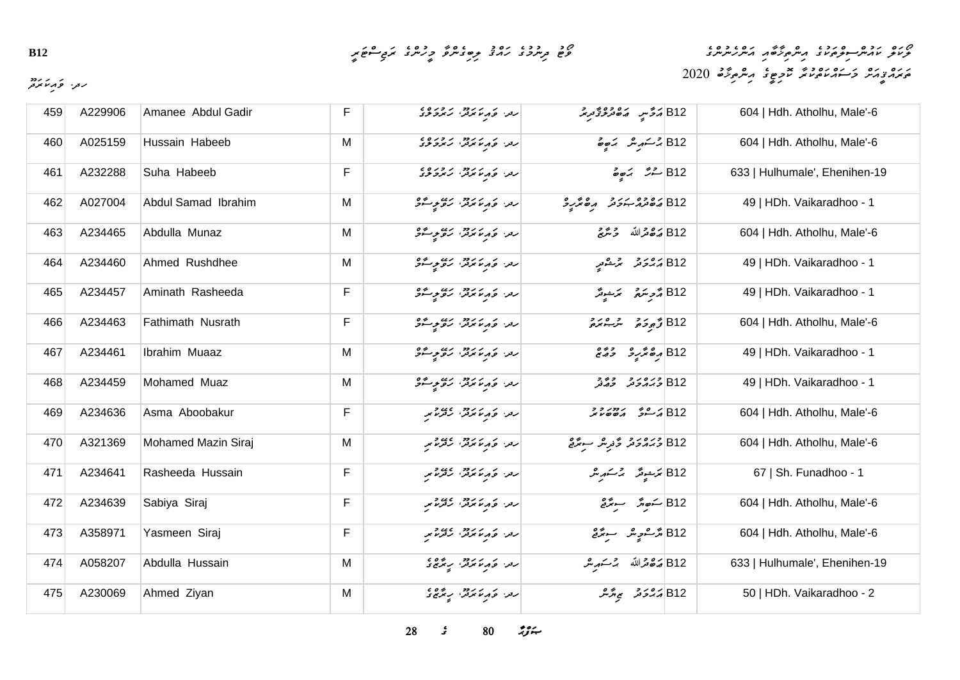*sCw7q7s5w7m< o<n9nOoAw7o< sCq;mAwBoEw7q<m; wBm;vB* م من المرة المرة المرة المرجع المرجع في المركبة 2020<br>مجم*د المريض المربوط المربع المرجع في المراجع المركبة* 

| $\overline{\phantom{a}}$<br>ردر ومسعرم |  |
|----------------------------------------|--|
|----------------------------------------|--|

| 459 | A229906 | Amanee Abdul Gadir  | $\mathsf F$ | رى كەرىكى كىرومى                  | B12 كەڭ س <sub>ىر</sub> كەھەر ئۇتوپر       | 604   Hdh. Atholhu, Male'-6   |
|-----|---------|---------------------|-------------|-----------------------------------|--------------------------------------------|-------------------------------|
| 460 | A025159 | Hussain Habeeb      | M           | رى كەرىكى ئەرەپ                   | B12 بر سَمبر شَرِ سَمَّةٍ صَنْ             | 604   Hdh. Atholhu, Male'-6   |
| 461 | A232288 | Suha Habeeb         | F           | رى ئەرىكى ئەرەپ                   | $202 \div 12$ B12                          | 633   Hulhumale', Ehenihen-19 |
| 462 | A027004 | Abdul Samad Ibrahim | M           | رىر كەرىكى كەن كەن ئە             | B12 مەھەم بىر ئەھەمگرىدى                   | 49   HDh. Vaikaradhoo - 1     |
| 463 | A234465 | Abdulla Munaz       | M           | رىر كەرىكى كەن كەن ئە             | B12 مَرْجُ قَرْاللَّه _ تَرْتَمْتِجْ       | 604   Hdh. Atholhu, Male'-6   |
| 464 | A234460 | Ahmed Rushdhee      | M           | رى ئەرىئەت رەي ھوس                | B12 كەنزى كىمى ئىش مىر                     | 49   HDh. Vaikaradhoo - 1     |
| 465 | A234457 | Aminath Rasheeda    | $\mathsf F$ | رىر ئەرىئەتكە رەي ئەر             | B12 مُجِسَمَةً مَنْ مَشْرِقَّد             | 49   HDh. Vaikaradhoo - 1     |
| 466 | A234463 | Fathimath Nusrath   | $\mathsf F$ | رىر ئەرىئەتكەن ئەھمچەسكەنى        | B12 ۇ <sub>ج</sub> وڭ ھ <sub>ى</sub> شەمرە | 604   Hdh. Atholhu, Male'-6   |
| 467 | A234461 | Ibrahim Muaaz       | M           | رى ئەرىئەت رەي ب                  | B12 مەھمىر ئەھمىي B12                      | 49   HDh. Vaikaradhoo - 1     |
| 468 | A234459 | Mohamed Muaz        | M           | رى ئەرىئەت ئەس 20                 | B12 <i>3222 وه.فر</i>                      | 49   HDh. Vaikaradhoo - 1     |
| 469 | A234636 | Asma Aboobakur      | $\mathsf F$ | رى ئەرىئەتكە ئەنەم                | $7222$ $227$ $227$ $812$                   | 604   Hdh. Atholhu, Male'-6   |
| 470 | A321369 | Mohamed Mazin Siraj | M           | رودا كالإناكالي والملامر          | B12   <i>وبرودو ڈنریٹر سوئڈ</i> یح         | 604   Hdh. Atholhu, Male'-6   |
| 471 | A234641 | Rasheeda Hussain    | F           | رفر كرور كالمحافز المحافظ والمحمد | B12  يَرْجُوشُ    پُرْسَمْ مِرْ            | 67   Sh. Funadhoo - 1         |
| 472 | A234639 | Sabiya Siraj        | $\mathsf F$ | رفر كرم كرود المالي و             | B12 سُرْحِ مُنْ سِرْمَتَّنَ                | 604   Hdh. Atholhu, Male'-6   |
| 473 | A358971 | Yasmeen Siraj       | $\mathsf F$ | رودا كالرباح والملحق والمحمد      | B12 مُرْسْدِيْرْ سِبْرَةْ عَ               | 604   Hdh. Atholhu, Male'-6   |
| 474 | A058207 | Abdulla Hussain     | M           | رو. و د رسمون رسمن                | B12 مَەمْراللە جەسەمە                      | 633   Hulhumale', Ehenihen-19 |
| 475 | A230069 | Ahmed Ziyan         | M           | رى ئەرىئەتكە يەتكى                | B12   پر برڈ پر محمد ہے ج                  | 50   HDh. Vaikaradhoo - 2     |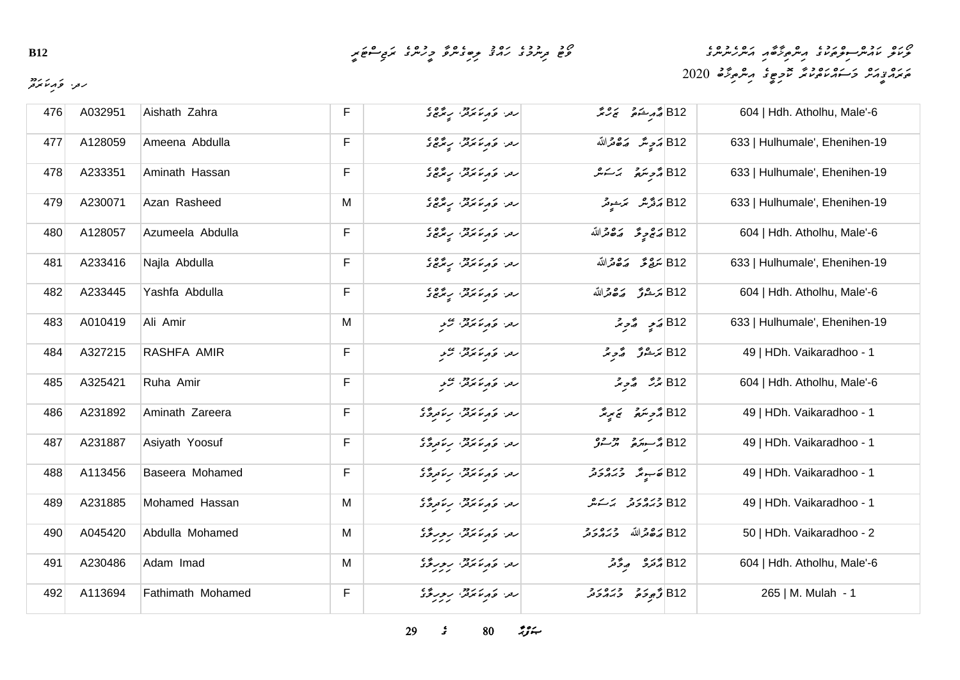*sCw7q7s5w7m< o<n9nOoAw7o< sCq;mAwBoEw7q<m; wBm;vB* م من المرة المرة المرة المرجع المرجع في المركبة 2020<br>مجم*د المريض المربوط المربع المرجع في المراجع المركبة* 

| $22 \times 10^{-1}$<br>ردر ومستردر |  |
|------------------------------------|--|
|------------------------------------|--|

| 476 | A032951 | Aishath Zahra     | $\mathsf F$  | رورا أورا المرقرا الإيرادا   | B12 مۇم <i>رىشقى تەرىپى</i>                  | 604   Hdh. Atholhu, Male'-6   |
|-----|---------|-------------------|--------------|------------------------------|----------------------------------------------|-------------------------------|
| 477 | A128059 | Ameena Abdulla    | F            | رو. وَدِيمَ بِرُوْ. رِيمَ وَ | B12 مَرِيمٌ   مَەقدَاللَّه                   | 633   Hulhumale', Ehenihen-19 |
| 478 | A233351 | Aminath Hassan    | $\mathsf{F}$ | رو. وَمِرْسَمَوْرٌ، رِسْمَى  | B12 مَّ حِسَمَةَ مَحَسَسَةَ مِنْ             | 633   Hulhumale', Ehenihen-19 |
| 479 | A230071 | Azan Rasheed      | M            | رو. و د نامرود. روه و        | B12 كەنگەش - كەنسىرىگە                       | 633   Hulhumale', Ehenihen-19 |
| 480 | A128057 | Azumeela Abdulla  | $\mathsf{F}$ | رو. و د ندود. روه و          | B12 <i>مَ جُمْعٍ مِنْ مَا حَمَّةٍ اللَّه</i> | 604   Hdh. Atholhu, Male'-6   |
| 481 | A233416 | Najla Abdulla     | $\mathsf F$  | رو. ئەرىئەترىق، رىيى ئ       | B12 سَهْعٌ مَهُ صَرَاللّه                    | 633   Hulhumale', Ehenihen-19 |
| 482 | A233445 | Yashfa Abdulla    | $\mathsf{F}$ | رو. وَدِيمَ بِرُوْ. رِيمَ وَ | B12 بَرْشَوَّرَ بَرَصْقَرْاللَّه             | 604   Hdh. Atholhu, Male'-6   |
| 483 | A010419 | Ali Amir          | M            | رى ئەرىئەتە ئ                | B12 <i>مَرْمٍ م</i> ُرْحِمْہ                 | 633   Hulhumale', Ehenihen-19 |
| 484 | A327215 | RASHFA AMIR       | $\mathsf{F}$ | رى ئەرىئەدە سى               | B12 بَرَسْتَرَ مَرَّحِرَ بَر                 | 49   HDh. Vaikaradhoo - 1     |
| 485 | A325421 | Ruha Amir         | $\mathsf F$  | رود ، قاریم برود ، محی       | B12 يُرْرٌ مُجْرِيْرٌ                        | 604   Hdh. Atholhu, Male'-6   |
| 486 | A231892 | Aminath Zareera   | $\mathsf F$  | رى ئەرىئەتكە بەئىردى         | B12 مَّ حِسَمَ سَمَ مِيمَّ                   | 49   HDh. Vaikaradhoo - 1     |
| 487 | A231887 | Asiyath Yoosuf    | F            | رو. ئەرىئەت رىئەرگە          | B12 ۾ سوهري هر شوعر                          | 49   HDh. Vaikaradhoo - 1     |
| 488 | A113456 | Baseera Mohamed   | $\mathsf F$  | رو. ە بەئەتەتى بەئەردى       | B12 كەسپەتمە ب <i>ەشەھ</i> تىر               | 49   HDh. Vaikaradhoo - 1     |
| 489 | A231885 | Mohamed Hassan    | M            | رى ئەرىئەتكە بەئىردى         | B12 <i>وَبَدُوْدَةَ</i> بَرَسَسْ             | 49   HDh. Vaikaradhoo - 1     |
| 490 | A045420 | Abdulla Mohamed   | M            | رى ئەرىئەتكى رورۇئى          | B12 رَصْوَرْاللّه وَبَرْمُرْوَمْر            | 50   HDh. Vaikaradhoo - 2     |
| 491 | A230486 | Adam Imad         | M            | رە، ئەرىئەتكە بەلبەدى        | B12 جُمَرَدُ مِرَّمْر                        | 604   Hdh. Atholhu, Male'-6   |
| 492 | A113694 | Fathimath Mohamed | F            | رو. ەرىئەتكە رورۇئى          | B12 تَ <i>مْ وَحَمْدُ حَمْدُونَدْ</i>        | 265   M. Mulah - 1            |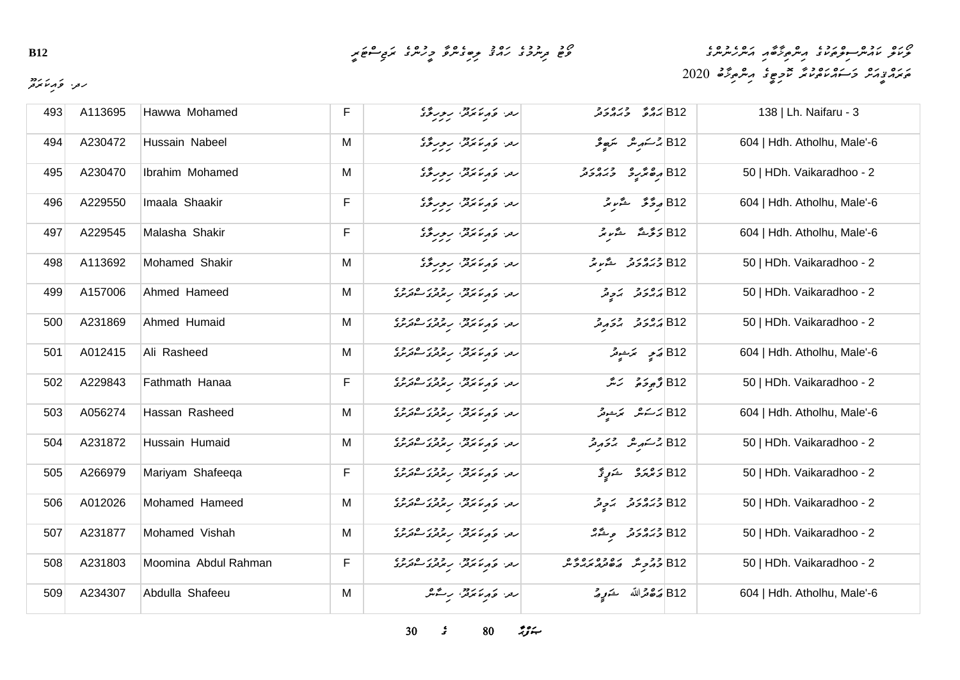*sCw7q7s5w7m< o<n9nOoAw7o< sCq;mAwBoEw7q<m; wBm;vB* م من المرة المرة المرة المرجع المرجع في المركبة 2020<br>مجم*د المريض المربوط المربع المرجع في المراجع المركبة* 

| $\overline{\phantom{a}}$<br>ردر ومسعرم |  |
|----------------------------------------|--|
|----------------------------------------|--|

| 493 | A113695 | Hawwa Mohamed        | $\mathsf F$  | رىر ئەرىئىكى رورۇئى                                     | B12 يَرْمُوَ بِهِ دِيرِ دِيرِ           | 138   Lh. Naifaru - 3       |
|-----|---------|----------------------|--------------|---------------------------------------------------------|-----------------------------------------|-----------------------------|
| 494 | A230472 | Hussain Nabeel       | M            | رىر ئەرىئىگى رورۇئى                                     | B12 بڑے پر نئر سکھو محمد ایک مختص       | 604   Hdh. Atholhu, Male'-6 |
| 495 | A230470 | Ibrahim Mohamed      | M            | رى ئەرىئەتكى رورۇئى                                     | B12 مەھمگىرى ئەممەمىر<br>B12 مەھمگىرى ئ | 50   HDh. Vaikaradhoo - 2   |
| 496 | A229550 | Imaala Shaakir       | F            | رە، ئەرىئەترى رورۇئى                                    | B12 مەمۇمۇ سىمبەتر                      | 604   Hdh. Atholhu, Male'-6 |
| 497 | A229545 | Malasha Shakir       | $\mathsf{F}$ | رىر ئەرىئەتكە روردى                                     | B12 كَرَمَّتْسَ حَدَّمَ كَر             | 604   Hdh. Atholhu, Male'-6 |
| 498 | A113692 | Mohamed Shakir       | M            | رى ئەر ئىگەنى رورۇئى                                    | B12 <i>جەنە جى ھەم بى</i>               | 50   HDh. Vaikaradhoo - 2   |
| 499 | A157006 | Ahmed Hameed         | M            |                                                         | B12   كەندى كەر بەر كەر                 | 50   HDh. Vaikaradhoo - 2   |
| 500 | A231869 | Ahmed Humaid         | M            | رود که د د دور د در در در د                             | B12 كەبرى بىر بەر بىر                   | 50   HDh. Vaikaradhoo - 2   |
| 501 | A012415 | Ali Rasheed          | M            | رود که در کارود .<br>رود که در کارود . بر پولوی سوتوسری | B12 <i>ھَ۔</i> پَرَشِيٹر                | 604   Hdh. Atholhu, Male'-6 |
| 502 | A229843 | Fathmath Hanaa       | F            | رود که در مردد ربرور ۲۶۶۵                               | B12 <i>وُجوحَة رَسَّ</i> رَ             | 50   HDh. Vaikaradhoo - 2   |
| 503 | A056274 | Hassan Rasheed       | M            | رود که د د دور د در در در د                             | B12  پزشکش   پزشیدی                     | 604   Hdh. Atholhu, Male'-6 |
| 504 | A231872 | Hussain Humaid       | M            | رفر بحمد ما برقش بربوفری سوترس                          | B12 پرڪيريش پري پريش                    | 50   HDh. Vaikaradhoo - 2   |
| 505 | A266979 | Mariyam Shafeeqa     | $\mathsf F$  |                                                         | B12 كەنگەر ئى ھەر ئىچ                   | 50   HDh. Vaikaradhoo - 2   |
| 506 | A012026 | Mohamed Hameed       | M            | رود که در مردد ربرور ۲۶۶۵                               | B12  <i>3223\$ برَوٍيْر</i>             | 50   HDh. Vaikaradhoo - 2   |
| 507 | A231877 | Mohamed Vishah       | M            |                                                         | B12 <i>وَيَرْوُوَيْنَ وِحَدُّبْ</i>     | 50   HDh. Vaikaradhoo - 2   |
| 508 | A231803 | Moomina Abdul Rahman | F            | رود نوکرمانوژه رجودر ۲۵ د ور                            | B12 در دره ده ده ده م                   | 50   HDh. Vaikaradhoo - 2   |
| 509 | A234307 | Abdulla Shafeeu      | M            | رىر. ئەرىئەتكە، رىشىگە                                  | B12 كەڭقراللە خ <i>ەوپ</i>              | 604   Hdh. Atholhu, Male'-6 |

**30** *s* **80** *n***<sub>s</sub>***s* **<b>***n*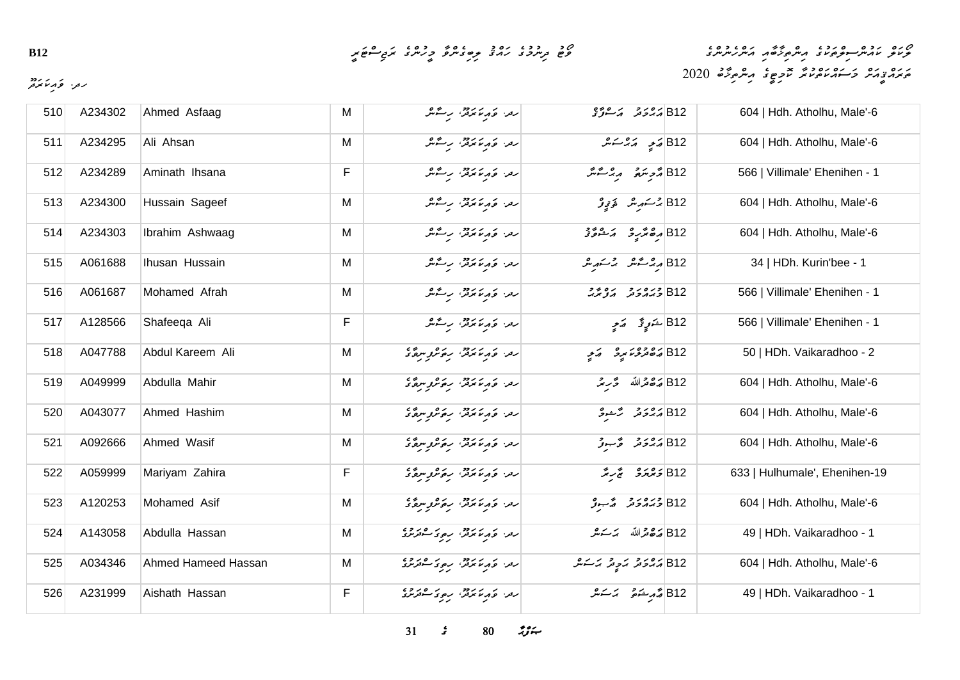*sCw7q7s5w7m< o<n9nOoAw7o< sCq;mAwBoEw7q<m; wBm;vB* م من المرة المرة المرة المرجع المرجع في المركبة 2020<br>مجم*د المريض المربوط المربع المرجع في المراجع المركبة* 

|  | $\overline{\phantom{a}}$<br>رد و مرحم مرد |  |
|--|-------------------------------------------|--|
|--|-------------------------------------------|--|

| 510 | A234302 | Ahmed Asfaag        | M           | رىر. ئەرىئەترى بەسگىر         | B12 كەبروتىر كەسىر تۈتى                  | 604   Hdh. Atholhu, Male'-6   |
|-----|---------|---------------------|-------------|-------------------------------|------------------------------------------|-------------------------------|
| 511 | A234295 | Ali Ahsan           | M           | رىر. ئەرىئەترىش رىشىر         | B12 كەبىر كەبەسەتلىر                     | 604   Hdh. Atholhu, Male'-6   |
| 512 | A234289 | Aminath Ihsana      | $\mathsf F$ | رو. ئەرىئەتە بەستەش           | B12 مَّ حِسَمَۃ مِیْ سَمَّسَّ            | 566   Villimale' Ehenihen - 1 |
| 513 | A234300 | Hussain Sageef      | M           | رى ئەرىكى ئۇنى بەستىر         | B12 پرسىمبەش ئ <sub>ۇتجۇ</sub> ر         | 604   Hdh. Atholhu, Male'-6   |
| 514 | A234303 | Ibrahim Ashwaag     | M           | رى ئەرىكىنى رىگە              | B12 مەھمگىرى كەشىھمىتى                   | 604   Hdh. Atholhu, Male'-6   |
| 515 | A061688 | Ihusan Hussain      | M           | رىر. ئەرىئەترىش رىشىر         | B12 مەرچە سىم يەسىمبە شەر بىر            | 34   HDh. Kurin'bee - 1       |
| 516 | A061687 | Mohamed Afrah       | M           | رى ئەرىكىنى بەشەر             | B12 <i>32923</i> B12                     | 566   Villimale' Ehenihen - 1 |
| 517 | A128566 | Shafeeqa Ali        | $\mathsf F$ | رى ئەرىكى ئۇنى بەستىر         | B12 ڪ <i>وپ</i> ڙ <i>مک</i> ر            | 566   Villimale' Ehenihen - 1 |
| 518 | A047788 | Abdul Kareem Ali    | M           | رو. ە دىكەن بەر ئەس بەر       | B12   پەھەترى <i>ۋىزىرى كەي</i>          | 50   HDh. Vaikaradhoo - 2     |
| 519 | A049999 | Abdulla Mahir       | M           | رىر ئەرىكەن بەئەر سى          | B12 مَەھتراللە ئ <i>ۇرى</i> ر            | 604   Hdh. Atholhu, Male'-6   |
| 520 | A043077 | Ahmed Hashim        | M           | رىد ئەم ئاتىرى بەئەترىپ ئەت   | B12 كەنزى گەندى                          | 604   Hdh. Atholhu, Male'-6   |
| 521 | A092666 | Ahmed Wasif         | M           | رىر ئەرىكى بەر ئەرەپىدە       | B12   پر برج پر گل موسوقر                | 604   Hdh. Atholhu, Male'-6   |
| 522 | A059999 | Mariyam Zahira      | $\mathsf F$ | رى قەرىكى بەر ئەرەپىدى        | B12  <i>ۇن<sub>ى</sub>دۇ ئ</i> ېرىتى     | 633   Hulhumale', Ehenihen-19 |
| 523 | A120253 | Mohamed Asif        | M           | رىر ئەرىكى بەر ئەر ئور        | B12  <i>ويەممى قەسبۇ</i>                 | 604   Hdh. Atholhu, Male'-6   |
| 524 | A143058 | Abdulla Hassan      | M           | رود نو د دکتر از ده د د د د د | B12 مَرْجُ قَرْاللّه بَرْسَة مَرْ        | 49   HDh. Vaikaradhoo - 1     |
| 525 | A034346 | Ahmed Hameed Hassan | M           | رود نو د دکتر از ده د د د د د | B12   كەندى كىرى كىلى كىرىكەنلەر .<br> - | 604   Hdh. Atholhu, Male'-6   |
| 526 | A231999 | Aishath Hassan      | F           | رود تو بر بردد. ره د مستورد   | B12 م <i>ۇم ھۇم بىر كى</i> رىگىر         | 49   HDh. Vaikaradhoo - 1     |

 $31$  *s*  $\frac{1}{2}$  80 *n***<sub>3</sub>** *s*<sub>*x*</sub>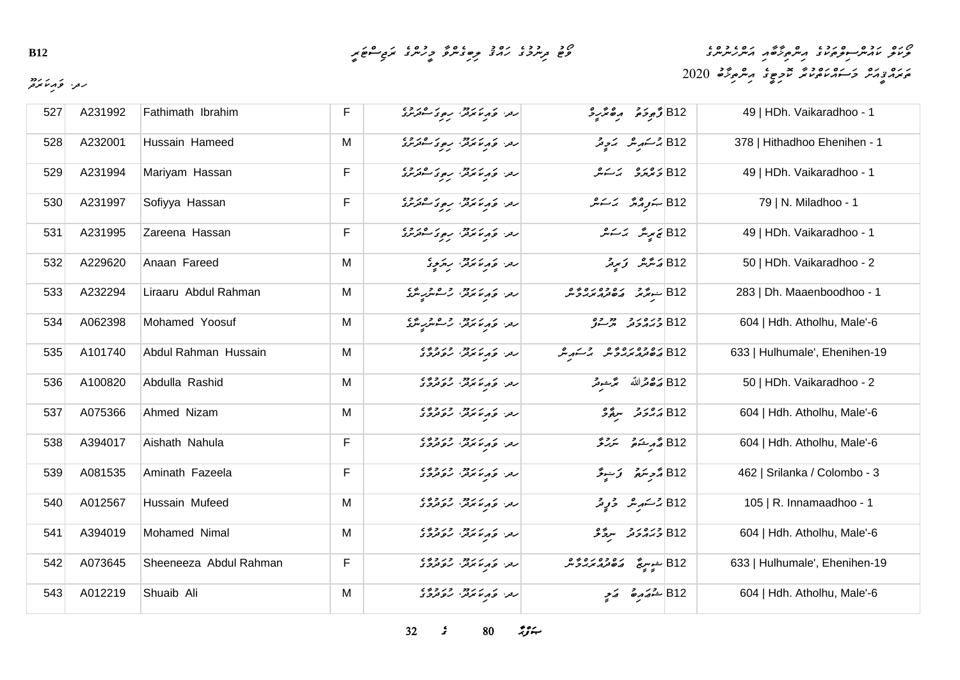*sCw7q7s5w7m< o<n9nOoAw7o< sCq;mAwBoEw7q<m; wBm;vB* م من المرة المرة المرة المرجع المراجع المراجع المراجع المراجع المراجع المراجع المراجع المراجع المراجع المراجع<br>مرين المراجع المراجع المرجع المراجع المراجع المراجع المراجع المراجع المراجع المراجع المراجع المراجع المراجع ال

| ردر ومسعرم | ,,,, |  |  |  |
|------------|------|--|--|--|
|------------|------|--|--|--|

| 527 | A231992 | Fathimath Ibrahim      | $\mathsf F$ | رود که دادود روی ستوروی                   | B12 زَ <sub>ّج</sub> ودَ مَ مِرْهُ مَّرْرِدْ | 49   HDh. Vaikaradhoo - 1     |
|-----|---------|------------------------|-------------|-------------------------------------------|----------------------------------------------|-------------------------------|
| 528 | A232001 | Hussain Hameed         | M           | رد. و د د دو.<br>رد. و د د د د د.         | B12  پرستمبر پر پر ترج تر                    | 378   Hithadhoo Ehenihen - 1  |
| 529 | A231994 | Mariyam Hassan         | $\mathsf F$ | رى ئەرىكى بەي ئەسىرى                      | B12 كەنگەنى ئەسەنلەر                         | 49   HDh. Vaikaradhoo - 1     |
| 530 | A231997 | Sofiyya Hassan         | F           | رى ئەرىكەن.<br>رى ئەرىكى ئەرە بەي سەندىرى | B12 بەرەگە ئەسەنلە                           | 79   N. Miladhoo - 1          |
| 531 | A231995 | Zareena Hassan         | F           | رى ئەرىكى بەي ئەسىرى                      | B12 ئ <sub>ىم بىر</sub> ىگە كەسكەنلە         | 49   HDh. Vaikaradhoo - 1     |
| 532 | A229620 | Anaan Fareed           | M           | رى ئەرىئەتكى بەرگى                        | B12 كەنترىش     قرىرىتر                      | 50   HDh. Vaikaradhoo - 2     |
| 533 | A232294 | Liraaru Abdul Rahman   | M           | رى ئەرىكى ئەسەر ئە                        | B12 جوړنو ده ده ده ده و                      | 283   Dh. Maaenboodhoo - 1    |
| 534 | A062398 | Mohamed Yoosuf         | M           | رى ئەرىكى ئەسەر ئە                        | B12 <i>جەمەدىيە</i> بېرىسىۋ                  | 604   Hdh. Atholhu, Male'-6   |
| 535 | A101740 | Abdul Rahman Hussain   | M           | رودا كالمراكز والمرودان                   | B12 كەھەرمەم ئەسىر بىر ئىسكىرىش              | 633   Hulhumale', Ehenihen-19 |
| 536 | A100820 | Abdulla Rashid         | M           | رى كەرگەن دەردە                           | B12 مَرْدُوْرَاللَّهُ مَّرْسُوتْر            | 50   HDh. Vaikaradhoo - 2     |
| 537 | A075366 | Ahmed Nizam            | M           | رى كەرگەن دەردە                           | B12   كەش <sup>ى</sup> كەر ئىس بىرگەنى       | 604   Hdh. Atholhu, Male'-6   |
| 538 | A394017 | Aishath Nahula         | $\mathsf F$ | رتر که رکود وروده<br>رتر که رکوبر کوتروی  | B12 م <i>ەم ھەم ئىرق</i> ۇ                   | 604   Hdh. Atholhu, Male'-6   |
| 539 | A081535 | Aminath Fazeela        | $\mathsf F$ | رى كەر كەن 32 دىن                         | B12 مَّ حِ مَتَمَّى - وَ سَبِعَّ             | 462   Srilanka / Colombo - 3  |
| 540 | A012567 | Hussain Mufeed         | M           | رى ئەرىئەتە دىردە ئ                       | B12 پر <i>شمېر به د و</i> ړيز                | 105   R. Innamaadhoo - 1      |
| 541 | A394019 | Mohamed Nimal          | M           | رى ئەرىكى ئەھلىرى                         | B12 <i>وُبَرُوْدَوْ</i> سِرَدُّوْ            | 604   Hdh. Atholhu, Male'-6   |
| 542 | A073645 | Sheeneeza Abdul Rahman | $\mathsf F$ | رى ئەرىكى روروپ                           | B12 خوسرچ مەھەرە جەمە                        | 633   Hulhumale', Ehenihen-19 |
| 543 | A012219 | Shuaib Ali             | M           | رفر كريم بردو وروده و                     | B12 ڪ <i>ممبرھ م</i> َب <i>رِ</i>            | 604   Hdh. Atholhu, Male'-6   |

**32** *s* **80** *n***<sub>s</sub>***s* **<b>***n*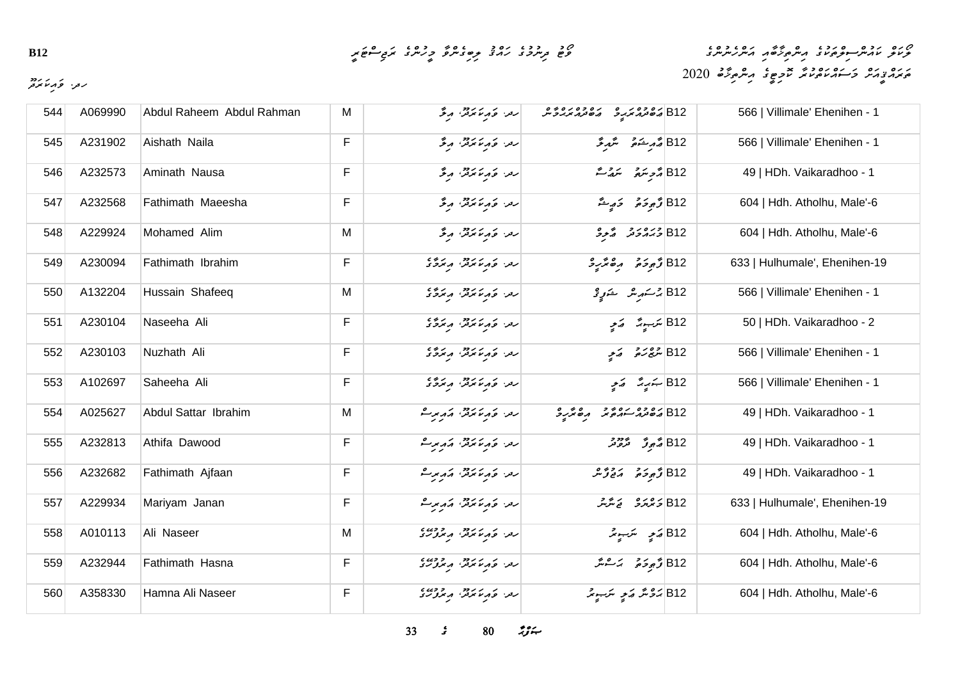*sCw7q7s5w7m< o<n9nOoAw7o< sCq;mAwBoEw7q<m; wBm;vB* م من المرة المرة المرة المرجع المراجع المراجع المراجع المراجع المراجع المراجع المراجع المراجع المراجع المراجع<br>مرين المراجع المراجع المرجع المراجع المراجع المراجع المراجع المراجع المراجع المراجع المراجع المراجع المراجع ال

|  | $\overline{\phantom{a}}$<br>رد و مرحم مرد |  |
|--|-------------------------------------------|--|
|--|-------------------------------------------|--|

| 544 | A069990 | Abdul Raheem Abdul Rahman | M           | رىر ئەرىئەتكە بەنگ                         | B12 رەجوە يرى بەرە دە بەرە يور               | 566   Villimale' Ehenihen - 1 |
|-----|---------|---------------------------|-------------|--------------------------------------------|----------------------------------------------|-------------------------------|
| 545 | A231902 | Aishath Naila             | F           | رىن ئەرىئەتكە بەتى                         | B12 مَّەمِسْتَقْ سَمْدِمَّ                   | 566   Villimale' Ehenihen - 1 |
| 546 | A232573 | Aminath Nausa             | $\mathsf F$ | رى ئەرىئەدە بەق                            | B12 مَّ حِسَمَةَ مَسَمَّدٌ مَّ               | 49   HDh. Vaikaradhoo - 1     |
| 547 | A232568 | Fathimath Maeesha         | $\mathsf F$ | رى قەرىكەن بەق                             | B12 رَّجِ <i>حَمَّةٍ</i> حَمِيشَةٍ           | 604   Hdh. Atholhu, Male'-6   |
| 548 | A229924 | Mohamed Alim              | M           | رى قەرىكەن بەق                             | B12 <i>جەممى ھى</i> جى                       | 604   Hdh. Atholhu, Male'-6   |
| 549 | A230094 | Fathimath Ibrahim         | $\mathsf F$ | رو. و د روو. د برو د                       | B12 وَجوحَمَ مِرْحَمْدِ وَ                   | 633   Hulhumale', Ehenihen-19 |
| 550 | A132204 | Hussain Shafeeq           | M           | رو. و د روو. د برو د                       | B12 پرڪ <i>مبرنگر</i> ڪو <i>پ</i> و          | 566   Villimale' Ehenihen - 1 |
| 551 | A230104 | Naseeha Ali               | $\mathsf F$ | رى كەرىكى بەردە                            | B12  بترس <sub>ی</sub> ر پیم کارمی           | 50   HDh. Vaikaradhoo - 2     |
| 552 | A230103 | Nuzhath Ali               | $\mathsf F$ | رو. و د رکور او بروی                       | B12 شج برقي ھي تھ                            | 566   Villimale' Ehenihen - 1 |
| 553 | A102697 | Saheeha Ali               | $\mathsf F$ | رو. و د رکور او بروی                       | B12  بەرپە ئەمچ                              | 566   Villimale' Ehenihen - 1 |
| 554 | A025627 | Abdul Sattar Ibrahim      | M           | رى ئەرىئەتكە ئەرىرى                        | B12 مەھەرمەم مەھەرد                          | 49   HDh. Vaikaradhoo - 1     |
| 555 | A232813 | Athifa Dawood             | F           | رى ئەرىكىگى ئەرىرى                         | B12 مَّ جوتَر مُتَّرَوْتَر                   | 49   HDh. Vaikaradhoo - 1     |
| 556 | A232682 | Fathimath Ajfaan          | $\mathsf F$ | رى ئەرىكى ئەربىر                           | B12 وَج <i>وحَ</i> حَمَّ مَعْ وَسَمَّ        | 49   HDh. Vaikaradhoo - 1     |
| 557 | A229934 | Mariyam Janan             | F           | رى ئەرىكى ئەربىر                           | B12  <i>5 بُرْہَرُوْ ن</i> ے بُرُب <i>رُ</i> | 633   Hulhumale', Ehenihen-19 |
| 558 | A010113 | Ali Naseer                | M           | رو. ۶ گرم نروژ، گرمزوری                    | B12 <i>ھَ۔</i> سَرَجِيمُ                     | 604   Hdh. Atholhu, Male'-6   |
| 559 | A232944 | Fathimath Hasna           | $\mathsf F$ | رو. ۶ در دو.<br>رو. ۶ در نامرفر، در مرور ر | B12 ۇ <sub>جو</sub> رَى ئەس <sup>ى</sup> ر   | 604   Hdh. Atholhu, Male'-6   |
| 560 | A358330 | Hamna Ali Naseer          | F           | رورا كإرتابردد الإبرودي                    | B12 تر <i>و بنگ م</i> تو بترسویمر            | 604   Hdh. Atholhu, Male'-6   |

**33** *s* **80** *n***<sub>s</sub>***n***<sub>s</sub>**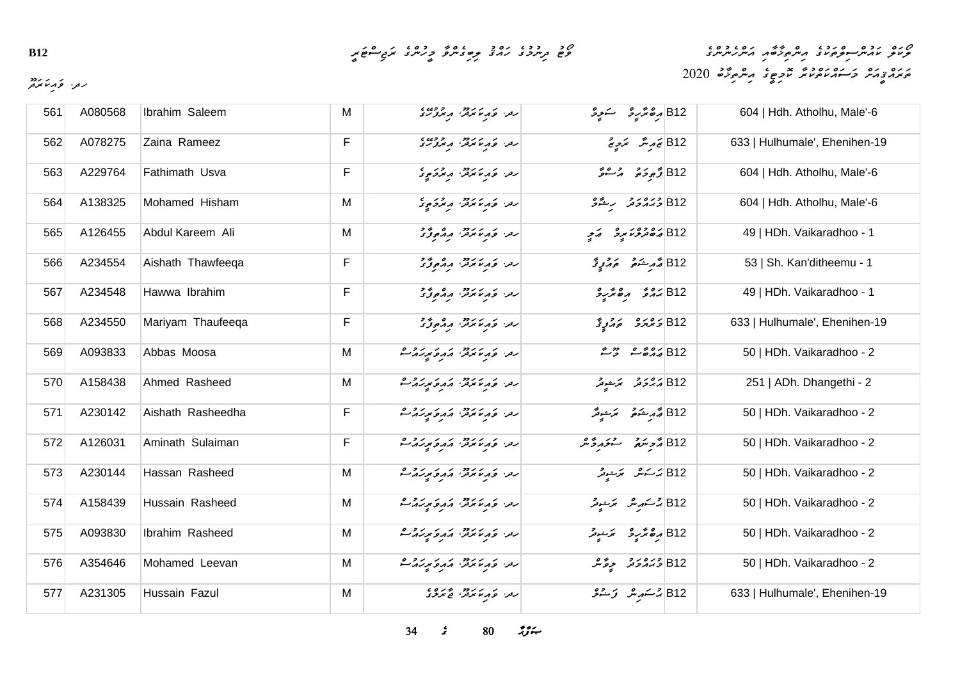*sCw7q7s5w7m< o<n9nOoAw7o< sCq;mAwBoEw7q<m; wBm;vB* م من المرة المرة المرة المرجع المراجع المراجع المراجع المراجع المراجع المراجع المراجع المراجع المراجع المراجع<br>مرين المراجع المراجع المرجع المراجع المراجع المراجع المراجع المراجع المراجع المراجع المراجع المراجع المراجع ال

| 561 | A080568 | Ibrahim Saleem    | M            | رد. قهرنمندگر معروری            | B12  مەھەر بەر ئىستىر ئىچە ئىچە ئىچە ئاستان ئىل                                                      | 604   Hdh. Atholhu, Male'-6   |
|-----|---------|-------------------|--------------|---------------------------------|------------------------------------------------------------------------------------------------------|-------------------------------|
| 562 | A078275 | Zaina Rameez      | F            | رور که رکوری بر ووړه و          | B12 ئىم بىگە ئىم <i>چ</i> ې                                                                          | 633   Hulhumale', Ehenihen-19 |
| 563 | A229764 | Fathimath Usva    | $\mathsf{F}$ | رى ئەرىكىگى مىگەم ئ             | B12 گَهِ دَمَ مَ مُرْمَوَّ                                                                           | 604   Hdh. Atholhu, Male'-6   |
| 564 | A138325 | Mohamed Hisham    | M            | رى ئەرىكى ئەس ئەر               | B12 <i>جەممى جىشى بى</i>                                                                             | 604   Hdh. Atholhu, Male'-6   |
| 565 | A126455 | Abdul Kareem Ali  | M            | رى ئەرىكى مەمەر                 | B12   پەھەترى <i>ۋىزىرى بەيج</i>                                                                     | 49   HDh. Vaikaradhoo - 1     |
| 566 | A234554 | Aishath Thawfeeqa | $\mathsf F$  | رى ئەرىكى مەم ئ                 | B12 مَگْرِسْتَمْ مَحْرَكَزِيَّ                                                                       | 53   Sh. Kan'ditheemu - 1     |
| 567 | A234548 | Hawwa Ibrahim     | $\mathsf F$  | رى ئەرىكى مەمەرى                | B12 بَرْدُوَّ مِنْ مِّرْرِدْ                                                                         | 49   HDh. Vaikaradhoo - 1     |
| 568 | A234550 | Mariyam Thaufeeqa | F            | رى ئەرىكى مەم ئ                 | B12 <i>ج</i> ېر <i>دو مؤړن</i> و ته                                                                  | 633   Hulhumale', Ehenihen-19 |
| 569 | A093833 | Abbas Moosa       | M            | رىر كەرىكى ئەركە كەرگەن ئى      | $23$ $262$ $B12$                                                                                     | 50   HDh. Vaikaradhoo - 2     |
| 570 | A158438 | Ahmed Rasheed     | M            | תעי פֿתְעִמֶנוֹ תַתְפֹמֶנוּ ב   | B12 كەنزى كىم تىرىنى <sub>ي</sub> ەتر                                                                | 251   ADh. Dhangethi - 2      |
| 571 | A230142 | Aishath Rasheedha | $\mathsf F$  | رىر ئەرىكىنىڭ مەرئىرىكەت        | B12 مَگْرِمِسْتَعْرِ مَكْرَسْبِعْدُ                                                                  | 50   HDh. Vaikaradhoo - 2     |
| 572 | A126031 | Aminath Sulaiman  | $\mathsf{F}$ | رىر ئەرىكىنىڭ مەرئىرىكەت        | B12 مَّ حِسَمَة مُسْتَخَدِقَ مَّدْ                                                                   | 50   HDh. Vaikaradhoo - 2     |
| 573 | A230144 | Hassan Rasheed    | M            | נעי פֿונשינעי וונפֿוניונים      | B12  يزسكش    يرتبوش                                                                                 | 50   HDh. Vaikaradhoo - 2     |
| 574 | A158439 | Hussain Rasheed   | M            | תני פה יותני ההפית <i>הה</i> "  | B12 بڑے پر نئر کرنے پر تر                                                                            | 50   HDh. Vaikaradhoo - 2     |
| 575 | A093830 | Ibrahim Rasheed   | M            | תעי פֿתְעִמְנֹי תַתְפֹמֶלִת     | B12 مەھەر بۇ سىمىسى قىرىكتى ئىستان ئىشتان ئىستان ئىستان ئىستان ئىستان ئىستان ئىستان ئىستان ئىستان ئى | 50   HDh. Vaikaradhoo - 2     |
| 576 | A354646 | Mohamed Leevan    | M            | תעי פתעמע התפתלה                | B12 <i>دېم</i> متر مو <i>گ</i> ر                                                                     | 50   HDh. Vaikaradhoo - 2     |
| 577 | A231305 | Hussain Fazul     | M            | رودا كالرمائيون المحامرة والمحا | B12  پرستمبر میں ترجیحہ                                                                              | 633   Hulhumale', Ehenihen-19 |

**34** *s* **80** *n***<sub>s</sub>**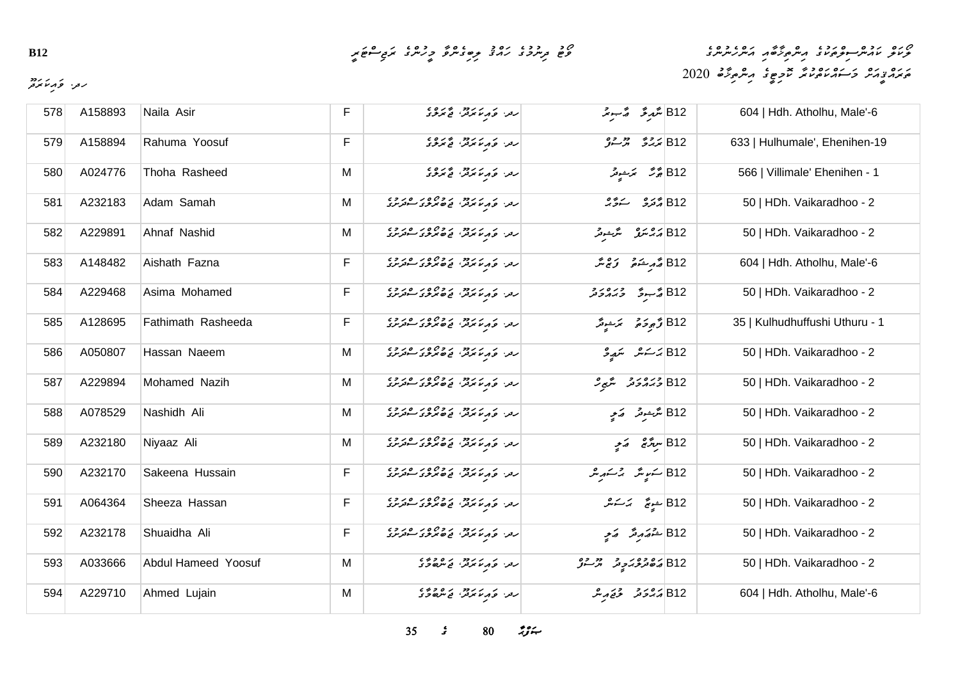*sCw7q7s5w7m< o<n9nOoAw7o< sCq;mAwBoEw7q<m; wBm;vB* م من المرة المرة المرة المرجع المراجع المراجع المراجع المراجع المراجع المراجع المراجع المراجع المراجع المراجع<br>مرين المراجع المراجع المرجع المراجع المراجع المراجع المراجع المراجع المراجع المراجع المراجع المراجع المراجع ال

| 578 | A158893 | Naila Asir                 | F | رى ئەرىكى ئەرەبى                                                           |                                         | 604   Hdh. Atholhu, Male'-6    |
|-----|---------|----------------------------|---|----------------------------------------------------------------------------|-----------------------------------------|--------------------------------|
| 579 | A158894 | Rahuma Yoosuf              | F | رى ئەرىكى ئەرە ئ                                                           | B12 بَرْبَرْدُ بَرْبِ                   | 633   Hulhumale', Ehenihen-19  |
| 580 | A024776 | Thoha Rasheed              | M | رودا المرود المرواة<br>الرودا المحاور المتحامل وروا                        | B12  بَوْرٌ کَمَ سُوِمْرٌ               | 566   Villimale' Ehenihen - 1  |
| 581 | A232183 | Adam Samah                 | M | رو. تو در در در و ۵ و در ۲۵ در و د                                         | B12 مُمَرَّدُ سَنَّرَبُّرُ              | 50   HDh. Vaikaradhoo - 2      |
| 582 | A229891 | Ahnaf Nashid               | M | رور به در در در و ۵ و در ۲۵ در و د<br>برور نو در ما برور او ه مرموی سوتورن | B12 كەشرىق گەشىرىتى                     | 50   HDh. Vaikaradhoo - 2      |
| 583 | A148482 | Aishath Fazna              | F | رور و در در دوه در ۲۵۵۰<br>رور و در نامرور او ه مروی سوتر دی               | B12 مەم ئىق ئەسىم ئىق ئىق               | 604   Hdh. Atholhu, Male'-6    |
| 584 | A229468 | Asima Mohamed              | F | رو. تو در در در و ۵ و در ۲۵ در و د                                         | B12 مەسىرى ئەرەر ئەرىرىد                | 50   HDh. Vaikaradhoo - 2      |
| 585 | A128695 | Fathimath Rasheeda         | F | رو. و در دود در و ۵ و در و در و د                                          | B12 وَجِوحَة مَ مَرْسُوِمَّرُ           | 35   Kulhudhuffushi Uthuru - 1 |
| 586 | A050807 | Hassan Naeem               | M | رود که دکتری و ۲۵۵۶ و د و د<br>رود که دکتری فان د وی سوتربری               | B12  تەسىر ش <sub>ەپ</sub> ى            | 50   HDh. Vaikaradhoo - 2      |
| 587 | A229894 | Mohamed Nazih              | M | رو. تو در در در در ۲۵۵۰ در در در<br>رو. تو در مرکز، در ه مرکزی سوتر در     | B12 <i>ويروونر</i> س <sub>گيم</sub> ر   | 50   HDh. Vaikaradhoo - 2      |
| 588 | A078529 | Nashidh Ali                | M | رو. تو در در در در ۲۵۵۰ در در در<br>رو. تو در مرکز، در ه مرکزی سوتر در     | B12 مَرْسُوتِر كَرَمٍ                   | 50   HDh. Vaikaradhoo - 2      |
| 589 | A232180 | Niyaaz Ali                 | M | رور در در دو در و ۵ در ۲۵ در د.<br>رود و در مرور به حاضر دی سوتر در        | B12 سِرْج مَعِ                          | 50   HDh. Vaikaradhoo - 2      |
| 590 | A232170 | Sakeena Hussain            | F | رور که ما برده در ۲۵۵۶ ورو د<br>رور که ما برتر، نے ن <i>ه بروی س</i> وربری | B12 س <i>ەرپەتھ ج.سەرپى</i> تە          | 50   HDh. Vaikaradhoo - 2      |
| 591 | A064364 | Sheeza Hassan              | F | دو. و د را دو.<br>دو. و د را برتر، و ه بر و د سور د د                      | B12  حديج    پرسكريمل                   | 50   HDh. Vaikaradhoo - 2      |
| 592 | A232178 | Shuaidha Ali               | F | رور و در در دوه در ۲۵۵۰<br>رور و در نامرور او ه مروی سوتر دی               | B12 ڪ <i>ممبرمڈ م</i> َرمٍ              | 50   HDh. Vaikaradhoo - 2      |
| 593 | A033666 | <b>Abdul Hameed Yoosuf</b> | M | رور كرد كور كالمردوع                                                       | B12 <sub>مەھ</sub> وكرىم يېزىق ھەمبىرىن | 50   HDh. Vaikaradhoo - 2      |
| 594 | A229710 | Ahmed Lujain               | M | رود که در دو د ۵۶۵ وی                                                      | B12   <i>مەنى قىلى قىق م</i> ېش         | 604   Hdh. Atholhu, Male'-6    |

**35** *s* **80** *n***<sub>s</sub>***n***<sub>s</sub>**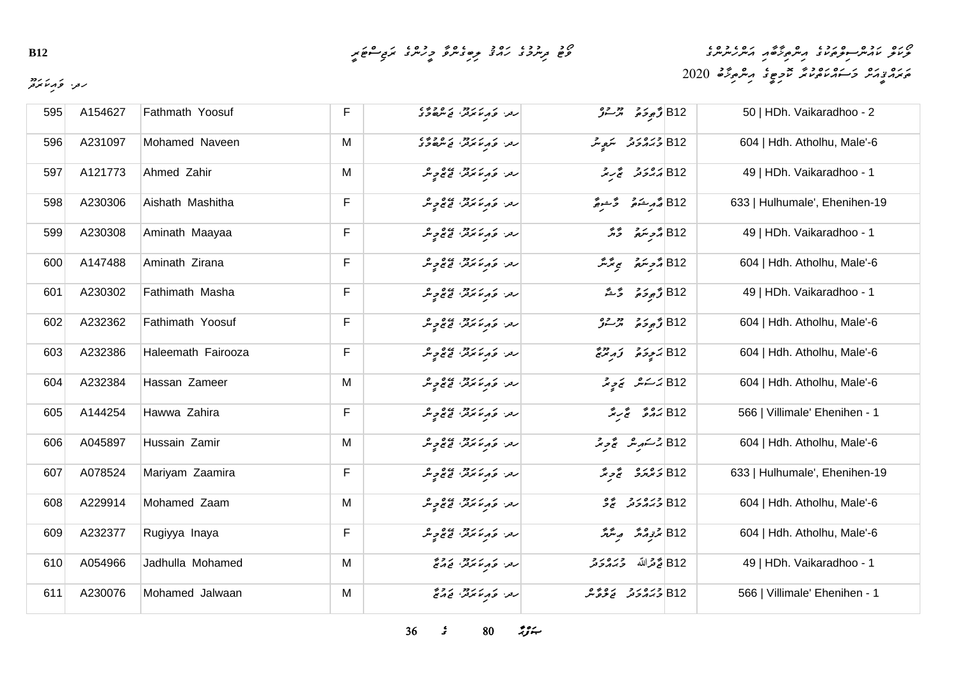*sCw7q7s5w7m< o<n9nOoAw7o< sCq;mAwBoEw7q<m; wBm;vB* م من المرة المرة المرة المرجع المراجع المراجع المراجع المراجع المراجع المراجع المراجع المراجع المراجع المراجع<br>مرين المراجع المراجع المرجع المراجع المراجع المراجع المراجع المراجع المراجع المراجع المراجع المراجع المراجع ال

| カンシーン<br>ردر ومستردر |  |
|----------------------|--|
|----------------------|--|

| 595 | A154627 | Fathmath Yoosuf    | $\mathsf F$  | رى كەر كەن 30 كەن          | B12 رَّجِوحَةُ مَرْسَنُرُ                  | 50   HDh. Vaikaradhoo - 2     |
|-----|---------|--------------------|--------------|----------------------------|--------------------------------------------|-------------------------------|
| 596 | A231097 | Mohamed Naveen     | M            | رور کرد کروی کے مرحوم کے   | B12 <i>وُبَرُمْ</i> دُوَمْ سَمِيشْ         | 604   Hdh. Atholhu, Male'-6   |
| 597 | A121773 | Ahmed Zahir        | M            | رىر ئەرىكىردە ، ئالج ئارىگ | B12 كەنزى قىلى ئىق بىر ئىق بىر ئىق بىر ئىق | 49   HDh. Vaikaradhoo - 1     |
| 598 | A230306 | Aishath Mashitha   | $\mathsf F$  | תמי פת מיצעי בשפתי         | B12 مَّ مِسْتَعْمَى مُحْسِبَمَّ            | 633   Hulhumale', Ehenihen-19 |
| 599 | A230308 | Aminath Maayaa     | $\mathsf{F}$ | رىر ئەرىئەتكەن قانج جانگر  | B12 مُجِسَعُ حَمَّدُ                       | 49   HDh. Vaikaradhoo - 1     |
| 600 | A147488 | Aminath Zirana     | $\mathsf{F}$ | رى ئەرىكى ھەرك ئى          | B12 مَّ صِنَعَ مِيمَّتَهُ                  | 604   Hdh. Atholhu, Male'-6   |
| 601 | A230302 | Fathimath Masha    | $\mathsf F$  | رىن ئۇرىكتىرى قايم ئەھر    | B12 رُج <i>وحَة</i> گَـُّةً.               | 49   HDh. Vaikaradhoo - 1     |
| 602 | A232362 | Fathimath Yoosuf   | $\mathsf{F}$ | رىر ئەرىكىردە مەەر ئىر     | B12 رُجوحَہ مر سو                          | 604   Hdh. Atholhu, Male'-6   |
| 603 | A232386 | Haleemath Fairooza | $\mathsf{F}$ | תמי פת מיצעי בשפתי         | B12 كەمچەدى قەرىپىدىنى ئا                  | 604   Hdh. Atholhu, Male'-6   |
| 604 | A232384 | Hassan Zameer      | M            | رىر. ئەرىئەترىن قانج ئەھ   | B12  پرسٹر کاچ <sup>ی</sup> ر              | 604   Hdh. Atholhu, Male'-6   |
| 605 | A144254 | Hawwa Zahira       | $\mathsf F$  | תמי פת מיצעי בישקיית       | B12 يَرْدُوَّ تَجْرِبَّرُ                  | 566   Villimale' Ehenihen - 1 |
| 606 | A045897 | Hussain Zamir      | M            | رى ئەرىكى ھەرك ئى          | B12 بر سمبر مر گرم تر                      | 604   Hdh. Atholhu, Male'-6   |
| 607 | A078524 | Mariyam Zaamira    | F            | رىر ئەرىكى ئەم ئەم ئەس     | B12 كەبىر بىر ئىچ ئىچە ئىگە ب              | 633   Hulhumale', Ehenihen-19 |
| 608 | A229914 | Mohamed Zaam       | M            | رى ئەرىكى ھەرك ئى          | B12 درەرىر ئ <sub>ە</sub> ر                | 604   Hdh. Atholhu, Male'-6   |
| 609 | A232377 | Rugiyya Inaya      | $\mathsf F$  | رى ئەرىكى ھەرك ئى          | B12 ىزى <sub>ق</sub> ەمگە مەش <i>ۇر</i>    | 604   Hdh. Atholhu, Male'-6   |
| 610 | A054966 | Jadhulla Mohamed   | M            | رى ئەرىئەت دە              | B12 يُحدَّاللَّه وَبَرْهُ وَبِرْ وَبَرْ    | 49   HDh. Vaikaradhoo - 1     |
| 611 | A230076 | Mohamed Jalwaan    | M            | رور كوركوكردو بروي         | B12  <i>32023, ق ق ق م</i> ر               | 566   Villimale' Ehenihen - 1 |

**36** *s* **80** *n***<sub>s</sub>***n***<sub>s</sub>**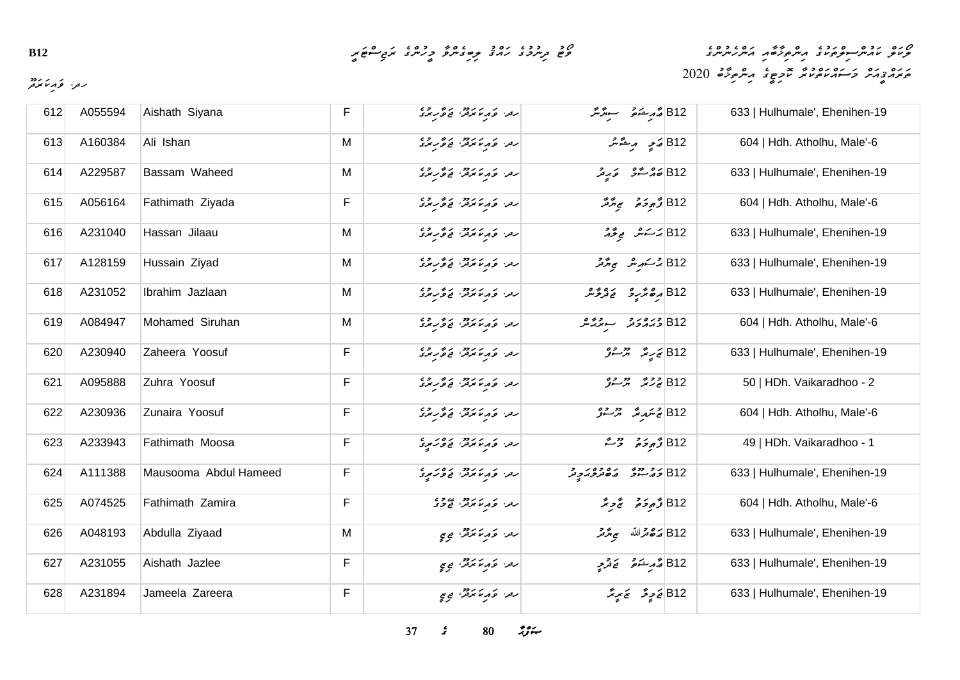*sCw7q7s5w7m< o<n9nOoAw7o< sCq;mAwBoEw7q<m; wBm;vB* م من المرة المرة المرة المرجع المرجع في المركبة 2020<br>مجم*د المريض المربوط المربع المرجع في المراجع المركبة* 

| カンシーン<br>ردر ومستردر |
|----------------------|
|----------------------|

| 612 | A055594 | Aishath Siyana        | $\mathsf{F}$ | رىر ئەرىئەترى ئەئزىردى               | B12 مەم ئەم ئىس سومەتىگە                     | 633   Hulhumale', Ehenihen-19 |
|-----|---------|-----------------------|--------------|--------------------------------------|----------------------------------------------|-------------------------------|
| 613 | A160384 | Ali Ishan             | M            | رىر ئەرىئەترى ئەئەر دە               | B12 ضع میشمگر                                | 604   Hdh. Atholhu, Male'-6   |
| 614 | A229587 | Bassam Waheed         | M            | رىر ئەرىئەترى ئەئزىردى               | B12 <i>مەشىرى بى بە</i> ر                    | 633   Hulhumale', Ehenihen-19 |
| 615 | A056164 | Fathimath Ziyada      | $\mathsf F$  | رودا المرور والمحمد المحمد والمحمدين | B12 گۇج <sub>ۇ</sub> خۇ پەترىتر              | 604   Hdh. Atholhu, Male'-6   |
| 616 | A231040 | Hassan Jilaau         | M            | رىر ئەرىئەترى ئەئزىردى               | B12 بَرسَش م <sub>ح</sub> ِمَّة <i>ُ</i>     | 633   Hulhumale', Ehenihen-19 |
| 617 | A128159 | Hussain Ziyad         | M            | رىر ئەرىئەترى ئەئەر دە               | B12 بر سَمبر مَر س <sub>م</sub> بر مَرْ مَرْ | 633   Hulhumale', Ehenihen-19 |
| 618 | A231052 | Ibrahim Jazlaan       | M            | رودا كالإنا يمرش في كار وي           | B12 مەھەر بەر ئەرگەر قىرىدىن ئىل             | 633   Hulhumale', Ehenihen-19 |
| 619 | A084947 | Mohamed Siruhan       | M            | رودا المرور والمحمد المحمد والمحمدين | B12 <i>جەم</i> روبر سى <i>رىگىر</i>          | 604   Hdh. Atholhu, Male'-6   |
| 620 | A230940 | Zaheera Yoosuf        | $\mathsf F$  | رىر ئەرىئەترى ئەئزىردى               | B12 يَج په تر متر وهي.                       | 633   Hulhumale', Ehenihen-19 |
| 621 | A095888 | Zuhra Yoosuf          | F            | رىر ئەرىئەترى ئەئزىردى               | B12 يحر <sup>م</sup> پر مشتر                 | 50   HDh. Vaikaradhoo - 2     |
| 622 | A230936 | Zunaira Yoosuf        | $\mathsf F$  | رىر ئەرىئەترىش ئەئزىردى              | B12 تج يئرم بحر محر مشترقر                   | 604   Hdh. Atholhu, Male'-6   |
| 623 | A233943 | Fathimath Moosa       | F            | رى ئەرىئەتكە ئەۋرىرى                 | B12 رَّجِ حَمَّةَ حَمَّ مَّ                  | 49   HDh. Vaikaradhoo - 1     |
| 624 | A111388 | Mausooma Abdul Hameed | $\mathsf F$  | رودا المرور والمردان والمراريج       | B12 كەم يېقىق مەھەرىجە يېتىر                 | 633   Hulhumale', Ehenihen-19 |
| 625 | A074525 | Fathimath Zamira      | $\mathsf F$  | رد. قهرنم تردد. عاد و ع              | B12 <i>وَّج</i> وحَتْمُ گَيْ حِبَّدُ         | 604   Hdh. Atholhu, Male'-6   |
| 626 | A048193 | Abdulla Ziyaad        | M            | ردر کورنوکردو ج                      | B12 مَەھتراللە   سى مَرْتىر                  | 633   Hulhumale', Ehenihen-19 |
| 627 | A231055 | Aishath Jazlee        | $\mathsf F$  | ردر کرد کردو<br>روز کرد کرد و مح     | B12 مُگرِسْتَمْ کَمَ فَرْمِ                  | 633   Hulhumale', Ehenihen-19 |
| 628 | A231894 | Jameela Zareera       | F            | رىن قەرىكەتتى قوي                    | B12 کے <sub>حو</sub> ثر کے م <sub>ی</sub> ٹر | 633   Hulhumale', Ehenihen-19 |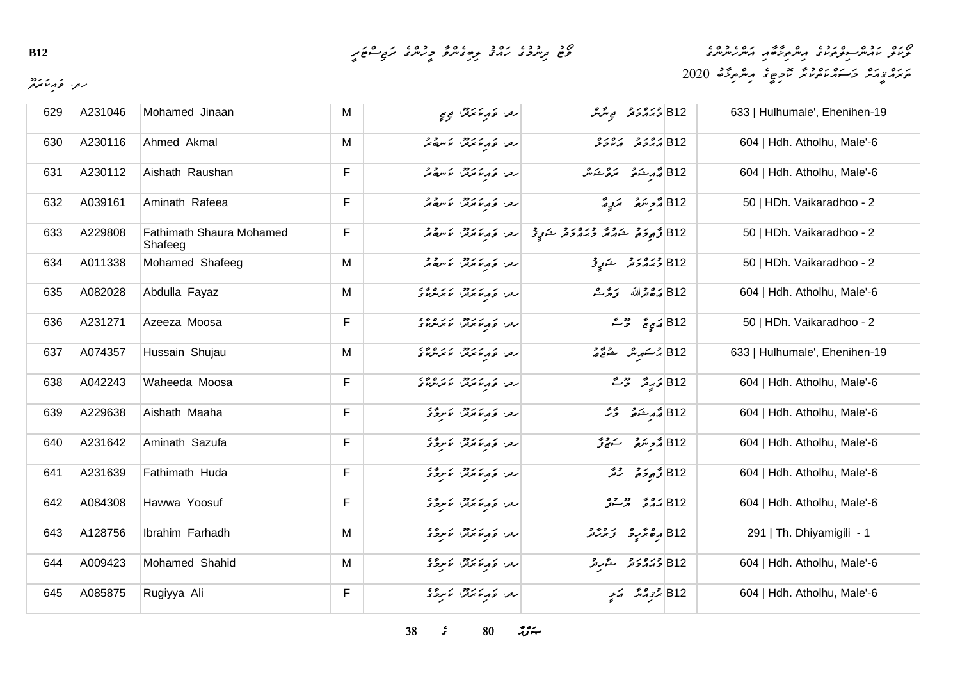*sCw7q7s5w7m< o<n9nOoAw7o< sCq;mAwBoEw7q<m; wBm;vB* م من المرة المرة المرة المرجع المرجع في المركبة 2020<br>مجم*د المريض المربوط المربع المرجع في المراجع المركبة* 

| 629 | A231046 | Mohamed Jinaan                             | M            | رور ، و در دود. او مح             | B12  3 <i>522 تىڭ يىڭرى</i> گ                                                    | 633   Hulhumale', Ehenihen-19 |
|-----|---------|--------------------------------------------|--------------|-----------------------------------|----------------------------------------------------------------------------------|-------------------------------|
| 630 | A230116 | Ahmed Akmal                                | M            | תו לתוצעי ואינסי                  | B12 كەبروتر كەندى ئى                                                             | 604   Hdh. Atholhu, Male'-6   |
| 631 | A230112 | Aishath Raushan                            | F            | رى ئەرىكى ئەسھىر                  | B12 م <i>ەم ھەق مۇھ ھە</i> ك                                                     | 604   Hdh. Atholhu, Male'-6   |
| 632 | A039161 | Aminath Rafeea                             | $\mathsf{F}$ | תו לתומות ומושילות                | B12 مَّ حِسَمَ سَمَوِمَّ                                                         | 50   HDh. Vaikaradhoo - 2     |
| 633 | A229808 | <b>Fathimath Shaura Mohamed</b><br>Shafeeg | $\mathsf F$  |                                   | B12 وَجِوَدَةٌ شَهْرَ مِنْ دَيْرُودَ مُشْرِرٍ وَ اللهِ وَالْمُسْرَسِّ اللهَ مِنْ | 50   HDh. Vaikaradhoo - 2     |
| 634 | A011338 | Mohamed Shafeeg                            | M            | رو. وأرسكرو. سكره و               | B12 <i>وُبَرُمْ وَبُرْ</i> سُورٍ وُ                                              | 50   HDh. Vaikaradhoo - 2     |
| 635 | A082028 | Abdulla Fayaz                              | M            | رى كەرىكى ئەس كەر                 | B12 مَەڤْرَاللە مَ مَرَّتْه                                                      | 604   Hdh. Atholhu, Male'-6   |
| 636 | A231271 | Azeeza Moosa                               | F            | رى كەرىكى ئەس كەر                 | $23$ خَمِيحَ $512$                                                               | 50   HDh. Vaikaradhoo - 2     |
| 637 | A074357 | Hussain Shujau                             | M            | رى كەرىكى ئەس كەر                 | B12 بر <i>شوق شوق پ</i> ر                                                        | 633   Hulhumale', Ehenihen-19 |
| 638 | A042243 | Waheeda Moosa                              | $\mathsf F$  | رودا المردد المرادان              | B12 ءَرِمَّر گُرُ گ                                                              | 604   Hdh. Atholhu, Male'-6   |
| 639 | A229638 | Aishath Maaha                              | $\mathsf F$  | رو. ەرىئەتە ئىردى                 | B12 مُ مِسْمَع حَرَّ                                                             | 604   Hdh. Atholhu, Male'-6   |
| 640 | A231642 | Aminath Sazufa                             | F            | رى ئەرىئەتكە ئابرۇق               | B12 مُ <i>جِسَمْہ</i> سَنَجْرٌ                                                   | 604   Hdh. Atholhu, Male'-6   |
| 641 | A231639 | Fathimath Huda                             | F            | رى ئەرىكى ئىردى                   | B12 وَّجِعَةً مِنْ مَنْ                                                          | 604   Hdh. Atholhu, Male'-6   |
| 642 | A084308 | Hawwa Yoosuf                               | $\mathsf{F}$ | رە، ئەرىئەتە ئابرۇئى              |                                                                                  | 604   Hdh. Atholhu, Male'-6   |
| 643 | A128756 | Ibrahim Farhadh                            | M            | رو. وَرِيمَ بِرُوْ بِمَ بِرِوْ وَ | B12 <sub>مو</sub> ھ <i>مگرد</i> و کی مرکن م                                      | 291   Th. Dhiyamigili - 1     |
| 644 | A009423 | Mohamed Shahid                             | M            | رى ئەرىكىگە ئابرۇق                | B12 <i>وَبَهُمْ وَبِ</i> مُدٍ مُسَمَّدِيْر                                       | 604   Hdh. Atholhu, Male'-6   |
| 645 | A085875 | Rugiyya Ali                                | F            | رى ئەرىئىرى ئايردى                | B12 بمزن <sub>و</sub> م پھر مدم کیے ج                                            | 604   Hdh. Atholhu, Male'-6   |

**38** *s* **80** *n***<sub>s</sub>***n***<sub>s</sub>**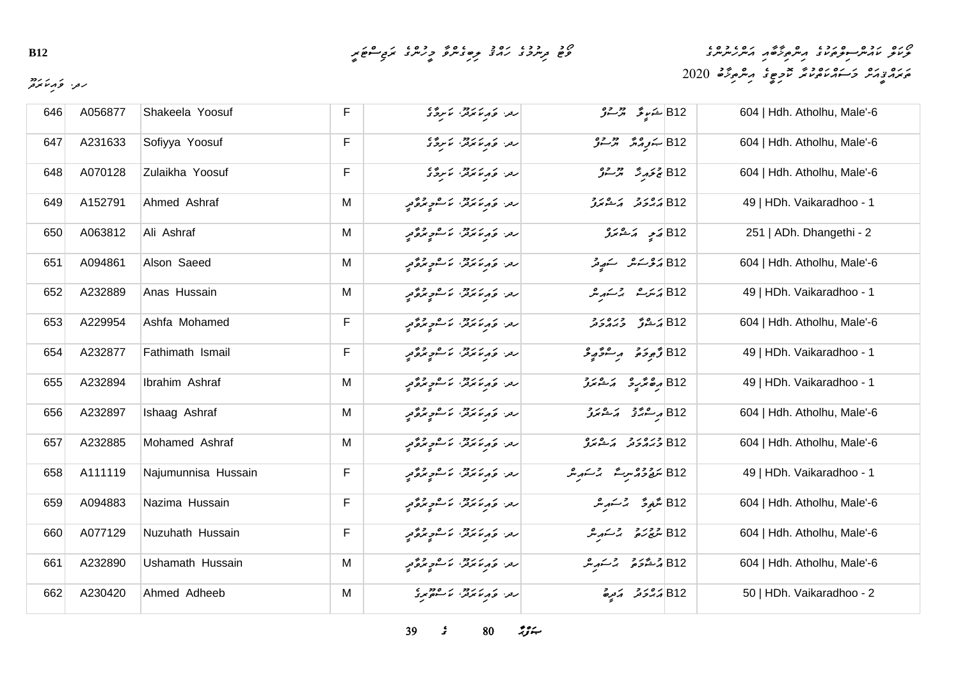*sCw7q7s5w7m< o<n9nOoAw7o< sCq;mAwBoEw7q<m; wBm;vB* م من المرة المرة المرة المرجع المرجع في المركبة 2020<br>مجم*د المريض المربوط المربع المرجع في المراجع المركبة* 

| $\overline{\phantom{a}}$<br>بردر ومنعرد |  |
|-----------------------------------------|--|
|-----------------------------------------|--|

| 646 | A056877 | Shakeela Yoosuf     | $\mathsf{F}$ | رى ئەرىئىرى ئىردى            | B12 خەرىجە تەرىخى                                    | 604   Hdh. Atholhu, Male'-6 |
|-----|---------|---------------------|--------------|------------------------------|------------------------------------------------------|-----------------------------|
| 647 | A231633 | Sofiyya Yoosuf      | F            | رى ئەرىئىرى ئابرۇق           | B12 بەر بەر بىر تەرىپى تۈرگىنى ئى                    | 604   Hdh. Atholhu, Male'-6 |
| 648 | A070128 | Zulaikha Yoosuf     | F            | رە، ئەرىئەتە ئابرۇئى         | B12 يح تر مر <sup>و</sup> ج و                        | 604   Hdh. Atholhu, Male'-6 |
| 649 | A152791 | Ahmed Ashraf        | M            | رىن ئەرىرىدە ئاس ئومۇم       | B12 كەبروتر كەشلىرتى                                 | 49   HDh. Vaikaradhoo - 1   |
| 650 | A063812 | Ali Ashraf          | M            | رىن ئەرىرىدە ئاس ئومۇم       | B12  يَرِ بِهِ بِمَسْتَعْرَفَرْ                      | 251   ADh. Dhangethi - 2    |
| 651 | A094861 | Alson Saeed         | M            | رىن ئەرىرىدە ئاس ئومۇم       | B12 پژي- پژينز سته <i>و</i> تر                       | 604   Hdh. Atholhu, Male'-6 |
| 652 | A232889 | Anas Hussain        | M            | رىر ئەرىئەتكە ئاس دەپرەتىر   | B12 كەنترىش ب <sub>ە</sub> شكەر بىر                  | 49   HDh. Vaikaradhoo - 1   |
| 653 | A229954 | Ashfa Mohamed       | $\mathsf F$  | رىر ئەرىكروم ئاس ئومرىگەر    | B12 كەشىر ئەمدىرىتىر                                 | 604   Hdh. Atholhu, Male'-6 |
| 654 | A232877 | Fathimath Ismail    | F            | رىر ئەرىئەتكە ئاس ئەرىخ      | B12 <i>وَّجِوَحَمْ بِهِ حُوَّمٍ وَ</i>               | 49   HDh. Vaikaradhoo - 1   |
| 655 | A232894 | Ibrahim Ashraf      | M            | رىر ئەرىكىرى ئاس دەپرەتىر    | B12 مەھەر بەر مەش <i>ەيزى</i>                        | 49   HDh. Vaikaradhoo - 1   |
| 656 | A232897 | Ishaag Ashraf       | M            | رىر ئەرىئەتەر كەسىۋىرگەر     | B12 م <i>ېشتىق مەشىرى</i> ق                          | 604   Hdh. Atholhu, Male'-6 |
| 657 | A232885 | Mohamed Ashraf      | M            | رىر ئەرىكى ئەھرىمۇ بولۇپ     | B12 دېرونو ترشيزو                                    | 604   Hdh. Atholhu, Male'-6 |
| 658 | A111119 | Najumunnisa Hussain | F            | رىن ئەرىرىدە ئاس ئەرەپرە     | B12 ىن <i>33مىرىگە</i> جاسكىرىش                      | 49   HDh. Vaikaradhoo - 1   |
| 659 | A094883 | Nazima Hussain      | F            | رىر ئەرىكروم ئاس ئومرىگەر    | B12 سَمْعِ دَنْ مَرْ سَمَ مِسْر                      | 604   Hdh. Atholhu, Male'-6 |
| 660 | A077129 | Nuzuhath Hussain    | $\mathsf F$  | رىن ئەرىرىدە ئاس ئەرەپرە     | B12 يتي ترقي بر شهر مثر                              | 604   Hdh. Atholhu, Male'-6 |
| 661 | A232890 | Ushamath Hussain    | M            | رىر ئەرىئەترىق، ئاسەچ ترەڭىر | B12 <sub>م</sub> ُ شَرَ <i>حة بِرْ سَنَ مِي</i> مَدْ | 604   Hdh. Atholhu, Male'-6 |
| 662 | A230420 | Ahmed Adheeb        | M            | رىر ئەرىئەتكە ئاستىم برد     | B12   كەش <sup>ى</sup> كەڭ كەت <i>ورى</i>            | 50   HDh. Vaikaradhoo - 2   |

**39** *s* **80** *n***<sub>s</sub>***s*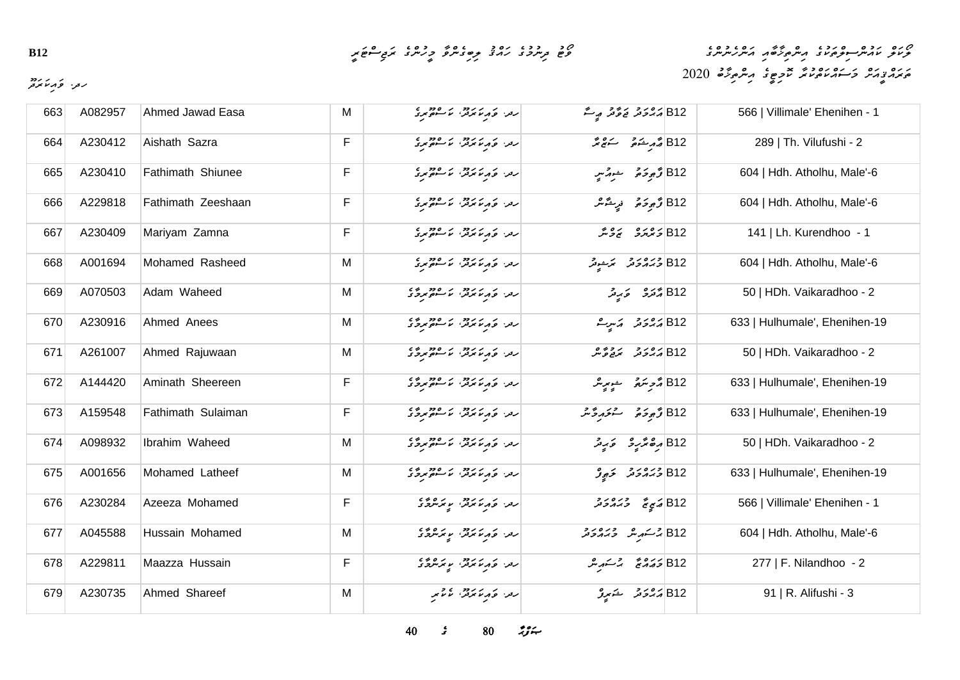*sCw7q7s5w7m< o<n9nOoAw7o< sCq;mAwBoEw7q<m; wBm;vB* م من المرة المرة المرة المرجع المرجع في المركبة 2020<br>مجم*د المريض المربوط المربع المرجع في المراجع المركبة* 

| $\frac{1}{2}$<br>ردر ومسعرم |  |
|-----------------------------|--|
|                             |  |

| 663 | A082957 | Ahmed Jawad Easa   | M           | תנקי פאקט זקרק ומשיים זק ב      | B12   پَرُوکُو مِی گُوکُو مِی مُتَّ       | 566   Villimale' Ehenihen - 1 |
|-----|---------|--------------------|-------------|---------------------------------|-------------------------------------------|-------------------------------|
| 664 | A230412 | Aishath Sazra      | F           | رور، نو در در دور در ۲۵ ور در د | B12 مەم يەنىۋە سىزە ئىر                   | 289   Th. Vilufushi - 2       |
| 665 | A230410 | Fathimath Shiunee  | F           | رور که در دور با سعومری         | B12 وَج <sub>و</sub> حَمَّة مُشْرَمْتِينِ | 604   Hdh. Atholhu, Male'-6   |
| 666 | A229818 | Fathimath Zeeshaan | F           | رور کرد دود. کار ۲۵ ور د        | B12 تَرْجِرَة مَّ فَرِحْتَمْسُ            | 604   Hdh. Atholhu, Male'-6   |
| 667 | A230409 | Mariyam Zamna      | $\mathsf F$ | رور که در دور با سعومری         | B12 <i>ويوه بي ويگ</i> ر                  | 141   Lh. Kurendhoo - 1       |
| 668 | A001694 | Mohamed Rasheed    | M           | رور، نو در دور، او در ۲۵ و در د | B12  <i>وټرونونى برېغون</i> ر             | 604   Hdh. Atholhu, Male'-6   |
| 669 | A070503 | Adam Waheed        | M           | رد که دستر در ۲۵ ورو د          | B12 مُرْمَرْد - حَ پر مُرْ                | 50   HDh. Vaikaradhoo - 2     |
| 670 | A230916 | Ahmed Anees        | M           | رد که دستر در ۲۵ ورو د          | B12   كەندى قىلى كەسپەسى ئىس              | 633   Hulhumale', Ehenihen-19 |
| 671 | A261007 | Ahmed Rajuwaan     | M           | رود که در دود در ۲۵۵ ورو د      | B12 كەبر <i>ە بەر ئەرەتى</i> ر            | 50   HDh. Vaikaradhoo - 2     |
| 672 | A144420 | Aminath Sheereen   | F           | תנקי פתעמלי עביים וקבצ          | B12 مُرْحِسَمُ ۖ مُدِيدِيْر               | 633   Hulhumale', Ehenihen-19 |
| 673 | A159548 | Fathimath Sulaiman | F           | رود که در دود در ۲۵۵ ورو د      | B12 <i>ۋې<sub>و</sub>خۇ سىغ</i> رۇش       | 633   Hulhumale', Ehenihen-19 |
| 674 | A098932 | Ibrahim Waheed     | M           | תנקי פתעמבין על פרד של          | B12 م <i>وڭ بگرى</i> ئىتكى كەرلىق         | 50   HDh. Vaikaradhoo - 2     |
| 675 | A001656 | Mohamed Latheef    | M           | رود که در دود در ۲۵۵ ورو د      | B12  <i>وُټرونو چې</i> و                  | 633   Hulhumale', Ehenihen-19 |
| 676 | A230284 | Azeeza Mohamed     | F           | رىر ئەرىئەترى بېرتىرى           | B12 كەيم قى ئەم <i>كەندى</i> ئىر          | 566   Villimale' Ehenihen - 1 |
| 677 | A045588 | Hussain Mohamed    | M           | رىر ئەرىكى ئەسكەردى             | B12 پر <i>شمېر شور دی.</i><br>د B12       | 604   Hdh. Atholhu, Male'-6   |
| 678 | A229811 | Maazza Hussain     | F           | رىر ئەرىئەتكە بېرىر دە          | B12 <i>قەممىتى بىر شەم</i> ىر             | 277   F. Nilandhoo - 2        |
| 679 | A230735 | Ahmed Shareef      | M           | رىن ئەرىئەتكە ئاتابر            |                                           | 91   R. Alifushi - 3          |

*40 s* 80 *i*<sub>s</sub> $\approx$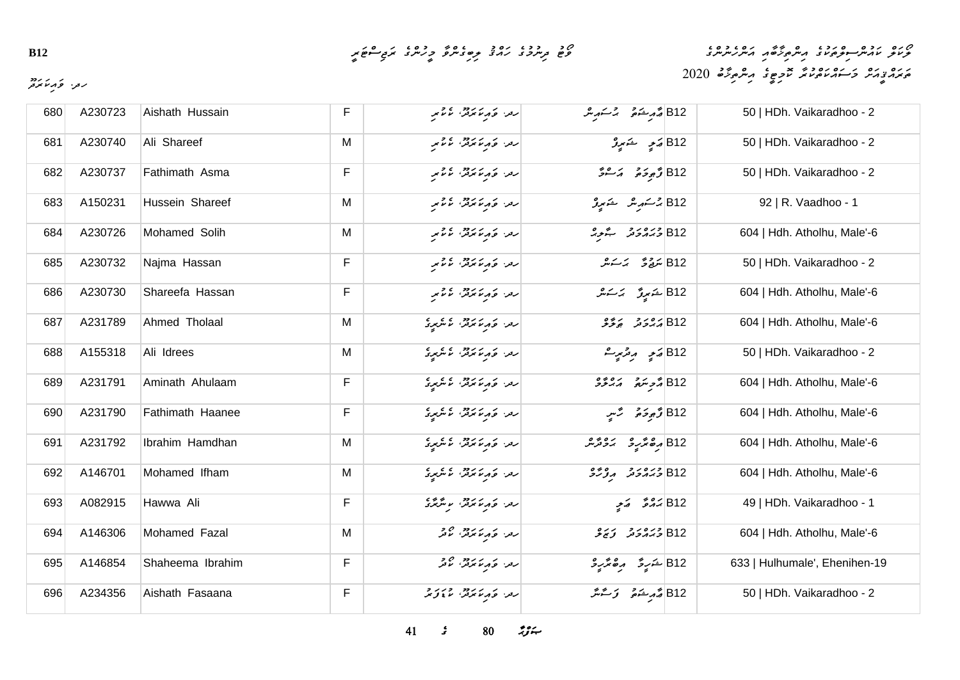*sCw7q7s5w7m< o<n9nOoAw7o< sCq;mAwBoEw7q<m; wBm;vB* م من المرة المرة المرة المرجع المرجع في المركبة 2020<br>مجم*د المريض المربوط المربع المرجع في المراجع المركبة* 

| $\overline{\phantom{a}}$<br>ردر ومسعرم |  |
|----------------------------------------|--|
|----------------------------------------|--|

| 680 | A230723 | Aishath Hussain  | F | رىر ئەرىئەتكە ئائاتىر  | B12 مەم ئەھق بىر شەمرىكر             | 50   HDh. Vaikaradhoo - 2     |
|-----|---------|------------------|---|------------------------|--------------------------------------|-------------------------------|
| 681 | A230740 | Ali Shareef      | M | رى ئەرىكى ئارىمى       | B12  رَمِ شَمَرِيْر                  | 50   HDh. Vaikaradhoo - 2     |
| 682 | A230737 | Fathimath Asma   | F | رىدا ئەرىئەترى ئارتىر  | B12 گەج <sup>ى</sup> ھەر مەسىم       | 50   HDh. Vaikaradhoo - 2     |
| 683 | A150231 | Hussein Shareef  | M | رىدا ئەرىكىردە ئالامىي | B12 پر <i>کمبر پر شمیرو</i>          | 92   R. Vaadhoo - 1           |
| 684 | A230726 | Mohamed Solih    | M | رىدا ئەرىئەتكە ئامامىي | B12 <i>جەممى بىر جىمبۇر</i>          | 604   Hdh. Atholhu, Male'-6   |
| 685 | A230732 | Najma Hassan     | F | رى ئەرىكى ئارىمى       | B12 يتمة حج محمد برسكر محمد الم      | 50   HDh. Vaikaradhoo - 2     |
| 686 | A230730 | Shareefa Hassan  | F | رى ئەرىئەتكە ئائاتىر   | B12 خەمبەر كەشكەر                    | 604   Hdh. Atholhu, Male'-6   |
| 687 | A231789 | Ahmed Tholaal    | M | رى ئەرىكى ئەركى ئەر    | B12 كەردى ھۆكى                       | 604   Hdh. Atholhu, Male'-6   |
| 688 | A155318 | Ali Idrees       | M | رى ئەرىكى ئاسىر        | B12  رَمِ پورٹریٹ                    | 50   HDh. Vaikaradhoo - 2     |
| 689 | A231791 | Aminath Ahulaam  | F | رى ئەرىكى ئۇن ئاسىر    | B12 <i>مُّجِسَعُۃ مَدْمُ</i> وْرَ    | 604   Hdh. Atholhu, Male'-6   |
| 690 | A231790 | Fathimath Haanee | F | رى ئەرىكى ئەسكىرى      | B12 <i>وُجوحَة</i> رَّسِي            | 604   Hdh. Atholhu, Male'-6   |
| 691 | A231792 | Ibrahim Hamdhan  | M | رىن ئەرىئەتكەش ئاشرىرى | B12 مەھەر بەر ئەرەر يىلى             | 604   Hdh. Atholhu, Male'-6   |
| 692 | A146701 | Mohamed Ifham    | M | رى ئەرىكى ئاسىر        | B12 <i>جەممى ھەرقى</i> بو <i>رتى</i> | 604   Hdh. Atholhu, Male'-6   |
| 693 | A082915 | Hawwa Ali        | F | رى ئەرىكى بەشكە        | B12 يَرْدُمَّ کَمَ مِي               | 49   HDh. Vaikaradhoo - 1     |
| 694 | A146306 | Mohamed Fazal    | M | תבני פאנשי בני היי בי  | B12 <i>3222 ويح</i> و                | 604   Hdh. Atholhu, Male'-6   |
| 695 | A146854 | Shaheema Ibrahim | F | رى ئەرىئەت ئەتر        | B12 ڪَپِرَ وڻ گُرِرِدُ               | 633   Hulhumale', Ehenihen-19 |
| 696 | A234356 | Aishath Fasaana  | F | رى ئەرىكى ئەدە         | B12 م <i>ەمرىشىق بۇ</i> شكىتر        | 50   HDh. Vaikaradhoo - 2     |

*41 s* 80 *if*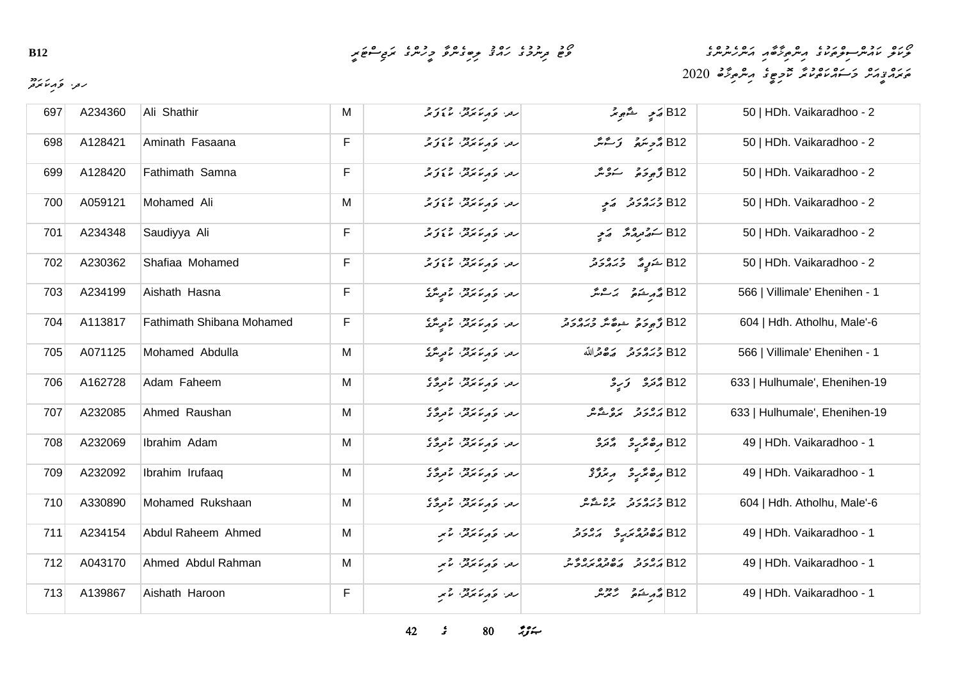*sCw7q7s5w7m< o<n9nOoAw7o< sCq;mAwBoEw7q<m; wBm;vB* م من المرة المرة المرة المرجع المرجع في المركبة 2020<br>مجم*د المريض المربوط المربع المرجع في المراجع المركبة* 

| 2211 |  |           |
|------|--|-----------|
|      |  | ردر ومسرر |
|      |  |           |

| 697 | A234360 | Ali Shathir               | M           | رى ئەرىكى ئالارچ       | B12 رَمِ شَهْوِيْرَ                                | 50   HDh. Vaikaradhoo - 2     |
|-----|---------|---------------------------|-------------|------------------------|----------------------------------------------------|-------------------------------|
| 698 | A128421 | Aminath Fasaana           | F           | رىدا ئەرىكىگە ئۇيۇم ئ  | B12 مَّ حِسَمَ وَسَمَّسَ                           | 50   HDh. Vaikaradhoo - 2     |
| 699 | A128420 | Fathimath Samna           | F           | رى ئەرىكىگە ئۇيۇم      | B12 ۇ <sub>ج</sub> ورۇ سىۋىگە                      | 50   HDh. Vaikaradhoo - 2     |
| 700 | A059121 | Mohamed Ali               | M           | رى ئەرىكى ئەدەر        | B12 <i>3222 مَ</i> عِ                              | 50   HDh. Vaikaradhoo - 2     |
| 701 | A234348 | Saudiyya Ali              | F           | رى ئەرىكى ئەدەر ئ      | B12 س <i>ەھەمەمەھەھەم</i> چە                       | 50   HDh. Vaikaradhoo - 2     |
| 702 | A230362 | Shafiaa Mohamed           | F           | رى ئەرىكى ئەدەر ئەيدى  | B12 خ <i>ورة فىنەدەتر</i>                          | 50   HDh. Vaikaradhoo - 2     |
| 703 | A234199 | Aishath Hasna             | F           | رى ئەرىئەتكە ئايرىگ    | B12 مۇم يىشقى بەيئەتتىر                            | 566   Villimale' Ehenihen - 1 |
| 704 | A113817 | Fathimath Shibana Mohamed | $\mathsf F$ | رى ئەرىكى ئەس ئارلىق   | B12 زُّجِرَة شِرَةٌ بَرُورَة لِهِ حَ               | 604   Hdh. Atholhu, Male'-6   |
| 705 | A071125 | Mohamed Abdulla           | M           | رى ئەرىئەتكە ئەرشى     |                                                    | 566   Villimale' Ehenihen - 1 |
| 706 | A162728 | Adam Faheem               | M           | رو. ە ئەنگەن ئامرۇكى   | B12 پژتر <i>ی ق</i> رری                            | 633   Hulhumale', Ehenihen-19 |
| 707 | A232085 | Ahmed Raushan             | M           | رى ئەرىئەتكە ئەرگە     | B12 كەنزوقر ئورۇشەر                                | 633   Hulhumale', Ehenihen-19 |
| 708 | A232069 | Ibrahim Adam              | M           | رىدا ئەرىكىگە ئەرگەمى  | B12 م <i>وڭ ئۇرۇ مەترى</i>                         | 49   HDh. Vaikaradhoo - 1     |
| 709 | A232092 | Ibrahim Irufaaq           | M           | رو. ئەرىئەتكە، ئەترىگى | B12 مەھمگەر ھەممىردىنى                             | 49   HDh. Vaikaradhoo - 1     |
| 710 | A330890 | Mohamed Rukshaan          | M           | رى ئەرىئەتكى ئاتېرىگى  | B12 <i>ۋېزەر بىر بىر شەش</i> ر                     | 604   Hdh. Atholhu, Male'-6   |
| 711 | A234154 | Abdul Raheem Ahmed        | M           | رى ئەرىكەن ئەبر        | B12 كەھەرمەر بەر مەردىر<br>B12 كەھەرمەمرىي مەمەدىر | 49   HDh. Vaikaradhoo - 1     |
| 712 | A043170 | Ahmed Abdul Rahman        | M           | رى ئەرىكەن ئەس         | B12 كەبروتى كەھەرمەر ئەر                           | 49   HDh. Vaikaradhoo - 1     |
| 713 | A139867 | Aishath Haroon            | F           | رىن ئەرىئەتكەش ماير    | B12 <i>مُّ مِ</i> شَمَعَ مُحَمَّدٌ مُحَمَّدٌ       | 49   HDh. Vaikaradhoo - 1     |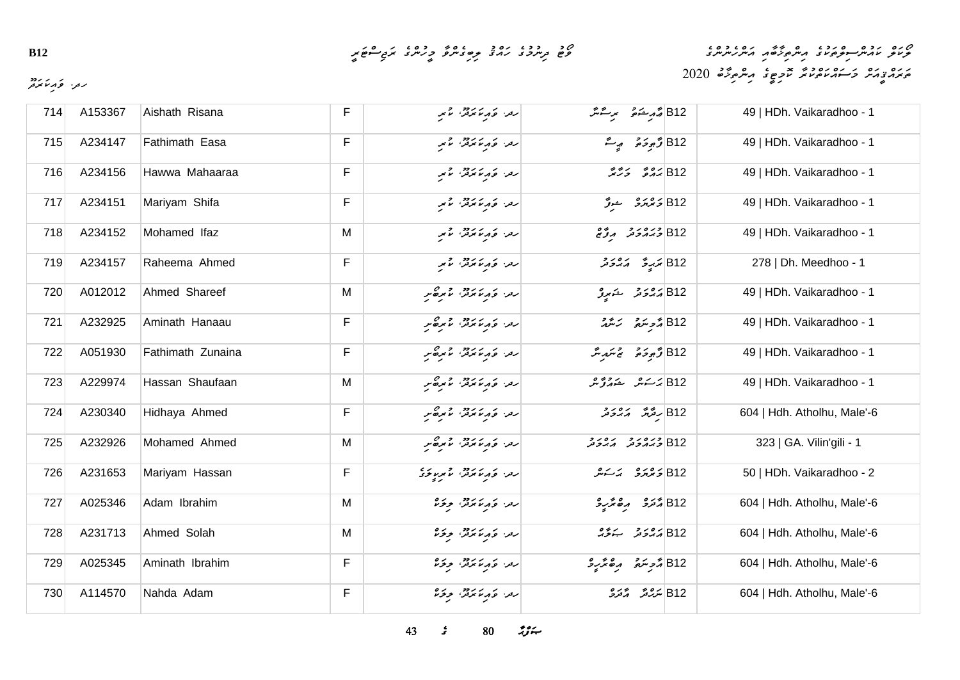*sCw7q7s5w7m< o<n9nOoAw7o< sCq;mAwBoEw7q<m; wBm;vB* م من المرة المرة المرة المرجع المرجع في المركبة 2020<br>مجم*د المريض المربوط المربع المرجع في المراجع المركبة* 

| ,,,,<br>ردر ومسعرم |  |
|--------------------|--|
|                    |  |

| 714 | A153367 | Aishath Risana    | $\mathsf F$  | رورا او در دود از هم به  | B12 مَەربىئەمۇ سىرىشىتىر                       | 49   HDh. Vaikaradhoo - 1   |
|-----|---------|-------------------|--------------|--------------------------|------------------------------------------------|-----------------------------|
| 715 | A234147 | Fathimath Easa    | F            | رود که دارده رحم         | B12 رَّج <i>وحَةْ</i> بِهِ تَّ                 | 49   HDh. Vaikaradhoo - 1   |
| 716 | A234156 | Hawwa Mahaaraa    | F            | رفر بحمد ما برود المائيل | B12 يَرْدُوْ وَرَّبِّرَ                        | 49   HDh. Vaikaradhoo - 1   |
| 717 | A234151 | Mariyam Shifa     | $\mathsf F$  | رود ن در دو روپر         | B12 <i>5 پر پڑو ھو</i> ڙ                       | 49   HDh. Vaikaradhoo - 1   |
| 718 | A234152 | Mohamed Ifaz      | M            | رو. قەرىتىرو. مى         | B12 <i>جەنە جىڭ مۇق</i> ى                      | 49   HDh. Vaikaradhoo - 1   |
| 719 | A234157 | Raheema Ahmed     | $\mathsf{F}$ | رود تو در دود از د       | B12 بَرَرٍ وَ بَرَبَرَ وَ بَرْ                 | 278   Dh. Meedhoo - 1       |
| 720 | A012012 | Ahmed Shareef     | M            | رى ئەرىئەتكە ئىرگىر      | B12 كەندى قىر سىكەمبى <sup>ت</sup> ى           | 49   HDh. Vaikaradhoo - 1   |
| 721 | A232925 | Aminath Hanaau    | $\mathsf F$  | رىر ئەرىئەتكە ئايرەتر    | B12 مَّ <i>جِسَعَۃَ</i> کَسَمَّہُ              | 49   HDh. Vaikaradhoo - 1   |
| 722 | A051930 | Fathimath Zunaina | $\mathsf F$  | رو. ە ئەنگەن ئايرەم      | B12 تَ <i>جوحَ</i> عْ تَمْ سَمَ <i>بِ</i> سَّ  | 49   HDh. Vaikaradhoo - 1   |
| 723 | A229974 | Hassan Shaufaan   | M            | رو. وأرتمون الأبرهبر     | B12 كەسەش ھەر <i>ۇ</i> ش                       | 49   HDh. Vaikaradhoo - 1   |
| 724 | A230340 | Hidhaya Ahmed     | $\mathsf F$  | رى ئەرىئەتكە ئىرگىر      | B12 بەتى <sup>ت</sup> ە كەندى تە               | 604   Hdh. Atholhu, Male'-6 |
| 725 | A232926 | Mohamed Ahmed     | M            | رى ئەرىكى ئەرەپىر        | B12 <i>ۋېرو دې مرون</i> ر                      | 323   GA. Vilin'gili - 1    |
| 726 | A231653 | Mariyam Hassan    | $\mathsf F$  | رى ئەرىكىگى ئايرىدى      | B12 <i>ق پروژ بر ت</i> ک می                    | 50   HDh. Vaikaradhoo - 2   |
| 727 | A025346 | Adam Ibrahim      | M            | رى قەرئەترى بوقرا        | B12  م <i>ُّمَرَدُ بِرەْ</i> مُ <i>ُرِدِدْ</i> | 604   Hdh. Atholhu, Male'-6 |
| 728 | A231713 | Ahmed Solah       | M            | رد. قەرئەتكە بوقە        | B12 كەبرى بەر بەر يىچە بىر                     | 604   Hdh. Atholhu, Male'-6 |
| 729 | A025345 | Aminath Ibrahim   | $\mathsf F$  | رىن ئەرىئەترى بولى       | B12 أُمُّ حِسَمُ مِنْ مُرْسِرَ مِنْ            | 604   Hdh. Atholhu, Male'-6 |
| 730 | A114570 | Nahda Adam        | F            | رىن ئەرىئەتكە بوۋى       | B12 يَرْرُقُرُ     تَرْتَرَرْ                  | 604   Hdh. Atholhu, Male'-6 |

*43 s* 80 *i*<sub>S</sub> $\approx$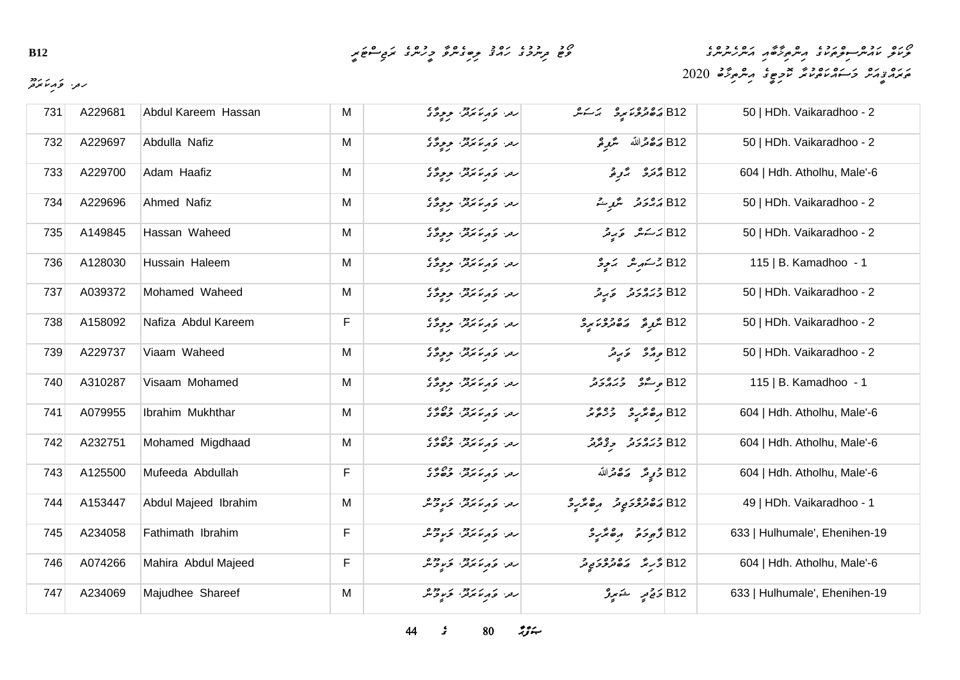*sCw7q7s5w7m< o<n9nOoAw7o< sCq;mAwBoEw7q<m; wBm;vB* م من المرة المرة المرة المرجع المرجع في المركبة 2020<br>مجم*د المريض المربوط المربع المرجع في المراجع المركبة* 

| $22\times 10^{-1}$<br>ردر ومسعرم |  |
|----------------------------------|--|
|----------------------------------|--|

| 731 | A229681 | Abdul Kareem Hassan  | M           | رى ئەرىئىك ووگ                                | B12 <i>مَـُ قَعْرُ قُرْبُو بِيَّ</i> سَـَمْر | 50   HDh. Vaikaradhoo - 2     |
|-----|---------|----------------------|-------------|-----------------------------------------------|----------------------------------------------|-------------------------------|
| 732 | A229697 | Abdulla Nafiz        | M           | رى ئەرىئىك ووگ                                | B12 مَەقراللە مى <i>گە بى</i>                | 50   HDh. Vaikaradhoo - 2     |
| 733 | A229700 | Adam Haafiz          | M           | رى ئەرىئىك ووگ                                | B12 مُرْمَرْد مُرُوِمْ                       | 604   Hdh. Atholhu, Male'-6   |
| 734 | A229696 | Ahmed Nafiz          | M           | رى ئەرىئەتكى جېردى                            | B12 كەندى تىم ئىقى سىگە بىر ئىس              | 50   HDh. Vaikaradhoo - 2     |
| 735 | A149845 | Hassan Waheed        | M           | رى قەرىكىنى جېردى                             | B12 پرستر <i>ش خ</i> ریتر                    | 50   HDh. Vaikaradhoo - 2     |
| 736 | A128030 | Hussain Haleem       | M           | رىر ئەرىئەتكە ووگ                             | B12  پرستہر پر پر ترجہ                       | 115   B. Kamadhoo - 1         |
| 737 | A039372 | Mohamed Waheed       | M           | رى ئەرىئىك ووگ                                | B12 <i>وُبَرُوْدَوْ وَبِ</i> يْرَ            | 50   HDh. Vaikaradhoo - 2     |
| 738 | A158092 | Nafiza Abdul Kareem  | $\mathsf F$ | رىر ئەرىئىرى بويدۇ ئ                          | B12 سَمَعِ مَدَّ صَعْرَفَ مَعِ حَرِ          | 50   HDh. Vaikaradhoo - 2     |
| 739 | A229737 | Viaam Waheed         | M           | رى ئەرىئىرى بويدۇ ئ                           | B12 م <i>ومَّ</i> دَ - حَ پ <sub>ي</sub> قر  | 50   HDh. Vaikaradhoo - 2     |
| 740 | A310287 | Visaam Mohamed       | M           | رىر ئەرىكىگە جوڭگ                             | B12 <sub>ج م</sub> شۇ ھەدەر دىر              | 115   B. Kamadhoo - 1         |
| 741 | A079955 | Ibrahim Mukhthar     | M           | رى كەرىكەن. 2993                              | B12 مەھەر بەر بەر تەرەپتە                    | 604   Hdh. Atholhu, Male'-6   |
| 742 | A232751 | Mohamed Migdhaad     | M           | رى كەرىكى ئەھ                                 | B12  <i>3223 قوتى قرىم</i> گرىنى             | 604   Hdh. Atholhu, Male'-6   |
| 743 | A125500 | Mufeeda Abdullah     | $\mathsf F$ | رور نو در ۲۵۶ وه ور<br>رور نو در نورد کرده ور | B12 تُرُوِتَرُ     مُرْكَة اللّه             | 604   Hdh. Atholhu, Male'-6   |
| 744 | A153447 | Abdul Majeed Ibrahim | M           | رىن ئەرىئەتكە ئەرەم                           | B12 كەھەترى <i>كىرى بىر ھەترى</i> ر 3        | 49   HDh. Vaikaradhoo - 1     |
| 745 | A234058 | Fathimath Ibrahim    | $\mathsf F$ | رى ئەرىكىن ئەيدە                              | B12 ۇ <sub>ج</sub> وڭ مەھەرد                 | 633   Hulhumale', Ehenihen-19 |
| 746 | A074266 | Mahira Abdul Majeed  | $\mathsf F$ | رىر كەرىكى كەن ئەس                            | B12 <i>ۇرىگە مەھەتر بىر قىرى</i>             | 604   Hdh. Atholhu, Male'-6   |
| 747 | A234069 | Majudhee Shareef     | M           | رىر. ئەرىئەترىش، ئۆرگەش                       | B12  كەنجەمىي سى <i>كەمپ</i> ۇ               | 633   Hulhumale', Ehenihen-19 |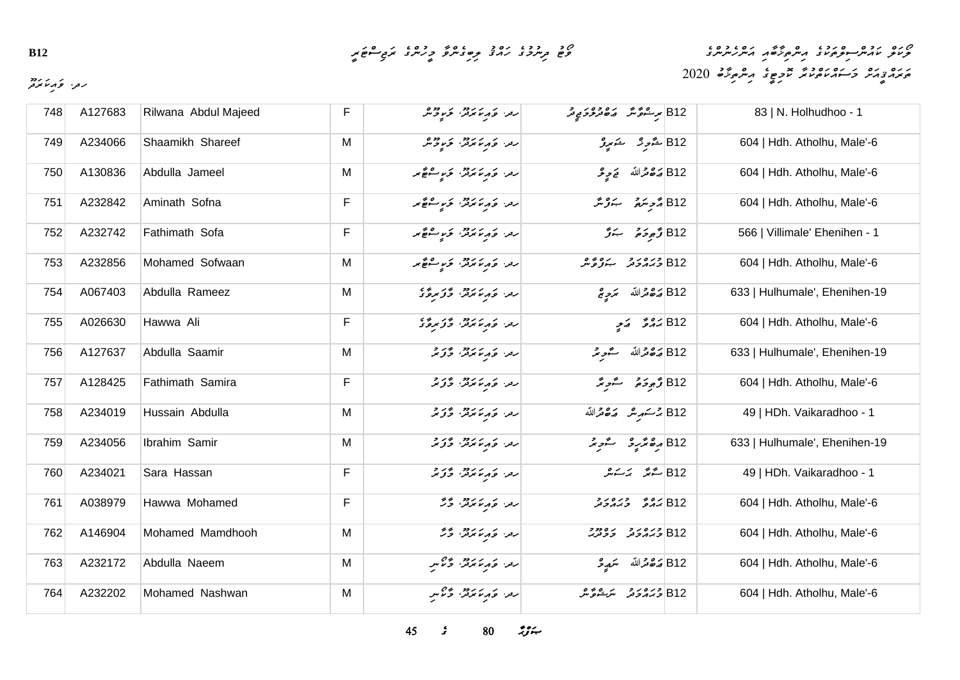*sCw7q7s5w7m< o<n9nOoAw7o< sCq;mAwBoEw7q<m; wBm;vB* م من المرة المرة المرة المرجع المرجع في المركبة 2020<br>مجم*د المريض المربوط المربع المرجع في المراجع المركبة* 

| 2211<br>بردر ومنعرم |  |
|---------------------|--|
|---------------------|--|

| 748 | A127683 | Rilwana Abdul Majeed | F           | رىن ئەرىئەتكە ئورومى        | B12 برشۇمۇش مەھ <i>ترىۋۇي</i> قر       | 83   N. Holhudhoo - 1         |
|-----|---------|----------------------|-------------|-----------------------------|----------------------------------------|-------------------------------|
| 749 | A234066 | Shaamikh Shareef     | M           | رىن ئەرىئەتكە ئورومى        | B12 ڪورڙ ڪمپرڙ                         | 604   Hdh. Atholhu, Male'-6   |
| 750 | A130836 | Abdulla Jameel       | M           | رىر ئەرىئەت ئەربىقىر        | B12 مَەھْتَراللە     يَى جِرْ ئَى      | 604   Hdh. Atholhu, Male'-6   |
| 751 | A232842 | Aminath Sofna        | $\mathsf F$ | رىر ئەرىئەت ئەربىقىر        | B12 مَرْحِبَتَهُ جَوْبَتَر             | 604   Hdh. Atholhu, Male'-6   |
| 752 | A232742 | Fathimath Sofa       | F           | رىر ئەرىئەت ئەرشقى          | B12 رَّج <i>وحَةْ</i> سَتَرَّ          | 566   Villimale' Ehenihen - 1 |
| 753 | A232856 | Mohamed Sofwaan      | M           | رىر ئەرىئەت ئەرشقى          | B12 <i>جەمەدىر بەۋە</i> ش              | 604   Hdh. Atholhu, Male'-6   |
| 754 | A067403 | Abdulla Rameez       | M           | رى ئەرىكى ئۇزىرق            | B12 كەڭداللە ئىر <i>جى</i> م           | 633   Hulhumale', Ehenihen-19 |
| 755 | A026630 | Hawwa Ali            | $\mathsf F$ | رىر كەرلەتمەتر، ئەكەبرىگا ئ | B12 بَرْدُوٌ     مَرِ                  | 604   Hdh. Atholhu, Male'-6   |
| 756 | A127637 | Abdulla Saamir       | M           | رى ئەرىئەتكە ئەر ئ          | B12 مَەھْتَراللە گەج <i>ى</i> گە       | 633   Hulhumale', Ehenihen-19 |
| 757 | A128425 | Fathimath Samira     | $\mathsf F$ | رى ئەرىكى ئۇيى              | B12 گۇج <sub>و</sub> چە ئەھرىتىر       | 604   Hdh. Atholhu, Male'-6   |
| 758 | A234019 | Hussain Abdulla      | M           | رى ئەرىئەتكە ئەرى           | B12 بُرْسَمبِ مَرْ مَدَّةَ مِّدَاللَّه | 49   HDh. Vaikaradhoo - 1     |
| 759 | A234056 | Ibrahim Samir        | M           | رى ئەرىكى ئۇيى              | B12  م <i>ەھتىرى</i> شىرىمە            | 633   Hulhumale', Ehenihen-19 |
| 760 | A234021 | Sara Hassan          | F           | رى ئەرىئەتكە ئەرى           | B12 يُسْتَدَمُّسُ بَرَسْتَدْرُ         | 49   HDh. Vaikaradhoo - 1     |
| 761 | A038979 | Hawwa Mohamed        | $\mathsf F$ | رى ئەرىئەت ئ                | B12 يَرْدُوَّ بِهِ دِيرُونَدِ          | 604   Hdh. Atholhu, Male'-6   |
| 762 | A146904 | Mohamed Mamdhooh     | M           | رو. ەرىپەتر، دى             | B12 <i>בגמכנר ככנג</i>                 | 604   Hdh. Atholhu, Male'-6   |
| 763 | A232172 | Abdulla Naeem        | M           | رىن ئەرىئەتكە ئەھس          | B12 مَەمْرَاللە سَمِي <sup>و</sup>     | 604   Hdh. Atholhu, Male'-6   |
| 764 | A232202 | Mohamed Nashwan      | M           | رىن ئەرىئەتكە ئەم بىر       | B12 <i>وبزوجو پر موشو</i> گر           | 604   Hdh. Atholhu, Male'-6   |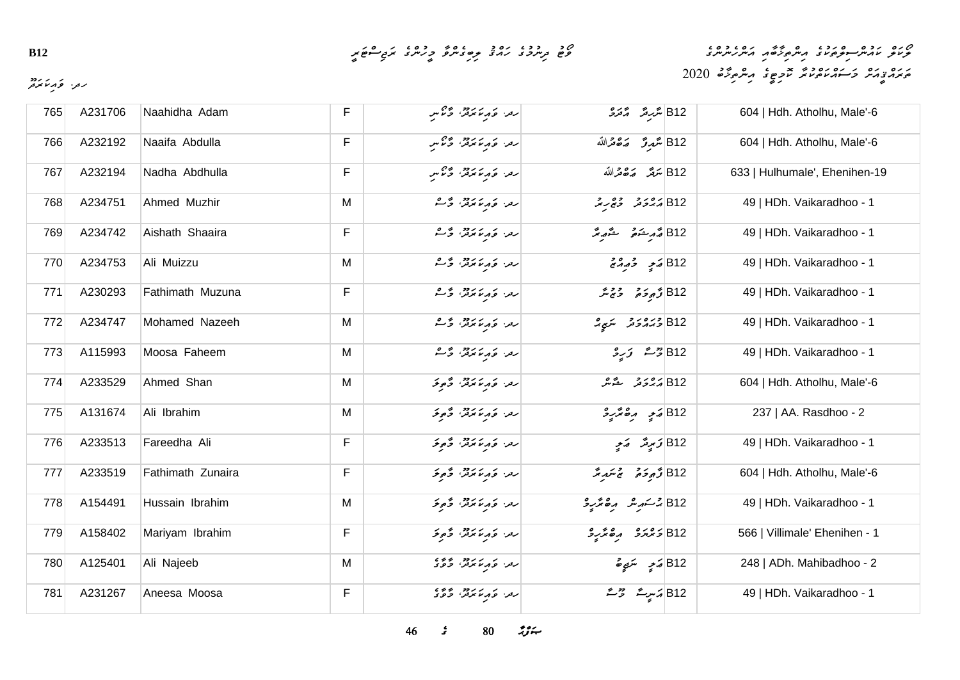*sCw7q7s5w7m< o<n9nOoAw7o< sCq;mAwBoEw7q<m; wBm;vB* م من المرة المرة المرة المرجع المرجع في المركبة 2020<br>مجم*د المريض المربوط المربع المرجع في المراجع المركبة* 

| $22 \times 10^{-1}$<br>ردر ومستردر |  |
|------------------------------------|--|
|------------------------------------|--|

| 765 | A231706 | Naahidha Adam     | $\mathsf F$ | رى ئەرىئەتكە ئەمىر             | B12  تَرْرِقَرْ     قُرْمَرْوْ                  | 604   Hdh. Atholhu, Male'-6   |
|-----|---------|-------------------|-------------|--------------------------------|-------------------------------------------------|-------------------------------|
| 766 | A232192 | Naaifa Abdulla    | F           | رى ئەرىئەتكى ئ <sup>ەم</sup> س | B12 سَّمِرتَر صَدَّدَاللَّه                     | 604   Hdh. Atholhu, Male'-6   |
| 767 | A232194 | Nadha Abdhulla    | F           | رىن ئەرىئەترىق ئ               | B12 يَرْتَمُّ     يُرْصُوْرَاللَّه              | 633   Hulhumale', Ehenihen-19 |
| 768 | A234751 | Ahmed Muzhir      | M           | رىن ئەرىئەتكە ئەت              | B12 كەنزى قى ئىچ ب                              | 49   HDh. Vaikaradhoo - 1     |
| 769 | A234742 | Aishath Shaaira   | F           | رى ئەرىئەتە ئەھ                | B12 مَّ مِشَمَّ شَّم <i>َّةٍ مَ</i> ّ           | 49   HDh. Vaikaradhoo - 1     |
| 770 | A234753 | Ali Muizzu        | M           | رى ئەرىكىرى ئ                  | B12 <i>جَرِج</i> ح <i>مودي</i>                  | 49   HDh. Vaikaradhoo - 1     |
| 771 | A230293 | Fathimath Muzuna  | $\mathsf F$ | رىن ئەرىئەتكە ئەھ              | B12 ۇ <sub>جو</sub> رۇ ئىم ئىر                  | 49   HDh. Vaikaradhoo - 1     |
| 772 | A234747 | Mohamed Nazeeh    | M           | رى ئەرىئەردە بەر               | B12 <i>وَبَرْدُوَنْډَ</i> سَر <sub>َى</sub> چ   | 49   HDh. Vaikaradhoo - 1     |
| 773 | A115993 | Moosa Faheem      | M           | رىن ئەرىئەتكە ئەت              | B12  خ تورِ 3<br>  B12                          | 49   HDh. Vaikaradhoo - 1     |
| 774 | A233529 | Ahmed Shan        | M           | رو. ئەرىئەر ئەرە               | B12 كەبرى قىر ھەشىر                             | 604   Hdh. Atholhu, Male'-6   |
| 775 | A131674 | Ali Ibrahim       | M           | رىن ئەرىئەتكە ئەئ ئ            | B12 <i>جَرِمٍ م</i> ِ مُ <i>جَرِّدٍ \$</i>      | 237   AA. Rasdhoo - 2         |
| 776 | A233513 | Fareedha Ali      | F           | رە، ئەرىئەتكە دەپى             | B12 ترميعً - صَعٍ                               | 49   HDh. Vaikaradhoo - 1     |
| 777 | A233519 | Fathimath Zunaira | $\mathsf F$ | رىن ئەرىئەتكە دەپ              | B12 تَ <i>موحَ</i> مَ نَمْ <i>مَدبةً</i>        | 604   Hdh. Atholhu, Male'-6   |
| 778 | A154491 | Hussain Ibrahim   | M           | رى قەرىكىنى ئەيج               | B12 يُرْسَمبِ مَّرْ مِرْكَة مِرْدِيْرِ          | 49   HDh. Vaikaradhoo - 1     |
| 779 | A158402 | Mariyam Ibrahim   | F           | رى ئەرىكى ئۇمۇ                 | B12   <i>ج<sup>و</sup>بروي م</i> ِ مُحَمَّدٍ في | 566   Villimale' Ehenihen - 1 |
| 780 | A125401 | Ali Najeeb        | M           | رى ئەرىئەترى ئ                 | B12 <i>۾َ جِ</i> سَمِيھَ                        | 248   ADh. Mahibadhoo - 2     |
| 781 | A231267 | Aneesa Moosa      | F           | رى ئەرىئەتەر ئەت               | B12  كەسپەسى ئۇسىگە                             | 49   HDh. Vaikaradhoo - 1     |

*46 s* 80 *i*<sub>S</sub> $\approx$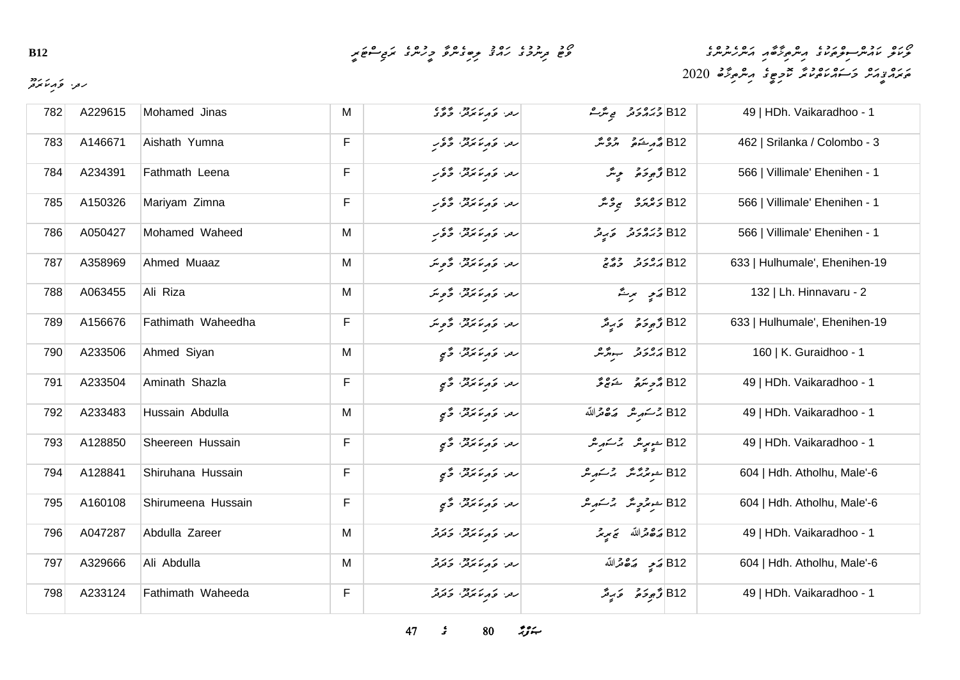*sCw7q7s5w7m< o<n9nOoAw7o< sCq;mAwBoEw7q<m; wBm;vB* م من المرة المرة المرة المرجع المرجع في المركبة 2020<br>مجم*د المريض المربوط المربع المرجع في المراجع المركبة* 

|  | $\overline{\phantom{a}}$<br>رد و مرحم مرد |  |
|--|-------------------------------------------|--|
|--|-------------------------------------------|--|

| 782 | A229615 | Mohamed Jinas      | M           | رى ئەرىئەتە دەر      | B12 <i>ۇنەۋەتى بى م</i> ى <i>گ</i>      | 49   HDh. Vaikaradhoo - 1     |
|-----|---------|--------------------|-------------|----------------------|-----------------------------------------|-------------------------------|
| 783 | A146671 | Aishath Yumna      | $\mathsf F$ | رو. ئەرىئەتە ئەت     | B12 مَگْرِسْتَمْ مِنْ مَرْدْسَ          | 462   Srilanka / Colombo - 3  |
| 784 | A234391 | Fathmath Leena     | $\mathsf F$ | رى ئەرىئەرە ئ        | B12 <i>وُجوحَۃ</i> مِہٹر                | 566   Villimale' Ehenihen - 1 |
| 785 | A150326 | Mariyam Zimna      | F           | رى ئەرىئەتە ئۇر      | B12  <i>5 بەيدۇ</i> ب <sub>و</sub> ۋىتر | 566   Villimale' Ehenihen - 1 |
| 786 | A050427 | Mohamed Waheed     | M           | رى ئەرىئەدە ئ        | B12  <i>3223 قب</i> رتر                 | 566   Villimale' Ehenihen - 1 |
| 787 | A358969 | Ahmed Muaaz        | M           | رىن ئەرىكىمى ئۇمەت   | B12 كەبرۇتىر بەر ئەلىم                  | 633   Hulhumale', Ehenihen-19 |
| 788 | A063455 | Ali Riza           | M           | رىن ئەرىئەتكە ئۇمەتك | B12 ړَم ِ برِتٌہ                        | 132   Lh. Hinnavaru - 2       |
| 789 | A156676 | Fathimath Waheedha | $\mathsf F$ | رىن ئەرىئەتكە ئۇمەتك | B12 گَهِ دَمَ گَرِنَّرٌ                 | 633   Hulhumale', Ehenihen-19 |
| 790 | A233506 | Ahmed Siyan        | M           | رى ئەرىئەرە ئ        | B12 <i>גېرى ئې</i> ر سېرتمى <i>گ</i>    | 160   K. Guraidhoo - 1        |
| 791 | A233504 | Aminath Shazla     | $\mathsf F$ | رى ئەرىكەن ئەي       | B12 مُرْحِبَتَهُمْ صُنَّةٌ مُحَرَّ      | 49   HDh. Vaikaradhoo - 1     |
| 792 | A233483 | Hussain Abdulla    | M           | رى ئەرىئەرە ئ        | B12 ترت مرة مركز الله                   | 49   HDh. Vaikaradhoo - 1     |
| 793 | A128850 | Sheereen Hussain   | $\mathsf F$ | رو. ئەرىكەن دىپ      | B12  سیپیٹر کرکٹریٹر                    | 49   HDh. Vaikaradhoo - 1     |
| 794 | A128841 | Shiruhana Hussain  | $\mathsf F$ | رو. ئەرىئەردە گەمچ   | B12 ج <i>ومرَ پُرُ پُر کرم</i> گر       | 604   Hdh. Atholhu, Male'-6   |
| 795 | A160108 | Shirumeena Hussain | $\mathsf F$ | رى قەرىكەن گېچ       | B12 سوبۇرچىگە ج <u>ىر ئىر</u> بىر       | 604   Hdh. Atholhu, Male'-6   |
| 796 | A047287 | Abdulla Zareer     | M           | رى ئەرىئەتە رىرد     | B12 مَەھتراللە تەمرىمە                  | 49   HDh. Vaikaradhoo - 1     |
| 797 | A329666 | Ali Abdulla        | M           | رى قەرىكى ئەرەپ      | B12 صَعِي <i>ٰ صَ®مَّد</i> اللَّه       | 604   Hdh. Atholhu, Male'-6   |
| 798 | A233124 | Fathimath Waheeda  | F           | رىر ئەرىئەتكە ئەرد   | B12 <i>وَّجوحَ</i> هُمَ سَمَدٍ مَّدَّ   | 49   HDh. Vaikaradhoo - 1     |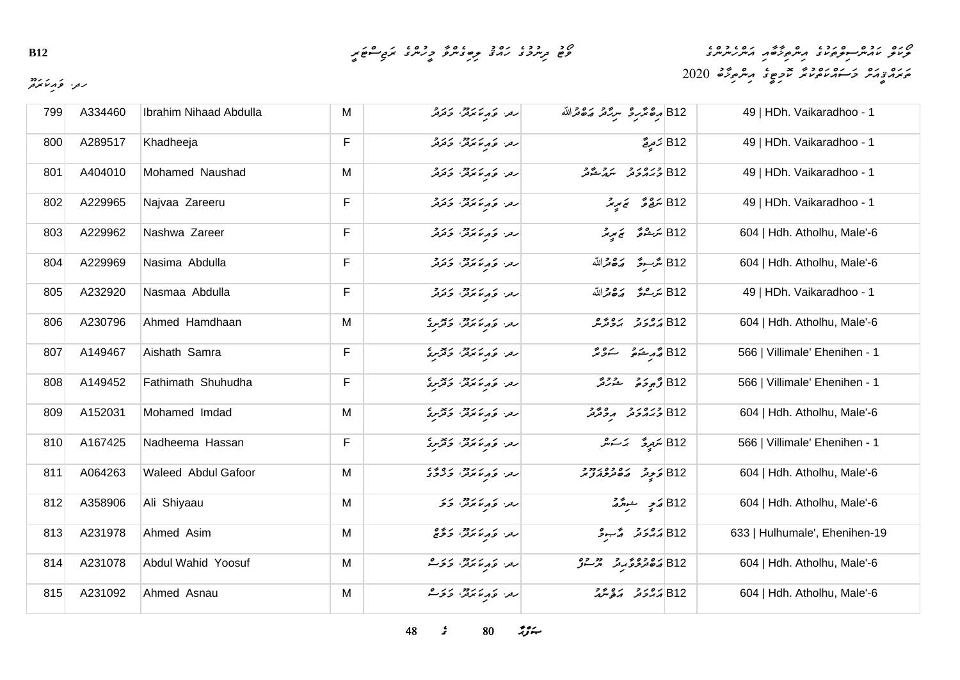*sCw7q7s5w7m< o<n9nOoAw7o< sCq;mAwBoEw7q<m; wBm;vB* م من المرة المرة المرة المرجع المرجع في المركبة 2020<br>مجم*د المريض المربوط المربع المرجع في المراجع المركبة* 

|  | $\overline{\phantom{a}}$<br>رد و مرحم مرد |  |
|--|-------------------------------------------|--|
|--|-------------------------------------------|--|

| 799 | A334460 | Ibrahim Nihaad Abdulla | M           | رىن ئەرىكىگە ئەترىر                 | B12 م <i>ەھترى</i> ھىر <i>گىقى مەھ</i> تراللە      | 49   HDh. Vaikaradhoo - 1     |
|-----|---------|------------------------|-------------|-------------------------------------|----------------------------------------------------|-------------------------------|
| 800 | A289517 | Khadheeja              | F           | رىن ئەرىكىگە ئەرەپ                  | B12  تزمیر تھ                                      | 49   HDh. Vaikaradhoo - 1     |
| 801 | A404010 | Mohamed Naushad        | M           | رى ئەرىكى ئەرە                      | B12 <i>ويەم</i> رى مەرشگەر                         | 49   HDh. Vaikaradhoo - 1     |
| 802 | A229965 | Najvaa Zareeru         | F           | رى قەرىكى ئەركى                     | B12 سَھُرَّ تَمَ سِرْ سَمَد                        | 49   HDh. Vaikaradhoo - 1     |
| 803 | A229962 | Nashwa Zareer          | F           | رى قەم ئەڭ ئەتەر                    |                                                    | 604   Hdh. Atholhu, Male'-6   |
| 804 | A229969 | Nasima Abdulla         | F           | رى قەرىكى ئەركى                     | B12 مَرْسِوءٌ      رَحْمَدْاللّه                   | 604   Hdh. Atholhu, Male'-6   |
| 805 | A232920 | Nasmaa Abdulla         | F           | رى قەرىكى ئەركى                     | B12 يَرْسُوتُ      رَحْمَدُ اللّه                  | 49   HDh. Vaikaradhoo - 1     |
| 806 | A230796 | Ahmed Hamdhaan         | M           | رى ئەرىكىنى كەرم                    | B12 <i>ړېږ د د</i> وگرمر                           | 604   Hdh. Atholhu, Male'-6   |
| 807 | A149467 | Aishath Samra          | F           | رودا أورا والمردور المحاور والمحالي | B12 مەم ئىشقى كىشى ئىگە                            | 566   Villimale' Ehenihen - 1 |
| 808 | A149452 | Fathimath Shuhudha     | $\mathsf F$ | رى ئەرىكى ئەس بور                   | B12 <i>وَّجِوحَةْ</i> شَمَّرْتَدُّ                 | 566   Villimale' Ehenihen - 1 |
| 809 | A152031 | Mohamed Imdad          | M           | رى ئەرىئىرلار ئەرب                  | B12 <i>3222 بە</i> ۋىترى <i>ت</i>                  | 604   Hdh. Atholhu, Male'-6   |
| 810 | A167425 | Nadheema Hassan        | F           | رى ئەرىكى ئەس بور                   | B12  سَمِرِةٌ    بَرْسَاسٌ                         | 566   Villimale' Ehenihen - 1 |
| 811 | A064263 | Waleed Abdul Gafoor    | M           | رى ئەرىكى ئەم ئەم                   | B12 <sub>ح</sub> َرِمِدْ مِصْرَ <i>وْدَوْ</i> مَرْ | 604   Hdh. Atholhu, Male'-6   |
| 812 | A358906 | Ali Shiyaau            | M           | رى قەنتلىرى 35                      | B12 كەمچە ھەمگەكە                                  | 604   Hdh. Atholhu, Male'-6   |
| 813 | A231978 | Ahmed Asim             | M           | رىن ئەرىئەتكەن ئەنگە                | B12 كەنزى قەسىرى                                   | 633   Hulhumale', Ehenihen-19 |
| 814 | A231078 | Abdul Wahid Yoosuf     | M           | رى ئەرىئەر ئەزى                     | B12 <sub>مەھ</sub> ومۇرىر مەدرە                    | 604   Hdh. Atholhu, Male'-6   |
| 815 | A231092 | Ahmed Asnau            | M           | رىر ئەرىئەتكە ئەترىشى               | B12 كەبروتىر كەنھ ئىگە                             | 604   Hdh. Atholhu, Male'-6   |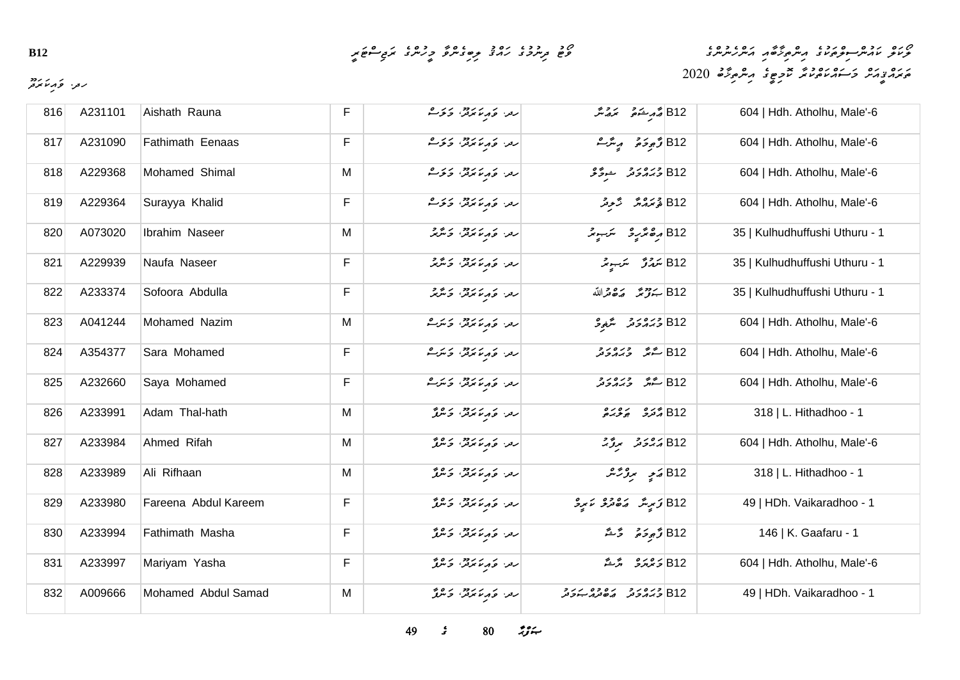*sCw7q7s5w7m< o<n9nOoAw7o< sCq;mAwBoEw7q<m; wBm;vB* م من المرة المرة المرة المرجع المرجع في المركبة 2020<br>مجم*د المريض المربوط المربع المرجع في المراجع المركبة* 

| رى ئەرىئە بەدە |  |  |
|----------------|--|--|
|----------------|--|--|

| 816 | A231101 | Aishath Rauna        | F           | رى ئەرىئەتكى ئەئەت    | B12 مَ <i>َّم</i> ِ مَشَعَرِ مَمَ <i>مَّة</i> مَّر  | 604   Hdh. Atholhu, Male'-6    |
|-----|---------|----------------------|-------------|-----------------------|-----------------------------------------------------|--------------------------------|
| 817 | A231090 | Fathimath Eenaas     | $\mathsf F$ | رىن ئەرىئەتكى ئەئزى   | B12 رَّجِوحَة فَسَمَّتْ الْمُسَمَّدِ                | 604   Hdh. Atholhu, Male'-6    |
| 818 | A229368 | Mohamed Shimal       | M           | رى ئەرىئىرى ئەئى      | B12  <i>وټرونو جوگ</i> و                            | 604   Hdh. Atholhu, Male'-6    |
| 819 | A229364 | Surayya Khalid       | $\mathsf F$ | رىن ئەرىكى ئۇي ئۇي كى | B12 <i>ڤُوتروپرٌ ڏُوترُ</i>                         | 604   Hdh. Atholhu, Male'-6    |
| 820 | A073020 | Ibrahim Naseer       | M           | رو. ئەرىكى ئەرە       | B12  مەھەمگەر ھەسىمىتى ئىستىمىتى ئىس                | 35   Kulhudhuffushi Uthuru - 1 |
| 821 | A229939 | Naufa Naseer         | $\mathsf F$ | رىن ئەرىكىگە ئەشرىم   | B12 يَتَمَدُّرٌ = يَتَرَسِوِيْرٌ =                  | 35   Kulhudhuffushi Uthuru - 1 |
| 822 | A233374 | Sofoora Abdulla      | $\mathsf F$ | رى ئەرىئەتكە ئەشر     | B12 يَبْرُوْمُ بِرَصْعَدِ اللَّهُ                   | 35   Kulhudhuffushi Uthuru - 1 |
| 823 | A041244 | Mohamed Nazim        | M           | رى ئەرىئەتە ئەترى     | B12 <i>جەممى تىم ئىم</i> گىنى ئى                    | 604   Hdh. Atholhu, Male'-6    |
| 824 | A354377 | Sara Mohamed         | $\mathsf F$ | رى ئەرىكى ئەس         | B12 سَمَعٌ حَمَدُ دَوْرَ                            | 604   Hdh. Atholhu, Male'-6    |
| 825 | A232660 | Saya Mohamed         | F           | رى ئەرىكى ئەس         | B12 گەنز بەردەر بورى                                | 604   Hdh. Atholhu, Male'-6    |
| 826 | A233991 | Adam Thal-hath       | M           | رىن ئەرىئەتكەن ئەس    | B12 مُقرَّح مَحْرَبَهِمْ                            | 318   L. Hithadhoo - 1         |
| 827 | A233984 | Ahmed Rifah          | M           | رى ئەرىكى ئەركىگە     | B12 كەندى كىلى مېرگەنز                              | 604   Hdh. Atholhu, Male'-6    |
| 828 | A233989 | Ali Rifhaan          | M           | رى ئەرىكى ئەركىگى ئ   | B12   تەمچە - سور مەشر                              | 318   L. Hithadhoo - 1         |
| 829 | A233980 | Fareena Abdul Kareem | F           | رىن ئەرىكىرى ئەھەم    | B12 كۆرىگە ئەھەمگە ئەمرى                            | 49   HDh. Vaikaradhoo - 1      |
| 830 | A233994 | Fathimath Masha      | $\mathsf F$ | رى ئەرىئەرە ئەرەم     | B12 رَّ <sub>جِ ح</sub> َ <sub>ح</sub> َ حَـُّـَّہَ | 146   K. Gaafaru - 1           |
| 831 | A233997 | Mariyam Yasha        | F           | رى ئەرىئىرى ئەم       | B12 دَيْرَيْرَ بَرْئَةَ                             | 604   Hdh. Atholhu, Male'-6    |
| 832 | A009666 | Mohamed Abdul Samad  | M           | رىن ئەرىئەتكەن ئەشرى  | B12 3222 دەۋەبرىر 354                               | 49   HDh. Vaikaradhoo - 1      |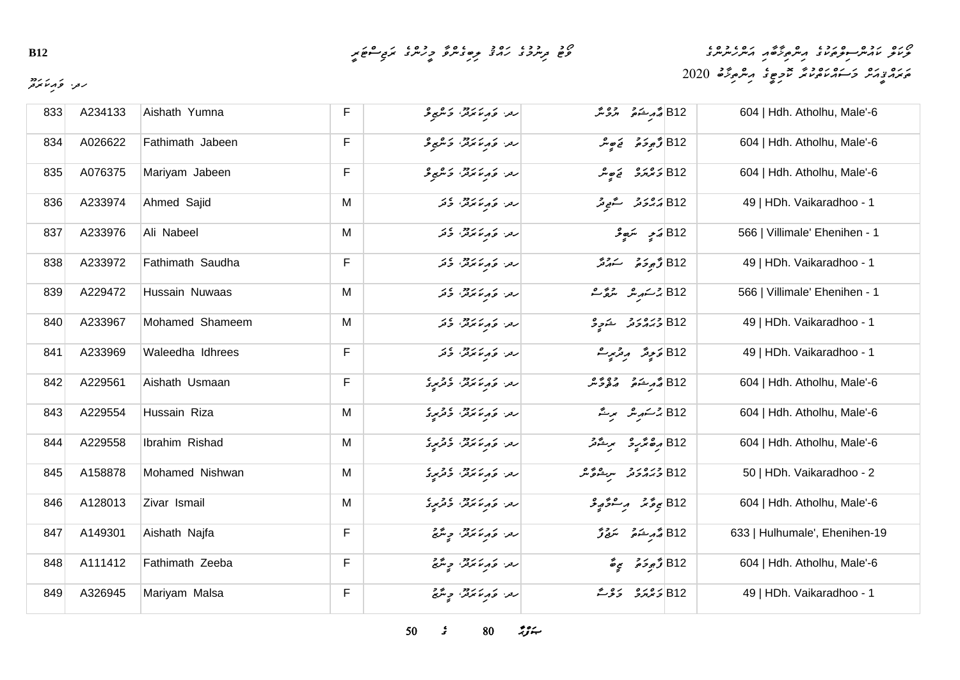*sCw7q7s5w7m< o<n9nOoAw7o< sCq;mAwBoEw7q<m; wBm;vB* م من المرة المرة المرة المرجع المرجع في المركبة 2020<br>مجم*د المريض المربوط المربع المرجع في المراجع المركبة* 

|  | ,,,,<br>ردر ومسعرم |  |
|--|--------------------|--|
|--|--------------------|--|

| 833 | A234133 | Aishath Yumna    | F | رىر. ئەرىكىگە ئەسىم ئ    | B12 مۇم شۇم ھەر ھەر                    | 604   Hdh. Atholhu, Male'-6   |
|-----|---------|------------------|---|--------------------------|----------------------------------------|-------------------------------|
| 834 | A026622 | Fathimath Jabeen | F | رىر. ئەرىكتىرلىق، ئەشھۇ  | B12 تَ <i>موحَ</i> مُ يَصِمُّر         | 604   Hdh. Atholhu, Male'-6   |
| 835 | A076375 | Mariyam Jabeen   | F | رىر. ئەرىئەترىش، ئەشھى ئ | B12 كەبىر كىم ئەھ                      | 604   Hdh. Atholhu, Male'-6   |
| 836 | A233974 | Ahmed Sajid      | M | رى قەرىكەن ۋى            | B12 كەنزى قىر سىگە يەتر                | 49   HDh. Vaikaradhoo - 1     |
| 837 | A233976 | Ali Nabeel       | M | رى قەرىكى 32 قىل         | B12 <i>۾َ جِ</i> سَھِوَ                | 566   Villimale' Ehenihen - 1 |
| 838 | A233972 | Fathimath Saudha | F | رى قەرىكى 32 كى          | B12 رَّجِ دَمَرَ مَسَرَمَّرٌ           | 49   HDh. Vaikaradhoo - 1     |
| 839 | A229472 | Hussain Nuwaas   | M | رى ئەرىكەن ۋىر           | B12 برڪ <i>مبرنگ سرگا</i> شگ           | 566   Villimale' Ehenihen - 1 |
| 840 | A233967 | Mohamed Shameem  | M | رى قەرىكەن ۋى            | B12 <i>\$ \$ \$ \$ \$ \$ \$</i> B12    | 49   HDh. Vaikaradhoo - 1     |
| 841 | A233969 | Waleedha Idhrees | F | رىن ئەرىكەت ئەتر         | B12 حَرِيمٌ مِتْرَمِرِ مَ              | 49   HDh. Vaikaradhoo - 1     |
| 842 | A229561 | Aishath Usmaan   | F | رفر که ما برود د و د     | B12 مەم شەھ مەھمەتىر                   | 604   Hdh. Atholhu, Male'-6   |
| 843 | A229554 | Hussain Riza     | M | رى ئەرىكى ئەرى           | B12 پر کے ہر میر سمبر تھ               | 604   Hdh. Atholhu, Male'-6   |
| 844 | A229558 | Ibrahim Rishad   | M | رو. ئەرىئىرو ، ئەرىرى    | B12 م <i>وڭ مگرى</i> رى موشۇن <i>ز</i> | 604   Hdh. Atholhu, Male'-6   |
| 845 | A158878 | Mohamed Nishwan  | M | رى ئەرىكى ئەرى           | B12 <i>وبروبرو</i> سرشوشر              | 50   HDh. Vaikaradhoo - 2     |
| 846 | A128013 | Zivar Ismail     | M | رو. ئەرىئەتكە ئەترىرى    | B12 ىوڭرىمە ب <i>وشۇم</i> وش           | 604   Hdh. Atholhu, Male'-6   |
| 847 | A149301 | Aishath Najfa    | F | رىر. ئەرىئەتكە ج ئىگ     | B12 مەم ئىقى ئىقى ئىككى ئى             | 633   Hulhumale', Ehenihen-19 |
| 848 | A111412 | Fathimath Zeeba  | F | رى ئەرىئەرە بەشى         | B12 تُهِ <i>جَهُ</i> بِي               | 604   Hdh. Atholhu, Male'-6   |
| 849 | A326945 | Mariyam Malsa    | F | رىر. ئەرىئەتكە چەشى      | B12 ىزىر ئىمى ئىم                      | 49   HDh. Vaikaradhoo - 1     |

 $50$  *s*  $\frac{2}{3}$  **80** *n***<sub>3</sub>** *n*<sub>3</sub> *n*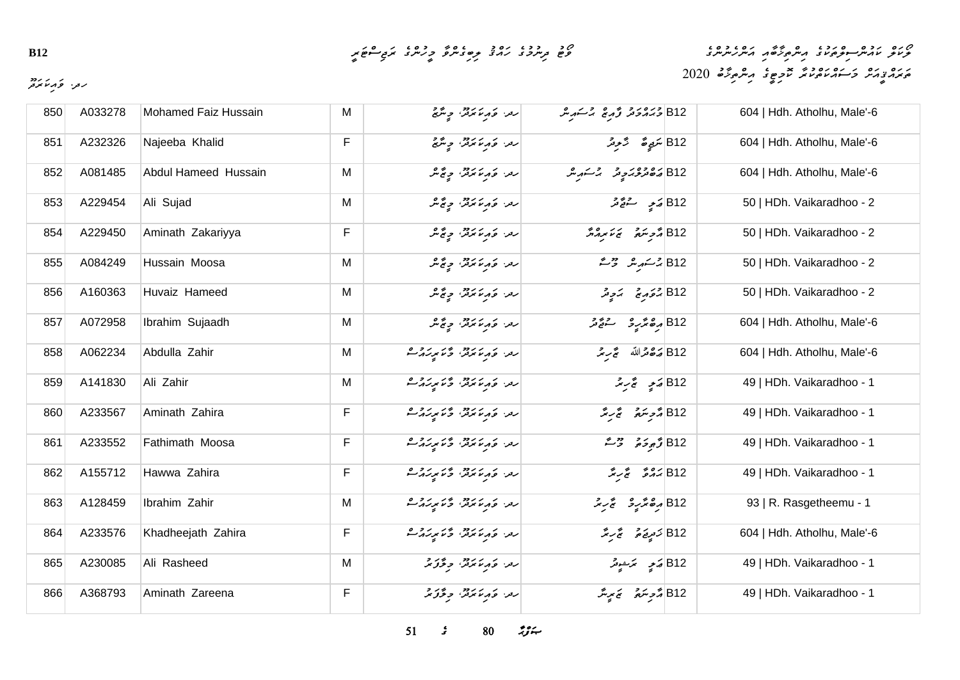*sCw7q7s5w7m< o<n9nOoAw7o< sCq;mAwBoEw7q<m; wBm;vB* م من المرة المرة المرة المرجع المرجع في المركبة 2020<br>مجم*د المريض المربوط المربع المرجع في المراجع المركبة* 

| $\overline{\phantom{a}}$ | ردر ومسعر |  |
|--------------------------|-----------|--|
|                          |           |  |

| 850 | A033278 | Mohamed Faiz Hussain | M | رىر. ئۇرىئەتكەش، جەنگىج       | B12 <i>وبرووند ؤم</i> ع بر منه ش             | 604   Hdh. Atholhu, Male'-6 |
|-----|---------|----------------------|---|-------------------------------|----------------------------------------------|-----------------------------|
| 851 | A232326 | Najeeba Khalid       | F | رىر. ئەرىئىرتى چاشى           | B12  شَهِرَة = شَعِرْتْر                     | 604   Hdh. Atholhu, Male'-6 |
| 852 | A081485 | Abdul Hameed Hussain | M | رىدا ئەرىئەتكە بەلچ ئى        | B12 كەھەر <i>3 جىن بىر شەر بىر</i>           | 604   Hdh. Atholhu, Male'-6 |
| 853 | A229454 | Ali Sujad            | M | رىن ئەرىئەتكە ج#ئى            | B12 <sub>ه</sub> ُ مٍ سُمَّةٍ مُّر           | 50   HDh. Vaikaradhoo - 2   |
| 854 | A229450 | Aminath Zakariyya    | F | رىن ئەرىئەتكە چەھ ب           | B12 أَمَّ حِسَمَةً بِمَ مَعرفَهُ مَنْ        | 50   HDh. Vaikaradhoo - 2   |
| 855 | A084249 | Hussain Moosa        | M | رىن ئەرىئەتكە ج#ئى            | B12 پر شہر شرح تی ہے۔<br>م                   | 50   HDh. Vaikaradhoo - 2   |
| 856 | A160363 | Huvaiz Hameed        | M | رىن ئەرىئەتكە چەھ ك           | B12 برْحَ بِي بَرْجِ مَرْ                    | 50   HDh. Vaikaradhoo - 2   |
| 857 | A072958 | Ibrahim Sujaadh      | M | رىن ئەرىئەتكە ج#ئى            | B12 مەھمەر 2 مىق مىق                         | 604   Hdh. Atholhu, Male'-6 |
| 858 | A062234 | Abdulla Zahir        | M | رىن ئەرىكىرى ئالماردى         | B12 مَەھتراللە مەرىخ                         | 604   Hdh. Atholhu, Male'-6 |
| 859 | A141830 | Ali Zahir            | M | رىن ئەرىكىرى ئەسىرىدە ئ       | B12 <i>ھَ۔</i> پچ رِ پچ                      | 49   HDh. Vaikaradhoo - 1   |
| 860 | A233567 | Aminath Zahira       | F | رىن ئەرىئەتدىن ئەسىرىدە ئ     | B12 مُرْحِبِّيْهُ كَمَّ سِمَّ                | 49   HDh. Vaikaradhoo - 1   |
| 861 | A233552 | Fathimath Moosa      | F | رى ئەرىكى ئەس بردۇ            | B12 رَّ <sub>جِ ح</sub> َثَّرُ حَمَّ         | 49   HDh. Vaikaradhoo - 1   |
| 862 | A155712 | Hawwa Zahira         | F | رى ئەرىكىلى ئىكىرىمى          | B12 بَرْدُمَّ گَمْ بِنَّر                    | 49   HDh. Vaikaradhoo - 1   |
| 863 | A128459 | Ibrahim Zahir        | M | رىن ئەرىئەتدىن ئەسىرىدە ئ     | B12 مەھمگەپە تەرىمە                          | 93   R. Rasgetheemu - 1     |
| 864 | A233576 | Khadheejath Zahira   | F | رىر. ئەرىئەترى، ئەكتەپرىر ئەت | B12 كَرْمِرِيَرْ هُمْ مَتَّ سِمَّدُ          | 604   Hdh. Atholhu, Male'-6 |
| 865 | A230085 | Ali Rasheed          | M | رىر ئەرىئىرتى دۇۋىر           | B12 <i>جَرْمٍ</i> - مَرْشِ <sub>و</sub> مَرُ | 49   HDh. Vaikaradhoo - 1   |
| 866 | A368793 | Aminath Zareena      | F | رى ئەرىئىرتى دۇرىم            | B12 مَّ حِسَمَ تَمَ سِتَّر                   | 49   HDh. Vaikaradhoo - 1   |

 $51$  *s*  $\frac{1}{2}$  80 *n***<sub>3</sub>** *n***<sub>1</sub>** *n***<sub>1</sub>**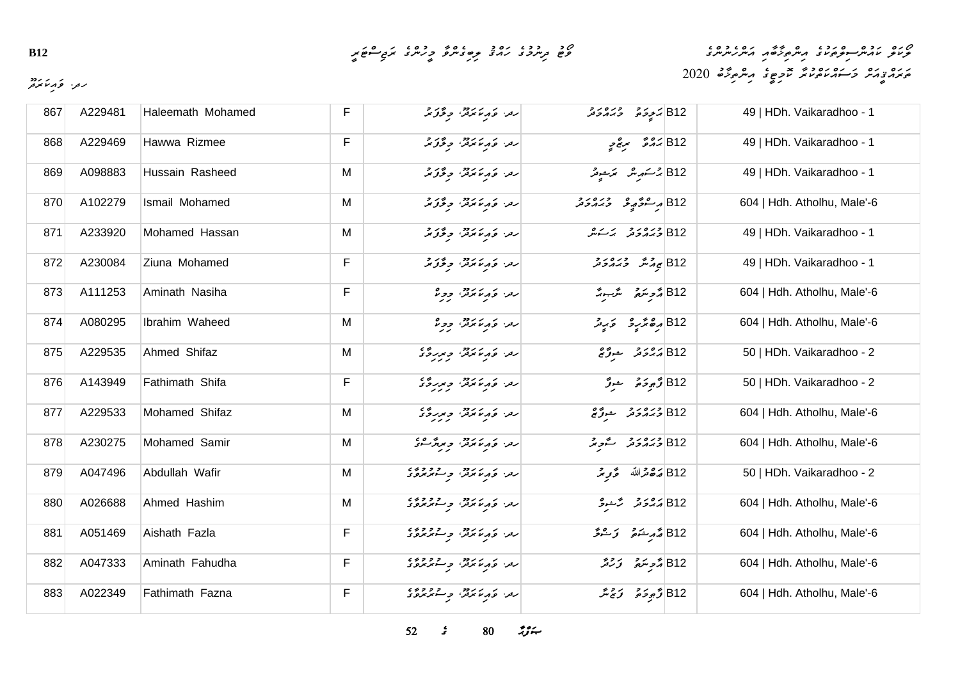*sCw7q7s5w7m< o<n9nOoAw7o< sCq;mAwBoEw7q<m; wBm;vB* م من المرة المرة المرة المرجع المرجع في المركبة 2020<br>مجم*د المريض المربوط المربع المرجع في المراجع المركبة* 

| $\overline{\phantom{a}}$<br>رد و مرحمر |  |
|----------------------------------------|--|
|----------------------------------------|--|

| 867 | A229481 | Haleemath Mohamed | $\mathsf{F}$ | رىر. ئەرىكىنىڭ جۇڭرىم         | B12  يَر <i>ْدِيَّةُ وَيَدْوَ</i> تْرُ          | 49   HDh. Vaikaradhoo - 1   |
|-----|---------|-------------------|--------------|-------------------------------|-------------------------------------------------|-----------------------------|
| 868 | A229469 | Hawwa Rizmee      | $\mathsf{F}$ | رىر ئەرىكىنىڭ جەنزىر          | B12 <i>بَدُوُوَّة بِرِي</i> ْحِ بِهِ            | 49   HDh. Vaikaradhoo - 1   |
| 869 | A098883 | Hussain Rasheed   | M            | رى ئەرىئىرتى جۇزىر            |                                                 | 49   HDh. Vaikaradhoo - 1   |
| 870 | A102279 | Ismail Mohamed    | M            | رى ئەرىكى بۇرگە               | B12 م سىر <i>ۇرى</i> ئىقمى ئىرىم                | 604   Hdh. Atholhu, Male'-6 |
| 871 | A233920 | Mohamed Hassan    | M            | رى ئەرىئىرتى جۇزىر            | B12 <i>\$ \$ \$ \$ \$ \$</i> B12                | 49   HDh. Vaikaradhoo - 1   |
| 872 | A230084 | Ziuna Mohamed     | $\mathsf F$  | رى ئەرىكى بۇرگە               | B12 ىې تەشىر بەقەتمەتىر                         | 49   HDh. Vaikaradhoo - 1   |
| 873 | A111253 | Aminath Nasiha    | $\mathsf{F}$ | رى قەرىكى بەر جوڭ             | B12 مُّ مِ مَمْ مُّ مُّ مِنْ مِنْ مُّ مِنْ مِنْ | 604   Hdh. Atholhu, Male'-6 |
| 874 | A080295 | Ibrahim Waheed    | M            | رو. قهرتم بردو. وولا          | B12 م <i>وڭ ئۇرۇھ كەيد</i>                      | 604   Hdh. Atholhu, Male'-6 |
| 875 | A229535 | Ahmed Shifaz      | M            | رو. وَرِسَمَوْرُ، وِبِرِروْدُ | B12 كەش <i>رى ئىبەنى</i> تى                     | 50   HDh. Vaikaradhoo - 2   |
| 876 | A143949 | Fathimath Shifa   | $\mathsf{F}$ | رو. ەرىئەتە دىرىدى            | B12 <i>وُجوحَة</i> شِع <i>ِرٌ</i>               | 50   HDh. Vaikaradhoo - 2   |
| 877 | A229533 | Mohamed Shifaz    | M            | رى ئەرىكى ئەسرى               | B12 <i>جەممى ھىرى ئىبوقى</i>                    | 604   Hdh. Atholhu, Male'-6 |
| 878 | A230275 | Mohamed Samir     | M            | رورا أورا أودوا والإرادان     | B12  <i>3،5% مدَّوبرُ</i>                       | 604   Hdh. Atholhu, Male'-6 |
| 879 | A047496 | Abdullah Wafir    | M            | رود تورید دو در دوره و        | B12 مَەھتراللە ئ <sub>ۇم</sub> تر               | 50   HDh. Vaikaradhoo - 2   |
| 880 | A026688 | Ahmed Hashim      | M            | رد. وگرماندور، و مشهورهای     | B12 <i>مَدْدَ</i> مْ گَسْوَ                     | 604   Hdh. Atholhu, Male'-6 |
| 881 | A051469 | Aishath Fazla     | $\mathsf F$  | رود توریم بردد. و متر بروی    | B12 مەم ئەشقى ئەرىقىمىتىكى<br>12.               | 604   Hdh. Atholhu, Male'-6 |
| 882 | A047333 | Aminath Fahudha   | $\mathsf F$  | رود و در دو در دو دوه         | B12 مُرْحِسَمُ وَرَمَّدُ                        | 604   Hdh. Atholhu, Male'-6 |
| 883 | A022349 | Fathimath Fazna   | F            | رد و در دو و دود د            | B12 تَ <i>مِوحَمْ     تَ</i> مِّسَّر            | 604   Hdh. Atholhu, Male'-6 |

 $52$  *s*  $\frac{2}{3}$  **80** *n***<sub>3</sub>** *n***<sub>1</sub> <b>***n*<sub>2</sub> *n*<sub>2</sub> *n*<sub>2</sub> *n*<sub>2</sub> *n*<sub>2</sub> *n*<sub>2</sub> *n*<sub>2</sub> *n*<sub>2</sub> *n*<sub>2</sub> *n*<sub>2</sub> *n*<sub>2</sub> *n*<sub>2</sub> *n*<sub>2</sub> *n*<sub>2</sub> *n*<sub>2</sub> *n*<sub>2</sub> *n*<sub>2</sub> *n*<sub>2</sub> *n*<sub>2</sub> *n*<sub>2</sub>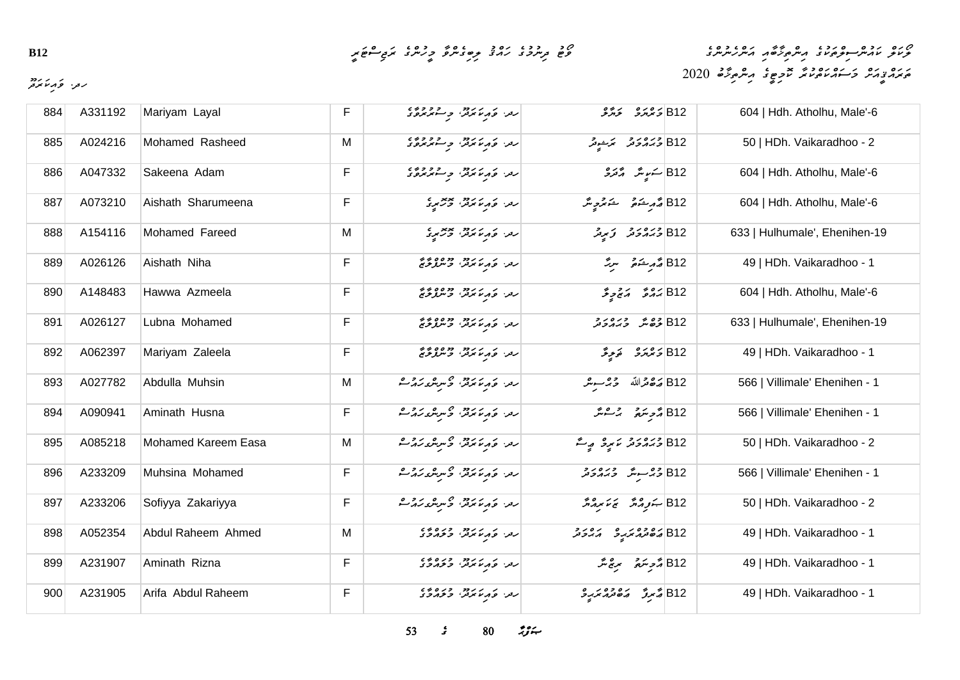*sCw7q7s5w7m< o<n9nOoAw7o< sCq;mAwBoEw7q<m; wBm;vB* r 1020*° مرد و حروره و به حروج و مرش مردم قرار 2020*<br>م<sub>وسم</sub> پر تر تر استرد مردم مردم است

| 884 | A331192 | Mariyam Layal       | F | رتدا که ماندود او د دوره د                                             | B12 <i>ويوپرو ويرو</i>                  | 604   Hdh. Atholhu, Male'-6   |
|-----|---------|---------------------|---|------------------------------------------------------------------------|-----------------------------------------|-------------------------------|
| 885 | A024216 | Mohamed Rasheed     | M | رو. نوم ما مردد و مشهوره و د                                           | B12  <i>3225 تىل م</i> ىشى <i>م</i> ى   | 50   HDh. Vaikaradhoo - 2     |
| 886 | A047332 | Sakeena Adam        | F | رو. نوم ما مردد و مشهوره و د                                           | B12 سَمبِ مَگْر مَرْتَدَدْ              | 604   Hdh. Atholhu, Male'-6   |
| 887 | A073210 | Aishath Sharumeena  | F | رور كرم بردد الجديدي                                                   | B12 م <i>ەمبىغى ھەممى</i> چە            | 604   Hdh. Atholhu, Male'-6   |
| 888 | A154116 | Mohamed Fareed      | M | رفر کرم تروژ بوری<br>رفر کرم ترفر و رسمی                               | B12 وَيَرْدُونَرْ كَرَمِيْرُ            | 633   Hulhumale', Ehenihen-19 |
| 889 | A026126 | Aishath Niha        | F | رى كەرىكى تەمەدە                                                       | B12 مُرمِشَعْ سِرَبَّہ                  | 49   HDh. Vaikaradhoo - 1     |
| 890 | A148483 | Hawwa Azmeela       | F | תנקי האת מדינות בית גבוה<br>תנקי האת מדינקי האת האת ביה                | B12 بَرْدُوْ   بَرْجُ وِ وَّ            | 604   Hdh. Atholhu, Male'-6   |
| 891 | A026127 | Lubna Mohamed       | F | رىر كەر كەن دە 2000.                                                   | B12 توھ شہد تر دیگر دیگر                | 633   Hulhumale', Ehenihen-19 |
| 892 | A062397 | Mariyam Zaleela     | F | גנגי <sub>פא</sub> נגיד דיינדים.<br>גנגי פאנגידי ביינד <del>י</del> בה | B12 كەنگەر ئۇم ئۇم                      | 49   HDh. Vaikaradhoo - 1     |
| 893 | A027782 | Abdulla Muhsin      | M | תני פת מינגי ליתיילו בלגם                                              | B12 كەھەراللە ئەربە ئىرىدىش             | 566   Villimale' Ehenihen - 1 |
| 894 | A090941 | Aminath Husna       | F | رىن ئەرىئەتكى ئەس ئەر ئەھ                                              | B12 مَّ حِسَمَة مَّ سَسَّرَّ            | 566   Villimale' Ehenihen - 1 |
| 895 | A085218 | Mohamed Kareem Easa | M | رىن ئەرىكىرى ئەس ئەر ئ                                                 | B12 <i>ڈیزون</i> و ریکو <sub>جی</sub> ٹ | 50   HDh. Vaikaradhoo - 2     |
| 896 | A233209 | Muhsina Mohamed     | F | رىن ئەرىئەتكى ئەس ئەر ئە                                               | B12 دُيْرَ سِبْرٌ وَبَرْدُونْر          | 566   Villimale' Ehenihen - 1 |
| 897 | A233206 | Sofiyya Zakariyya   | F | رى ئەرىكىلىق كەس كەر ئ                                                 | B12 بەرەش ئەئىرىدەش                     | 50   HDh. Vaikaradhoo - 2     |
| 898 | A052354 | Abdul Raheem Ahmed  | M | رى ئەرىكى دەھ                                                          | B12 كەھە <i>تەمكىرى مەدە</i> تر         | 49   HDh. Vaikaradhoo - 1     |
| 899 | A231907 | Aminath Rizna       | F | رىر كەرىكى ئەرەپ                                                       | B12 مَّ حِبَّ مَعَ مِنْ مِنْ            | 49   HDh. Vaikaradhoo - 1     |
| 900 | A231905 | Arifa Abdul Raheem  | F | رى كەرىپەت دىرەپ،<br>رىن كەرىكى كەنتى كەنتى                            | B12 مەرق مەھىرمەترىدۇ                   | 49   HDh. Vaikaradhoo - 1     |

 $53$   $\cancel{5}$   $80$   $\cancel{5}$ 

ر<sub>قر</sub>. <sub>ق</sub>مرتمبرد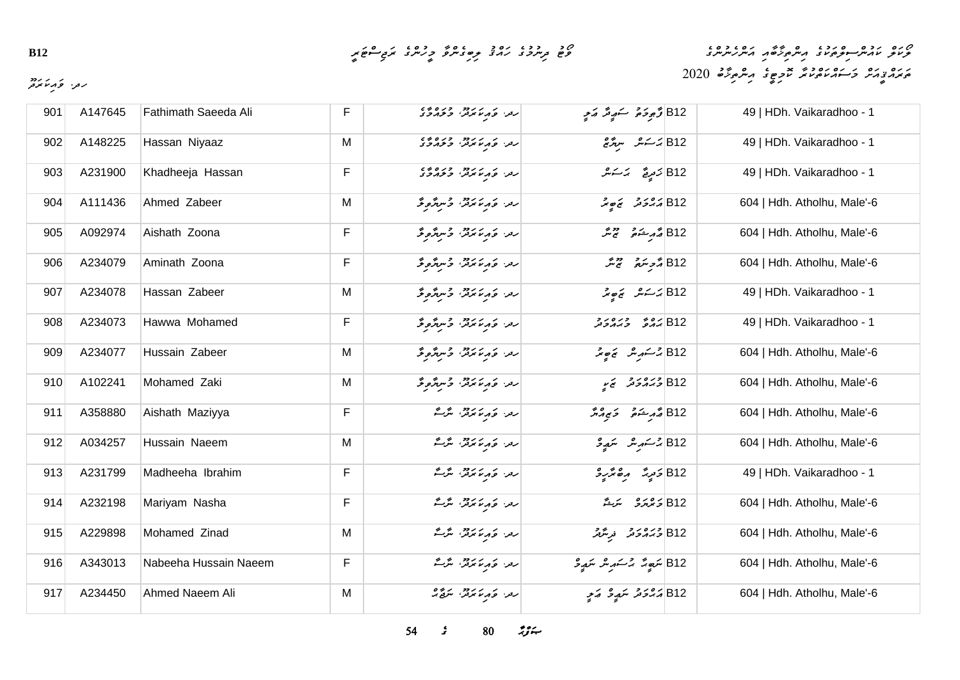*sCw7q7s5w7m< o<n9nOoAw7o< sCq;mAwBoEw7q<m; wBm;vB* م من المرة المرة المرة المرجع المرجع في المركبة 2020<br>مجم*د المريض المربوط المربع المرجع في المراجع المركبة* 

| $\overline{\phantom{a}}$ | ردر ومسعر |
|--------------------------|-----------|
|                          |           |

| 901 | A147645 | Fathimath Saeeda Ali  | F           | رى ئەرىكى دورەپ           | B12 <i>وَّجِ دَمَّةَ سَهِ مَّةً مَ</i> حِ     | 49   HDh. Vaikaradhoo - 1   |
|-----|---------|-----------------------|-------------|---------------------------|-----------------------------------------------|-----------------------------|
| 902 | A148225 | Hassan Niyaaz         | M           | رد که دکتر وره ده         | B12 ئەسەئىر س <i>ىرتى</i> چ                   | 49   HDh. Vaikaradhoo - 1   |
| 903 | A231900 | Khadheeja Hassan      | $\mathsf F$ | رود که دروه وره وه        | B12  كَتَمِيعٌ = كَدَسْرٌ                     | 49   HDh. Vaikaradhoo - 1   |
| 904 | A111436 | Ahmed Zabeer          | M           | رىر. ئەرىئەتكەن ئىس ئوق   | B12 كەنزى كىم ئىچە ئىگە                       | 604   Hdh. Atholhu, Male'-6 |
| 905 | A092974 | Aishath Zoona         | F           | رىر كەر كەنگەن كەسەگە ئ   | B12 گەم شىھ تى تىگە                           | 604   Hdh. Atholhu, Male'-6 |
| 906 | A234079 | Aminath Zoona         | $\mathsf F$ | رىر. ئەرىئەتكە ئەسەئەت    | B12 مُجْرِسَمُ مِنْ مَمْ                      | 604   Hdh. Atholhu, Male'-6 |
| 907 | A234078 | Hassan Zabeer         | M           | رىر. ئەرىئەتكەن ئەسەئەت ئ | B12 بزشکر ت <u>م</u> پر                       | 49   HDh. Vaikaradhoo - 1   |
| 908 | A234073 | Hawwa Mohamed         | F           | رىر. ئەرىئەتكە ئەسەئەپ    | B12 يَرْمَرُ حَرَمَ مِرْدَ مِرْ               | 49   HDh. Vaikaradhoo - 1   |
| 909 | A234077 | Hussain Zabeer        | M           | رىر. ئەرىئەتكە ئەسەئەت    | B12 برسكىرىنگە ئ <sub>ەھ</sub> مەتكە          | 604   Hdh. Atholhu, Male'-6 |
| 910 | A102241 | Mohamed Zaki          | M           | رىر كەر كەلگەن كەس گەنج   | B12 دېزونه تم                                 | 604   Hdh. Atholhu, Male'-6 |
| 911 | A358880 | Aishath Maziyya       | $\mathsf F$ | رىن ئەرىئەتكەن ئىرگ       | B12 مەم ئىققى ئىن ئارىم                       | 604   Hdh. Atholhu, Male'-6 |
| 912 | A034257 | Hussain Naeem         | M           | رىن ئەرىئەتەن ئارشى       | B12 پر <i>کمبر بل سکھ</i> وٹر                 | 604   Hdh. Atholhu, Male'-6 |
| 913 | A231799 | Madheeha Ibrahim      | F           | رىن ئەرىئەتكە ئەس         | B12  5مرِبَّۃ م <i>ِ رُهُ بَدْرٍ \$</i>       | 49   HDh. Vaikaradhoo - 1   |
| 914 | A232198 | Mariyam Nasha         | $\mathsf F$ | رىن ئەرىئەتەن ئارشى       | B12 وَ يُوْرُوْ - سَرْئَةُ                    | 604   Hdh. Atholhu, Male'-6 |
| 915 | A229898 | Mohamed Zinad         | M           | رىن ئەرىئەتەن ئارشى       | B12  <i>3،525 توسطين</i> گر                   | 604   Hdh. Atholhu, Male'-6 |
| 916 | A343013 | Nabeeha Hussain Naeem | $\mathsf F$ | رىن ئەرىئەترىن ئارگ       | B12 ى <i>نھ<sup>ې</sup>ڭ بۇستىرىش بىنى</i> پى | 604   Hdh. Atholhu, Male'-6 |
| 917 | A234450 | Ahmed Naeem Ali       | M           | رو. ئەرىئەروم. ئىرقى      | B12 كەبرى تىر ئىچە ئىچ                        | 604   Hdh. Atholhu, Male'-6 |

 $54$   $5$   $80$   $\frac{2}{3}$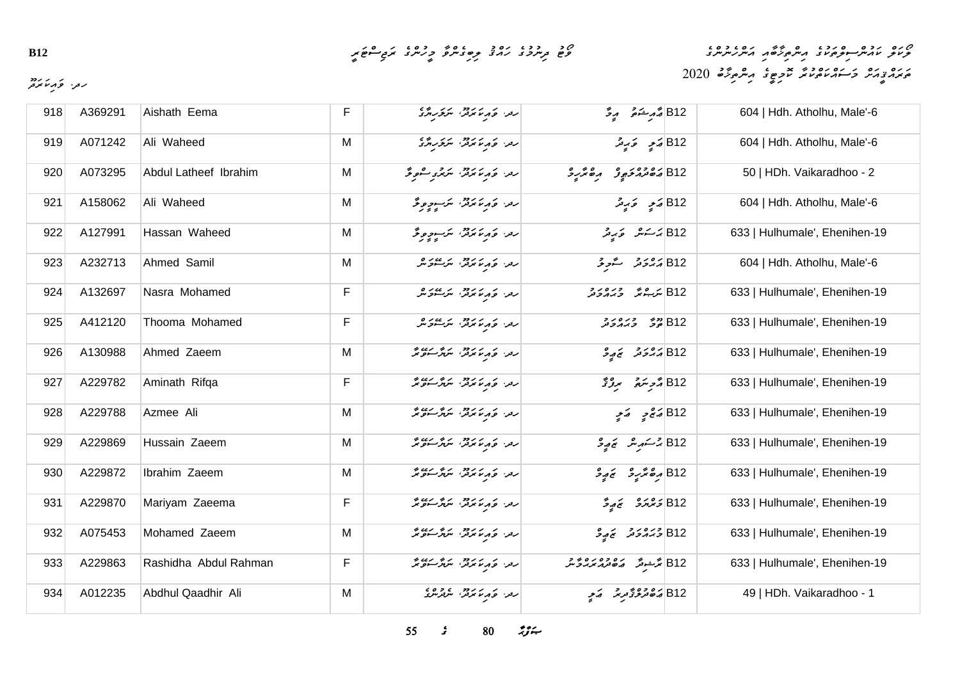*sCw7q7s5w7m< o<n9nOoAw7o< sCq;mAwBoEw7q<m; wBm;vB* م من المرة المرة المرة المرجع المرجع في المركبة 2020<br>مجم*د المريض المربوط المربع المرجع في المراجع المركبة* 

| $22 \times 10^{-1}$<br>بردر ومنعرم |  |
|------------------------------------|--|
|------------------------------------|--|

| 918 | A369291 | Aishath Eema          | $\mathsf F$ | رو. ئەرىئەتكە ئىگەرلىرى                                          | B12 مُەمشەم مەم                                                                                       | 604   Hdh. Atholhu, Male'-6   |
|-----|---------|-----------------------|-------------|------------------------------------------------------------------|-------------------------------------------------------------------------------------------------------|-------------------------------|
| 919 | A071242 | Ali Waheed            | M           | رى ئەرىكى ئىگەرگە                                                | B12 صَعِ حَدِيثَر                                                                                     | 604   Hdh. Atholhu, Male'-6   |
| 920 | A073295 | Abdul Latheef Ibrahim | M           | رىر ئەرىكى ئەرەپ ئىرىمى ئەرگە                                    | B12 كەھىركە <i>خور بەھتگى</i> ر 3                                                                     | 50   HDh. Vaikaradhoo - 2     |
| 921 | A158062 | Ali Waheed            | M           | رىر ئەرىئەندىن سەسور ئ                                           | B12 <i>مَيْ وَبِ</i> قْر                                                                              | 604   Hdh. Atholhu, Male'-6   |
| 922 | A127991 | Hassan Waheed         | M           | رىر ئەرىئەتكە ئىرسوپەتى                                          | B12  يزستر - مَ يرتر                                                                                  | 633   Hulhumale', Ehenihen-19 |
| 923 | A232713 | Ahmed Samil           | M           | رىر كەر كەيرى كەسىر كەر ھ                                        | B12 كەنزى قىرىقى سىگەنى                                                                               | 604   Hdh. Atholhu, Male'-6   |
| 924 | A132697 | Nasra Mohamed         | F           | رىر كەر كەن كەن كەن ھ                                            | B12 يترب محمد ورە دىر                                                                                 | 633   Hulhumale', Ehenihen-19 |
| 925 | A412120 | Thooma Mohamed        | $\mathsf F$ | رىر كەر كەن كەن كەن ھ                                            | B12 جونو جي دورو                                                                                      | 633   Hulhumale', Ehenihen-19 |
| 926 | A130988 | Ahmed Zaeem           | M           | תנגי פת מיותני ומות המיות.<br>תנגי פת מיותני ומות היפיות         | B12 كەنزى كىم يىقى ئاراسىتى ئاراسىتى ئاراسىتى ئاراسىتى ئاراسىتى ئاراسىتى ئاراسىتى ئاراسىتى ئاراسىتى ك | 633   Hulhumale', Ehenihen-19 |
| 927 | A229782 | Aminath Rifqa         | F           | תנגי פת מיותני ומות המיות.<br>תנגי פת מיותני ומות היפיות         | B12 مُوسَمَّة مِرْدَةً                                                                                | 633   Hulhumale', Ehenihen-19 |
| 928 | A229788 | Azmee Ali             | M           | תו פת מיותר ומוצא המי י                                          | B12 <i>ڇپ<sup>ي</sup> جي ج</i> ي                                                                      | 633   Hulhumale', Ehenihen-19 |
| 929 | A229869 | Hussain Zaeem         | M           | תבני פאת מצבני ימות המי מ                                        | B12 برُسَمبر بھ پچ <sub>م</sub> وٹر                                                                   | 633   Hulhumale', Ehenihen-19 |
| 930 | A229872 | Ibrahim Zaeem         | M           | תנגי פת מיותני ומות השיית.<br>תנגי פת מיותני ומות היפיות         | B12 مەھمگىيە تىم مەم                                                                                  | 633   Hulhumale', Ehenihen-19 |
| 931 | A229870 | Mariyam Zaeema        | F           | תנגי פת מיותני ומות השיית.<br>תנגי פת מיותני ומות היפיות         | B12 <i>قىرىڭ تەم</i> ۇ                                                                                | 633   Hulhumale', Ehenihen-19 |
| 932 | A075453 | Mohamed Zaeem         | M           | תבני פאת מיביק מיות המים יביק.<br>תבני פאת מיותכתי ייתול היפיית. | B12 <i>جەممىقىلى</i> ئەرەبى                                                                           | 633   Hulhumale', Ehenihen-19 |
| 933 | A229863 | Rashidha Abdul Rahman | $\mathsf F$ | געי פת מיתבי ייתור ישיבית                                        | B12 ترجوتر مەھ <i>ىرمەمەدە</i> تر                                                                     | 633   Hulhumale', Ehenihen-19 |
| 934 | A012235 | Abdhul Qaadhir Ali    | M           | رىر كەرىكى ئەرەپىيە                                              | B12  رەۋەترىۋ <sup>ى</sup> تىرىتى كەمچ                                                                | 49   HDh. Vaikaradhoo - 1     |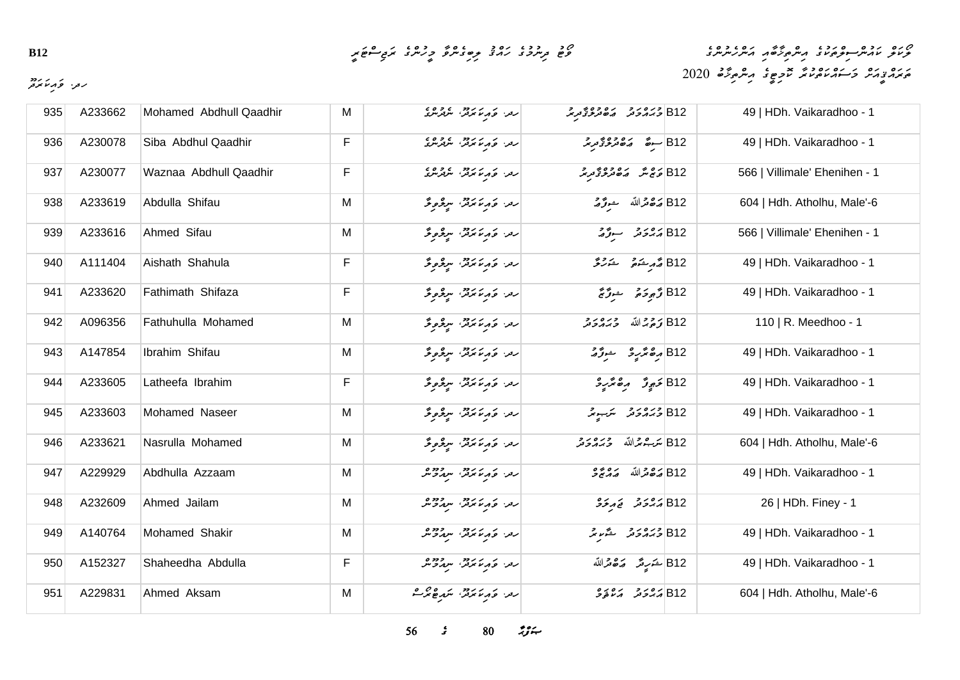*sCw7q7s5w7m< o<n9nOoAw7o< sCq;mAwBoEw7q<m; wBm;vB* م من المرة المرة المرة المرجع المرجع في المركبة 2020<br>مجم*د المريض المربوط المربع المرجع في المراجع المركبة* 

| 2200000 |  |            |
|---------|--|------------|
|         |  | ردر ومسعرم |
|         |  |            |

| 935 | A233662 | Mohamed Abdhull Qaadhir | M           | رى ئەرىكىگە ئەدە ئ            | B12 <i>جەمەدە مەھەرەپى</i> ر                                | 49   HDh. Vaikaradhoo - 1     |
|-----|---------|-------------------------|-------------|-------------------------------|-------------------------------------------------------------|-------------------------------|
| 936 | A230078 | Siba Abdhul Qaadhir     | $\mathsf F$ | رى ئەرىردە ئەدە ئ             | B12 سەھ مەھەرىرىتى بىرىتى                                   | 49   HDh. Vaikaradhoo - 1     |
| 937 | A230077 | Waznaa Abdhull Qaadhir  | $\mathsf F$ | رو. نەر ئەتەر. ئەمەر          | B12 كۆڭ شەھ قىزىر تىرىتى                                    | 566   Villimale' Ehenihen - 1 |
| 938 | A233619 | Abdulla Shifau          | M           | رىر. ئەرىئەتكەش سربۇرگ        | B12 مَرْحُمْرَ اللّه شَوَرَّ مُ                             | 604   Hdh. Atholhu, Male'-6   |
| 939 | A233616 | Ahmed Sifau             | M           | رىر. ئەرىئەتكە ، سرگەن ئى     | B12 كەنزى سو <i>ۋە</i>                                      | 566   Villimale' Ehenihen - 1 |
| 940 | A111404 | Aishath Shahula         | F           | رىر. ئەرىئەتكە ، سرگەن ئى     | B12 مَّ مِشَمَّ شَرْكَة ۖ                                   | 49   HDh. Vaikaradhoo - 1     |
| 941 | A233620 | Fathimath Shifaza       | $\mathsf F$ | رىر ئەرىئەتكە سرگەنگ          | B12 رَّجِ حَمَّى ۖ حَبِّرَتَّىَ                             | 49   HDh. Vaikaradhoo - 1     |
| 942 | A096356 | Fathuhulla Mohamed      | M           | رىر. ئەرىئەتكە ، سرگەن گ      | B12 وَحْرَمْ اللّه وَبَرْحُرْمَرْ                           | 110   R. Meedhoo - 1          |
| 943 | A147854 | Ibrahim Shifau          | M           | رىر. ئەرىئەتكە ، سرگەنگ       | B12 م <i>وڭ مگرى</i> ھەر <i>گە</i>                          | 49   HDh. Vaikaradhoo - 1     |
| 944 | A233605 | Latheefa Ibrahim        | F           | رىر. ئەرىئەتكە ، سرگەن ئى     | B12 كَرَبِي وَ مُرْصَمَّرِيْتَ الْمَرْسَمَةِ مِنْ الْمَرْسَ | 49   HDh. Vaikaradhoo - 1     |
| 945 | A233603 | Mohamed Naseer          | M           | رىر. ئەرىئەتكە ئېربۇرۇ        | B12  <i>وټرونو تربې</i> ر                                   | 49   HDh. Vaikaradhoo - 1     |
| 946 | A233621 | Nasrulla Mohamed        | M           | رىر. ئەرىئەترىق، سرچرىرىگە    | B12 يَرْبُ مِمْرالله حَ بَرْ وَجَرَفَرْ                     | 604   Hdh. Atholhu, Male'-6   |
| 947 | A229929 | Abdhulla Azzaam         | M           | געי פֿגַע מלכני ייטגבית       | B12 مَەمْراللە مَ <i>مْرَىنْ</i> ح                          | 49   HDh. Vaikaradhoo - 1     |
| 948 | A232609 | Ahmed Jailam            | M           | رى ئەرىكى سەدە ھ              | B12 كەنزى قىم ئىكى ئىل                                      | 26   HDh. Finey - 1           |
| 949 | A140764 | Mohamed Shakir          | M           | געי פאנט ציצי ייט <i>גביי</i> | B12 <i>جەنە دىنى</i> ئىقرىم                                 | 49   HDh. Vaikaradhoo - 1     |
| 950 | A152327 | Shaheedha Abdulla       | $\mathsf F$ | رى ئەرىكى سەدە ھ              | B12 خَرَبِتَمَّ     رَصُحْرَاللَّه                          | 49   HDh. Vaikaradhoo - 1     |
| 951 | A229831 | Ahmed Aksam             | M           | תעי פֿתְעֹצְבּי "תַתְפַּצִּת  | $3322$ $-222$ $-812$                                        | 604   Hdh. Atholhu, Male'-6   |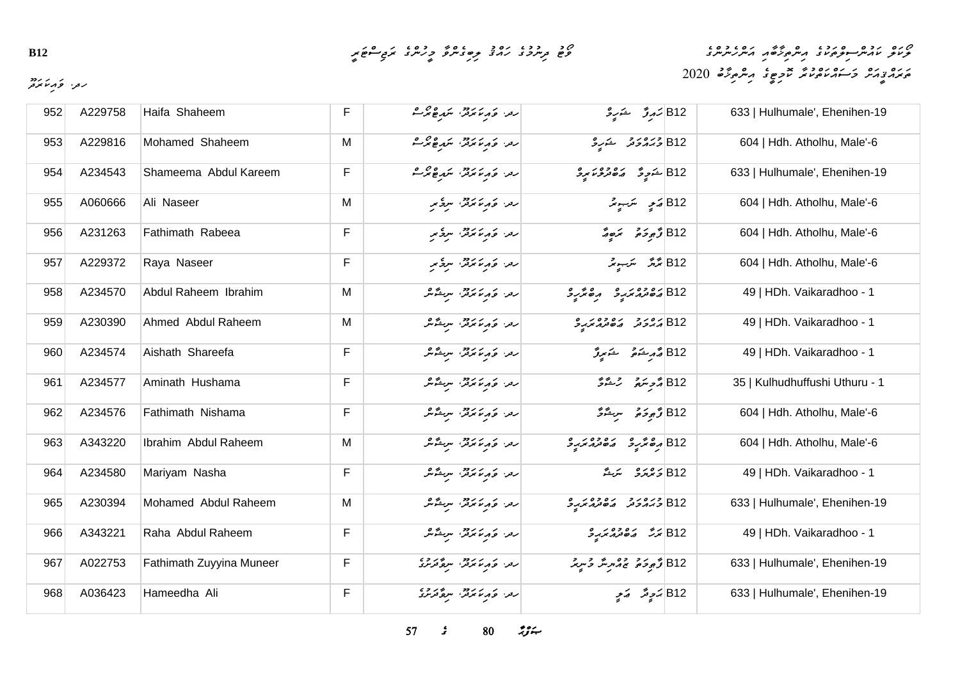*sCw7q7s5w7m< o<n9nOoAw7o< sCq;mAwBoEw7q<m; wBm;vB* م من المرة المرة المرة المرجع المرجع في المركبة 2020<br>مجم*د المريض المربوط المربع المرجع في المراجع المركبة* 

| 22 / 12 |  | ردر ومسمر |
|---------|--|-----------|
|         |  |           |

| 952 | A229758 | Haifa Shaheem            | $\mathsf F$  | رى ئەرىر بەدە شەھ بەت       | B12  رَ <sub>م</sub> ِرٌ شَرِدْ                       | 633   Hulhumale', Ehenihen-19  |
|-----|---------|--------------------------|--------------|-----------------------------|-------------------------------------------------------|--------------------------------|
| 953 | A229816 | Mohamed Shaheem          | M            | תעי פֿתְעֹצְבּי "תַתְפּית - | B12  <i>3،25 مىڭ مۇر</i> 3                            | 604   Hdh. Atholhu, Male'-6    |
| 954 | A234543 | Shameema Abdul Kareem    | $\mathsf F$  | תני פתיו זני יתגם זרים      | B12 خورتم مەھەر <i>ى مو</i> دى                        | 633   Hulhumale', Ehenihen-19  |
| 955 | A060666 | Ali Naseer               | M            | رى ئەرىئەتكە سىڭ بىر        | B12 <i>مکمی</i> مگرسومگر                              | 604   Hdh. Atholhu, Male'-6    |
| 956 | A231263 | Fathimath Rabeea         | $\mathsf{F}$ | رىن ئەرىئەتكە سىۋىر         | B12 <i>وُّجِوَدَةُ</i> بَرَم <i>وةُ</i>               | 604   Hdh. Atholhu, Male'-6    |
| 957 | A229372 | Raya Naseer              | $\mathsf F$  | رىن ئەرىئەتكە سرگە بىر      | B12 مُرَبَّرٌ مَرْسِوِمُرٌ                            | 604   Hdh. Atholhu, Male'-6    |
| 958 | A234570 | Abdul Raheem Ibrahim     | M            | رىر. ئەرىئەترىش. سرىشەش     | B12 كەھەممەر قەھمەر ق                                 | 49   HDh. Vaikaradhoo - 1      |
| 959 | A230390 | Ahmed Abdul Raheem       | M            | رىر كەرلەكتى، سرىشەش        | B12 ג׳כנג ג׳פנג׳ב, 2                                  | 49   HDh. Vaikaradhoo - 1      |
| 960 | A234574 | Aishath Shareefa         | F            | رىر كەرلەكتى، سرىشەش        | B12 مَگْرِسْتَمْ شَمْرِتَرْ                           | 49   HDh. Vaikaradhoo - 1      |
| 961 | A234577 | Aminath Hushama          | $\mathsf{F}$ | رىر. ئەرىئەتكەر سرىشەش      | B12 مَّ مِسَمَّ رَّحْدً                               | 35   Kulhudhuffushi Uthuru - 1 |
| 962 | A234576 | Fathimath Nishama        | $\mathsf F$  | رىر كەرلەتكەن سرىشەش        | B12 رَّجِ دَمَّ سِيشَرَّ                              | 604   Hdh. Atholhu, Male'-6    |
| 963 | A343220 | Ibrahim Abdul Raheem     | M            | رىر كەرلەتكەن سرىشەش        | B12 مەھمىر بەر مەمدە ئەرەبىر 3                        | 604   Hdh. Atholhu, Male'-6    |
| 964 | A234580 | Mariyam Nasha            | $\mathsf F$  | رىر. ئەرىكىرىش سېشكىر       | B12 وَيُرْبَرُوْ - بَرْبِتْهُ                         | 49   HDh. Vaikaradhoo - 1      |
| 965 | A230394 | Mohamed Abdul Raheem     | M            | رىر ئەرىئەتكەش سەھەش        | B12 32025 رەمەر ئىربى                                 | 633   Hulhumale', Ehenihen-19  |
| 966 | A343221 | Raha Abdul Raheem        | F            | رىر. ئەرىئەترىش، سرىشەش     | B12 يَرَرُّ مَ صَ <i>وْمُ يَرْبُ</i> رِ 3             | 49   HDh. Vaikaradhoo - 1      |
| 967 | A022753 | Fathimath Zuyyina Muneer | $\mathsf F$  | رىر ئەرىئەترىش سەھ تىرىرى   | B12 ۇي <sub>و</sub> رۇ ب <sub>ە</sub> رمەرىگە دىبرىگە | 633   Hulhumale', Ehenihen-19  |
| 968 | A036423 | Hameedha Ali             | F            | رىر. ئەرىئەترىش، سرڭەترىرى  | B12  يَرْمٍ مَنْ مَتْقِي                              | 633   Hulhumale', Ehenihen-19  |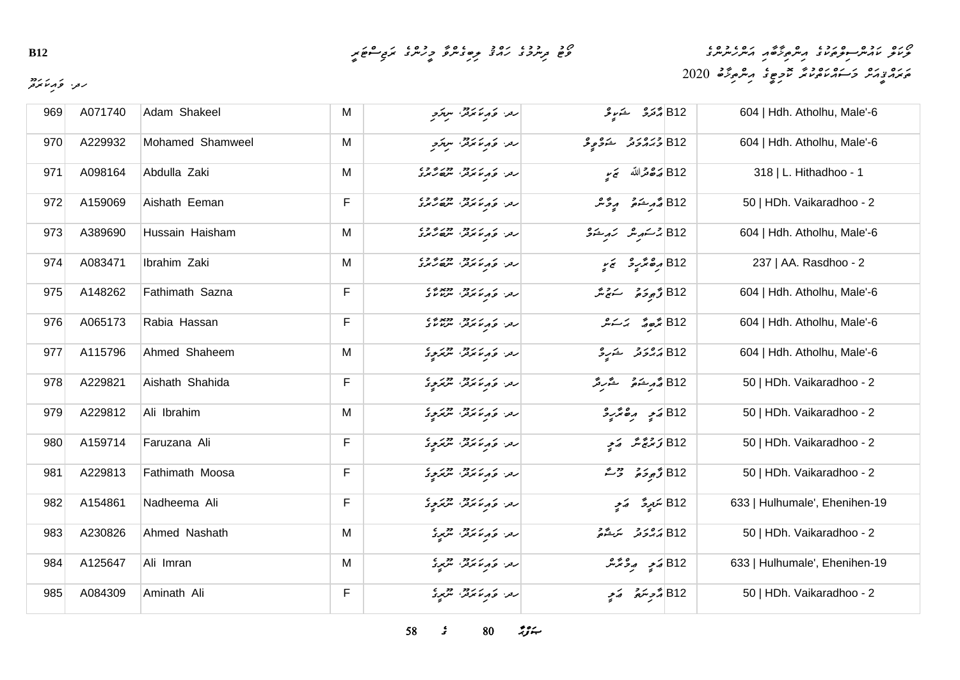*sCw7q7s5w7m< o<n9nOoAw7o< sCq;mAwBoEw7q<m; wBm;vB* م من المرة المرة المرة المرجع المرجع في المركبة 2020<br>مجم*د المريض المربوط المربع المرجع في المراجع المركبة* 

| $\overline{\phantom{a}}$<br>ردر ومسعرم |  |
|----------------------------------------|--|
|----------------------------------------|--|

| 969 | A071740 | Adam Shakeel     | M           | رى قەرىكى سىرگى                                               | B12 مُرْمَرْد - شَرِرْ دُ                                                          | 604   Hdh. Atholhu, Male'-6   |
|-----|---------|------------------|-------------|---------------------------------------------------------------|------------------------------------------------------------------------------------|-------------------------------|
| 970 | A229932 | Mohamed Shamweel | M           | رى قەرىكى ئىر                                                 | B12 <i>وُبَهُ وَبَ</i> رُ شَوْءِ وُ                                                | 604   Hdh. Atholhu, Male'-6   |
| 971 | A098164 | Abdulla Zaki     | M           | תבני פאת מצבני מבודשים.<br>תבני פאת מצבני ייתו <i>ם ת</i> ימצ | B12 مَەھْتَراللە ىج <i>ب</i>                                                       | 318   L. Hithadhoo - 1        |
| 972 | A159069 | Aishath Eeman    | $\mathsf F$ | رور و درود دورو و د                                           | B12 مەم ھۇم بوگە بىر                                                               | 50   HDh. Vaikaradhoo - 2     |
| 973 | A389690 | Hussain Haisham  | M           | תבני פאנטי בלי מנסיני ב                                       | B12 بر شهر مر شهر شده<br>مسلمان الس                                                | 604   Hdh. Atholhu, Male'-6   |
| 974 | A083471 | Ibrahim Zaki     | M           | תבני פאנטי ברי חבר ביביר בי                                   | B12 مەھمەر ئەسىمە بىر                                                              | 237   AA. Rasdhoo - 2         |
| 975 | A148262 | Fathimath Sazna  | F           | געי האו מצער ממשיבה<br>געי האו מאמרי ייטו מ                   | B12 ۇ <sub>جو</sub> رَمْ سَنَّى مَّرْ                                              | 604   Hdh. Atholhu, Male'-6   |
| 976 | A065173 | Rabia Hassan     | F           | געי האו מצער ממשיבה<br>געי האו מאמרי ייטו מ                   | B12 بُمُر <i>مة بَ</i> سَكَسْر                                                     | 604   Hdh. Atholhu, Male'-6   |
| 977 | A115796 | Ahmed Shaheem    | M           | رى ئەرىكى ھەر ئىلى                                            | B12   كەندى كىلى ئىكەندى ئىكەندى ئىكەندى ئىكەندى ئىكەندى كەندىي كەنتە ئىكەندىكى ئا | 604   Hdh. Atholhu, Male'-6   |
| 978 | A229821 | Aishath Shahida  | $\mathsf F$ | رى ئەرىكى ھەدىرى                                              | B12 مَەمەشقى ھەرىتَر                                                               | 50   HDh. Vaikaradhoo - 2     |
| 979 | A229812 | Ali Ibrahim      | M           | رى ئەرىكىگە ھەرى                                              | B12 <sub>هَ</sub> جٍ مِصْمَّرٍ وَ                                                  | 50   HDh. Vaikaradhoo - 2     |
| 980 | A159714 | Faruzana Ali     | F           | رى ئەرىئەتكە ھەترىرى                                          | B12 كۆيچى تىر كەمىيە                                                               | 50   HDh. Vaikaradhoo - 2     |
| 981 | A229813 | Fathimath Moosa  | F           | رىر ئەرىكىگە ئەربىرى                                          | B12 تۇ <sub>جۇ</sub> خۇ ئ <sup>ېمىگ</sup>                                          | 50   HDh. Vaikaradhoo - 2     |
| 982 | A154861 | Nadheema Ali     | $\mathsf F$ | رىر ئەرىكىگە ئەربىرى                                          | B12 سَمِرِدَّ کَے پِ                                                               | 633   Hulhumale', Ehenihen-19 |
| 983 | A230826 | Ahmed Nashath    | M           | رى ئەرىكى ئۇچ                                                 | B12 كەبرى تەر سىر ئىگە تەر                                                         | 50   HDh. Vaikaradhoo - 2     |
| 984 | A125647 | Ali Imran        | M           | رى ئەرىئەرە ھەر                                               | B12   تەمچە بەر ئەترىتىر                                                           | 633   Hulhumale', Ehenihen-19 |
| 985 | A084309 | Aminath Ali      | F           | رىن ئۇرىئەتكەش شەيرە                                          | B12 محرِسَمَ مَعٍ                                                                  | 50   HDh. Vaikaradhoo - 2     |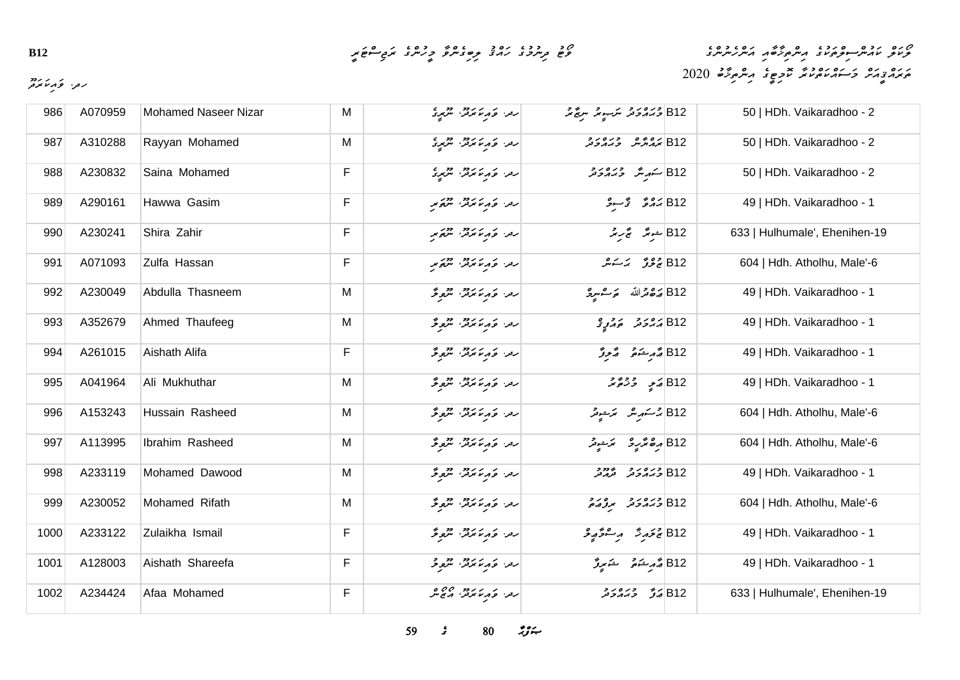*sCw7q7s5w7m< o<n9nOoAw7o< sCq;mAwBoEw7q<m; wBm;vB* م من المرة المرة المرة المرجع المرجع في المركبة 2020<br>مجم*د المريض المربوط المربع المرجع في المراجع المركبة* 

| 986  | A070959 | <b>Mohamed Naseer Nizar</b> | M           | رىر. ئەرىئەتكەن شرىرى  | B12 <i>وَيُهُدُوَنَدْ</i> مَرْسِوِيْرَ مِرِيَّ يْرَ | 50   HDh. Vaikaradhoo - 2     |
|------|---------|-----------------------------|-------------|------------------------|-----------------------------------------------------|-------------------------------|
| 987  | A310288 | Rayyan Mohamed              | M           | رى قەرىكى ئۇچى         | B12 <i>بَرْهُ مَهْرٌ وَبَرُودُو</i>                 | 50   HDh. Vaikaradhoo - 2     |
| 988  | A230832 | Saina Mohamed               | F           | رى ئەرىئەتكە سىرى      | B12 سَمبِسٌ وَبَرُودَتَر                            | 50   HDh. Vaikaradhoo - 2     |
| 989  | A290161 | Hawwa Gasim                 | $\mathsf F$ | رو. ئەرىئەتكە سەئىر    | B12 بَرْدُوَّ تَحْ- دَحْر                           | 49   HDh. Vaikaradhoo - 1     |
| 990  | A230241 | Shira Zahir                 | F           | נעי פת מינעי ייטובית   | B12 سُومَدٌ گُرِمَدٌ                                | 633   Hulhumale', Ehenihen-19 |
| 991  | A071093 | Zulfa Hassan                | $\mathsf F$ | رى ئەرىئەتكە «ر        | B12 يحو <i>ڤ برُسك</i> ر                            | 604   Hdh. Atholhu, Male'-6   |
| 992  | A230049 | Abdulla Thasneem            | M           | رىن ئەرىئەتكە ئىھوگ    | B12 كەھەراللە     كەسىرى ,                          | 49   HDh. Vaikaradhoo - 1     |
| 993  | A352679 | Ahmed Thaufeeg              | M           | رىن ئەرىئەتكە ئىھوگ    | B12 كەنزى قىر قىرىم ئۆلگەن ئى                       | 49   HDh. Vaikaradhoo - 1     |
| 994  | A261015 | Aishath Alifa               | $\mathsf F$ | رىن ئەرىئەتكە ئىھوگ    | B12 مەم ئىقىمە ھەم ق                                | 49   HDh. Vaikaradhoo - 1     |
| 995  | A041964 | Ali Mukhuthar               | M           | رىر. ئەرىئەتكە ئىتموگە | B12   كەمچە ئەمىتى ئىسىمىتىكى<br>ئ                  | 49   HDh. Vaikaradhoo - 1     |
| 996  | A153243 | Hussain Rasheed             | M           | رىر. ئەرىئەتكە ئىتموگە | B12 پر کمبر مر مرکب پر کرد کرد.<br>سرچ              | 604   Hdh. Atholhu, Male'-6   |
| 997  | A113995 | Ibrahim Rasheed             | M           | رىن ئەرىئەتكە شھۇم     | B12 م <i>وڭ مگرى</i> دۇ . مگرىش <sub>ى</sub> دۇر    | 604   Hdh. Atholhu, Male'-6   |
| 998  | A233119 | Mohamed Dawood              | M           | رىن ئەرىئەتكە شەئۇ ئى  | B12 <i>ڈبزو</i> ٹر تر <i>م</i> یر                   | 49   HDh. Vaikaradhoo - 1     |
| 999  | A230052 | Mohamed Rifath              | M           | رىن ئەرىئەتكە شەئۇ ئى  | B12  <i>32,352 برومی</i>                            | 604   Hdh. Atholhu, Male'-6   |
| 1000 | A233122 | Zulaikha Ismail             | F           | رىر. ئەرىئەتكە ئىتموگە | B12  يحترميرنتشم مرسفوتم موقع                       | 49   HDh. Vaikaradhoo - 1     |
| 1001 | A128003 | Aishath Shareefa            | $\mathsf F$ | رىد ئەرىئەردە سىمى ئى  | B12 مُرْمِسْمَة شَمَعِيقَ                           | 49   HDh. Vaikaradhoo - 1     |
| 1002 | A234424 | Afaa Mohamed                | F           | תנגי פאק עצמו בישית    | B12 <i>قرق جەم</i> رىر                              | 633   Hulhumale', Ehenihen-19 |

 $59$  *s*  $\frac{2}{3}$  **80** *n***<sub>3</sub>** *n***<sub>3</sub>** *n***<sub>3</sub>** *n***<sub>3</sub>** *n***<sub>3</sub>** *n***<sub>3</sub>** *n***<sub>3</sub>** *n***<sub>3</sub>** *n***<sub>3</sub>** *n***<sub>3</sub>** *n***<sub>3</sub>** *n***<sub>3</sub>** *n***<sub>3</sub>** *n***<sub>3</sub>** *n***<sub>3</sub>** *n***<sub>3</sub>** *n***<sub>3</sub>** *n***<sub>3</sub>** *n***<sub>3</sub>** *n***<sub>3</sub>** *n***<sub>3</sub>** *n***<sub>3</sub>** *n***<sub>3</sub>** *n***<sub>3</sub>** *n***<sub>3</sub>** *n***<sub>3</sub>** *n***<sub>3</sub>** *n***<sub>3**</sub>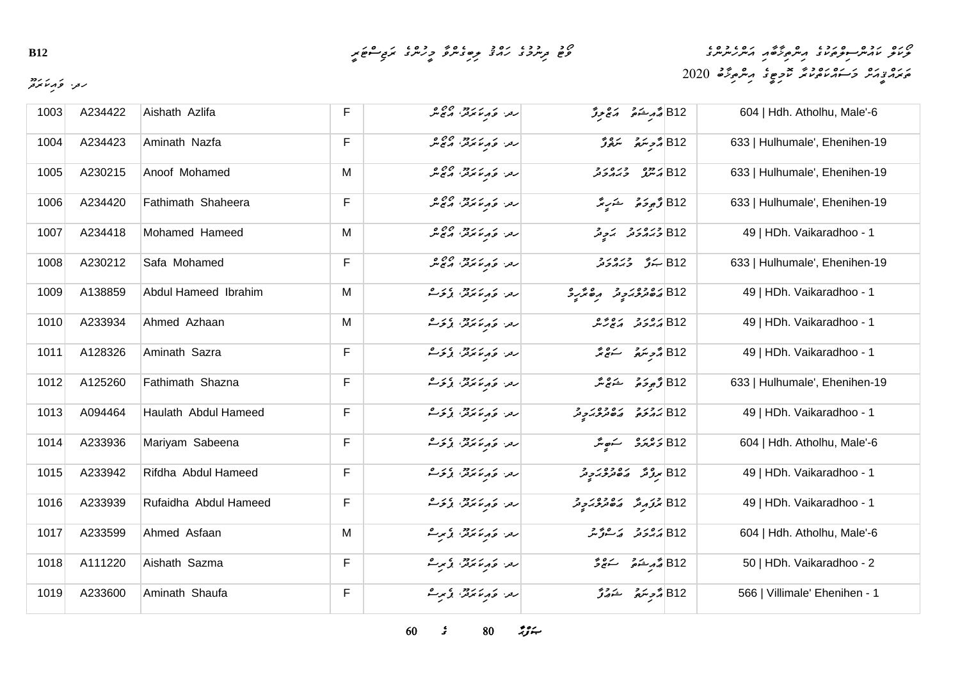*sCw7q7s5w7m< o<n9nOoAw7o< sCq;mAwBoEw7q<m; wBm;vB 2020*<br>*په پوهر وسوډيرونو لومو د موجو د مرمونه* 2020

| 1003 | A234422 | Aishath Azlifa        | F           | رى ئەرىئەتكە 200        | B12 مەم ئىقىم ئىم ئىم بورى                     | 604   Hdh. Atholhu, Male'-6   |
|------|---------|-----------------------|-------------|-------------------------|------------------------------------------------|-------------------------------|
| 1004 | A234423 | Aminath Nazfa         | $\mathsf F$ | رى ئەرىكى ئەن ھەم       | B12 مُ <i>جِسَعُو</i> سَعْوَزَ                 | 633   Hulhumale', Ehenihen-19 |
| 1005 | A230215 | Anoof Mohamed         | M           | رى ئەرىكى مەن ھ         | B12 كەنتىر بەر بەر بەر                         | 633   Hulhumale', Ehenihen-19 |
| 1006 | A234420 | Fathimath Shaheera    | F           | נעי פת מינעי הים יי     | B12 گ <sub>ۇچ</sub> وڭمۇ سى <i>مېدى</i> گە     | 633   Hulhumale', Ehenihen-19 |
| 1007 | A234418 | Mohamed Hameed        | M           | رىر. ئەرىئەترىق، مەم ش  | B12  <i>3،25 \$رونز</i>                        | 49   HDh. Vaikaradhoo - 1     |
| 1008 | A230212 | Safa Mohamed          | F           | رو. نوپرىتونى، ئەن ھ    | B12 بَدُوَّ حَرَمُ جَرَمَ                      | 633   Hulhumale', Ehenihen-19 |
| 1009 | A138859 | Abdul Hameed Ibrahim  | M           | رى ئەرىئەتكە بىر ئە     | B12 كەھىر <i>ئىچرى ھەمگەر</i> ئ                | 49   HDh. Vaikaradhoo - 1     |
| 1010 | A233934 | Ahmed Azhaan          | M           | رىر ئەرىكىنىڭ بۇنۇپ     | B12 كەبرىق كەنج ئەنگەر                         | 49   HDh. Vaikaradhoo - 1     |
| 1011 | A128326 | Aminath Sazra         | F           | رو، ئەرىكىرى بى ئەت     | B12 مَّ جِسَمَّة مَسَنَّ مَّتَ                 | 49   HDh. Vaikaradhoo - 1     |
| 1012 | A125260 | Fathimath Shazna      | F           | رىر. ئەرىئەترىق، بۇ ئۇس | B12 تُرْجِرَة حَمَدَ مَدَّمَ مَدَّ             | 633   Hulhumale', Ehenihen-19 |
| 1013 | A094464 | Haulath Abdul Hameed  | F           | رى ئەرىئەتكە بىر ئ      | B12 <i>بَهْدُوَة - مُاڤَّرُوْبَرُوِيْرَ</i>    | 49   HDh. Vaikaradhoo - 1     |
| 1014 | A233936 | Mariyam Sabeena       | F           | رى ئەرىئەتكە بىر ئ      | B12  <sub>خ مح</sub> مد محمد محمد محمد الس     | 604   Hdh. Atholhu, Male'-6   |
| 1015 | A233942 | Rifdha Abdul Hameed   | F           | رى ئەرىئەتكە بىر ئ      | B12 ىرۇن <i>گە خەھەرى يەرە</i> ر               | 49   HDh. Vaikaradhoo - 1     |
| 1016 | A233939 | Rufaidha Abdul Hameed | $\mathsf F$ | رى ئەرىئەتكە بىر ئ      | B12 بزرَم مَرَّ مَصْرُوْبَر <sub>َو</sub> مَرْ | 49   HDh. Vaikaradhoo - 1     |
| 1017 | A233599 | Ahmed Asfaan          | M           | رىر ئەرىكىگى ئىرگ       | B12 كەبرى قىم كەنگە ئىر                        | 604   Hdh. Atholhu, Male'-6   |
| 1018 | A111220 | Aishath Sazma         | F           | رو. ەرىئەتە بىر ئى      | B12 مەم ئىسىم ئىسىمى ئى                        | 50   HDh. Vaikaradhoo - 2     |
| 1019 | A233600 | Aminath Shaufa        | F           | رى ئەرىئەتكە بىرگ       | B12 مُوسَع شَمَرُ                              | 566   Villimale' Ehenihen - 1 |

*60 sC 80 nNw?mS*

*r@m8m;o<m= .@5*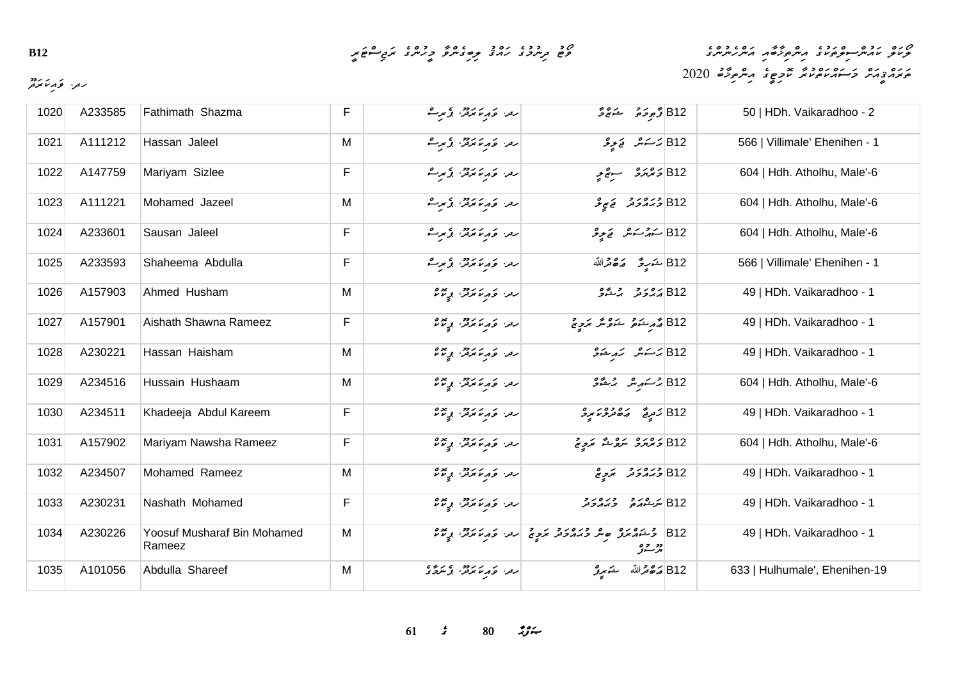*sCw7q7s5w7m< o<n9nOoAw7o< sCq;mAwBoEw7q<m; wBm;vB* م من المرة المرة المرة المرجع المرجع في المركبة 2020<br>مجم*د المريض المربوط المربع المرجع في المراجع المركبة* 

|  | ,,,,<br>ردر ومسعرم |  |
|--|--------------------|--|
|--|--------------------|--|

| 1020 | A233585 | Fathimath Shazma                      | $\mathsf F$ | رىر. ئەرىئەترىق، بۇ برگ                      | B12 رَّجِ حَمَّ شَيْءَ حَ                                            | 50   HDh. Vaikaradhoo - 2     |
|------|---------|---------------------------------------|-------------|----------------------------------------------|----------------------------------------------------------------------|-------------------------------|
| 1021 | A111212 | Hassan Jaleel                         | M           | رىن ئەرىئەتكە بىرگ                           | B12  زسکر تج <sub>مح</sub> وث                                        | 566   Villimale' Ehenihen - 1 |
| 1022 | A147759 | Mariyam Sizlee                        | F           | رىن ئەرىئەتكە بىرگ                           | B12  <sub>5</sub> پرچو سوچم پر                                       | 604   Hdh. Atholhu, Male'-6   |
| 1023 | A111221 | Mohamed Jazeel                        | M           | رىن ئەرىئەتكەن بى بىرگ                       | B12 <i>وُبَرُوُوَ</i> تَرَ نَج <sub>مَح</sub> و                      | 604   Hdh. Atholhu, Male'-6   |
| 1024 | A233601 | Sausan Jaleel                         | F           | رىر. ئەرىئىرىش بۇيرىش                        | B12 سەپرىسىر ب <sub>ى ي</sub> وتۇ                                    | 604   Hdh. Atholhu, Male'-6   |
| 1025 | A233593 | Shaheema Abdulla                      | F           | رىر ئەرىئەترىق بى بىرگ                       |                                                                      | 566   Villimale' Ehenihen - 1 |
| 1026 | A157903 | Ahmed Husham                          | M           | رو. قهر ما بردو. بر ما                       | B12 كەنزوقر بر شۇق                                                   | 49   HDh. Vaikaradhoo - 1     |
| 1027 | A157901 | Aishath Shawna Rameez                 | F           | رى ئەرىئىرى بولمى                            | B12 مُرمِشَمْ شَوْشَ مَرَحٍ حَ                                       | 49   HDh. Vaikaradhoo - 1     |
| 1028 | A230221 | Hassan Haisham                        | M           | رو. قەرئەتكەر بولار                          | B12 كەسكەر كەرشكى                                                    | 49   HDh. Vaikaradhoo - 1     |
| 1029 | A234516 | Hussain Hushaam                       | M           | رو. قهرتم بردو. بر مو                        | B12 پر <i>شهر پر پر پی</i> و                                         | 604   Hdh. Atholhu, Male'-6   |
| 1030 | A234511 | Khadeeja Abdul Kareem                 | F           | رىد ئەرىئەتكە بولان                          | B12 زَمَرِيَّ      رَە وَوْرَ مَرِيْرَ                               | 49   HDh. Vaikaradhoo - 1     |
| 1031 | A157902 | Mariyam Nawsha Rameez                 | $\mathsf F$ | رى قەرىئىرى بولمى                            | B12  وَجْهَدَةُ سَهْرَةٌ سَرَدِجْ                                    | 604   Hdh. Atholhu, Male'-6   |
| 1032 | A234507 | Mohamed Rameez                        | M           | رى ئەرىئىرى بولىق                            | B12  3 <i>522 \$رقع</i>                                              | 49   HDh. Vaikaradhoo - 1     |
| 1033 | A230231 | Nashath Mohamed                       | F           | رى قەرىكى بەر بول                            | B12 سَرْڪْرُمُ جَمْدَ دَورَ                                          | 49   HDh. Vaikaradhoo - 1     |
| 1034 | A230226 | Yoosuf Musharaf Bin Mohamed<br>Rameez | M           |                                              | B12   وت ويرو و مرور و ترويج   رو. و و تاير و بون<br>در مره<br>در سو | 49   HDh. Vaikaradhoo - 1     |
| 1035 | A101056 | Abdulla Shareef                       | M           | رو. غهر من دو.<br>ارو. غهر من مرفر. بي سرچ د | B12  مَەھْتْراللە شەمرِتْر                                           | 633   Hulhumale', Ehenihen-19 |

 $61$  *s*  $\cancel{0}$  80  $\cancel{0}$   $\cancel{0}$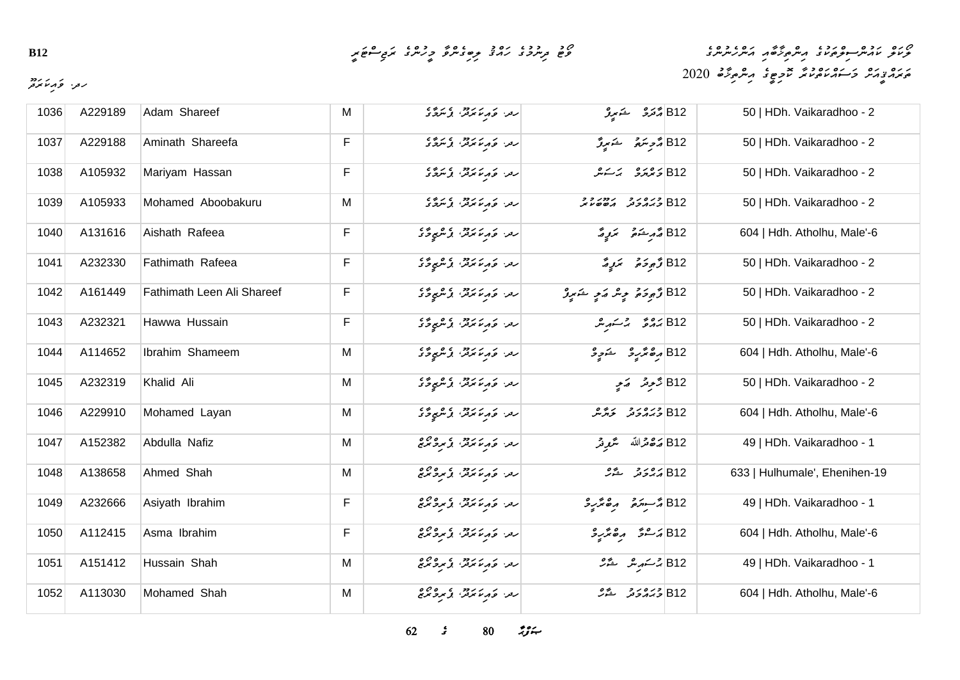*sCw7q7s5w7m< o<n9nOoAw7o< sCq;mAwBoEw7q<m; wBm;vB 2020<sup>, م</sup>وسوق المسجد التحقيق وسرمونية والم*جمع المسجد المسجد المسجد المسجد المسجد المسجد المسجد المسجد المسجد ال

| 1036 | A229189 | Adam Shareef               | M | رفر كهرم بردوس والروا        | B12 مُرْمَرْد - شَمَعِرْدُ                            | 50   HDh. Vaikaradhoo - 2     |
|------|---------|----------------------------|---|------------------------------|-------------------------------------------------------|-------------------------------|
| 1037 | A229188 | Aminath Shareefa           | F | رفر كرم كروم والأمري         | B12 مُّ حِ مَتَّ مِيوَّرٌ                             | 50   HDh. Vaikaradhoo - 2     |
| 1038 | A105932 | Mariyam Hassan             | F | رفر كالانا برود كالروم       | B12 كەنگەنى ئەسكەنلە                                  | 50   HDh. Vaikaradhoo - 2     |
| 1039 | A105933 | Mohamed Aboobakuru         | M | رودا كالرام والمروري         | B12 37073 B12                                         | 50   HDh. Vaikaradhoo - 2     |
| 1040 | A131616 | Aishath Rafeea             | F | رىر. ئەرىكىرور. ئۇ ھەم ئ     | B12 مَەرىسىم كىرى <i>مى</i> ئى                        | 604   Hdh. Atholhu, Male'-6   |
| 1041 | A232330 | Fathimath Rafeea           | F | رىر. ئەرىئەترىش، ئۇسرىي ئەت  | B12 وَّجِوَدَةُ تَمَرِّدَّ                            | 50   HDh. Vaikaradhoo - 2     |
| 1042 | A161449 | Fathimath Leen Ali Shareef | F | رىر. ئەرىكىرىش، ئۇسرىي ئەت   | B12 <i>وَّجِوَدَة</i> وِيْرَ مَرَوٍ حَ <i>مَيِ</i> رْ | 50   HDh. Vaikaradhoo - 2     |
| 1043 | A232321 | Hawwa Hussain              | F | رىر. ئەرىئەترىش، ئۇسرىي ئەت  | B12 بَرْدُمَّ بِرْسَهِ بِرْ                           | 50   HDh. Vaikaradhoo - 2     |
| 1044 | A114652 | Ibrahim Shameem            | M | رى ئەرىكى بەر ئەھمەدە        | B12 م <i>وڭ مگرى</i> ھەم <sub>چ</sub> ى               | 604   Hdh. Atholhu, Male'-6   |
| 1045 | A232319 | Khalid Ali                 | M | رىر. ئەرىئەترىق، بۇشھى ئەتمى | B12  ڈَمِیٹر کے م                                     | 50   HDh. Vaikaradhoo - 2     |
| 1046 | A229910 | Mohamed Layan              | M | رىر. ئەرىئەترىق، بۇشھى ئەتمى | B12 <i>وبروبرو بي وگر</i> ش                           | 604   Hdh. Atholhu, Male'-6   |
| 1047 | A152382 | Abdulla Nafiz              | M | رىر. ئەرىئەترىق، ئۇ بروترى   | B12 مَەھْتَراللە ش <i>ۇب</i> ۇر                       | 49   HDh. Vaikaradhoo - 1     |
| 1048 | A138658 | Ahmed Shah                 | M | رى ئەرىكىرى ئەرەم            | B12 كەنزى قىر                                         | 633   Hulhumale', Ehenihen-19 |
| 1049 | A232666 | Asiyath Ibrahim            | F | رىر. ئەرىئەترى بى بىر 200    | B12 مُ سِيرَة مِنْ مُرْسِرْد                          | 49   HDh. Vaikaradhoo - 1     |
| 1050 | A112415 | Asma Ibrahim               | F | رىر. ئەرىئەترىن بى بور مەم   | B12 كەشىر ئەھەتگە <i>بەھەتگە ب</i> ىر                 | 604   Hdh. Atholhu, Male'-6   |
| 1051 | A151412 | Hussain Shah               | M | رى ئەرىرىدى ئەرەم            | B12 پڑے پر شہر شہر                                    | 49   HDh. Vaikaradhoo - 1     |
| 1052 | A113030 | Mohamed Shah               | M | رىن ئەرىكىردە ، ئابرولرى     | B12 <i>جەنەمى تەرقى</i> ھەر                           | 604   Hdh. Atholhu, Male'-6   |

 $62$  *s*  $80$  *n***<sub>3</sub>** *n* 

ر<sub>قر: 6</sub> م<sup>. ردد</sup>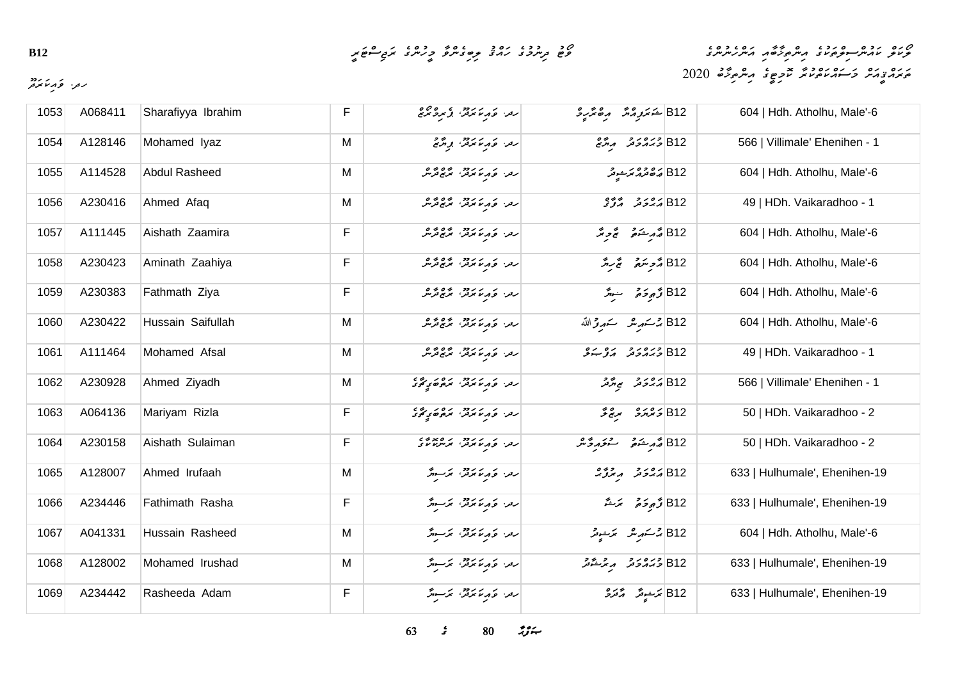*sCw7q7s5w7m< o<n9nOoAw7o< sCq;mAwBoEw7q<m; wBm;vB* م من المرة المرة المرة المرجع المرجع في المركبة 2020<br>مجم*د المريض المربوط المربع المرجع في المراجع المركبة* 

| 2211<br>ردر ومستردر |  |
|---------------------|--|
|---------------------|--|

| 1053 | A068411 | Sharafiyya Ibrahim   | F           | رورا كالرمانكرفرا المحامر والمحامج | B12 خىترومۇ م <i>ەھترى</i> دۇ                | 604   Hdh. Atholhu, Male'-6   |
|------|---------|----------------------|-------------|------------------------------------|----------------------------------------------|-------------------------------|
| 1054 | A128146 | Mohamed Iyaz         | M           | رى ئەرىئەتكە بورگاچ                | B12 <i>وبرو دو م</i> رتزی                    | 566   Villimale' Ehenihen - 1 |
| 1055 | A114528 | <b>Abdul Rasheed</b> | M           | رىر ئەرىكەت ئەرەپ                  | B12 كەھەتر <i>ە بىر</i> ىش <sub>ى</sub> رتىر | 604   Hdh. Atholhu, Male'-6   |
| 1056 | A230416 | Ahmed Afaq           | M           | رى ئەرىكىنىڭ ئىن ئەرە              | B12 كەبرى ئەرقىق ئۇنى                        | 49   HDh. Vaikaradhoo - 1     |
| 1057 | A111445 | Aishath Zaamira      | F           | رور توريم بردد به ده ده.           | B12 مۇم شىم قىم ئىچ ئىر                      | 604   Hdh. Atholhu, Male'-6   |
| 1058 | A230423 | Aminath Zaahiya      | F           | رىر ئەرىكىرى ئۇي ئەر               | B12 مَرْحِسَمَۃُ گَمَ بِرْمَّ                | 604   Hdh. Atholhu, Male'-6   |
| 1059 | A230383 | Fathmath Ziya        | F           | رىر كەرىك ئۇڭ ئوق ھەم بىر          | B12 <i>وُجوحَة</i> بِ                        | 604   Hdh. Atholhu, Male'-6   |
| 1060 | A230422 | Hussain Saifullah    | M           | رىر كەرىكەت ئۇي ئوم                | B12 كركىمبرىك كىمبروگاللە                    | 604   Hdh. Atholhu, Male'-6   |
| 1061 | A111464 | Mohamed Afsal        | M           | رىر كەرىكەت ئۇچ تۈش                | B12 <i>ۋېزو دو پروېدو</i>                    | 49   HDh. Vaikaradhoo - 1     |
| 1062 | A230928 | Ahmed Ziyadh         | M           | رو. و د مرکز مرده د د ،            | B12 كەندى قىر سى بىر ئىقر                    | 566   Villimale' Ehenihen - 1 |
| 1063 | A064136 | Mariyam Rizla        | F           | رى كەرىكتى، مەھ ئوگوى              | B12 كەبەد ئەرىج ئى                           | 50   HDh. Vaikaradhoo - 2     |
| 1064 | A230158 | Aishath Sulaiman     | F           | תו וברי המיני ביטוח ב              | B12 مەم ئىقتىم سىز ئىرقىش                    | 50   HDh. Vaikaradhoo - 2     |
| 1065 | A128007 | Ahmed Irufaah        | M           | رى ئەرىكى ئەسىر                    | B12 كەبرى قىرىم بىر ئەسىرى بىر               | 633   Hulhumale', Ehenihen-19 |
| 1066 | A234446 | Fathimath Rasha      | $\mathsf F$ | رى ئەرىكى ئەسەر                    | B12 <i>وُّجِودَة</i> بَرَسَّة                | 633   Hulhumale', Ehenihen-19 |
| 1067 | A041331 | Hussain Rasheed      | M           | رو. ئەرىئىرلار ئۆسىگە              | B12 بڑے پر نئر کرنے پر تھر                   | 604   Hdh. Atholhu, Male'-6   |
| 1068 | A128002 | Mohamed Irushad      | M           | رو. ئەرىئەتەتى تەسىش               | B12 <i>ڈیزووی پر پڑ</i> شور                  | 633   Hulhumale', Ehenihen-19 |
| 1069 | A234442 | Rasheeda Adam        | F           | رى ئەرىكىگە ئەسەر                  | B12 بَرَحْدِثَرِ     دُنَرَدَّ               | 633   Hulhumale', Ehenihen-19 |

 $63$  *s*  $\cancel{3}$  80 *n***<sub>3</sub>**  $\cancel{5}$   $\cancel{6}$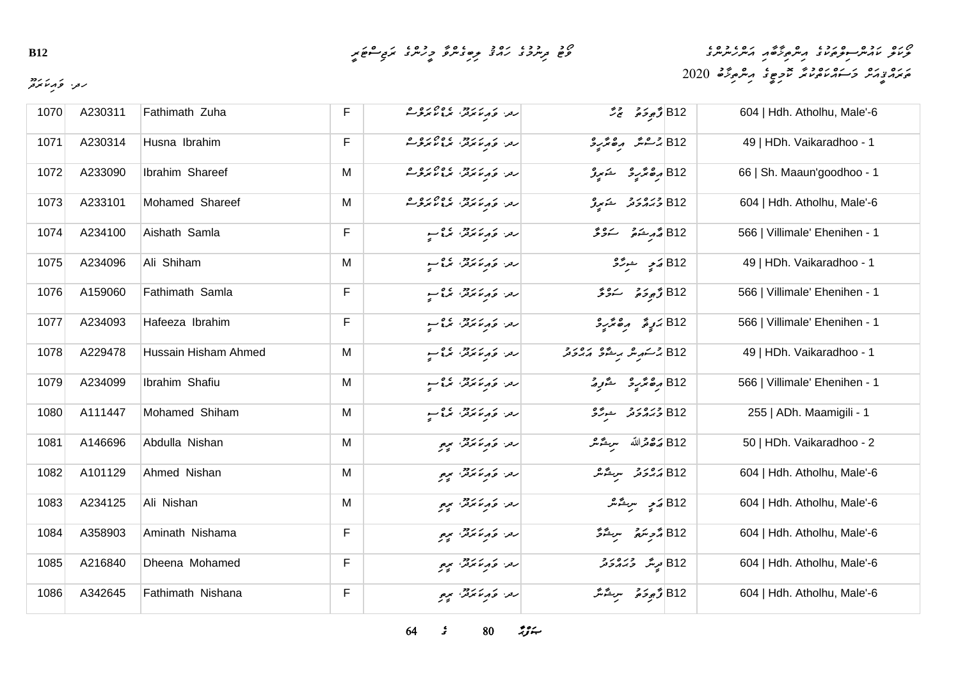*sCw7q7s5w7m< o<n9nOoAw7o< sCq;mAwBoEw7q<m; wBm;vB* م من المرة المرة المرة المرجع المرجع في المركبة 2020<br>مجم*د المريض المربوط المربع المرجع في المراجع المركبة* 

|  | 220000<br>ردر ومستردر |  |
|--|-----------------------|--|
|--|-----------------------|--|

| 1070 | A230311 | Fathimath Zuha       | $\mathsf F$ | رى ئەرىكى ئەق 200 مەن                    | B12 تُهجِعَةً حَيَّ                                                                                  | 604   Hdh. Atholhu, Male'-6   |
|------|---------|----------------------|-------------|------------------------------------------|------------------------------------------------------------------------------------------------------|-------------------------------|
| 1071 | A230314 | Husna Ibrahim        | F           | رى ئەرىر بەرە يەھرە ئ                    | B12 بزیش م <i>ره بزر</i> و                                                                           | 49   HDh. Vaikaradhoo - 1     |
| 1072 | A233090 | Ibrahim Shareef      | M           | رى ئەرىردە ، رەرە ئ                      | B12 مەھەر ئەر ئىسىر ئىسىر ئىسىر ئىسىر ئىسىر ئىسىر ئىسىر ئىسىر ئىسىر ئىسىر ئىسىر ئىسىر ئىسىر ئىسلام ئ | 66   Sh. Maaun'goodhoo - 1    |
| 1073 | A233101 | Mohamed Shareef      | M           | תעי פת מי מער 2000 פ                     | B12  <i>وټرونو خېرو</i>                                                                              | 604   Hdh. Atholhu, Male'-6   |
| 1074 | A234100 | Aishath Samla        | F           | رور كرم كرود ده و ب                      | B12 مەم ئىشقى كىمى ئىچ                                                                               | 566   Villimale' Ehenihen - 1 |
| 1075 | A234096 | Ali Shiham           | M           | رىر ئەرىئەترىق ترەپ                      | B12  رَمٍ حرَّرٌ \$                                                                                  | 49   HDh. Vaikaradhoo - 1     |
| 1076 | A159060 | Fathimath Samla      | F           | رىر ئەرىئەتەت ترەپ                       | B12 ۇ <sub>ج</sub> ودۇ سەۋۇ                                                                          | 566   Villimale' Ehenihen - 1 |
| 1077 | A234093 | Hafeeza Ibrahim      | F           | رورا المرمر والمردون المردة سو           | B12 بَرْدٍ بُمَّ مِنْ مُرْرِدُ                                                                       | 566   Villimale' Ehenihen - 1 |
| 1078 | A229478 | Hussain Hisham Ahmed | M           | رورا المرم كالمردور المالا والمرد والسوا | B12 برُسَمبر شر بر سُدَّرَ مَرْبَرْوَس                                                               | 49   HDh. Vaikaradhoo - 1     |
| 1079 | A234099 | Ibrahim Shafiu       | M           | رور عمر متمر دو ده و ب                   | B12 مەھەر بۇ ھەر ئە                                                                                  | 566   Villimale' Ehenihen - 1 |
| 1080 | A111447 | Mohamed Shiham       | M           | رورا المرم مرورا المره سو                | B12 <i>5225 مۇرمى</i><br>ن                                                                           | 255   ADh. Maamigili - 1      |
| 1081 | A146696 | Abdulla Nishan       | M           | رو. قەرىكى بىر ئەرە                      | B12 كەڭداللە سرىھەش                                                                                  | 50   HDh. Vaikaradhoo - 2     |
| 1082 | A101129 | Ahmed Nishan         | M           | رىن ئەرىئەترىقى بىرە                     | B12 <i>م بروتي سرينگينل</i>                                                                          | 604   Hdh. Atholhu, Male'-6   |
| 1083 | A234125 | Ali Nishan           | M           | رىن ئەرىئەترىق بىرم                      | B12 صَعِ سِشَمْر                                                                                     | 604   Hdh. Atholhu, Male'-6   |
| 1084 | A358903 | Aminath Nishama      | F           | رو. قەرئەترىق، بوھ                       | B12 مَّ حِسَمَة مِسِشَرَّ                                                                            | 604   Hdh. Atholhu, Male'-6   |
| 1085 | A216840 | Dheena Mohamed       | F           | رو. قەرئەترىق، بوھ                       | B12 م <sub>ی</sub> نگ ت <i>حک</i> مگر تھ                                                             | 604   Hdh. Atholhu, Male'-6   |
| 1086 | A342645 | Fathimath Nishana    | F           | رىن ئەرىئەتكەش بىرە                      | B12  <i>وگوځو مرستمنگ</i>                                                                            | 604   Hdh. Atholhu, Male'-6   |

 $64$  *s*  $80$  *n***<sub>3</sub>** *n*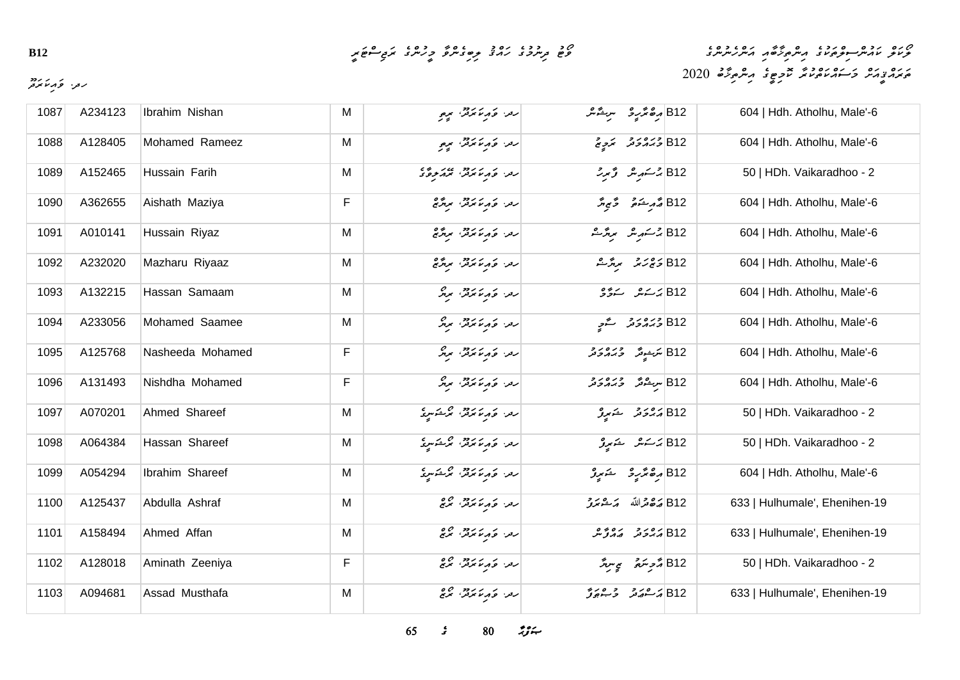*sCw7q7s5w7m< o<n9nOoAw7o< sCq;mAwBoEw7q<m; wBm;vB* م من المرة المرة المرة المرجع المرجع في المركبة 2020<br>مجم*د المريض المربوط المربع المرجع في المراجع المركبة* 

| 2211<br>ردر ومسرر |  |
|-------------------|--|
|-------------------|--|

| 1087 | A234123 | Ibrahim Nishan   | M | رىن ئەرىئەتكە بور               | B12  مەھەر بۇ سرىشەشر                        | 604   Hdh. Atholhu, Male'-6   |
|------|---------|------------------|---|---------------------------------|----------------------------------------------|-------------------------------|
| 1088 | A128405 | Mohamed Rameez   | M | رو و د د برده برو               | B12 <i>وُبَرْدُوَنْډ بَرْ<sub>دِ</sub>يْ</i> | 604   Hdh. Atholhu, Male'-6   |
| 1089 | A152465 | Hussain Farih    | M | رودا كالرمامزود الملام والمحالي | B12 پر شہر شہر تھ ہوتے۔<br>ا                 | 50   HDh. Vaikaradhoo - 2     |
| 1090 | A362655 | Aishath Maziya   | F | رى ئەرىئەرى برازم               | B12 مەم ئىسىم ئىس قى                         | 604   Hdh. Atholhu, Male'-6   |
| 1091 | A010141 | Hussain Riyaz    | M | رو. وأرسمور المرور              | B12 بڑے پہ مریز ہے۔                          | 604   Hdh. Atholhu, Male'-6   |
| 1092 | A232020 | Mazharu Riyaaz   | M | رو. و د ما مرور مرورم           | B12 كى يىچە ئىستىر يىلىنىشە                  | 604   Hdh. Atholhu, Male'-6   |
| 1093 | A132215 | Hassan Samaam    | M | رى ئەرىكى بور                   | B12 پرسترش ستر <i>ڈ</i> و                    | 604   Hdh. Atholhu, Male'-6   |
| 1094 | A233056 | Mohamed Saamee   | M | העי פאקש מבני מית               | B12 <i>\$ پروژنز</i> گو                      | 604   Hdh. Atholhu, Male'-6   |
| 1095 | A125768 | Nasheeda Mohamed | F | תמי פאנשי ברי יבול              | B12 ىترىنى <sub>ي</sub> ىتى ئ <i>ىگەدى ت</i> | 604   Hdh. Atholhu, Male'-6   |
| 1096 | A131493 | Nishdha Mohamed  | F | رور کرم دیو در مرد              | B12 سرشرش و محدد و در محمد الس               | 604   Hdh. Atholhu, Male'-6   |
| 1097 | A070201 | Ahmed Shareef    | M | رىر ئەرىكىرى ئۇيغەنبەت          | B12 كەنزى قىرىق سىزىقى بىر                   | 50   HDh. Vaikaradhoo - 2     |
| 1098 | A064384 | Hassan Shareef   | M | رىر ئەرىكىرى ئۇيغەنبەت          | B12  پرسترش ڪيولڙ                            | 50   HDh. Vaikaradhoo - 2     |
| 1099 | A054294 | Ibrahim Shareef  | M | رىر كەرلايرونى برىشكىرى         | B12 م <i>وڭ مگرى</i> ھەمبەر                  | 604   Hdh. Atholhu, Male'-6   |
| 1100 | A125437 | Abdulla Ashraf   | M | رودا تحمد ما برود المجماج       | B12 مَەڤْتَراللە مَشْتَمَرَّز                | 633   Hulhumale', Ehenihen-19 |
| 1101 | A158494 | Ahmed Affan      | M | رود و درود ۵۵ می                | B12 كەبروتىر كەرگەش                          | 633   Hulhumale', Ehenihen-19 |
| 1102 | A128018 | Aminath Zeeniya  | F | رود نو در دود ۵۵                | B12 مُتَّحِبِّتَهُ مَمِيثَةٌ                 | 50   HDh. Vaikaradhoo - 2     |
| 1103 | A094681 | Assad Musthafa   | M | رود و در دود ٥٥                 | B12 كەسىر بەر يەر ئەرگە                      | 633   Hulhumale', Ehenihen-19 |

 $65$  *s*  $\frac{2}{3}$  80 *n***<sub>3</sub>**  $\frac{2}{3}$   $\frac{2}{3}$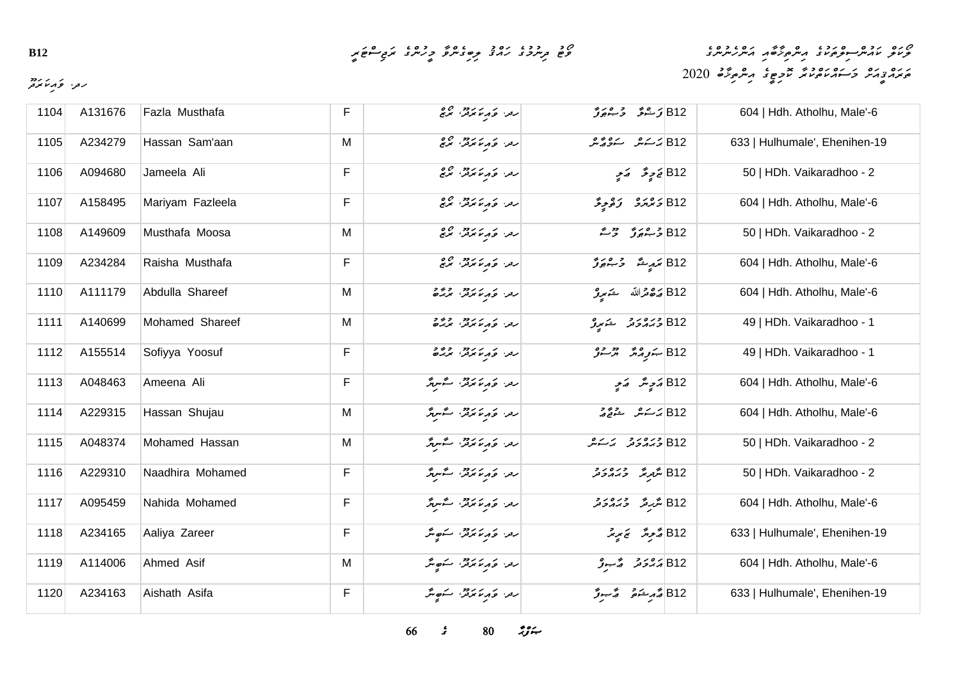*sCw7q7s5w7m< o<n9nOoAw7o< sCq;mAwBoEw7q<m; wBm;vB* م من المرة المرة المرة المرجع المرجع في المركبة 2020<br>مجم*د المريض المربوط المربع المرجع في المراجع المركبة* 

| カンシーン<br>ردر ومستردر |
|----------------------|
|----------------------|

| 1104 | A131676 | Fazla Musthafa   | F           | رو. قهرما برود مرج              | B12 زَسْعَرَ تَرْجُورَّ                       | 604   Hdh. Atholhu, Male'-6   |
|------|---------|------------------|-------------|---------------------------------|-----------------------------------------------|-------------------------------|
| 1105 | A234279 | Hassan Sam'aan   | M           | رو. وكريم بردو. 00              | B12 كەسەھەر سەۋە <i>مى</i> ر                  | 633   Hulhumale', Ehenihen-19 |
| 1106 | A094680 | Jameela Ali      | F           | رود که در دو ۵۵ کرم             | B12 <i>ف<sub>َ</sub> جِ</i> مَدَ جِمَعِ       | 50   HDh. Vaikaradhoo - 2     |
| 1107 | A158495 | Mariyam Fazleela | F           | رى ئەرىكى بەدە ئەن              | B12 وَيُرْبَرُوْ كَقَامِرَةٌ كَمَّا           | 604   Hdh. Atholhu, Male'-6   |
| 1108 | A149609 | Musthafa Moosa   | M           | رو. و در دود ٥٥                 | B12 <sub>ح</sub> ويش ويشتر                    | 50   HDh. Vaikaradhoo - 2     |
| 1109 | A234284 | Raisha Musthafa  | F           | رود که در دود ۵۵ ور             | B12 بَرَمٍ شَدَّ وَجَمْعَوَزَ                 | 604   Hdh. Atholhu, Male'-6   |
| 1110 | A111179 | Abdulla Shareef  | M           | رى ئەرىئەروم بورە               | B12 مَەھْتَراللە شەمب <i>وق</i>               | 604   Hdh. Atholhu, Male'-6   |
| 1111 | A140699 | Mohamed Shareef  | M           | رى ئەرىئەروم بورە               | B12 <i>322 كىنى</i> ئىستىمب <i>ۇ</i>          | 49   HDh. Vaikaradhoo - 1     |
| 1112 | A155514 | Sofiyya Yoosuf   | F           | תבני <sub>הא</sub> ל מציג ביביב | B12 بەرەپە تەرىبۇ                             | 49   HDh. Vaikaradhoo - 1     |
| 1113 | A048463 | Ameena Ali       | F           | رى ئەرىكى ئى ئىس                | B12 <sub>مک</sub> ویٹر کے پر                  | 604   Hdh. Atholhu, Male'-6   |
| 1114 | A229315 | Hassan Shujau    | M           | رى ئەرىكى ئىس ئىس               | B12 بَرْسَةَ مَّدْ قَدَّمَةَ بِهِ             | 604   Hdh. Atholhu, Male'-6   |
| 1115 | A048374 | Mohamed Hassan   | M           | رىر. ئەرىكىگە ئەس ئىس           | B12  <i>وبروبرو برسک</i> ر                    | 50   HDh. Vaikaradhoo - 2     |
| 1116 | A229310 | Naadhira Mohamed | $\mathsf F$ | رى ئەرىكى ئى ئىس                | B12 سَّمِبِرَّدَ وَبَرَمُ وَبِرَ              | 50   HDh. Vaikaradhoo - 2     |
| 1117 | A095459 | Nahida Mohamed   | F           | رو. ئەرىئەتكە شەرىر             | B12 مَّر <i>ْبِ</i> مَّ حَ <i>مْدُوْم</i> َرْ | 604   Hdh. Atholhu, Male'-6   |
| 1118 | A234165 | Aaliya Zareer    | F           | رو. ئەرىئىرتى، سىھىگە           | B12 م <i>گرمرڈ</i> تم پر تمر                  | 633   Hulhumale', Ehenihen-19 |
| 1119 | A114006 | Ahmed Asif       | M           | رى ئەرىكى ئىش كەنگە             | B12 كەنزى قىرىسى ئى                           | 604   Hdh. Atholhu, Male'-6   |
| 1120 | A234163 | Aishath Asifa    | F           | رو. ۇرىئەتە ئىچە ئى             | B12 مُ مِسْمَعْ مُ سِرِرٌ                     | 633   Hulhumale', Ehenihen-19 |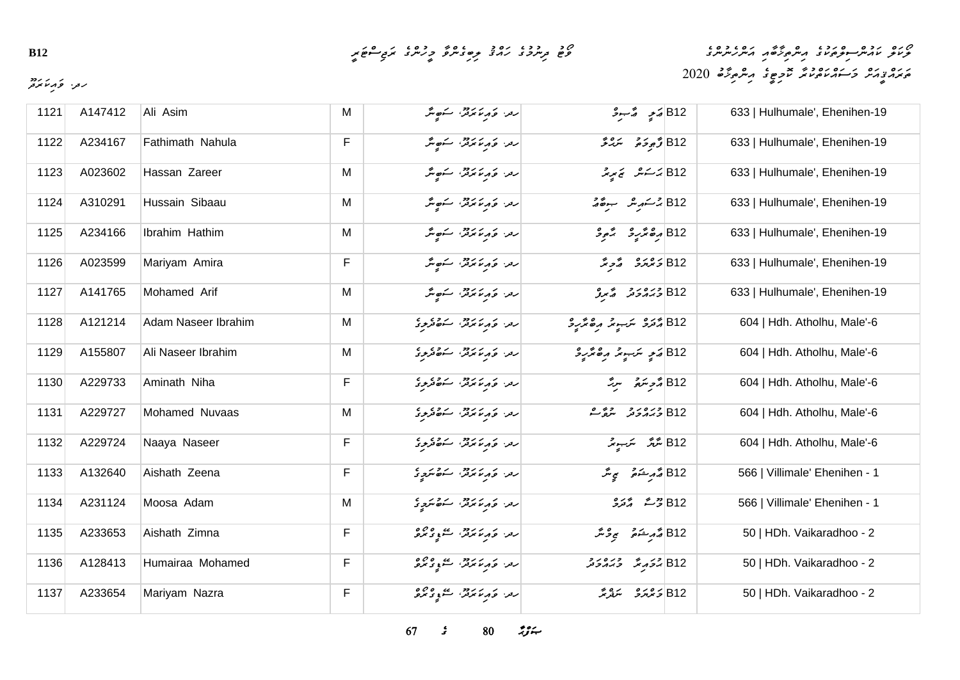*sCw7q7s5w7m< o<n9nOoAw7o< sCq;mAwBoEw7q<m; wBm;vB 2020*<br>*په پوهر وسوډيرونو لومو د موجو د مرمونه* 2020

| 1121 | A147412 | Ali Asim            | M           | رىر. ئەرىئەترىق، سىھەتر   | B12  رَمِ رَمَّ وَمَ                    | 633   Hulhumale', Ehenihen-19 |
|------|---------|---------------------|-------------|---------------------------|-----------------------------------------|-------------------------------|
| 1122 | A234167 | Fathimath Nahula    | F           | رىر ئەرىئەتكە سىھەش       | B12 <i>وَّجِ حَقَّ</i> سَرَدْتَرَ       | 633   Hulhumale', Ehenihen-19 |
| 1123 | A023602 | Hassan Zareer       | M           | رىر ئەرىئەتكە سىھەش       | B12   ټرىكىش ئى ئىرىتى                  | 633   Hulhumale', Ehenihen-19 |
| 1124 | A310291 | Hussain Sibaau      | M           | رو. ئەرىئەرو. سىھەش       | B12 برسمبر محمد المستقار                | 633   Hulhumale', Ehenihen-19 |
| 1125 | A234166 | Ibrahim Hathim      | M           | رىر ئەرىكىرى سىھەش        | B12 م <i>وڭ ئۇرۇ بۇم</i> ۇ              | 633   Hulhumale', Ehenihen-19 |
| 1126 | A023599 | Mariyam Amira       | F           | رىر ئەرىكىرى سىھەش        | B12 كەبىر بۇر ئەر ئىگە بەر ئە           | 633   Hulhumale', Ehenihen-19 |
| 1127 | A141765 | Mohamed Arif        | M           | رىر ئەرىئەترىش سەھلىر     | B12 <i>2522 مگ</i> رو                   | 633   Hulhumale', Ehenihen-19 |
| 1128 | A121214 | Adam Naseer Ibrahim | M           | رىر ئەرىئەترىق سەھ ترىپرى | B12 مُ مَرَدٌ مَرَسِيمٌ مِرْكَمَ رِدِدٌ | 604   Hdh. Atholhu, Male'-6   |
| 1129 | A155807 | Ali Naseer Ibrahim  | M           | رىر ئەرىرىردە سەھ ترىرى   | B12 كەيچ ئىزىبولىر مەھەر كەيج           | 604   Hdh. Atholhu, Male'-6   |
| 1130 | A229733 | Aminath Niha        | $\mathsf F$ | رىر ئەرىئەترىق سەھ ترىپرى | B12 مُّ مِسَمَّدٍ مِنْ مِنْ             | 604   Hdh. Atholhu, Male'-6   |
| 1131 | A229727 | Mohamed Nuvaas      | M           | رىر ئەرىئەترىق سەھ ترىپرى | B12 <i>ۋېزو دې</i> شر <i>و</i> م        | 604   Hdh. Atholhu, Male'-6   |
| 1132 | A229724 | Naaya Naseer        | $\mathsf F$ | رىن ئەرىئەترىق سەھ ترىپرى | B12 يُتَمَدُّ - يَرَسِيْرَ              | 604   Hdh. Atholhu, Male'-6   |
| 1133 | A132640 | Aishath Zeena       | F           | תני פתיותני המיתבל        | B12 <i>مەم يىشقى</i> پېرىگر             | 566   Villimale' Ehenihen - 1 |
| 1134 | A231124 | Moosa Adam          | M           | رىر ئەرىئەتكە سەھ ئىرى    | $3.3$ 2 $3$ B12                         | 566   Villimale' Ehenihen - 1 |
| 1135 | A233653 | Aishath Zimna       | F           | رىن ئەرىكىرى سىمولى مەن   | B12 مەم شەق بىم ئەنگە                   | 50   HDh. Vaikaradhoo - 2     |
| 1136 | A128413 | Humairaa Mohamed    | $\mathsf F$ | رىن ئەرىكىرى سىمولى مەن   | B12 بۇتەبەئز ئەيرەتەتە                  | 50   HDh. Vaikaradhoo - 2     |
| 1137 | A233654 | Mariyam Nazra       | F           | תמי פת מימילי ישיב בימים  | B12 <i>وَبُرْبِرْدْ بِبَرْبُرْ</i>      | 50   HDh. Vaikaradhoo - 2     |

*67 sC 80 nNw?mS*

ر<sub>قر: 6</sub> م<sup>. ردد</sup>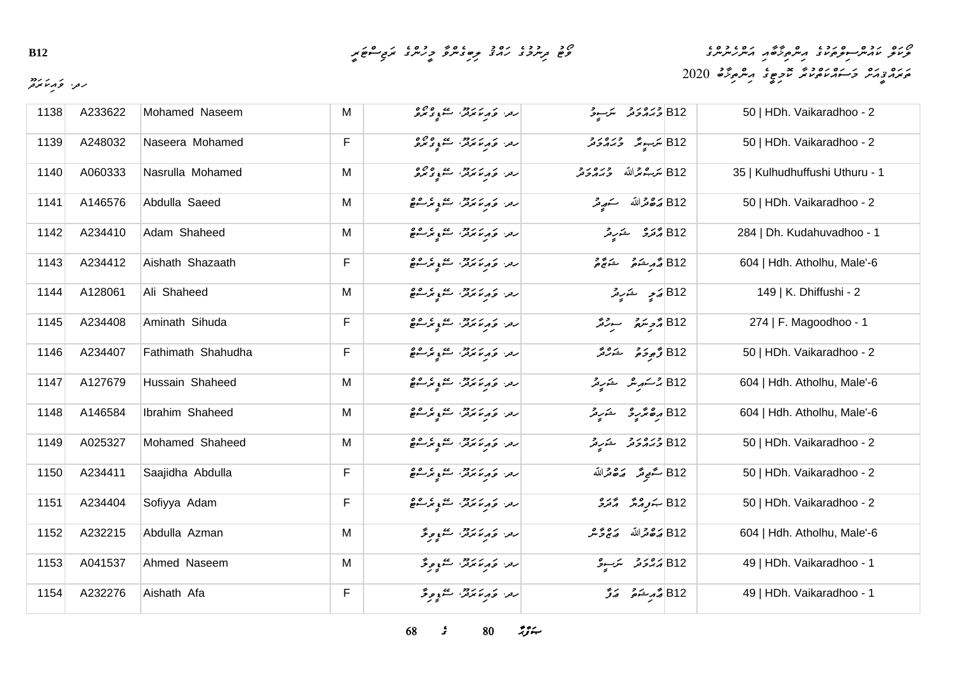*sCw7q7s5w7m< o<n9nOoAw7o< sCq;mAwBoEw7q<m; wBm;vB* م من المرة المرة المرة المرجع المراجع المراجع المراجع المراجع المراجع المراجع المراجع المراجع المراجع المراجع<br>مرين المراجع المراجع المرجع المراجع المراجع المراجع المراجع المراجع المراجع المراجع المراجع المراجع المراجع ال

| カンシーン<br>ردر ومستردر |  |
|----------------------|--|
|----------------------|--|

| 1138 | A233622 | Mohamed Naseem     | M           | رىر ئەرىئەتكە ئەرىمى        | B12 <i>وُبَرُوْدُو تَرَبِّ</i> ودُ   | 50   HDh. Vaikaradhoo - 2      |
|------|---------|--------------------|-------------|-----------------------------|--------------------------------------|--------------------------------|
| 1139 | A248032 | Naseera Mohamed    | F           |                             | B12 ىترىبونتى ئ <i>وتمەدەت</i> ر     | 50   HDh. Vaikaradhoo - 2      |
| 1140 | A060333 | Nasrulla Mohamed   | M           | رىر كەر كەرەد سىنجا ئەسھ    | B12 يترب حرالله وبروتر               | 35   Kulhudhuffushi Uthuru - 1 |
| 1141 | A146576 | Abdulla Saeed      | M           | رىر. ئەرىر بردو. سى ئەم 200 | B12 مَەھمَراللە سَىمِيىتر            | 50   HDh. Vaikaradhoo - 2      |
| 1142 | A234410 | Adam Shaheed       | M           | رىر. ئۇرىزىرى ئەستىم ئەرەھ  | B12 كەترى ھەرىتر                     | 284   Dh. Kudahuvadhoo - 1     |
| 1143 | A234412 | Aishath Shazaath   | $\mathsf F$ | رىر. ئۇرىزىرى ئەستىم ئەرەھ  | B12 مَ <i>ذِيشَة شَعَعْ</i> قَ       | 604   Hdh. Atholhu, Male'-6    |
| 1144 | A128061 | Ali Shaheed        | M           | رىر. ئۇرىزىرى ئەستىم ئەرەھ  | B12 <i>ڇَ ڇِ ڪَڀِيمُ</i>             | 149   K. Dhiffushi - 2         |
| 1145 | A234408 | Aminath Sihuda     | F           | رىر. ئۇرىزىرى ئەستىم ئەرەھ  | B12 مَّ حِبِّ مَعَهُمْ مَسْتِمَدَّةً | 274   F. Magoodhoo - 1         |
| 1146 | A234407 | Fathimath Shahudha | F           | رىر. ئۇرىزىرى ئەستىم ئەرەھ  | B12 <i>وَّجِ حَمَّى حَدَّثَرٌ</i>    | 50   HDh. Vaikaradhoo - 2      |
| 1147 | A127679 | Hussain Shaheed    | M           | رى ئەرىر دەر سىم ئەم ق      | B12 پر <i>کمبر بنگر بین</i> گر       | 604   Hdh. Atholhu, Male'-6    |
| 1148 | A146584 | Ibrahim Shaheed    | M           | رى ئەرىر دەر سىم ئەم ق      | B12 م <i>وڭ مگرى</i> ھەرپىر          | 604   Hdh. Atholhu, Male'-6    |
| 1149 | A025327 | Mohamed Shaheed    | M           | رىر ئەرىرىدى سىم ئەم ئ      | B12  <i>وَيُهُوَفُرُ</i> شَمَرٍ مُرُ | 50   HDh. Vaikaradhoo - 2      |
| 1150 | A234411 | Saajidha Abdulla   | $\mathsf F$ | رىر. ئەرىئەترى سىم ئەم ق    |                                      | 50   HDh. Vaikaradhoo - 2      |
| 1151 | A234404 | Sofiyya Adam       | F           | رىر. ئۇرىزىرى ئەستىم ئەرەھ  | B12 ب <i>ەَوِمْہُ مُ</i> مَرَّدُ     | 50   HDh. Vaikaradhoo - 2      |
| 1152 | A232215 | Abdulla Azman      | M           | رىر. ئەرىئەتەش. شۇ ئۇرگ     | B12 مَنْ هُمْرالله مَنْ مَرْحَمْد    | 604   Hdh. Atholhu, Male'-6    |
| 1153 | A041537 | Ahmed Naseem       | M           | رىر. ئەرىئەترىق، شۇپروتۇ    | B12   كەندى كىلى ئىسبورى             | 49   HDh. Vaikaradhoo - 1      |
| 1154 | A232276 | Aishath Afa        | F           | رىر. ئەرىئىرتى، شوپەرگە     | B12 مُصِنْعَة مَرَّزٌ                | 49   HDh. Vaikaradhoo - 1      |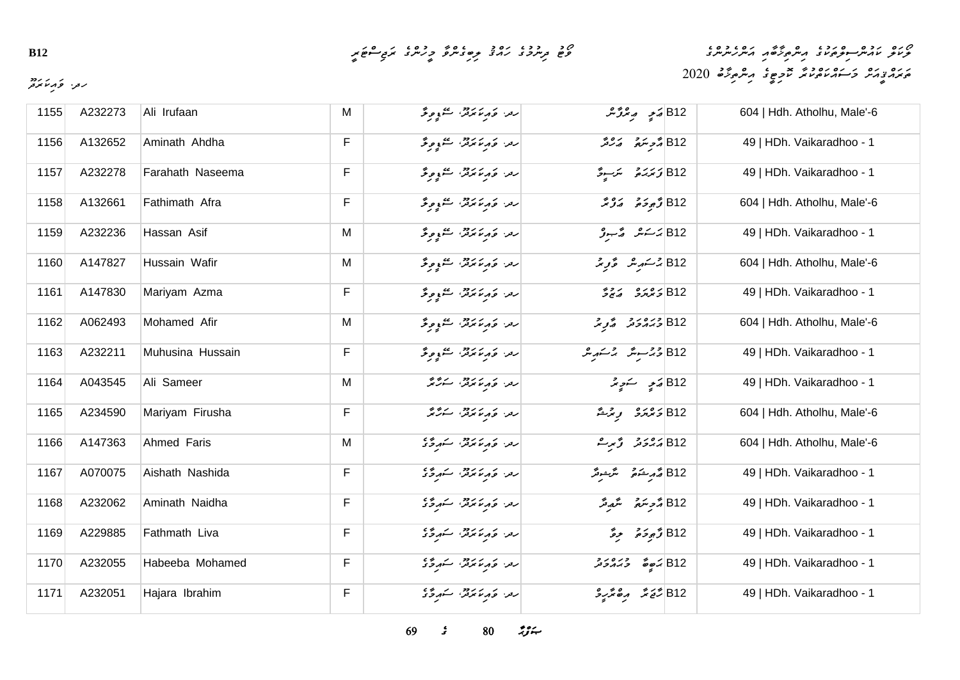*sCw7q7s5w7m< o<n9nOoAw7o< sCq;mAwBoEw7q<m; wBm;vB* م من المرة المرة المرة المرجع المراجع المراجع المراجع المراجع المراجع المراجع المراجع المراجع المراجع المراجع<br>مرين المراجع المراجع المرجع المراجع المراجع المراجع المراجع المراجع المراجع المراجع المراجع المراجع المراجع ال

| 22 / 12<br>ردر ومسمر |  |
|----------------------|--|
|----------------------|--|

| 1155 | A232273 | Ali Irufaan      | M            | رىر. ئەرىئەترىق، شۇپروتۇ | B12 <i>ڇَجِ په پوُڙنگ</i> ر                       | 604   Hdh. Atholhu, Male'-6 |
|------|---------|------------------|--------------|--------------------------|---------------------------------------------------|-----------------------------|
| 1156 | A132652 | Aminath Ahdha    | F            | رىر. ئەرىئەترىق، شوپەتر  | B12 مَّ حِسَمَۃ مَدَمَّدَ                         | 49   HDh. Vaikaradhoo - 1   |
| 1157 | A232278 | Farahath Naseema | $\mathsf{F}$ | رىر. ئەرىئەترىق شومۇ ئ   | B12 <i>وَ يَرْبَہُ مَّ</i> سَرَّب <sup>و</sup> دً | 49   HDh. Vaikaradhoo - 1   |
| 1158 | A132661 | Fathimath Afra   | $\mathsf{F}$ | رىر. ئەرىئەترى سىمومۇ    | B12 گ <sub>ۇ</sub> چەق كەرىگە                     | 604   Hdh. Atholhu, Male'-6 |
| 1159 | A232236 | Hassan Asif      | M            | رىر ئەرىئەتكە شىموتكى    | B12 پرسش پی بور                                   | 49   HDh. Vaikaradhoo - 1   |
| 1160 | A147827 | Hussain Wafir    | M            | رىر. ئەرىئەترىق، شۇرىدۇ. | B12 برْسَهِ بْلْرَ مُحْرِبْرُ }                   | 604   Hdh. Atholhu, Male'-6 |
| 1161 | A147830 | Mariyam Azma     | F            | رىر ئەرىئەتكە شىموتۇ     | $552$ $572$ $512$                                 | 49   HDh. Vaikaradhoo - 1   |
| 1162 | A062493 | Mohamed Afir     | M            | رىد. ئەرىئەترى سىموقى    | B12  <i>جەنەچەتى ھۇم</i> ىر                       | 604   Hdh. Atholhu, Male'-6 |
| 1163 | A232211 | Muhusina Hussain | $\mathsf{F}$ | رىدا ئەرىكىنىڭ سىموي ئى  | B12 دُيْرَ سِنَدَ بِرْسَهِ بِدْ                   | 49   HDh. Vaikaradhoo - 1   |
| 1164 | A043545 | Ali Sameer       | M            | رى ئەرىكى ئىگە           | B12 <sub>ھ</sub> ُ جِ سُوچڻ                       | 49   HDh. Vaikaradhoo - 1   |
| 1165 | A234590 | Mariyam Firusha  | $\mathsf F$  | رىر كەرىكى كەن سىرگىز    | B12 كەنگەر ئەيرىشە                                | 604   Hdh. Atholhu, Male'-6 |
| 1166 | A147363 | Ahmed Faris      | M            | رو. ە بەلاتە بەلەر ئ     | B12 كەندى قىلى قىلىپ شە                           | 604   Hdh. Atholhu, Male'-6 |
| 1167 | A070075 | Aishath Nashida  | $\mathsf{F}$ | رى ئەرىكىگە سەردى        | B12 مَگْرِسْتَمْ مُگْرَسُومَّرُ                   | 49   HDh. Vaikaradhoo - 1   |
| 1168 | A232062 | Aminath Naidha   | $\mathsf{F}$ | رى ئەرىكىنى سەرئ         | B12 مُجرِسَعُ مُتَّمِدِمَّد                       | 49   HDh. Vaikaradhoo - 1   |
| 1169 | A229885 | Fathmath Liva    | $\mathsf{F}$ | رو. ە دىكتون سەردى       | B12 <i>وُجوحَمْ وِمُّ</i>                         | 49   HDh. Vaikaradhoo - 1   |
| 1170 | A232055 | Habeeba Mohamed  | $\mathsf F$  | رى ئەرىكى ئەرگە          | B12 بَرْحِرَةً وَبَرْدُونَرْ                      | 49   HDh. Vaikaradhoo - 1   |
| 1171 | A232051 | Hajara Ibrahim   | F            | رو. ەرىكى ئەرگە          | B12 تَتَمَعَّرَ م <i>ِ مُعْتَدِ</i> وَ            | 49   HDh. Vaikaradhoo - 1   |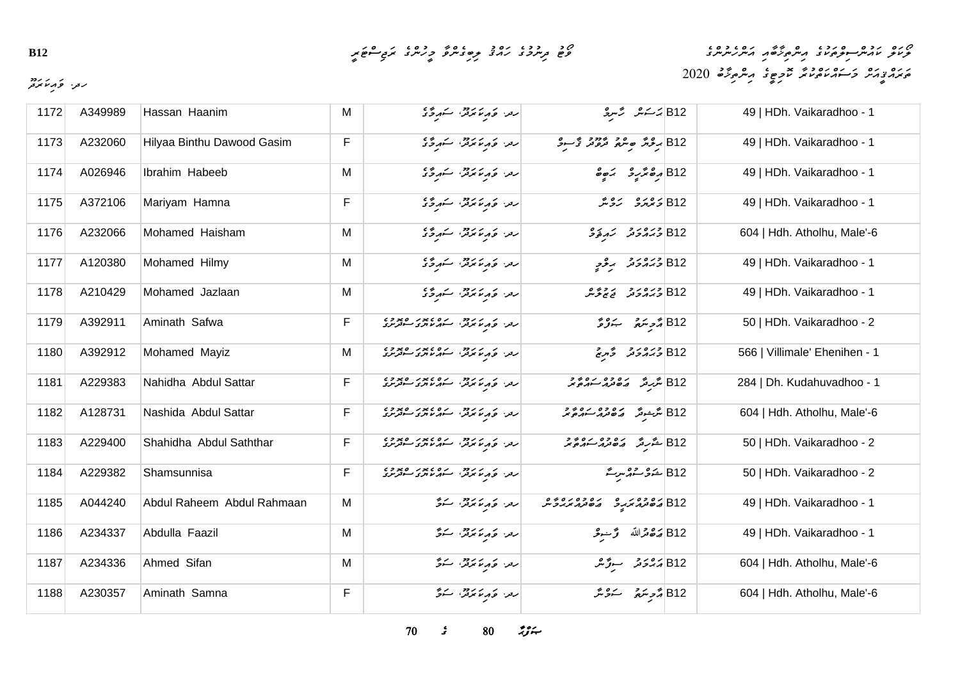*sCw7q7s5w7m< o<n9nOoAw7o< sCq;mAwBoEw7q<m; wBm;vB* م من المرة المرة المرة المرجع المراجع المراجع المراجع المراجع المراجع المراجع المراجع المراجع المراجع المراجع<br>مرين المراجع المراجع المرجع المراجع المراجع المراجع المراجع المراجع المراجع المراجع المراجع المراجع المراجع ال

| 1172 | A349989 | Hassan Haanim              | M | رى ئەرىكى ئەرگە                                                              | B12  ترسكانى محسرتى                                     | 49   HDh. Vaikaradhoo - 1     |
|------|---------|----------------------------|---|------------------------------------------------------------------------------|---------------------------------------------------------|-------------------------------|
| 1173 | A232060 | Hilyaa Binthu Dawood Gasim | F | رىدا ئەرىئەترىش سەرئى                                                        | B12 برق <i>ەڭ ھەھم</i> ت <i>رە</i> تر ت <sup>ې</sup> رو | 49   HDh. Vaikaradhoo - 1     |
| 1174 | A026946 | Ibrahim Habeeb             | M | رى ئەرىكىنى سەردى                                                            | B12 مەھم <i>گىچ</i> ش <i>ەھ</i>                         | 49   HDh. Vaikaradhoo - 1     |
| 1175 | A372106 | Mariyam Hamna              | F | رو. ە بەلاتە بەلەر ئ                                                         | B12 <i>ويوه دونگ</i> ر                                  | 49   HDh. Vaikaradhoo - 1     |
| 1176 | A232066 | Mohamed Haisham            | M | رى ئەرىكىگە سەردى                                                            | B12 وُيَرْدُونَرْ كَهُوْدً                              | 604   Hdh. Atholhu, Male'-6   |
| 1177 | A120380 | Mohamed Hilmy              | M | رىن ئەرىكىگى سەردى                                                           | B12  <i>3223\$مراج</i> ع                                | 49   HDh. Vaikaradhoo - 1     |
| 1178 | A210429 | Mohamed Jazlaan            | M | رىر ئەرىكى ئەرگە ئ                                                           | B12 <i>ويەم</i> رىر ئ <i>ى تى</i> م ئىر                 | 49   HDh. Vaikaradhoo - 1     |
| 1179 | A392911 | Aminath Safwa              | F | رور و در دود.<br>رور و در ما بوتر، سودر ما دور سوتر مرد                      | B12 مَّ جِسَمَّة سَنَوْعَ                               | 50   HDh. Vaikaradhoo - 2     |
| 1180 | A392912 | Mohamed Mayiz              | M | ران که در در در در ۲۵ در ۲۵ در ۶<br>رانس که در دکتر، سکه دادر سافرس          | B12 <i>جُهُدُونَوْ وُمِنْ</i>                           | 566   Villimale' Ehenihen - 1 |
| 1181 | A229383 | Nahidha Abdul Sattar       | F | رود و د لارده د ده پرد و د ده د<br>رود و د لاندن سود لاین سوتربری            | B12 مگرىق مەھەرەر مەدەبىر                               | 284   Dh. Kudahuvadhoo - 1    |
| 1182 | A128731 | Nashida Abdul Sattar       | F | راور از دور ده ده دور ۲۵ ورو د<br>راور دور ما بولور سور ما دور سولوس         | B12 مگرېنونگر او <i>۱۹۶۵ کو</i> رو د                    | 604   Hdh. Atholhu, Male'-6   |
| 1183 | A229400 | Shahidha Abdul Saththar    | F | راد. د د د ده ده د د د د د د د د د<br>راد. د د د د د د د ساور د د د ساور د د | B12 شرىر مەھ <i>دە بە</i> رە بو                         | 50   HDh. Vaikaradhoo - 2     |
| 1184 | A229382 | Shamsunnisa                | F | راور کا در مردور در ۲۵ در ۲۵ در ۶۵<br>راور کا در ما مراور استاد مربوط سوادرس | B12 ينەۋىسە مەسرىسە                                     | 50   HDh. Vaikaradhoo - 2     |
| 1185 | A044240 | Abdul Raheem Abdul Rahmaan | M | رىر. ئەرىئەترىق، سەۋ                                                         | 12 גם כם גם גם כם גם גם בם                              | 49   HDh. Vaikaradhoo - 1     |
| 1186 | A234337 | Abdulla Faazil             | M | رىن ئەرىئەتكەن سەنج                                                          | B12 كەھەراللە   ۇىنوقر                                  | 49   HDh. Vaikaradhoo - 1     |
| 1187 | A234336 | Ahmed Sifan                | M | رى قەرىكى ئەسكى                                                              | B12 <i>232 بەرگى</i> ر                                  | 604   Hdh. Atholhu, Male'-6   |
| 1188 | A230357 | Aminath Samna              | F | رود نوم دردو کرد                                                             | B12 مُتَّحِسَمُ سَوْسً                                  | 604   Hdh. Atholhu, Male'-6   |

*70 sC 80 nNw?mS*

*r@m8m;o<m= .@5*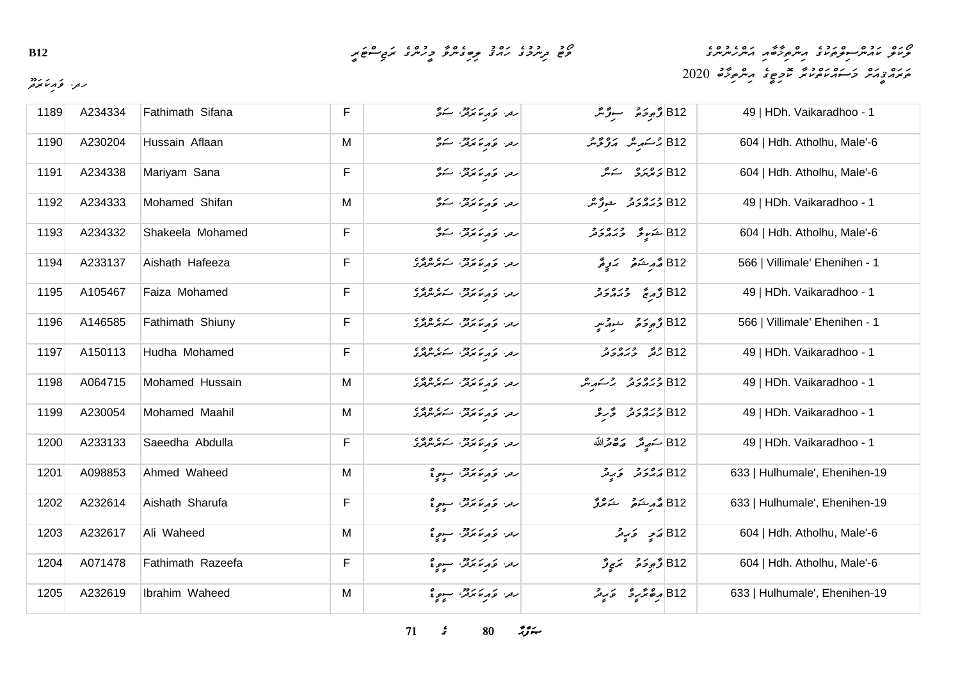*sCw7q7s5w7m< o<n9nOoAw7o< sCq;mAwBoEw7q<m; wBm;vB* م من المرة المرة المرة المرجع المراجع المراجع المراجع المراجع المراجع المراجع المراجع المراجع المراجع المراجع<br>مرين المراجع المراجع المرجع المراجع المراجع المراجع المراجع المراجع المراجع المراجع المراجع المراجع المراجع ال

| カンシーン<br>ردر ومستردر |
|----------------------|
|----------------------|

| 1189 | A234334 | Fathimath Sifana  | $\mathsf{F}$ | رىن ئەرىئەتە ئەڭ                                       | B12 <i>وَّجِ دَمَّة</i> سِبوَّ مَّر             | 49   HDh. Vaikaradhoo - 1     |
|------|---------|-------------------|--------------|--------------------------------------------------------|-------------------------------------------------|-------------------------------|
| 1190 | A230204 | Hussain Aflaan    | M            | رى قەرىئەتە ئەڭ                                        | B12 يُرْسَمَ بِهِ مَرْوَمُحَسَّرَ               | 604   Hdh. Atholhu, Male'-6   |
| 1191 | A234338 | Mariyam Sana      | F            | رى قەرىئەتە ئەڭ                                        | B12 ئ <i>ۇچۇق سەن</i> گە                        | 604   Hdh. Atholhu, Male'-6   |
| 1192 | A234333 | Mohamed Shifan    | M            | رى ئەرىئەرە ئەت                                        | B12  <i>وټرونوتر خور ش</i> ر                    | 49   HDh. Vaikaradhoo - 1     |
| 1193 | A234332 | Shakeela Mohamed  | F            | رود نوم دردو کرو                                       | B12 خىرى <i>گە ئىمگەن</i> گە                    | 604   Hdh. Atholhu, Male'-6   |
| 1194 | A233137 | Aishath Hafeeza   | $\mathsf F$  | رودا که در دود.<br>رودا که داکم ترفر، سنگرس            | B12 مَگْرِسْتَمْ كَمْ يَوْمَحْ                  | 566   Villimale' Ehenihen - 1 |
| 1195 | A105467 | Faiza Mohamed     | F            | رىر ئەرىر بەدە كەن ئەرەپ                               | B12 وَّمِيعٌ فَرَيْدُونَدْ                      | 49   HDh. Vaikaradhoo - 1     |
| 1196 | A146585 | Fathimath Shiuny  | F            | ر پر کار دور دی ه ده با<br>رفز کار با برفر است پرسرفری | B12 <i>وُجوحَ</i> هُ سُورُسٍ                    | 566   Villimale' Ehenihen - 1 |
| 1197 | A150113 | Hudha Mohamed     | F            | رودا که در دود. سنتر موفوی                             | B12 رُمَّر به دره در پا                         | 49   HDh. Vaikaradhoo - 1     |
| 1198 | A064715 | Mohamed Hussain   | M            | رودا که در دود.<br>رودا که داکم ترفر، سکورسرفری        | B12 <i>جەنەدى بىر جىسىمبىر</i>                  | 49   HDh. Vaikaradhoo - 1     |
| 1199 | A230054 | Mohamed Maahil    | M            | رودا که داردو در ۲۵۵۵                                  | B12  <i>وټرونو وُرِو</i> ْ                      | 49   HDh. Vaikaradhoo - 1     |
| 1200 | A233133 | Saeedha Abdulla   | F            | رىر ئەرىر بەدە كەن ئەرەپ                               | B12 سَمَ <i>مِيعَدُ 12</i> 0ھُراللَّه           | 49   HDh. Vaikaradhoo - 1     |
| 1201 | A098853 | Ahmed Waheed      | M            | رور كەرىكىرود سوي ؟                                    | B12   پَرْدُوَسْ کَلْمَ بِسْرٌ                  | 633   Hulhumale', Ehenihen-19 |
| 1202 | A232614 | Aishath Sharufa   | F            | رىن ئەرىئەترىش سوي                                     | B12 مَ <sub>م</sub> ْرِحْمَۃ حَمَ <i>مْرَدٌ</i> | 633   Hulhumale', Ehenihen-19 |
| 1203 | A232617 | Ali Waheed        | M            | رىن ئەرىئەترىش سوي                                     | B12 كەي     قەرىقر                              | 604   Hdh. Atholhu, Male'-6   |
| 1204 | A071478 | Fathimath Razeefa | $\mathsf F$  | رور و در رود سور ؟                                     | B12 و <i>ژ<sub>ّج</sub>و دَيْهِ وَ"</i>         | 604   Hdh. Atholhu, Male'-6   |
| 1205 | A232619 | Ibrahim Waheed    | M            | رىر. ئەرىئەترىش سورى                                   | B12 مەھمەر ئەرىمە                               | 633   Hulhumale', Ehenihen-19 |

 $71$  *s* 80  $23$   $\approx$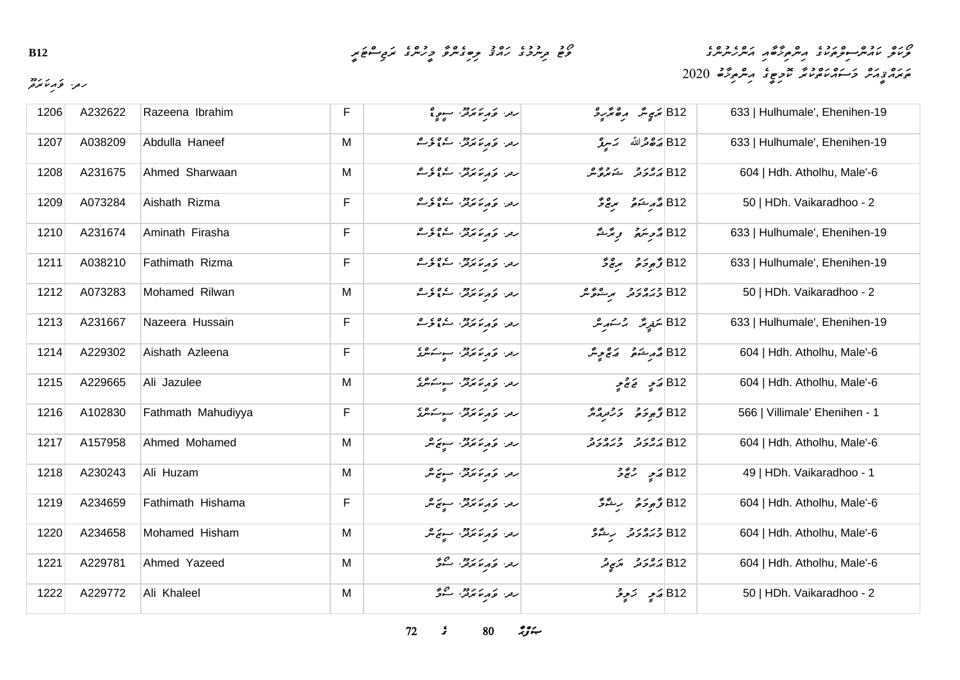*sCw7q7s5w7m< o<n9nOoAw7o< sCq;mAwBoEw7q<m; wBm;vB* م من المرة المرة المرة المرجع المراجع المراجع المراجع المراجع المراجع المراجع المراجع المراجع المراجع المراجع<br>مرين المراجع المراجع المرجع المراجع المراجع المراجع المراجع المراجع المراجع المراجع المراجع المراجع المراجع ال

| 1206 | A232622 | Razeena Ibrahim    | $\mathsf F$ | رىن ئۇرىئەتكە ئەسورى     | B12 ىرىپ ئىگە مەھەتگەر بى                     | 633   Hulhumale', Ehenihen-19 |
|------|---------|--------------------|-------------|--------------------------|-----------------------------------------------|-------------------------------|
| 1207 | A038209 | Abdulla Haneef     | M           | رىر ئەرىئەتەر مەممى      | B12 مَەھتراللە ترىب <i>وت</i>                 | 633   Hulhumale', Ehenihen-19 |
| 1208 | A231675 | Ahmed Sharwaan     | M           | رىر ئەرىئەترىق سەدى ھ    | B12 يَرْدُونَرَ سَيَعْرَضُ مَثَ               | 604   Hdh. Atholhu, Male'-6   |
| 1209 | A073284 | Aishath Rizma      | F           | رىر ئەرىئەترىق سەء ئوسە  | B12 مۇم شەقر بىر يىچ گ                        | 50   HDh. Vaikaradhoo - 2     |
| 1210 | A231674 | Aminath Firasha    | F           | رىر ئەرىئەترىق سەء ئوسە  | B12 مَّ حِ سَمَّة و مِدَّثَّة                 | 633   Hulhumale', Ehenihen-19 |
| 1211 | A038210 | Fathimath Rizma    | F           | رىر كەر كەر ئەم ئوگ      | B12 زَّەپرىقى ئىرتى ئى                        | 633   Hulhumale', Ehenihen-19 |
| 1212 | A073283 | Mohamed Rilwan     | M           | رو. و در دو. دوه ده و    | B12 <i>ۋىرە دەر بېرىشۇ تى</i> ر               | 50   HDh. Vaikaradhoo - 2     |
| 1213 | A231667 | Nazeera Hussain    | F           | رىر ئەرىئەترىق سەدى ھ    | B12 يت <sub>غير</sub> يژ - پرکسي بر           | 633   Hulhumale', Ehenihen-19 |
| 1214 | A229302 | Aishath Azleena    | $\mathsf F$ | رىر. ئەرىئەترىق، سوسكىرى | B12 م <i>ەم ھەھم مەھم</i> پەشر                | 604   Hdh. Atholhu, Male'-6   |
| 1215 | A229665 | Ali Jazulee        | M           | رو. ەرىئەتە سوسىس        | B12 <sub>حک</sub> م تھے تھے ج                 | 604   Hdh. Atholhu, Male'-6   |
| 1216 | A102830 | Fathmath Mahudiyya | F           | رو. ەرىئەتە سوسىس        | B12 تَ <i>مِّوحَةْ حَ</i> كْسِ <i>مْ</i> ةَ َ | 566   Villimale' Ehenihen - 1 |
| 1217 | A157958 | Ahmed Mohamed      | M           | رىر ئەرىئەترىش سونجاش    | B12 كەبرو بورەرو                              | 604   Hdh. Atholhu, Male'-6   |
| 1218 | A230243 | Ali Huzam          | M           | رىر ئەرىئەترىش سونجاش    | B12  رَمٍ گُرُوُ                              | 49   HDh. Vaikaradhoo - 1     |
| 1219 | A234659 | Fathimath Hishama  | F           | رىر ئەرىئەترىش سونجاش    | B12 <i>وُّجِودَة</i> رِحْدَةَ                 | 604   Hdh. Atholhu, Male'-6   |
| 1220 | A234658 | Mohamed Hisham     | M           | رو. ئەرىئەترىق، سونجاش   | B12  <i>3225 قر</i> برخ <b>گ</b> ی            | 604   Hdh. Atholhu, Male'-6   |
| 1221 | A229781 | Ahmed Yazeed       | M           | תבני פאק עצבי המיב       | B12 كەندى قىر كىرىمى قىل                      | 604   Hdh. Atholhu, Male'-6   |
| 1222 | A229772 | Ali Khaleel        | M           | גני פאנשי בני הייב       | B12 کړې تر <i>ې</i> ږ                         | 50   HDh. Vaikaradhoo - 2     |

 $72$  *s* 80  $23$   $\div$ 

ر<sub>قر</sub>. و<sub>ك</sub>رم<sup>ود</sup>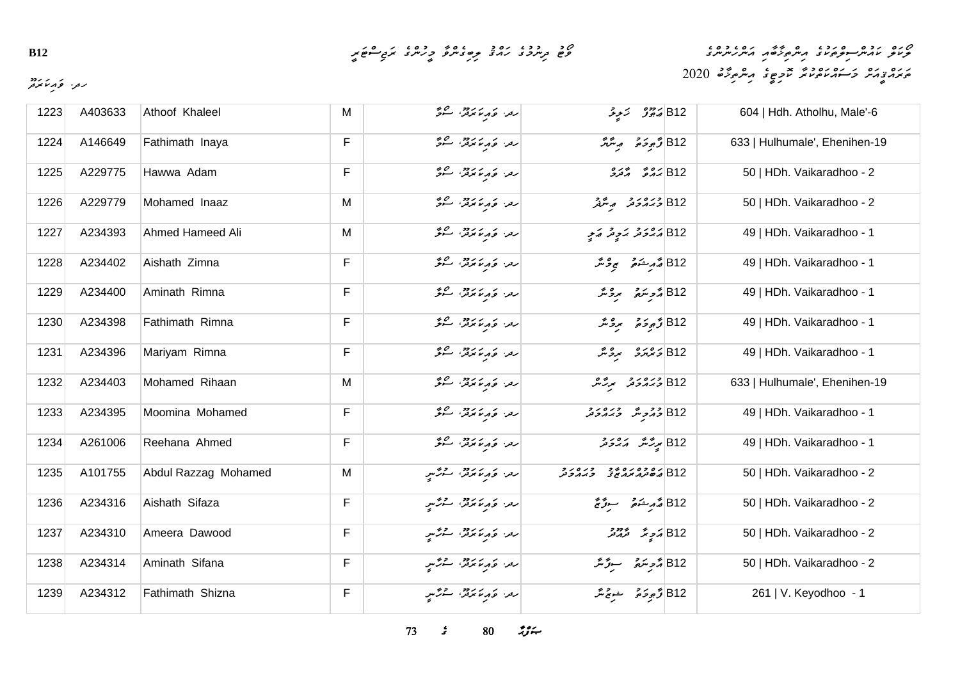*sCw7q7s5w7m< o<n9nOoAw7o< sCq;mAwBoEw7q<m; wBm;vB* م من المرة المرة المرة المرجع المراجع المراجع المراجع المراجع المراجع المراجع المراجع المراجع المراجع المراجع<br>مرين المراجع المراجع المرجع المراجع المراجع المراجع المراجع المراجع المراجع المراجع المراجع المراجع المراجع ال

| カンシーン<br>ردر ومستردر |
|----------------------|
|----------------------|

| 1223 | A403633 | Athoof Khaleel          | M           | رو. ئەرىئەتە ئەسىم    | B12 <i>ڇپي ڏي</i> و                               | 604   Hdh. Atholhu, Male'-6   |
|------|---------|-------------------------|-------------|-----------------------|---------------------------------------------------|-------------------------------|
| 1224 | A146649 | Fathimath Inaya         | F           | رى ئەرىئەتەر.<br>رى   | B12 تۇ <sub>جو</sub> خ <sup>ى</sup> مەش <i>ۇر</i> | 633   Hulhumale', Ehenihen-19 |
| 1225 | A229775 | Hawwa Adam              | F           | رى ئەرىئەتكە ھۇ       | B12 بَرْدُوَّ بِرَمَرْدُ                          | 50   HDh. Vaikaradhoo - 2     |
| 1226 | A229779 | Mohamed Inaaz           | M           | رىن ئەرىئەتكە سىم     | B12 <i>ويروى قى</i> مەشتر                         | 50   HDh. Vaikaradhoo - 2     |
| 1227 | A234393 | <b>Ahmed Hameed Ali</b> | M           | رو. ە بەرىمەتر، سىۋ   | B12   كەبۇ <i>3 كەبىر كەب</i>                     | 49   HDh. Vaikaradhoo - 1     |
| 1228 | A234402 | Aishath Zimna           | F           | رىن ئەرىئەترىق، سىر   | B12 مۇم ھۇم سىم ئاھىرىگە                          | 49   HDh. Vaikaradhoo - 1     |
| 1229 | A234400 | Aminath Rimna           | F           | رىر ئەرىئەتكە ھەتتى   | B12 مَّ حِبَّمَةٌ مَ بِرَحْتَرُ                   | 49   HDh. Vaikaradhoo - 1     |
| 1230 | A234398 | Fathimath Rimna         | F           | رىر ئەرىئەتكە ھەتتى   | B12 <i>وُّجوحَمْ بِرِ</i> دْسَّر                  | 49   HDh. Vaikaradhoo - 1     |
| 1231 | A234396 | Mariyam Rimna           | $\mathsf F$ | رىر. ئەرىئەترىق، سىگە | B12  <i>5 بمبرق بر</i> وتر                        | 49   HDh. Vaikaradhoo - 1     |
| 1232 | A234403 | Mohamed Rihaan          | M           | رىر. ئەرىئەترىش، سىگ  | B12 <i>وبروونز</i> بر <i>گ</i> ر                  | 633   Hulhumale', Ehenihen-19 |
| 1233 | A234395 | Moomina Mohamed         | $\mathsf F$ | رىن ئەرىئەترىق، سىر   | B12  <i>وَجُوِيرٌ وَيَهُوَ</i> مُرُ               | 49   HDh. Vaikaradhoo - 1     |
| 1234 | A261006 | Reehana Ahmed           | F           | رىر. ئەرىئەترىش سىگە  | B12  يرترنتر    كەرى تەر                          | 49   HDh. Vaikaradhoo - 1     |
| 1235 | A101755 | Abdul Razzag Mohamed    | M           | رىر ئەرىئەترىش سەرگىر | B12 <sub>م</sub> ەھەرە بوي مەرەبەد                | 50   HDh. Vaikaradhoo - 2     |
| 1236 | A234316 | Aishath Sifaza          | $\mathsf F$ | رىن ئەرىكىرە ئەرگىر   | B12 مَەمەشقىق سو <i>ۋى</i> مَّ                    | 50   HDh. Vaikaradhoo - 2     |
| 1237 | A234310 | Ameera Dawood           | F           | رىر ئەرىئەتكە سەرجىر  | B12 كەچ ئىچە ئىقدىتىلىر                           | 50   HDh. Vaikaradhoo - 2     |
| 1238 | A234314 | Aminath Sifana          | F           | رە. ئەرىئەترىق سەرگىر | B12 مَرْحِبَهُ مَعِنَّةٌ مِنْ مَدَّ               | 50   HDh. Vaikaradhoo - 2     |
| 1239 | A234312 | Fathimath Shizna        | F           | رىر ئەرىئەتكە سەرجىر  | B12 <i>وَجودَة</i> مُصِيَّة مُّرَ                 | 261   V. Keyodhoo - 1         |

 $73$  *s*  $\frac{6}{5}$  80 *n***<sub>3</sub>** *s*<sub>3</sub> *s*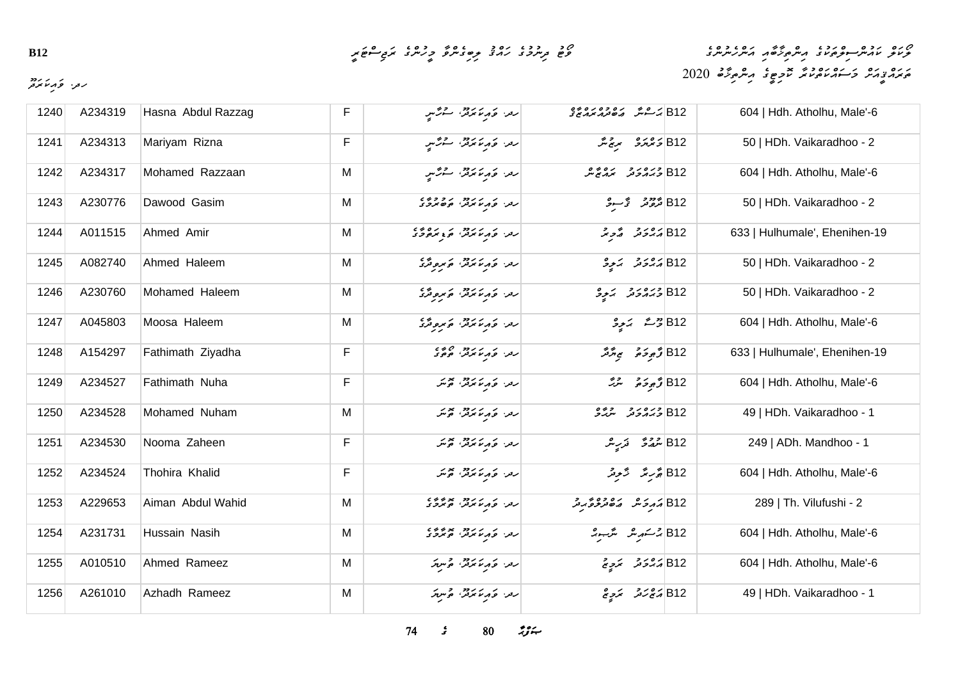*sCw7q7s5w7m< o<n9nOoAw7o< sCq;mAwBoEw7q<m; wBm;vB* م من المرة المرة المرة المرجع المراجع المراجع المراجع المراجع المراجع المراجع المراجع المراجع المراجع المراجع<br>مرين المراجع المراجع المرجع المراجع المراجع المراجع المراجع المراجع المراجع المراجع المراجع المراجع المراجع ال

|  | ,,,,<br>ردر ومسعرم |  |
|--|--------------------|--|
|--|--------------------|--|

| 1240 | A234319 | Hasna Abdul Razzag | F | رو. ئەرىئىرتى سىرگىر                          | B12 ئەشقەر ئەھ <i>ەر مەم ق</i>                                                | 604   Hdh. Atholhu, Male'-6   |
|------|---------|--------------------|---|-----------------------------------------------|-------------------------------------------------------------------------------|-------------------------------|
| 1241 | A234313 | Mariyam Rizna      | F | رو. ئەرىئىرلار ئىرگىر                         | B12   <i>5 برگردی مربی بگ</i> ر                                               | 50   HDh. Vaikaradhoo - 2     |
| 1242 | A234317 | Mohamed Razzaan    | M | رى ئەرىئەتە ئەرگىر                            | B12 <i>جەمەدە بىرە بى</i> ر                                                   | 604   Hdh. Atholhu, Male'-6   |
| 1243 | A230776 | Dawood Gasim       | M | رى كەر كەن رومى                               | B12 تَرْحَرْتُہ گَرِ — وَ                                                     | 50   HDh. Vaikaradhoo - 2     |
| 1244 | A011515 | Ahmed Amir         | M | رودا المرود المرواني                          | B12 كەنزى قەرىر                                                               | 633   Hulhumale', Ehenihen-19 |
| 1245 | A082740 | Ahmed Haleem       | M | رىر ئەرىئەتكە ئەمرەتگە                        | B12 كەندى كىم تەرە                                                            | 50   HDh. Vaikaradhoo - 2     |
| 1246 | A230760 | Mohamed Haleem     | M | رىر ئەرىئەتكە ئەمرەتگە                        | B12 <i>وُبَرُوُبُوَ بَرْوِ</i> وْ                                             | 50   HDh. Vaikaradhoo - 2     |
| 1247 | A045803 | Moosa Haleem       | M | رى ئەرىكى ئەس ئەرەپى                          | B12 جوءِ جوءِ                                                                 | 604   Hdh. Atholhu, Male'-6   |
| 1248 | A154297 | Fathimath Ziyadha  | F | رى ئەرىئەدە 200                               | B12 ۇ <sub>جو</sub> رۇ م <sub>وج</sub> ۇر                                     | 633   Hulhumale', Ehenihen-19 |
| 1249 | A234527 | Fathimath Nuha     | F | رى ئەرىئەتە بوير                              | B12 <i>وُّجوح</i> و مِنْ مِنْ                                                 | 604   Hdh. Atholhu, Male'-6   |
| 1250 | A234528 | Mohamed Nuham      | M | رودا أو و ما مرود المعرب                      | B12 <i>جەممى</i> تەرەپىيە ئىرىگىچە                                            | 49   HDh. Vaikaradhoo - 1     |
| 1251 | A234530 | Nooma Zaheen       | F | رى ئەرىئەتكە ئەتر                             | B12 ىنم <i>مى</i> گ ق <i>رىي</i> ىگ                                           | 249   ADh. Mandhoo - 1        |
| 1252 | A234524 | Thohira Khalid     | F | رى ئەرىئەتكە ئەتر                             | B12  پُرىدَ گەمەتە                                                            | 604   Hdh. Atholhu, Male'-6   |
| 1253 | A229653 | Aiman Abdul Wahid  | M | رور کرد کرده برونوی<br>رور کرد کردگاه محمدحری | B12 <i>הُمحَمَّدُ مُعْتَرَفُوَّبِ</i> تِرُ                                    | 289   Th. Vilufushi - 2       |
| 1254 | A231731 | Hussain Nasih      | M | رو. و در دو. بدود و                           | B12 پر <i>شہر شہر پر می</i> ر میں میں میں میں میں ایک ایک پر پر میں ایک ایک ب | 604   Hdh. Atholhu, Male'-6   |
| 1255 | A010510 | Ahmed Rameez       | M | رور كرم مكافر كمح سرمكر                       |                                                                               | 604   Hdh. Atholhu, Male'-6   |
| 1256 | A261010 | Azhadh Rameez      | M | رىن ئەرىئەتكە ئەسىر                           | B12  مَنْ كَرَمْزِ    مَرْجِعْ                                                | 49   HDh. Vaikaradhoo - 1     |

 $74$  *s* 80  $23$   $\div$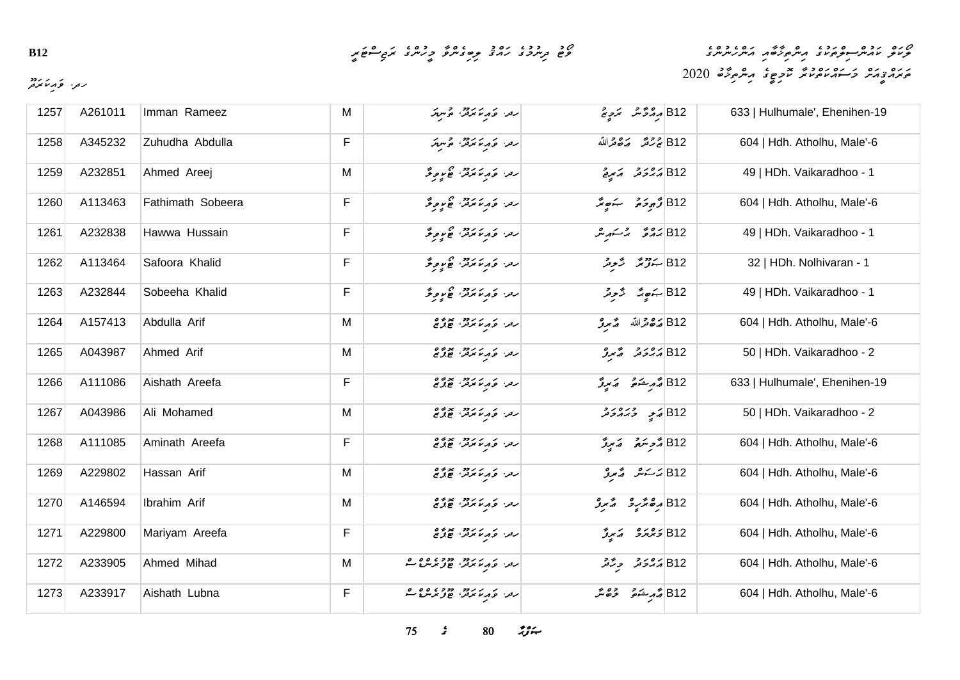*sCw7q7s5w7m< o<n9nOoAw7o< sCq;mAwBoEw7q<m; wBm;vB* م من المرة المرة المرة المرجع المراجع المراجع المراجع المراجع المراجع المراجع المراجع المراجع المراجع المراجع<br>مرين المراجع المراجع المرجع المراجع المراجع المراجع المراجع المراجع المراجع المراجع المراجع المراجع المراجع ال

| 220000 |  | ردر ومسرر |
|--------|--|-----------|
|        |  |           |

| 1257 | A261011 | Imman Rameez      | M           | رورا أو ما أولاد المحسن و المستر | B12 م <i>جدد محمومی</i> کارچ                 | 633   Hulhumale', Ehenihen-19 |
|------|---------|-------------------|-------------|----------------------------------|----------------------------------------------|-------------------------------|
| 1258 | A345232 | Zuhudha Abdulla   | F           | رى قەرىكى ئۇس                    | B12 يحريمًا مَدَّدَّة اللَّه                 | 604   Hdh. Atholhu, Male'-6   |
| 1259 | A232851 | Ahmed Areej       | M           | رى ئەرىئىرتى ھىرەپ               | B12 كەش <sup>ى</sup> كەت كەيدىقى B12         | 49   HDh. Vaikaradhoo - 1     |
| 1260 | A113463 | Fathimath Sobeera | F           | رى ئەرىكىنى ھىرە ئ               | B12 تَهوِحَقَّ سَنَهِ تَدْ                   | 604   Hdh. Atholhu, Male'-6   |
| 1261 | A232838 | Hawwa Hussain     | F           | رو. وريابردو مي بورمج            | B12 كەش <i>ۇ</i> بۇ سەر بىر                  | 49   HDh. Vaikaradhoo - 1     |
| 1262 | A113464 | Safoora Khalid    | $\mathsf F$ | رىر. ئەرىكتىش ھىي ئىچ            | B12 يَذَيْرٌ گَمِتْرُ                        | 32   HDh. Nolhivaran - 1      |
| 1263 | A232844 | Sobeeha Khalid    | F           | رىر ئەرىئەترىق ھىرەپ             | B12 جَم <i>ِيدٌ</i> دَّمِيْدُ                | 49   HDh. Vaikaradhoo - 1     |
| 1264 | A157413 | Abdulla Arif      | M           | رور و مرکز ده مده ه              | B12 مَرْحَدْاللّه مَرْمَرْ                   | 604   Hdh. Atholhu, Male'-6   |
| 1265 | A043987 | Ahmed Arif        | M           | תעי פת מינעי יציבים              | B12 كەنزىق گەيرۇ                             | 50   HDh. Vaikaradhoo - 2     |
| 1266 | A111086 | Aishath Areefa    | F           | رور و مرکز دو مده ه              | B12 مەم شىمى كەمپىر                          | 633   Hulhumale', Ehenihen-19 |
| 1267 | A043986 | Ali Mohamed       | M           | תעי פתע בעין ביצי                | B12 كەبى ق <i>ەتمەق</i> تر                   | 50   HDh. Vaikaradhoo - 2     |
| 1268 | A111085 | Aminath Areefa    | F           | תעי פתשיעני יציבים               | B12 مُتَّحِسَمُ مَسِرَّدً                    | 604   Hdh. Atholhu, Male'-6   |
| 1269 | A229802 | Hassan Arif       | M           | رىر كەرىكى ئەدەرە                | B12 بزشش م <sup>ح</sup> مبرو                 | 604   Hdh. Atholhu, Male'-6   |
| 1270 | A146594 | Ibrahim Arif      | M           | رى قەرىكى ئەدە 2                 | B12 مەھمگەپىۋە مەمبىرتى                      | 604   Hdh. Atholhu, Male'-6   |
| 1271 | A229800 | Mariyam Areefa    | F           | رور و مرکز ده مده و              | B12  <i>وَجْهُرُوْ - مَ</i> مِر <i>ُوٌ</i> ّ | 604   Hdh. Atholhu, Male'-6   |
| 1272 | A233905 | Ahmed Mihad       | M           | תעי פת מיתני פנית יים            | B12   كەندى قىلى بەرگە تەر                   | 604   Hdh. Atholhu, Male'-6   |
| 1273 | A233917 | Aishath Lubna     | F           | رور و در دو دوه ده و ه           | B12 مەم شەم ئەھەمگە                          | 604   Hdh. Atholhu, Male'-6   |

 $75$   $3$   $80$   $73$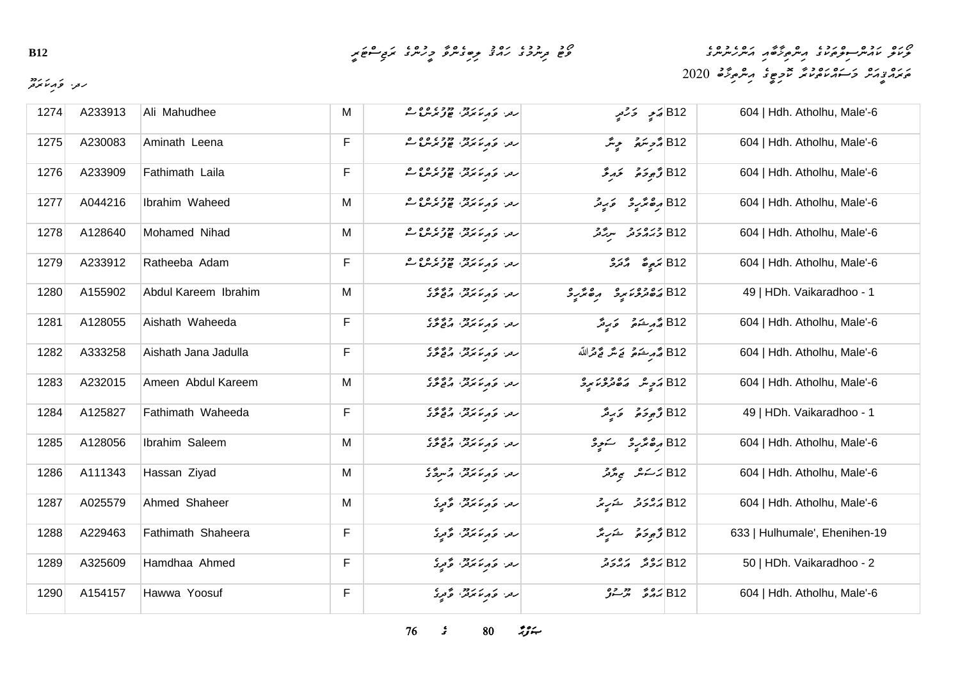*sCw7q7s5w7m< o<n9nOoAw7o< sCq;mAwBoEw7q<m; wBm;vB 2020<sup>, م</sup>وسوق المسجد المجموعة المسجد من المجموعة والم*جموعة والمجموعة والمجموعة والمجموعة والمجموعة والمجموعة وال

| 1274 | A233913 | Ali Mahudhee         | M | ردر و مرید در در در ده و ه |                                                               | 604   Hdh. Atholhu, Male'-6   |
|------|---------|----------------------|---|----------------------------|---------------------------------------------------------------|-------------------------------|
| 1275 | A230083 | Aminath Leena        | F | ردر و در در دود وه وه و    | B12 مَّ مِتَمَّدَ مِتَّ                                       | 604   Hdh. Atholhu, Male'-6   |
| 1276 | A233909 | Fathimath Laila      | F | رد که در دو دوده ده وه     | B12 <i>وَّجِوَة وَجَهِ قَ</i>                                 | 604   Hdh. Atholhu, Male'-6   |
| 1277 | A044216 | Ibrahim Waheed       | M | رد که ایران دوره دوره و د  | B12 م <i>وڭ ئۇر</i> ۇ ھەرپىر                                  | 604   Hdh. Atholhu, Male'-6   |
| 1278 | A128640 | Mohamed Nihad        | M | תעי פתיותני פניתיים -      | B12 <i>وُيَرْدُوَنْڊ</i> سِ <i>رِدُنْدُ</i>                   | 604   Hdh. Atholhu, Male'-6   |
| 1279 | A233912 | Ratheeba Adam        | F | תעי פתע מני מכנים כם       | B12 <i>بَرْمٍ هُ</i> " <i>مُ</i> تَرَدُّ                      | 604   Hdh. Atholhu, Male'-6   |
| 1280 | A155902 | Abdul Kareem Ibrahim | M | رفر كرد كارود وولولا       | B12 رَەتزىر برە بەھ ئېرىۋ                                     | 49   HDh. Vaikaradhoo - 1     |
| 1281 | A128055 | Aishath Waheeda      | F | رفر كرم ترود و و د د       | B12 م <i>ەممىشى قىرى</i> مە                                   | 604   Hdh. Atholhu, Male'-6   |
| 1282 | A333258 | Aishath Jana Jadulla | F | رفر كرد كارود وولولا       | B12 مَّ مِرْ شَمَّةً وَ مَّرَ مَّ مَّرَاللَّه                 | 604   Hdh. Atholhu, Male'-6   |
| 1283 | A232015 | Ameen Abdul Kareem   | M | رفر كرد كارود و و د د      | B12 <sub>م</sub> َح <i>وِيثر مُقَعَرَ مُرَبَّحَ مِ</i> حَ     | 604   Hdh. Atholhu, Male'-6   |
| 1284 | A125827 | Fathimath Waheeda    | F | رفر كرد كارود وولولا       | B12 ۇ <sub>ج</sub> ودۇ ق <sup>ى</sup> رى <i>د</i>             | 49   HDh. Vaikaradhoo - 1     |
| 1285 | A128056 | Ibrahim Saleem       | M | رفر كرد كارود و و د د      | B12  مەھەر ئەر ئىستىر ئىچە ئىچە ئىچە ئالىرى ئىستان ئىستان ئىل | 604   Hdh. Atholhu, Male'-6   |
| 1286 | A111343 | Hassan Ziyad         | M | رى ئەرىكى ئۇنى ئەستەك      | B12 بَرَسَتَ مَشَرَ مِهْرَ مَرْ                               | 604   Hdh. Atholhu, Male'-6   |
| 1287 | A025579 | Ahmed Shaheer        | M | رىن ئەرىئەتكى ئۇيرى        | B12 كەندى قىرىتى ئىستىر بىر                                   | 604   Hdh. Atholhu, Male'-6   |
| 1288 | A229463 | Fathimath Shaheera   | F | رى قەرىئەتە قىرى           | B12 رَّ <sub>مِو</sub> حَة شَرِيمَّ                           | 633   Hulhumale', Ehenihen-19 |
| 1289 | A325609 | Hamdhaa Ahmed        | F | رى قەرىكى ئەركى ھەمرى      | B12 يَرْوَتْرُ مَدْرَوْتْر                                    | 50   HDh. Vaikaradhoo - 2     |
| 1290 | A154157 | Hawwa Yoosuf         | F | رىر ئەرىئەترىقى ئۇيرى      | $3 - 3$ $3 - 12$                                              | 604   Hdh. Atholhu, Male'-6   |

 $76$  *s* 80 *n***<sub>3</sub> <del>***n***<sub>5</sub>**</del>

ر<sub>قر: 6</sub> م<sup>. ردد</sup>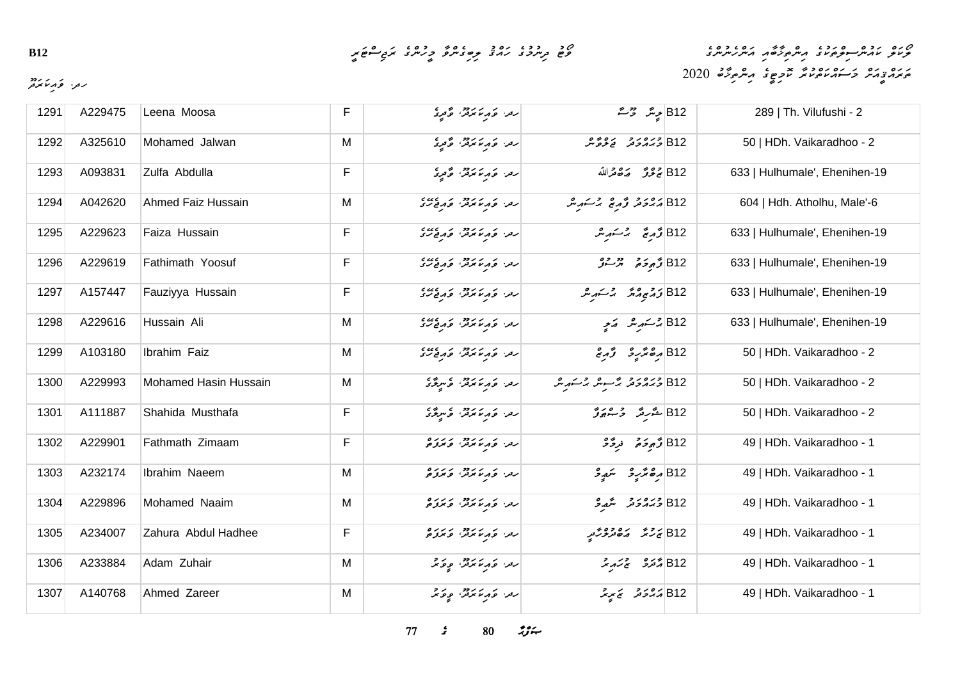*sCw7q7s5w7m< o<n9nOoAw7o< sCq;mAwBoEw7q<m; wBm;vB* م من المرة المرة المرة المرجع المراجع المراجع المراجع المراجع المراجع المراجع المراجع المراجع المراجع المراجع<br>مرين المراجع المراجع المرجع المراجع المراجع المراجع المراجع المراجع المراجع المراجع المراجع المراجع المراجع ال

| 2211<br>ردر ومسرر |  |
|-------------------|--|
|-------------------|--|

| 1291 | A229475 | Leena Moosa           | $\mathsf{F}$ | رىن ئەرىئەترىش ئۇمرى   | B12 مویٹر ترجمہٴ                                   | 289   Th. Vilufushi - 2       |
|------|---------|-----------------------|--------------|------------------------|----------------------------------------------------|-------------------------------|
| 1292 | A325610 | Mohamed Jalwan        | M            | رىر ئەرىئەترىق ئۇيرى   | B12 <i>وبرە دو يوۋىر</i>                           | 50   HDh. Vaikaradhoo - 2     |
| 1293 | A093831 | Zulfa Abdulla         | F            | رىن ئەرىئەترىقى ئۇيرى  | B12 يحورٌ     يرڤ قرالله                           | 633   Hulhumale', Ehenihen-19 |
| 1294 | A042620 | Ahmed Faiz Hussain    | M            | رى ئەرىكى ئەرە         | B12  مَدْوَمْرِ وَ <sub>م</sub> ُرِجْ كَمَسَمْرِسْ | 604   Hdh. Atholhu, Male'-6   |
| 1295 | A229623 | Faiza Hussain         | $\mathsf F$  | رى ئەرىكى ئەرە         | B12 وَْرِجَ بِمَ سَنَرِيْتَرَ                      | 633   Hulhumale', Ehenihen-19 |
| 1296 | A229619 | Fathimath Yoosuf      | F            | رى ئەرىكەت ئەرە        | B12 گ <sub>ۇج</sub> ۇمۇ مەسىرى                     | 633   Hulhumale', Ehenihen-19 |
| 1297 | A157447 | Fauziyya Hussain      | F            | رى ئەرىكى ئەرە         | B12 زَمَّ مِمْ مَرْ مَسَمَّ مِرْ مَرْ              | 633   Hulhumale', Ehenihen-19 |
| 1298 | A229616 | Hussain Ali           | M            | رى ئەرىئەتكى ئەم 200   | B12  پر کمبر بھ م <i>ے پ</i> ر                     | 633   Hulhumale', Ehenihen-19 |
| 1299 | A103180 | Ibrahim Faiz          | M            | رى كەرىكى كەرەپ        | B12 مەھمگىيى ئۇم <i>ق</i>                          | 50   HDh. Vaikaradhoo - 2     |
| 1300 | A229993 | Mohamed Hasin Hussain | M            | رو. ئەرىئىرلار ئەسرىگى | B12   <i>ويروون برسين برستهب</i> ش                 | 50   HDh. Vaikaradhoo - 2     |
| 1301 | A111887 | Shahida Musthafa      | $\mathsf F$  | رى ئەرىكىنى ئەيرى      | B12 حَدَرِيْر وَجَمْهِوْ                           | 50   HDh. Vaikaradhoo - 2     |
| 1302 | A229901 | Fathmath Zimaam       | F            | رىن ئەرىئەترى ئەيرزە   | B12 تَ <i>مْ جِحَمْ فِرِحَّ</i> حْ                 | 49   HDh. Vaikaradhoo - 1     |
| 1303 | A232174 | Ibrahim Naeem         | M            | رى ئەرىكى ئەررە        | B12 مەھم <i>گى</i> ر ئىستىم ئى                     | 49   HDh. Vaikaradhoo - 1     |
| 1304 | A229896 | Mohamed Naaim         | M            | رى ئەرىكى ئەررە        | B12 <i>جەنەدى ئىم</i> بى                           | 49   HDh. Vaikaradhoo - 1     |
| 1305 | A234007 | Zahura Abdul Hadhee   | F            | رى ئەرىكى ئەررە        | B12 ىخ <i>رىقى ھەقرى بىرى</i>                      | 49   HDh. Vaikaradhoo - 1     |
| 1306 | A233884 | Adam Zuhair           | M            | رىن ئەرىئەتكە ئەئەتمە  | B12 مُرْمَرْدَ بِمَ رَ <sub>مِ</sub> مُرْ          | 49   HDh. Vaikaradhoo - 1     |
| 1307 | A140768 | Ahmed Zareer          | M            | رىن قەرىكىنىڭ ھەقلى    | B12 كەندى كىم ئىچە ئىراپىتىكى بىر ئىقتا            | 49   HDh. Vaikaradhoo - 1     |

*77 sC 80 nNw?mS*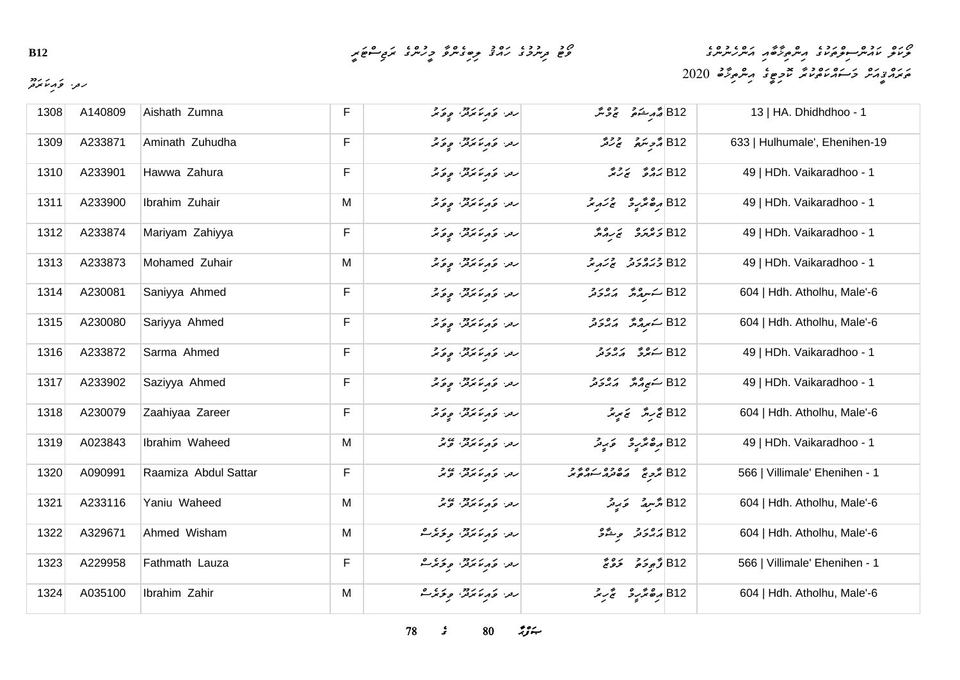*sCw7q7s5w7m< o<n9nOoAw7o< sCq;mAwBoEw7q<m; wBm;vB* م من المرة المرة المرة المرجع المراجع المراجع المراجع المراجع المراجع المراجع المراجع المراجع المراجع المراجع<br>مرين المراجع المراجع المرجع المراجع المراجع المراجع المراجع المراجع المراجع المراجع المراجع المراجع المراجع ال

| 1308 | A140809 | Aishath Zumna        | F | رىرا ئەرىئەترىق بوئەتر  | B12 مۇمەيشقى ئىمى ئىگە                        | 13   HA. Dhidhdhoo - 1        |
|------|---------|----------------------|---|-------------------------|-----------------------------------------------|-------------------------------|
| 1309 | A233871 | Aminath Zuhudha      | F | رىر. ئەرىئەتكە ئەتكەتمە | B12 مَّ حِسَمَعُ مَحْتَمَّد                   | 633   Hulhumale', Ehenihen-19 |
| 1310 | A233901 | Hawwa Zahura         | F | رىن ئەرىئەتكە ئەئەتمە   | B12 بَرْدْءٌ بِحَرْبَرٌ                       | 49   HDh. Vaikaradhoo - 1     |
| 1311 | A233900 | Ibrahim Zuhair       | M | رى ئەرىئەدە يەئەر       | B12 م <i>وڭ تۇرىق تىم مى</i> رىتى             | 49   HDh. Vaikaradhoo - 1     |
| 1312 | A233874 | Mariyam Zahiyya      | F | رىن ئەرىئەتكە ئوقەتمە   | B12 <i>وَجُهْدَ فَيَ بِهُمَّ</i>              | 49   HDh. Vaikaradhoo - 1     |
| 1313 | A233873 | Mohamed Zuhair       | M | رىن ئەرىئەتكە ئوقەتمە   | B12 <i>وُيَدُوْدُوْ</i> بِمَ <i>تَهِ</i> يْرَ | 49   HDh. Vaikaradhoo - 1     |
| 1314 | A230081 | Saniyya Ahmed        | F | رىدا ئەرىئەتكە ئەئەتمە  | B12 سىبەر ئەردىر                              | 604   Hdh. Atholhu, Male'-6   |
| 1315 | A230080 | Sariyya Ahmed        | F | رى ئەرىئەتكە ئەئەتم     | B12 س <i>تمبرة. بد محدد ق</i> ر               | 604   Hdh. Atholhu, Male'-6   |
| 1316 | A233872 | Sarma Ahmed          | F | رى قەرىكى ھۇمگە         | B12 سەمبەر ئەردىتە                            | 49   HDh. Vaikaradhoo - 1     |
| 1317 | A233902 | Saziyya Ahmed        | F | رى قەيتىگى جۇڭ          | B12 سەپەر قەرىر قىرىدىن                       | 49   HDh. Vaikaradhoo - 1     |
| 1318 | A230079 | Zaahiyaa Zareer      | F | رى ئەرىئەتە يەئەت       | B12 تج س <sub>ا</sub> نگر سج میں تھ           | 604   Hdh. Atholhu, Male'-6   |
| 1319 | A023843 | Ibrahim Waheed       | M | ر در نوم مردد در د      | B12 م <i>وڭ ئۇر</i> ۇ ھ <i>ۆم</i> ىتى         | 49   HDh. Vaikaradhoo - 1     |
| 1320 | A090991 | Raamiza Abdul Sattar | F | رود نوم ما بود دره د    | B12 تر <i>ويج م</i> قصد مصر معرف              | 566   Villimale' Ehenihen - 1 |
| 1321 | A233116 | Yaniu Waheed         | M | رمز تحمد تا برده به د   | B12 مُرْسِمٌ      وَرِيْرٌ                    | 604   Hdh. Atholhu, Male'-6   |
| 1322 | A329671 | Ahmed Wisham         | M | رىن ئەرىئەترىقى ئۆترگ   | B12 كەنزى قىر مەشكى                           | 604   Hdh. Atholhu, Male'-6   |
| 1323 | A229958 | Fathmath Lauza       | F | رىر. ئەرىئەترىق، ئۆترىش | B12 تَ <i>وجوءَ خود</i> يَّ                   | 566   Villimale' Ehenihen - 1 |
| 1324 | A035100 | Ibrahim Zahir        | M | رىد ئەرىئەتكە ئۆتكەش    | B12 م <i>وھنڑر پی پار</i> نمہ                 | 604   Hdh. Atholhu, Male'-6   |

*78 sC 80 nNw?mS*

ر<sub>قر: ح</sub> ك<sub>م</sub>ركز .<br>ر<sub>قر:</sub> ح كم يم تكريم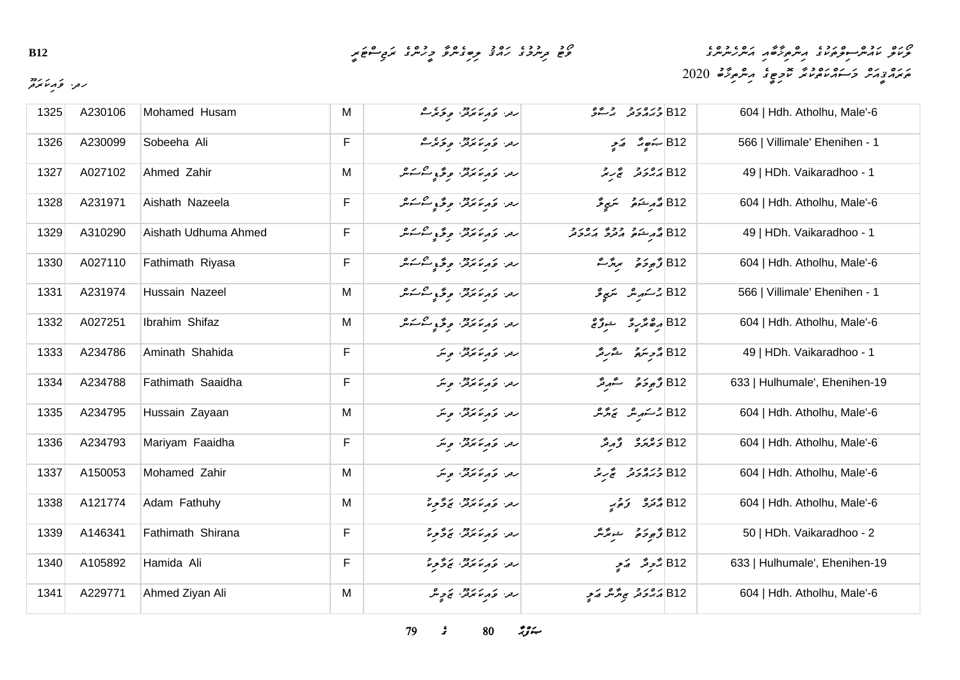*sCw7q7s5w7m< o<n9nOoAw7o< sCq;mAwBoEw7q<m; wBm;vB* م من المرة المرة المرة المرجع المراجع المراجع المراجع المراجع المراجع المراجع المراجع المراجع المراجع المراجع<br>مرين المراجع المراجع المرجع المراجع المراجع المراجع المراجع المراجع المراجع المراجع المراجع المراجع المراجع ال

|  | 220000<br>ردر ومستردر |  |
|--|-----------------------|--|
|--|-----------------------|--|

| 1325 | A230106 | Mohamed Husam        | M           | رىن ئەرىكىتى، ئەبمەر ئ         | B12 <i>جەممى ھار بىلى</i> چ                       | 604   Hdh. Atholhu, Male'-6   |
|------|---------|----------------------|-------------|--------------------------------|---------------------------------------------------|-------------------------------|
| 1326 | A230099 | Sobeeha Ali          | F           | رىر. ئەرىكىرىش، ئۆتكەش         | B12 ب <i>نوبڈ م</i> َعٍ                           | 566   Villimale' Ehenihen - 1 |
| 1327 | A027102 | Ahmed Zahir          | M           | رىن ئەرىرىدى بوگۇچىسىسى        | B12 كەنزى قىلى ئىقى بىر                           | 49   HDh. Vaikaradhoo - 1     |
| 1328 | A231971 | Aishath Nazeela      | F           | رىر. ئۇرىئەترىق، ئۇقخ يەسكەنگر | B12 مەم سىم ئىسى ئىسى ئىسى ئىس                    | 604   Hdh. Atholhu, Male'-6   |
| 1329 | A310290 | Aishath Udhuma Ahmed | F           | رىر. ئەرىئەترى ئۆتمەت ئەسەس    | B12 مەم شەم مەرق مەدەر                            | 49   HDh. Vaikaradhoo - 1     |
| 1330 | A027110 | Fathimath Riyasa     | F           | رىر. ھەرىكىرىق، ھەڭ يەسكەنگر   | B12 گۇجۇڭمۇ سىرتىگە                               | 604   Hdh. Atholhu, Male'-6   |
| 1331 | A231974 | Hussain Nazeel       | M           | رىر. ئەرىكىرى ئۇقچى سىسكىر     | B12  پرڪ <i>ي پير سکي پ</i> و                     | 566   Villimale' Ehenihen - 1 |
| 1332 | A027251 | Ibrahim Shifaz       | M           | رىن ئەرىكىرى ئۇقى سىسكىر       | B12 مەھەر بەر ئىسىرتى تى                          | 604   Hdh. Atholhu, Male'-6   |
| 1333 | A234786 | Aminath Shahida      | F           | رىن ئەرىئەترى ئەس              | B12 مَّ حِسَمَة مَّ شَرِيمَّ                      | 49   HDh. Vaikaradhoo - 1     |
| 1334 | A234788 | Fathimath Saaidha    | F           | رىن ئەرىئەتكە ئەس              | B12 تَ <i>وْجِوَةْ شَهْرِةْدْ</i>                 | 633   Hulhumale', Ehenihen-19 |
| 1335 | A234795 | Hussain Zayaan       | M           | رىن ئەرىئەتكە ئەس              | B12 برڪ <sub>يم</sub> بر پہر مر                   | 604   Hdh. Atholhu, Male'-6   |
| 1336 | A234793 | Mariyam Faaidha      | F           | رىن ئەرىئەتكە ئەس              | B12 <i>5 پر پڑھ</i> گرم پھر                       | 604   Hdh. Atholhu, Male'-6   |
| 1337 | A150053 | Mohamed Zahir        | M           | رىن ئەرىئەترى ئەس              | B12 <i>وَيَدْوُوَتَوْ</i> يَحْرِيْرُ              | 604   Hdh. Atholhu, Male'-6   |
| 1338 | A121774 | Adam Fathuhy         | M           | رى ئەرىكى ئەڭ بور              | B12 مُرْمَرْد وَمْرِ                              | 604   Hdh. Atholhu, Male'-6   |
| 1339 | A146341 | Fathimath Shirana    | F           | رى ئەرىكىن ئەۋرى               | B12 <i>وَّج</i> وحَةُ صَبِعَتْهُ                  | 50   HDh. Vaikaradhoo - 2     |
| 1340 | A105892 | Hamida Ali           | $\mathsf F$ | رى ئەرىكى ئەڭ بور              | B12 تَرْ <sub>وِمَدُ صَمِ</sub>                   | 633   Hulhumale', Ehenihen-19 |
| 1341 | A229771 | Ahmed Ziyan Ali      | M           | رىر. ئۇرىئەترىش تۇرپىر         | B12   پر جو پر پر گرمي کريگيري کريد <del>که</del> | 604   Hdh. Atholhu, Male'-6   |

*79 sC 80 nNw?mS*